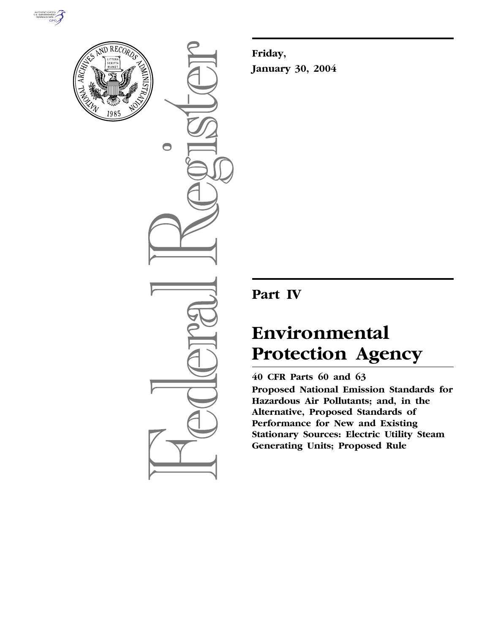



 $\bigcirc$ 

**Friday, January 30, 2004**

## **Part IV**

# **Environmental Protection Agency**

### **40 CFR Parts 60 and 63**

**Proposed National Emission Standards for Hazardous Air Pollutants; and, in the Alternative, Proposed Standards of Performance for New and Existing Stationary Sources: Electric Utility Steam Generating Units; Proposed Rule**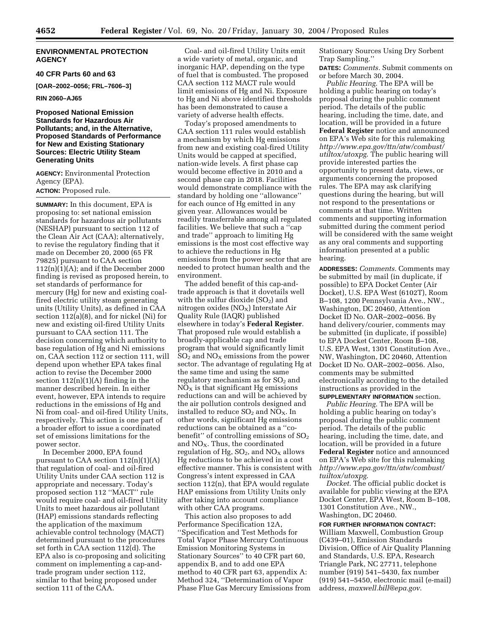#### **ENVIRONMENTAL PROTECTION AGENCY**

#### **40 CFR Parts 60 and 63**

**[OAR–2002–0056; FRL–7606–3]** 

#### **RIN 2060–AJ65**

#### **Proposed National Emission Standards for Hazardous Air Pollutants; and, in the Alternative, Proposed Standards of Performance for New and Existing Stationary Sources: Electric Utility Steam Generating Units**

**AGENCY:** Environmental Protection Agency (EPA). **ACTION:** Proposed rule.

**SUMMARY:** In this document, EPA is proposing to: set national emission standards for hazardous air pollutants (NESHAP) pursuant to section 112 of the Clean Air Act (CAA); alternatively, to revise the regulatory finding that it made on December 20, 2000 (65 FR 79825) pursuant to CAA section  $112(n)(1)(A)$ ; and if the December 2000 finding is revised as proposed herein, to set standards of performance for mercury (Hg) for new and existing coalfired electric utility steam generating units (Utility Units), as defined in CAA section 112(a)(8), and for nickel (Ni) for new and existing oil-fired Utility Units pursuant to CAA section 111. The decision concerning which authority to base regulation of Hg and Ni emissions on, CAA section 112 or section 111, will depend upon whether EPA takes final action to revise the December 2000 section  $112(n)(1)(A)$  finding in the manner described herein. In either event, however, EPA intends to require reductions in the emissions of Hg and Ni from coal- and oil-fired Utility Units, respectively. This action is one part of a broader effort to issue a coordinated set of emissions limitations for the power sector.

In December 2000, EPA found pursuant to CAA section 112(n)(1)(A) that regulation of coal- and oil-fired Utility Units under CAA section 112 is appropriate and necessary. Today's proposed section 112 ''MACT'' rule would require coal- and oil-fired Utility Units to meet hazardous air pollutant (HAP) emissions standards reflecting the application of the maximum achievable control technology (MACT) determined pursuant to the procedures set forth in CAA section 112(d). The EPA also is co-proposing and soliciting comment on implementing a cap-andtrade program under section 112, similar to that being proposed under section 111 of the CAA.

Coal- and oil-fired Utility Units emit a wide variety of metal, organic, and inorganic HAP, depending on the type of fuel that is combusted. The proposed CAA section 112 MACT rule would limit emissions of Hg and Ni. Exposure to Hg and Ni above identified thresholds has been demonstrated to cause a variety of adverse health effects.

Today's proposed amendments to CAA section 111 rules would establish a mechanism by which Hg emissions from new and existing coal-fired Utility Units would be capped at specified, nation-wide levels. A first phase cap would become effective in 2010 and a second phase cap in 2018. Facilities would demonstrate compliance with the standard by holding one ''allowance'' for each ounce of Hg emitted in any given year. Allowances would be readily transferrable among all regulated facilities. We believe that such a ''cap and trade'' approach to limiting Hg emissions is the most cost effective way to achieve the reductions in Hg emissions from the power sector that are needed to protect human health and the environment.

The added benefit of this cap-andtrade approach is that it dovetails well with the sulfur dioxide  $(SO_2)$  and nitrogen oxides  $(NO<sub>x</sub>)$  Interstate Air Quality Rule (IAQR) published elsewhere in today's **Federal Register**. That proposed rule would establish a broadly-applicable cap and trade program that would significantly limit  $SO<sub>2</sub>$  and  $NO<sub>X</sub>$  emissions from the power sector. The advantage of regulating Hg at the same time and using the same regulatory mechanism as for  $SO<sub>2</sub>$  and  $NO<sub>x</sub>$  is that significant Hg emissions reductions can and will be achieved by the air pollution controls designed and installed to reduce  $SO_2$  and  $NO_X$ . In other words, significant Hg emissions reductions can be obtained as a ''cobenefit" of controlling emissions of  $SO<sub>2</sub>$ and  $NO<sub>X</sub>$ . Thus, the coordinated regulation of Hg,  $SO_2$ , and  $NO_X$  allows Hg reductions to be achieved in a cost effective manner. This is consistent with Congress's intent expressed in CAA section 112(n), that EPA would regulate HAP emissions from Utility Units only after taking into account compliance with other CAA programs.

This action also proposes to add Performance Specification 12A, ''Specification and Test Methods for Total Vapor Phase Mercury Continuous Emission Monitoring Systems in Stationary Sources'' to 40 CFR part 60, appendix B, and to add one EPA method to 40 CFR part 63, appendix A: Method 324, ''Determination of Vapor Phase Flue Gas Mercury Emissions from Stationary Sources Using Dry Sorbent Trap Sampling.''

**DATES:** *Comments.* Submit comments on or before March 30, 2004.

*Public Hearing.* The EPA will be holding a public hearing on today's proposal during the public comment period. The details of the public hearing, including the time, date, and location, will be provided in a future **Federal Register** notice and announced on EPA's Web site for this rulemaking *http://www.epa.gov/ttn/atw/combust/ utiltox/utoxpg*. The public hearing will provide interested parties the opportunity to present data, views, or arguments concerning the proposed rules. The EPA may ask clarifying questions during the hearing, but will not respond to the presentations or comments at that time. Written comments and supporting information submitted during the comment period will be considered with the same weight as any oral comments and supporting information presented at a public hearing.

**ADDRESSES:** *Comments.* Comments may be submitted by mail (in duplicate, if possible) to EPA Docket Center (Air Docket), U.S. EPA West (6102T), Room B–108, 1200 Pennsylvania Ave., NW., Washington, DC 20460, Attention Docket ID No. OAR–2002–0056. By hand delivery/courier, comments may be submitted (in duplicate, if possible) to EPA Docket Center, Room B–108, U.S. EPA West, 1301 Constitution Ave., NW, Washington, DC 20460, Attention Docket ID No. OAR–2002–0056. Also, comments may be submitted electronically according to the detailed instructions as provided in the **SUPPLEMENTARY INFORMATION** section.

*Public Hearing.* The EPA will be holding a public hearing on today's proposal during the public comment period. The details of the public hearing, including the time, date, and location, will be provided in a future **Federal Register** notice and announced on EPA's Web site for this rulemaking *http://www.epa.gov/ttn/atw/combust/ tuiltox/utoxpg*.

*Docket.* The official public docket is available for public viewing at the EPA Docket Center, EPA West, Room B–108, 1301 Constitution Ave., NW., Washington, DC 20460.

#### **FOR FURTHER INFORMATION CONTACT:**

William Maxwell, Combustion Group (C439–01), Emission Standards Division, Office of Air Quality Planning and Standards, U.S. EPA, Research Triangle Park, NC 27711, telephone number (919) 541–5430, fax number (919) 541–5450, electronic mail (e-mail) address, *maxwell.bill@epa.gov*.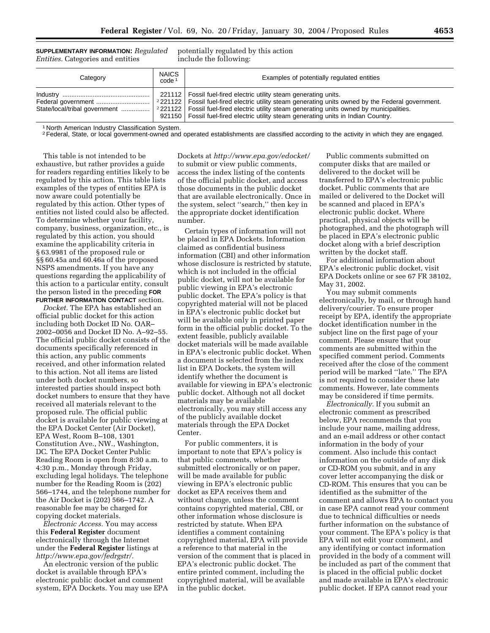**SUPPLEMENTARY INFORMATION:** *Regulated Entities.* Categories and entities

potentially regulated by this action include the following:

| Category | <b>NAICS</b><br>code <sup>1</sup> | Examples of potentially regulated entities                                                                                                                   |
|----------|-----------------------------------|--------------------------------------------------------------------------------------------------------------------------------------------------------------|
|          |                                   | 221112   Fossil fuel-fired electric utility steam generating units.<br>921150   Fossil fuel-fired electric utility steam generating units in Indian Country. |

1 North American Industry Classification System.

<sup>2</sup> Federal, State, or local government-owned and operated establishments are classified according to the activity in which they are engaged.

This table is not intended to be exhaustive, but rather provides a guide for readers regarding entities likely to be regulated by this action. This table lists examples of the types of entities EPA is now aware could potentially be regulated by this action. Other types of entities not listed could also be affected. To determine whether your facility, company, business, organization, etc., is regulated by this action, you should examine the applicability criteria in § 63.9981 of the proposed rule or §§ 60.45a and 60.46a of the proposed NSPS amendments. If you have any questions regarding the applicability of this action to a particular entity, consult the person listed in the preceding **FOR FURTHER INFORMATION CONTACT** section.

*Docket.* The EPA has established an official public docket for this action including both Docket ID No. OAR– 2002–0056 and Docket ID No. A–92–55. The official public docket consists of the documents specifically referenced in this action, any public comments received, and other information related to this action. Not all items are listed under both docket numbers, so interested parties should inspect both docket numbers to ensure that they have received all materials relevant to the proposed rule. The official public docket is available for public viewing at the EPA Docket Center (Air Docket), EPA West, Room B–108, 1301 Constitution Ave., NW., Washington, DC. The EPA Docket Center Public Reading Room is open from 8:30 a.m. to 4:30 p.m., Monday through Friday, excluding legal holidays. The telephone number for the Reading Room is (202) 566–1744, and the telephone number for the Air Docket is (202) 566–1742. A reasonable fee may be charged for copying docket materials.

*Electronic Access.* You may access this **Federal Register** document electronically through the Internet under the **Federal Register** listings at *http://www.epa.gov/fedrgstr/.*

An electronic version of the public docket is available through EPA's electronic public docket and comment system, EPA Dockets. You may use EPA

Dockets at *http://www.epa.gov/edocket/* to submit or view public comments, access the index listing of the contents of the official public docket, and access those documents in the public docket that are available electronically. Once in the system, select ''search,'' then key in the appropriate docket identification number.

Certain types of information will not be placed in EPA Dockets. Information claimed as confidential business information (CBI) and other information whose disclosure is restricted by statute, which is not included in the official public docket, will not be available for public viewing in EPA's electronic public docket. The EPA's policy is that copyrighted material will not be placed in EPA's electronic public docket but will be available only in printed paper form in the official public docket. To the extent feasible, publicly available docket materials will be made available in EPA's electronic public docket. When a document is selected from the index list in EPA Dockets, the system will identify whether the document is available for viewing in EPA's electronic public docket. Although not all docket materials may be available electronically, you may still access any of the publicly available docket materials through the EPA Docket Center.

For public commenters, it is important to note that EPA's policy is that public comments, whether submitted electronically or on paper, will be made available for public viewing in EPA's electronic public docket as EPA receives them and without change, unless the comment contains copyrighted material, CBI, or other information whose disclosure is restricted by statute. When EPA identifies a comment containing copyrighted material, EPA will provide a reference to that material in the version of the comment that is placed in EPA's electronic public docket. The entire printed comment, including the copyrighted material, will be available in the public docket.

Public comments submitted on computer disks that are mailed or delivered to the docket will be transferred to EPA's electronic public docket. Public comments that are mailed or delivered to the Docket will be scanned and placed in EPA's electronic public docket. Where practical, physical objects will be photographed, and the photograph will be placed in EPA's electronic public docket along with a brief description written by the docket staff.

For additional information about EPA's electronic public docket, visit EPA Dockets online or see 67 FR 38102, May 31, 2002.

You may submit comments electronically, by mail, or through hand delivery/courier. To ensure proper receipt by EPA, identify the appropriate docket identification number in the subject line on the first page of your comment. Please ensure that your comments are submitted within the specified comment period. Comments received after the close of the comment period will be marked ''late.'' The EPA is not required to consider these late comments. However, late comments may be considered if time permits.

*Electronically.* If you submit an electronic comment as prescribed below, EPA recommends that you include your name, mailing address, and an e-mail address or other contact information in the body of your comment. Also include this contact information on the outside of any disk or CD-ROM you submit, and in any cover letter accompanying the disk or CD-ROM. This ensures that you can be identified as the submitter of the comment and allows EPA to contact you in case EPA cannot read your comment due to technical difficulties or needs further information on the substance of your comment. The EPA's policy is that EPA will not edit your comment, and any identifying or contact information provided in the body of a comment will be included as part of the comment that is placed in the official public docket and made available in EPA's electronic public docket. If EPA cannot read your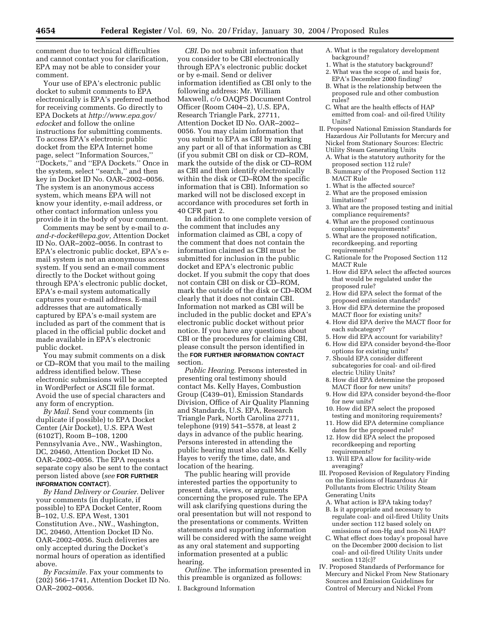comment due to technical difficulties and cannot contact you for clarification, EPA may not be able to consider your comment.

Your use of EPA's electronic public docket to submit comments to EPA electronically is EPA's preferred method for receiving comments. Go directly to EPA Dockets at *http://www.epa.gov/ edocket* and follow the online instructions for submitting comments. To access EPA's electronic public docket from the EPA Internet home page, select ''Information Sources,'' ''Dockets,'' and ''EPA Dockets.'' Once in the system, select ''search,'' and then key in Docket ID No. OAR–2002–0056. The system is an anonymous access system, which means EPA will not know your identity, e-mail address, or other contact information unless you provide it in the body of your comment.

Comments may be sent by e-mail to *aand-r-docket@epa.gov,* Attention Docket ID No. OAR–2002–0056. In contrast to EPA's electronic public docket, EPA's email system is not an anonymous access system. If you send an e-mail comment directly to the Docket without going through EPA's electronic public docket, EPA's e-mail system automatically captures your e-mail address. E-mail addresses that are automatically captured by EPA's e-mail system are included as part of the comment that is placed in the official public docket and made available in EPA's electronic public docket.

You may submit comments on a disk or CD–ROM that you mail to the mailing address identified below. These electronic submissions will be accepted in WordPerfect or ASCII file format. Avoid the use of special characters and any form of encryption.

*By Mail.* Send your comments (in duplicate if possible) to EPA Docket Center (Air Docket), U.S. EPA West (6102T), Room B–108, 1200 Pennsylvania Ave., NW., Washington, DC, 20460, Attention Docket ID No. OAR–2002–0056. The EPA requests a separate copy also be sent to the contact person listed above (*see* **FOR FURTHER INFORMATION CONTACT**).

*By Hand Delivery or Courier.* Deliver your comments (in duplicate, if possible) to EPA Docket Center, Room B–102, U.S. EPA West, 1301 Constitution Ave., NW., Washington, DC, 20460, Attention Docket ID No. OAR–2002–0056. Such deliveries are only accepted during the Docket's normal hours of operation as identified above.

*By Facsimile.* Fax your comments to (202) 566–1741, Attention Docket ID No. OAR–2002–0056.

*CBI.* Do not submit information that you consider to be CBI electronically through EPA's electronic public docket or by e-mail. Send or deliver information identified as CBI only to the following address: Mr. William Maxwell, c/o OAQPS Document Control Officer (Room C404–2), U.S. EPA, Research Triangle Park, 27711, Attention Docket ID No. OAR–2002– 0056. You may claim information that you submit to EPA as CBI by marking any part or all of that information as CBI (if you submit CBI on disk or CD–ROM, mark the outside of the disk or CD–ROM as CBI and then identify electronically within the disk or CD–ROM the specific information that is CBI). Information so marked will not be disclosed except in accordance with procedures set forth in 40 CFR part 2.

In addition to one complete version of the comment that includes any information claimed as CBI, a copy of the comment that does not contain the information claimed as CBI must be submitted for inclusion in the public docket and EPA's electronic public docket. If you submit the copy that does not contain CBI on disk or CD–ROM, mark the outside of the disk or CD–ROM clearly that it does not contain CBI. Information not marked as CBI will be included in the public docket and EPA's electronic public docket without prior notice. If you have any questions about CBI or the procedures for claiming CBI, please consult the person identified in the **FOR FURTHER INFORMATION CONTACT** section.

*Public Hearing.* Persons interested in presenting oral testimony should contact Ms. Kelly Hayes, Combustion Group (C439–01), Emission Standards Division, Office of Air Quality Planning and Standards, U.S. EPA, Research Triangle Park, North Carolina 27711, telephone (919) 541–5578, at least 2 days in advance of the public hearing. Persons interested in attending the public hearing must also call Ms. Kelly Hayes to verify the time, date, and location of the hearing.

The public hearing will provide interested parties the opportunity to present data, views, or arguments concerning the proposed rule. The EPA will ask clarifying questions during the oral presentation but will not respond to the presentations or comments. Written statements and supporting information will be considered with the same weight as any oral statement and supporting information presented at a public hearing.

*Outline.* The information presented in this preamble is organized as follows:

I. Background Information

- A. What is the regulatory development background?
- 1. What is the statutory background?
- 2. What was the scope of, and basis for, EPA's December 2000 finding?
- B. What is the relationship between the proposed rule and other combustion rules?
- C. What are the health effects of HAP emitted from coal- and oil-fired Utility Units?
- II. Proposed National Emission Standards for Hazardous Air Pollutants for Mercury and Nickel from Stationary Sources: Electric Utility Steam Generating Units
	- A. What is the statutory authority for the proposed section 112 rule?
	- B. Summary of the Proposed Section 112 MACT Rule
	- 1. What is the affected source?
	- 2. What are the proposed emission limitations?
	- 3. What are the proposed testing and initial compliance requirements?
	- 4. What are the proposed continuous compliance requirements?
	- 5. What are the proposed notification, recordkeeping, and reporting requirements?
	- C. Rationale for the Proposed Section 112 MACT Rule
	- 1. How did EPA select the affected sources that would be regulated under the proposed rule?
	- 2. How did EPA select the format of the proposed emission standards?
	- 3. How did EPA determine the proposed MACT floor for existing units?
	- 4. How did EPA derive the MACT floor for each subcategory?
	- 5. How did EPA account for variability?
	- 6. How did EPA consider beyond-the-floor options for existing units?
	- 7. Should EPA consider different subcategories for coal- and oil-fired electric Utility Units?
	- 8. How did EPA determine the proposed MACT floor for new units?
	- 9. How did EPA consider beyond-the-floor for new units?
	- 10. How did EPA select the proposed testing and monitoring requirements?
	- 11. How did EPA determine compliance dates for the proposed rule?
	- 12. How did EPA select the proposed recordkeeping and reporting requirements?
	- 13. Will EPA allow for facility-wide averaging?
- III. Proposed Revision of Regulatory Finding on the Emissions of Hazardous Air Pollutants from Electric Utility Steam Generating Units
	- A. What action is EPA taking today?
	- B. Is it appropriate and necessary to regulate coal- and oil-fired Utility Units under section 112 based solely on emissions of non-Hg and non-Ni HAP?
	- C. What effect does today's proposal have on the December 2000 decision to list coal- and oil-fired Utility Units under section 112(c)?
- IV. Proposed Standards of Performance for Mercury and Nickel From New Stationary Sources and Emission Guidelines for Control of Mercury and Nickel From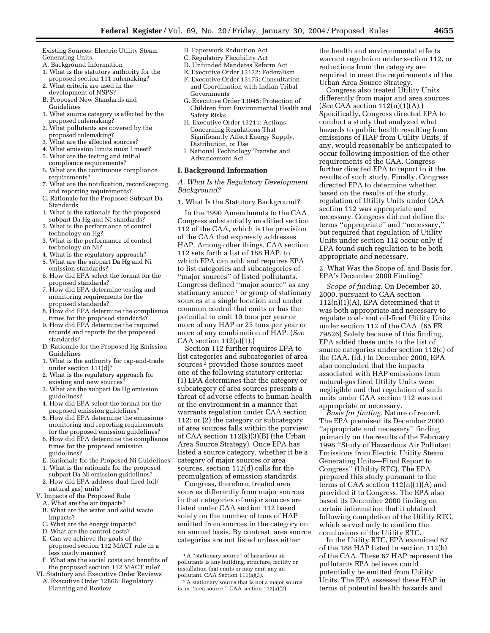Existing Sources: Electric Utility Steam Generating Units

- A. Background Information
- 1. What is the statutory authority for the proposed section 111 rulemaking?
- 2. What criteria are used in the development of NSPS?
- B. Proposed New Standards and Guidelines
- 1. What source category is affected by the proposed rulemaking?
- 2. What pollutants are covered by the proposed rulemaking?
- 3. What are the affected sources?
- 4. What emission limits must I meet?
- 5. What are the testing and initial compliance requirements?
- 6. What are the continuous compliance requirements?
- 7. What are the notification, recordkeeping, and reporting requirements?
- C. Rationale for the Proposed Subpart Da Standards
- 1. What is the rationale for the proposed subpart Da Hg and Ni standards?
- 2. What is the performance of control technology on Hg?
- 3. What is the performance of control
- technology on Ni? 4. What is the regulatory approach?
- 5. What are the subpart Da Hg and Ni
- emission standards? 6. How did EPA select the format for the
- proposed standards?
- 7. How did EPA determine testing and monitoring requirements for the proposed standards?
- 8. How did EPA determine the compliance times for the proposed standards?
- 9. How did EPA determine the required records and reports for the proposed standards?
- D. Rationale for the Proposed Hg Emission Guidelines
- 1. What is the authority for cap-and-trade under section 111(d)?
- 2. What is the regulatory approach for existing and new sources?
- 3. What are the subpart Da Hg emission guidelines?
- 4. How did EPA select the format for the proposed emission guidelines?
- 5. How did EPA determine the emissions monitoring and reporting requirements for the proposed emission guidelines?
- 6. How did EPA determine the compliance times for the proposed emission guidelines?
- E. Rationale for the Proposed Ni Guidelines
- 1. What is the rationale for the proposed
- subpart Da Ni emission guidelines? 2. How did EPA address dual-fired (oil/
- natural gas) units? V. Impacts of the Proposed Rule
	- A. What are the air impacts?
	- B. What are the water and solid waste impacts?
	- C. What are the energy impacts?
	- D. What are the control costs?
	- E. Can we achieve the goals of the proposed section 112 MACT rule in a less costly manner?
	- F. What are the social costs and benefits of the proposed section 112 MACT rule?
- VI. Statutory and Executive Order Reviews
	- A. Executive Order 12866: Regulatory Planning and Review
- B. Paperwork Reduction Act
- C. Regulatory Flexibility Act
- D. Unfunded Mandates Reform Act E. Executive Order 13132: Federalism
- F. Executive Order 13175: Consultation and Coordination with Indian Tribal Governments
- G. Executive Order 13045: Protection of Children from Environmental Health and Safety Risks
- H. Executive Order 13211: Actions Concerning Regulations That Significantly Affect Energy Supply, Distribution, or Use
- I. National Technology Transfer and Advancement Act

#### **I. Background Information**

*A. What Is the Regulatory Development Background?* 

1. What Is the Statutory Background?

In the 1990 Amendments to the CAA, Congress substantially modified section 112 of the CAA, which is the provision of the CAA that expressly addresses HAP. Among other things, CAA section 112 sets forth a list of 188 HAP, to which EPA can add, and requires EPA to list categories and subcategories of ''major sources'' of listed pollutants. Congress defined ''major source'' as any stationary source  $1$  or group of stationary sources at a single location and under common control that emits or has the potential to emit 10 tons per year or more of any HAP or 25 tons per year or more of any combination of HAP. (*See*  $CAA$  section  $112(a)(1)$ .

Section 112 further requires EPA to list categories and subcategories of area sources 2 provided those sources meet one of the following statutory criteria: (1) EPA determines that the category or subcategory of area sources presents a threat of adverse effects to human health or the environment in a manner that warrants regulation under CAA section 112; or (2) the category or subcategory of area sources falls within the purview of CAA section 112(k)(3)(B) (the Urban Area Source Strategy). Once EPA has listed a source category, whether it be a category of major sources or area sources, section 112(d) calls for the promulgation of emission standards.

Congress, therefore, treated area sources differently from major sources in that categories of major sources are listed under CAA section 112 based solely on the number of tons of HAP emitted from sources in the category on an annual basis. By contrast, area source categories are not listed unless either

the health and environmental effects warrant regulation under section 112, or reductions from the category are required to meet the requirements of the Urban Area Source Strategy.

Congress also treated Utility Units differently from major and area sources. (*See* CAA section 112(n)(1)(A).) Specifically, Congress directed EPA to conduct a study that analyzed what hazards to public health resulting from emissions of HAP from Utility Units, if any, would reasonably be anticipated to occur following imposition of the other requirements of the CAA. Congress further directed EPA to report to it the results of such study. Finally, Congress directed EPA to determine whether, based on the results of the study, regulation of Utility Units under CAA section 112 was appropriate and necessary. Congress did not define the terms ''appropriate'' and ''necessary,'' but required that regulation of Utility Units under section 112 occur only if EPA found such regulation to be both appropriate *and* necessary.

2. What Was the Scope of, and Basis for, EPA's December 2000 Finding?

*Scope of finding.* On December 20, 2000, pursuant to CAA section 112(n)(1)(A), EPA determined that it was both appropriate and necessary to regulate coal- and oil-fired Utility Units under section 112 of the CAA. (65 FR 79826) Solely because of this finding, EPA added these units to the list of source categories under section 112(c) of the CAA. (Id.) In December 2000, EPA also concluded that the impacts associated with HAP emissions from natural-gas fired Utility Units were negligible and that regulation of such units under CAA section 112 was not appropriate or necessary.

*Basis for finding.* Nature of record. The EPA premised its December 2000 ''appropriate and necessary'' finding primarily on the results of the February 1998 ''Study of Hazardous Air Pollutant Emissions from Electric Utility Steam Generating Units—Final Report to Congress'' (Utility RTC). The EPA prepared this study pursuant to the terms of CAA section  $112(n)(1)(A)$  and provided it to Congress. The EPA also based its December 2000 finding on certain information that it obtained following completion of the Utility RTC, which served only to confirm the conclusions of the Utility RTC.

In the Utility RTC, EPA examined 67 of the 188 HAP listed in section 112(b) of the CAA. These 67 HAP represent the pollutants EPA believes could potentially be emitted from Utility Units. The EPA assessed these HAP in terms of potential health hazards and

 $^{\rm 1}{\rm A}$  ''stationary source'' of hazardous air pollutants is any building, structure, facility or installation that emits or may emit any air pollutant. CAA Section 111(a)(3).

<sup>2</sup>A stationary source that is not a major source is an ''area source.'' CAA section 112(a)(2).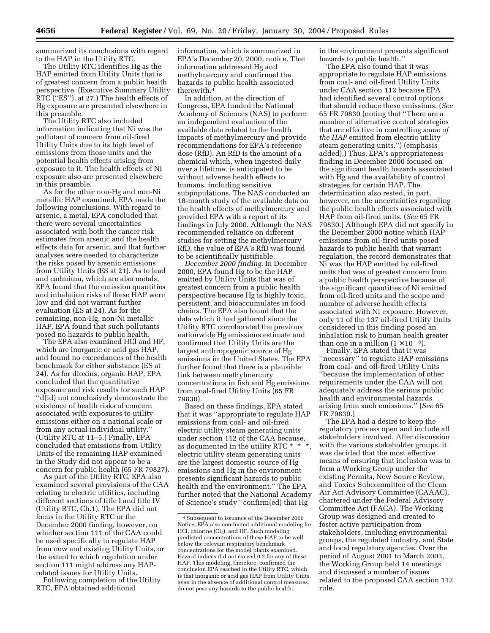summarized its conclusions with regard to the HAP in the Utility RTC.

The Utility RTC identifies Hg as the HAP emitted from Utility Units that is of greatest concern from a public health perspective. (Executive Summary Utility RTC (''ES''), at 27.) The health effects of Hg exposure are presented elsewhere in this preamble.

The Utility RTC also included information indicating that Ni was the pollutant of concern from oil-fired Utility Units due to its high level of emissions from those units and the potential health effects arising from exposure to it. The health effects of Ni exposure also are presented elsewhere in this preamble.

As for the other non-Hg and non-Ni metallic HAP examined, EPA made the following conclusions. With regard to arsenic, a metal, EPA concluded that there were several uncertainties associated with both the cancer risk estimates from arsenic and the health effects data for arsenic, and that further analyses were needed to characterize the risks posed by arsenic emissions from Utility Units (ES at 21). As to lead and cadmium, which are also metals, EPA found that the emission quantities and inhalation risks of these HAP were low and did not warrant further evaluation (ES at 24). As for the remaining, non-Hg, non-Ni metallic HAP, EPA found that such pollutants posed no hazards to public health.

The EPA also examined HCl and HF, which are inorganic or acid gas HAP, and found no exceedances of the health benchmark for either substance (ES at 24). As for dioxins, organic HAP, EPA concluded that the quantitative exposure and risk results for such HAP ''d(id) not conclusively demonstrate the existence of health risks of concern associated with exposures to utility emissions either on a national scale or from any actual individual utility.'' (Utility RTC at 11–5.) Finally, EPA concluded that emissions from Utility Units of the remaining HAP examined in the Study did not appear to be a concern for public health (65 FR 79827).

As part of the Utility RTC, EPA also examined several provisions of the CAA relating to electric utilities, including different sections of title I and title IV (Utility RTC, Ch.1). The EPA did not focus in the Utility RTC or the December 2000 finding, however, on whether section 111 of the CAA could be used specifically to regulate HAP from new and existing Utility Units, or the extent to which regulation under section 111 might address any HAPrelated issues for Utility Units.

Following completion of the Utility RTC, EPA obtained additional

information, which is summarized in EPA's December 20, 2000, notice. That information addressed Hg and methylmercury and confirmed the hazards to public health associated therewith.4

In addition, at the direction of Congress, EPA funded the National Academy of Sciences (NAS) to perform an independent evaluation of the available data related to the health impacts of methylmercury and provide recommendations for EPA's reference dose (RfD). An RfD is the amount of a chemical which, when ingested daily over a lifetime, is anticipated to be without adverse health effects to humans, including sensitive subpopulations. The NAS conducted an 18-month study of the available data on the health effects of methylmercury and provided EPA with a report of its findings in July 2000. Although the NAS recommended reliance on different studies for setting the methylmercury RfD, the value of EPA's RfD was found to be scientifically justifiable.

*December 2000 finding.* In December 2000, EPA found Hg to be the HAP emitted by Utility Units that was of greatest concern from a public health perspective because Hg is highly toxic, persistent, and bioaccumulates in food chains. The EPA also found that the data which it had gathered since the Utility RTC corroborated the previous nationwide Hg emissions estimate and confirmed that Utility Units are the largest anthropogenic source of Hg emissions in the United States. The EPA further found that there is a plausible link between methylmercury concentrations in fish and Hg emissions from coal-fired Utility Units (65 FR 79830).

Based on these findings, EPA stated that it was ''appropriate to regulate HAP emissions from coal- and oil-fired electric utility steam generating units under section 112 of the CAA because, as documented in the utility RTC \* \* \*, electric utility steam generating units are the largest domestic source of Hg emissions and Hg in the environment presents significant hazards to public health and the environment.'' The EPA further noted that the National Academy of Science's study ''confirm(ed) that Hg

in the environment presents significant hazards to public health.''

The EPA also found that it was appropriate to regulate HAP emissions from coal- and oil-fired Utility Units under CAA section 112 because EPA had identified several control options that should reduce these emissions. (*See* 65 FR 79830 (noting that ''There are a number of alternative control strategies that are effective in controlling *some of the HAP* emitted from electric utility steam generating units.'') (emphasis added).) Thus, EPA's appropriateness finding in December 2000 focused on the significant health hazards associated with Hg and the availability of control strategies for certain HAP. The determination also rested, in part, however, on the uncertainties regarding the public health effects associated with HAP from oil-fired units. (*See* 65 FR 79830.) Although EPA did not specify in the December 2000 notice which HAP emissions from oil-fired units posed hazards to public health that warrant regulation, the record demonstrates that Ni was the HAP emitted by oil-fired units that was of greatest concern from a public health perspective because of the significant quantities of Ni emitted from oil-fired units and the scope and number of adverse health effects associated with Ni exposure. However, only 11 of the 137 oil-fired Utility Units considered in this finding posed an inhalation risk to human health greater than one in a million  $(1 \times 10^{-6})$ .

Finally, EPA stated that it was ''necessary'' to regulate HAP emissions from coal- and oil-fired Utility Units ''because the implementation of other requirements under the CAA will not adequately address the serious public health and environmental hazards arising from such emissions.'' (*See* 65 FR 79830.)

The EPA had a desire to keep the regulatory process open and include all stakeholders involved. After discussion with the various stakeholder groups, it was decided that the most effective means of ensuring that inclusion was to form a Working Group under the existing Permits, New Source Review, and Toxics Subcommittee of the Clean Air Act Advisory Committee (CAAAC), chartered under the Federal Advisory Committee Act (FACA). The Working Group was designed and created to foster active participation from stakeholders, including environmental groups, the regulated industry, and State and local regulatory agencies. Over the period of August 2001 to March 2003, the Working Group held 14 meetings and discussed a number of issues related to the proposed CAA section 112 rule.

 $^4\!$  Subsequent to issuance of the December 2000 Notice, EPA also conducted additional modeling for HCl, chlorine (Cl<sub>2</sub>), and HF. Such modeling predicted concentrations of these HAP to be well below the relevant respiratory benchmark concentrations for the model plants examined. Hazard indices did not exceed 0.2 for any of these HAP. This modeling, therefore, confirmed the conclusion EPA reached in the Utility RTC, which is that inorganic or acid gas HAP from Utility Units, even in the absence of additional control measures, do not pose any hazards to the public health.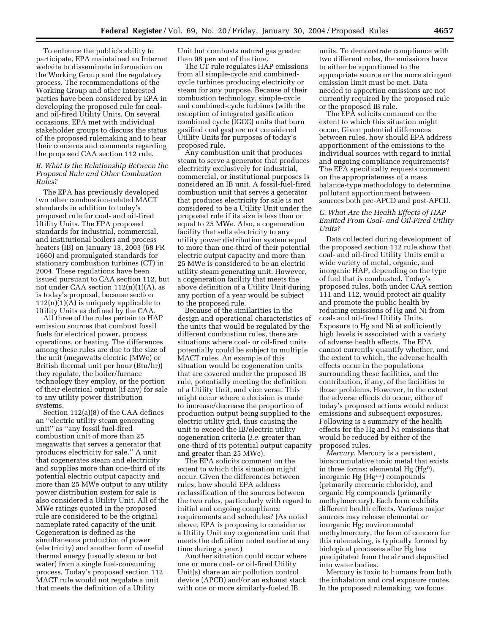To enhance the public's ability to participate, EPA maintained an Internet website to disseminate information on the Working Group and the regulatory process. The recommendations of the Working Group and other interested parties have been considered by EPA in developing the proposed rule for coaland oil-fired Utility Units. On several occasions, EPA met with individual stakeholder groups to discuss the status of the proposed rulemaking and to hear their concerns and comments regarding the proposed CAA section 112 rule.

#### *B. What Is the Relationship Between the Proposed Rule and Other Combustion Rules?*

The EPA has previously developed two other combustion-related MACT standards in addition to today's proposed rule for coal- and oil-fired Utility Units. The EPA proposed standards for industrial, commercial, and institutional boilers and process heaters (IB) on January 13, 2003 (68 FR 1660) and promulgated standards for stationary combustion turbines (CT) in 2004. These regulations have been issued pursuant to CAA section 112, but not under CAA section  $112(n)(1)(A)$ , as is today's proposal, because section  $112(n)(1)(A)$  is uniquely applicable to Utility Units as defined by the CAA.

All three of the rules pertain to HAP emission sources that combust fossil fuels for electrical power, process operations, or heating. The differences among these rules are due to the size of the unit (megawatts electric (MWe) or British thermal unit per hour (Btu/hr)) they regulate, the boiler/furnace technology they employ, or the portion of their electrical output (if any) for sale to any utility power distribution systems.

Section 112(a)(8) of the CAA defines an ''electric utility steam generating unit'' as ''any fossil fuel-fired combustion unit of more than 25 megawatts that serves a generator that produces electricity for sale.'' A unit that cogenerates steam and electricity and supplies more than one-third of its potential electric output capacity and more than 25 MWe output to any utility power distribution system for sale is also considered a Utility Unit. All of the MWe ratings quoted in the proposed rule are considered to be the original nameplate rated capacity of the unit. Cogeneration is defined as the simultaneous production of power (electricity) and another form of useful thermal energy (usually steam or hot water) from a single fuel-consuming process. Today's proposed section 112 MACT rule would not regulate a unit that meets the definition of a Utility

Unit but combusts natural gas greater than 98 percent of the time.

The CT rule regulates HAP emissions from all simple-cycle and combinedcycle turbines producing electricity or steam for any purpose. Because of their combustion technology, simple-cycle and combined-cycle turbines (with the exception of integrated gasification combined cycle (IGCC) units that burn gasified coal gas) are not considered Utility Units for purposes of today's proposed rule.

Any combustion unit that produces steam to serve a generator that produces electricity exclusively for industrial, commercial, or institutional purposes is considered an IB unit. A fossil-fuel-fired combustion unit that serves a generator that produces electricity for sale is not considered to be a Utility Unit under the proposed rule if its size is less than or equal to 25 MWe. Also, a cogeneration facility that sells electricity to any utility power distribution system equal to more than one-third of their potential electric output capacity and more than 25 MWe is considered to be an electric utility steam generating unit. However, a cogeneration facility that meets the above definition of a Utility Unit during any portion of a year would be subject to the proposed rule.

Because of the similarities in the design and operational characteristics of the units that would be regulated by the different combustion rules, there are situations where coal- or oil-fired units potentially could be subject to multiple MACT rules. An example of this situation would be cogeneration units that are covered under the proposed IB rule, potentially meeting the definition of a Utility Unit, and vice versa. This might occur where a decision is made to increase/decrease the proportion of production output being supplied to the electric utility grid, thus causing the unit to exceed the IB/electric utility cogeneration criteria (*i.e.* greater than one-third of its potential output capacity and greater than 25 MWe).

The EPA solicits comment on the extent to which this situation might occur. Given the differences between rules, how should EPA address reclassification of the sources between the two rules, particularly with regard to initial and ongoing compliance requirements and schedules? (As noted above, EPA is proposing to consider as a Utility Unit any cogeneration unit that meets the definition noted earlier at any time during a year.)

Another situation could occur where one or more coal- or oil-fired Utility Unit(s) share an air pollution control device (APCD) and/or an exhaust stack with one or more similarly-fueled IB

units. To demonstrate compliance with two different rules, the emissions have to either be apportioned to the appropriate source or the more stringent emission limit must be met. Data needed to apportion emissions are not currently required by the proposed rule or the proposed IB rule.

The EPA solicits comment on the extent to which this situation might occur. Given potential differences between rules, how should EPA address apportionment of the emissions to the individual sources with regard to initial and ongoing compliance requirements? The EPA specifically requests comment on the appropriateness of a mass balance-type methodology to determine pollutant apportionment between sources both pre-APCD and post-APCD.

#### *C. What Are the Health Effects of HAP Emitted From Coal- and Oil-Fired Utility Units?*

Data collected during development of the proposed section 112 rule show that coal- and oil-fired Utility Units emit a wide variety of metal, organic, and inorganic HAP, depending on the type of fuel that is combusted. Today's proposed rules, both under CAA section 111 and 112, would protect air quality and promote the public health by reducing emissions of Hg and Ni from coal- and oil-fired Utility Units. Exposure to Hg and Ni at sufficiently high levels is associated with a variety of adverse health effects. The EPA cannot currently quantify whether, and the extent to which, the adverse health effects occur in the populations surrounding these facilities, and the contribution, if any, of the facilities to those problems. However, to the extent the adverse effects do occur, either of today's proposed actions would reduce emissions and subsequent exposures. Following is a summary of the health effects for the Hg and Ni emissions that would be reduced by either of the proposed rules.

*Mercury.* Mercury is a persistent, bioaccumulative toxic metal that exists in three forms: elemental Hg (Hg<sup>o</sup>), inorganic Hg (Hg++) compounds (primarily mercuric chloride), and organic Hg compounds (primarily methylmercury). Each form exhibits different health effects. Various major sources may release elemental or inorganic Hg; environmental methylmercury, the form of concern for this rulemaking, is typically formed by biological processes after Hg has precipitated from the air and deposited into water bodies.

Mercury is toxic to humans from both the inhalation and oral exposure routes. In the proposed rulemaking, we focus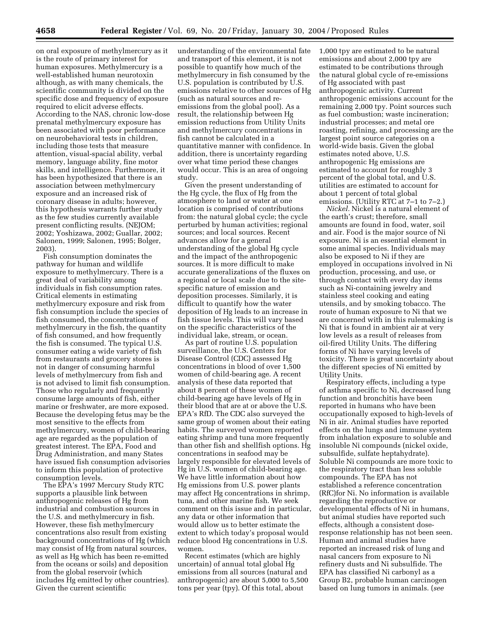on oral exposure of methylmercury as it is the route of primary interest for human exposures. Methylmercury is a well-established human neurotoxin although, as with many chemicals, the scientific community is divided on the specific dose and frequency of exposure required to elicit adverse effects. According to the NAS, chronic low-dose prenatal methylmercury exposure has been associated with poor performance on neurobehavioral tests in children, including those tests that measure attention, visual-spacial ability, verbal memory, language ability, fine motor skills, and intelligence. Furthermore, it has been hypothesized that there is an association between methylmercury exposure and an increased risk of coronary disease in adults; however, this hypothesis warrants further study as the few studies currently available present conflicting results. (NEJOM; 2002; Yoshizawa, 2002; Guallar, 2002; Salonen, 1999; Salonen, 1995; Bolger, 2003).

Fish consumption dominates the pathway for human and wildlife exposure to methylmercury. There is a great deal of variability among individuals in fish consumption rates. Critical elements in estimating methylmercury exposure and risk from fish consumption include the species of fish consumed, the concentrations of methylmercury in the fish, the quantity of fish consumed, and how frequently the fish is consumed. The typical U.S. consumer eating a wide variety of fish from restaurants and grocery stores is not in danger of consuming harmful levels of methylmercury from fish and is not advised to limit fish consumption. Those who regularly and frequently consume large amounts of fish, either marine or freshwater, are more exposed. Because the developing fetus may be the most sensitive to the effects from methylmercury, women of child-bearing age are regarded as the population of greatest interest. The EPA, Food and Drug Administration, and many States have issued fish consumption advisories to inform this population of protective consumption levels.

The EPA's 1997 Mercury Study RTC supports a plausible link between anthropogenic releases of Hg from industrial and combustion sources in the U.S. and methylmercury in fish. However, these fish methylmercury concentrations also result from existing background concentrations of Hg (which may consist of Hg from natural sources, as well as Hg which has been re-emitted from the oceans or soils) and deposition from the global reservoir (which includes Hg emitted by other countries). Given the current scientific

understanding of the environmental fate and transport of this element, it is not possible to quantify how much of the methylmercury in fish consumed by the U.S. population is contributed by U.S. emissions relative to other sources of Hg (such as natural sources and reemissions from the global pool). As a result, the relationship between Hg emission reductions from Utility Units and methylmercury concentrations in fish cannot be calculated in a quantitative manner with confidence. In addition, there is uncertainty regarding over what time period these changes would occur. This is an area of ongoing study.

Given the present understanding of the Hg cycle, the flux of Hg from the atmosphere to land or water at one location is comprised of contributions from: the natural global cycle; the cycle perturbed by human activities; regional sources; and local sources. Recent advances allow for a general understanding of the global Hg cycle and the impact of the anthropogenic sources. It is more difficult to make accurate generalizations of the fluxes on a regional or local scale due to the sitespecific nature of emission and deposition processes. Similarly, it is difficult to quantify how the water deposition of Hg leads to an increase in fish tissue levels. This will vary based on the specific characteristics of the individual lake, stream, or ocean.

As part of routine U.S. population surveillance, the U.S. Centers for Disease Control (CDC) assessed Hg concentrations in blood of over 1,500 women of child-bearing age. A recent analysis of these data reported that about 8 percent of these women of child-bearing age have levels of Hg in their blood that are at or above the U.S. EPA's RfD. The CDC also surveyed the same group of women about their eating habits. The surveyed women reported eating shrimp and tuna more frequently than other fish and shellfish options. Hg concentrations in seafood may be largely responsible for elevated levels of Hg in U.S. women of child-bearing age. We have little information about how Hg emissions from U.S. power plants may affect Hg concentrations in shrimp, tuna, and other marine fish. We seek comment on this issue and in particular, any data or other information that would allow us to better estimate the extent to which today's proposal would reduce blood Hg concentrations in U.S. women.

Recent estimates (which are highly uncertain) of annual total global Hg emissions from all sources (natural and anthropogenic) are about 5,000 to 5,500 tons per year (tpy). Of this total, about

1,000 tpy are estimated to be natural emissions and about 2,000 tpy are estimated to be contributions through the natural global cycle of re-emissions of Hg associated with past anthropogenic activity. Current anthropogenic emissions account for the remaining 2,000 tpy. Point sources such as fuel combustion; waste incineration; industrial processes; and metal ore roasting, refining, and processing are the largest point source categories on a world-wide basis. Given the global estimates noted above, U.S. anthropogenic Hg emissions are estimated to account for roughly 3 percent of the global total, and U.S. utilities are estimated to account for about 1 percent of total global emissions. (Utility RTC at 7–1 to 7–2.)

*Nickel.* Nickel is a natural element of the earth's crust; therefore, small amounts are found in food, water, soil and air. Food is the major source of Ni exposure. Ni is an essential element in some animal species. Individuals may also be exposed to Ni if they are employed in occupations involved in Ni production, processing, and use, or through contact with every day items such as Ni-containing jewelry and stainless steel cooking and eating utensils, and by smoking tobacco. The route of human exposure to Ni that we are concerned with in this rulemaking is Ni that is found in ambient air at very low levels as a result of releases from oil-fired Utility Units. The differing forms of Ni have varying levels of toxicity. There is great uncertainty about the different species of Ni emitted by Utility Units.

Respiratory effects, including a type of asthma specific to Ni, decreased lung function and bronchitis have been reported in humans who have been occupationally exposed to high-levels of Ni in air. Animal studies have reported effects on the lungs and immune system from inhalation exposure to soluble and insoluble Ni compounds (nickel oxide, subsulfide, sulfate heptahydrate). Soluble Ni compounds are more toxic to the respiratory tract than less soluble compounds. The EPA has not established a reference concentration (RfC)for Ni. No information is available regarding the reproductive or developmental effects of Ni in humans, but animal studies have reported such effects, although a consistent doseresponse relationship has not been seen. Human and animal studies have reported an increased risk of lung and nasal cancers from exposure to Ni refinery dusts and Ni subsulfide. The EPA has classified Ni carbonyl as a Group B2, probable human carcinogen based on lung tumors in animals. (*see*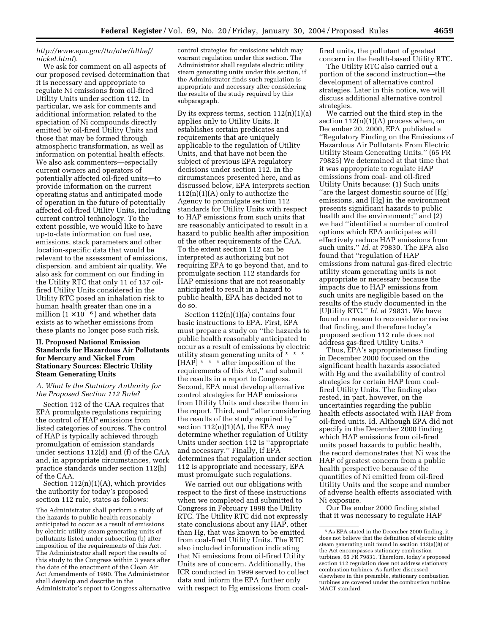#### *http://www.epa.gov/ttn/atw/hlthef/ nickel.html*).

We ask for comment on all aspects of our proposed revised determination that it is necessary and appropriate to regulate Ni emissions from oil-fired Utility Units under section 112. In particular, we ask for comments and additional information related to the speciation of Ni compounds directly emitted by oil-fired Utility Units and those that may be formed through atmospheric transformation, as well as information on potential health effects. We also ask commenters—especially current owners and operators of potentially affected oil-fired units—to provide information on the current operating status and anticipated mode of operation in the future of potentially affected oil-fired Utility Units, including current control technology. To the extent possible, we would like to have up-to-date information on fuel use, emissions, stack parameters and other location-specific data that would be relevant to the assessment of emissions, dispersion, and ambient air quality. We also ask for comment on our finding in the Utility RTC that only 11 of 137 oilfired Utility Units considered in the Utility RTC posed an inhalation risk to human health greater than one in a million  $(1 \times 10^{-6})$  and whether data exists as to whether emissions from these plants no longer pose such risk.

#### **II. Proposed National Emission Standards for Hazardous Air Pollutants for Mercury and Nickel From Stationary Sources: Electric Utility Steam Generating Units**

#### *A. What Is the Statutory Authority for the Proposed Section 112 Rule?*

Section 112 of the CAA requires that EPA promulgate regulations requiring the control of HAP emissions from listed categories of sources. The control of HAP is typically achieved through promulgation of emission standards under sections 112(d) and (f) of the CAA and, in appropriate circumstances, work practice standards under section 112(h) of the CAA.

Section 112(n)(1)(A), which provides the authority for today's proposed section 112 rule, states as follows:

The Administrator shall perform a study of the hazards to public health reasonably anticipated to occur as a result of emissions by electric utility steam generating units of pollutants listed under subsection (b) after imposition of the requirements of this Act. The Administrator shall report the results of this study to the Congress within 3 years after the date of the enactment of the Clean Air Act Amendments of 1990. The Administrator shall develop and describe in the Administrator's report to Congress alternative

control strategies for emissions which may warrant regulation under this section. The Administrator shall regulate electric utility steam generating units under this section, if the Administrator finds such regulation is appropriate and necessary after considering the results of the study required by this subparagraph.

By its express terms, section  $112(n)(1)(a)$ applies only to Utility Units. It establishes certain predicates and requirements that are uniquely applicable to the regulation of Utility Units, and that have not been the subject of previous EPA regulatory decisions under section 112. In the circumstances presented here, and as discussed below, EPA interprets section  $112(n)(1)(A)$  only to authorize the Agency to promulgate section 112 standards for Utility Units with respect to HAP emissions from such units that are reasonably anticipated to result in a hazard to public health after imposition of the other requirements of the CAA. To the extent section 112 can be interpreted as authorizing but not requiring EPA to go beyond that, and to promulgate section 112 standards for HAP emissions that are not reasonably anticipated to result in a hazard to public health, EPA has decided not to do so.

Section  $112(n)(1)(a)$  contains four basic instructions to EPA. First, EPA must prepare a study on ''the hazards to public health reasonably anticipated to occur as a result of emissions by electric utility steam generating units of \* \* \* [HAP] \* \* \* after imposition of the requirements of this Act,'' and submit the results in a report to Congress. Second, EPA must develop alternative control strategies for HAP emissions from Utility Units and describe them in the report. Third, and ''after considering the results of the study required by'' section  $112(n)(1)(A)$ , the EPA may determine whether regulation of Utility Units under section 112 is ''appropriate and necessary.'' Finally, if EPA determines that regulation under section 112 is appropriate and necessary, EPA must promulgate such regulations.

We carried out our obligations with respect to the first of these instructions when we completed and submitted to Congress in February 1998 the Utility RTC. The Utility RTC did not expressly state conclusions about any HAP, other than Hg, that was known to be emitted from coal-fired Utility Units. The RTC also included information indicating that Ni emissions from oil-fired Utility Units are of concern. Additionally, the ICR conducted in 1999 served to collect data and inform the EPA further only with respect to Hg emissions from coalfired units, the pollutant of greatest concern in the health-based Utility RTC.

The Utility RTC also carried out a portion of the second instruction—the development of alternative control strategies. Later in this notice, we will discuss additional alternative control strategies.

We carried out the third step in the section  $112(n)(1)(A)$  process when, on December 20, 2000, EPA published a ''Regulatory Finding on the Emissions of Hazardous Air Pollutants From Electric Utility Steam Generating Units.'' (65 FR 79825) We determined at that time that it was appropriate to regulate HAP emissions from coal- and oil-fired Utility Units because: (1) Such units ''are the largest domestic source of [Hg] emissions, and [Hg] in the environment presents significant hazards to public health and the environment;'' and (2) we had ''identified a number of control options which EPA anticipates will effectively reduce HAP emissions from such units.'' *Id.* at 79830. The EPA also found that ''regulation of HAP emissions from natural gas-fired electric utility steam generating units is not appropriate or necessary because the impacts due to HAP emissions from such units are negligible based on the results of the study documented in the [U]tility RTC.'' *Id.* at 79831. We have found no reason to reconsider or revise that finding, and therefore today's proposed section 112 rule does not address gas-fired Utility Units.5

Thus, EPA's appropriateness finding in December 2000 focused on the significant health hazards associated with Hg and the availability of control strategies for certain HAP from coalfired Utility Units. The finding also rested, in part, however, on the uncertainties regarding the public health effects associated with HAP from oil-fired units. Id. Although EPA did not specify in the December 2000 finding which HAP emissions from oil-fired units posed hazards to public health, the record demonstrates that Ni was the HAP of greatest concern from a public health perspective because of the quantities of Ni emitted from oil-fired Utility Units and the scope and number of adverse health effects associated with Ni exposure.

Our December 2000 finding stated that it was necessary to regulate HAP

<sup>5</sup>As EPA stated in the December 2000 finding, it does not believe that the definition of electric utility steam generating unit found in section 112(a)(8) of the Act encompasses stationary combustion turbines. 65 FR 79831. Therefore, today's proposed section 112 regulation does not address stationary combustion turbines. As further discussed elsewhere in this preamble, stationary combustion turbines are covered under the combustion turbine MACT standard.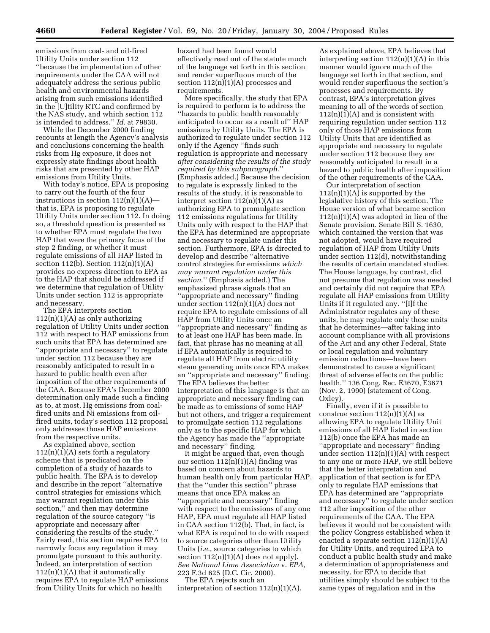emissions from coal- and oil-fired Utility Units under section 112 ''because the implementation of other requirements under the CAA will not adequately address the serious public health and environmental hazards arising from such emissions identified in the [U]tility RTC and confirmed by the NAS study, and which section 112 is intended to address.'' *Id.* at 79830.

While the December 2000 finding recounts at length the Agency's analysis and conclusions concerning the health risks from Hg exposure, it does not expressly state findings about health risks that are presented by other HAP emissions from Utility Units.

With today's notice, EPA is proposing to carry out the fourth of the four instructions in section  $112(n)(1)(A)$ that is, EPA is proposing to regulate Utility Units under section 112. In doing so, a threshold question is presented as to whether EPA must regulate the two HAP that were the primary focus of the step 2 finding, or whether it must regulate emissions of all HAP listed in section 112(b). Section 112(n)(1)(A) provides no express direction to EPA as to the HAP that should be addressed if we determine that regulation of Utility Units under section 112 is appropriate and necessary.

The EPA interprets section  $112(n)(1)(A)$  as only authorizing regulation of Utility Units under section 112 with respect to HAP emissions from such units that EPA has determined are ''appropriate and necessary'' to regulate under section 112 because they are reasonably anticipated to result in a hazard to public health even after imposition of the other requirements of the CAA. Because EPA's December 2000 determination only made such a finding as to, at most, Hg emissions from coalfired units and Ni emissions from oilfired units, today's section 112 proposal only addresses those HAP emissions from the respective units.

As explained above, section  $112(n)(1)(A)$  sets forth a regulatory scheme that is predicated on the completion of a study of hazards to public health. The EPA is to develop and describe in the report ''alternative control strategies for emissions which may warrant regulation under this section,'' and then may determine regulation of the source category ''is appropriate and necessary after considering the results of the study.'' Fairly read, this section requires EPA to narrowly focus any regulation it may promulgate pursuant to this authority. Indeed, an interpretation of section  $112(n)(1)(A)$  that it automatically requires EPA to regulate HAP emissions from Utility Units for which no health

hazard had been found would effectively read out of the statute much of the language set forth in this section and render superfluous much of the section  $112(n)(1)(A)$  processes and requirements.

More specifically, the study that EPA is required to perform is to address the ''hazards to public health reasonably anticipated to occur as a result of'' HAP emissions by Utility Units. The EPA is authorized to regulate under section 112 only if the Agency ''finds such regulation is appropriate and necessary *after considering the results of the study required by this subparagraph*.'' (Emphasis added.) Because the decision to regulate is expressly linked to the results of the study, it is reasonable to interpret section  $112(n)(1)(A)$  as authorizing EPA to promulgate section 112 emissions regulations for Utility Units only with respect to the HAP that the EPA has determined are appropriate and necessary to regulate under this section. Furthermore, EPA is directed to develop and describe ''alternative control strategies for emissions *which may warrant regulation under this section*.'' (Emphasis added.) The emphasized phrase signals that an ''appropriate and necessary'' finding under section 112(n)(1)(A) does not require EPA to regulate emissions of all HAP from Utility Units once an ''appropriate and necessary'' finding as to at least one HAP has been made. In fact, that phrase has no meaning at all if EPA automatically is required to regulate all HAP from electric utility steam generating units once EPA makes an ''appropriate and necessary'' finding. The EPA believes the better interpretation of this language is that an appropriate and necessary finding can be made as to emissions of some HAP but not others, and trigger a requirement to promulgate section 112 regulations only as to the specific HAP for which the Agency has made the ''appropriate and necessary'' finding.

It might be argued that, even though our section  $112(n)(1)(A)$  finding was based on concern about hazards to human health only from particular HAP, that the ''under this section'' phrase means that once EPA makes an ''appropriate and necessary'' finding with respect to the emissions of any one HAP, EPA must regulate all HAP listed in CAA section 112(b). That, in fact, is what EPA is required to do with respect to source categories other than Utility Units (*i.e.*, source categories to which section  $112(n)(1)(A)$  does not apply). *See National Lime Association* v. *EPA,* 223 F.3d 625 (D.C. Cir. 2000).

The EPA rejects such an interpretation of section 112(n)(1)(A).

As explained above, EPA believes that interpreting section  $112(n)(1)(A)$  in this manner would ignore much of the language set forth in that section, and would render superfluous the section's processes and requirements. By contrast, EPA's interpretation gives meaning to all of the words of section  $112(n)(1)(A)$  and is consistent with requiring regulation under section 112 only of those HAP emissions from Utility Units that are identified as appropriate and necessary to regulate under section 112 because they are reasonably anticipated to result in a hazard to public health after imposition of the other requirements of the CAA.

Our interpretation of section  $112(n)(1)(A)$  is supported by the legislative history of this section. The House version of what became section  $112(n)(1)(A)$  was adopted in lieu of the Senate provision. Senate Bill S. 1630, which contained the version that was not adopted, would have required regulation of HAP from Utility Units under section 112(d), notwithstanding the results of certain mandated studies. The House language, by contrast, did not presume that regulation was needed and certainly did not require that EPA regulate all HAP emissions from Utility Units if it regulated any. ''[I]f the Administrator regulates any of these units, he may regulate only those units that he determines—after taking into account compliance with all provisions of the Act and any other Federal, State or local regulation and voluntary emission reductions—have been demonstrated to cause a significant threat of adverse effects on the public health.'' 136 Cong. Rec. E3670, E3671 (Nov. 2, 1990) (statement of Cong. Oxley).

Finally, even if it is possible to construe section  $112(n)(1)(A)$  as allowing EPA to regulate Utility Unit emissions of all HAP listed in section 112(b) once the EPA has made an ''appropriate and necessary'' finding under section  $112(n)(1)(A)$  with respect to any one or more HAP, we still believe that the better interpretation and application of that section is for EPA only to regulate HAP emissions that EPA has determined are ''appropriate and necessary'' to regulate under section 112 after imposition of the other requirements of the CAA. The EPA believes it would not be consistent with the policy Congress established when it enacted a separate section  $112(n)(1)(A)$ for Utility Units, and required EPA to conduct a public health study and make a determination of appropriateness and necessity, for EPA to decide that utilities simply should be subject to the same types of regulation and in the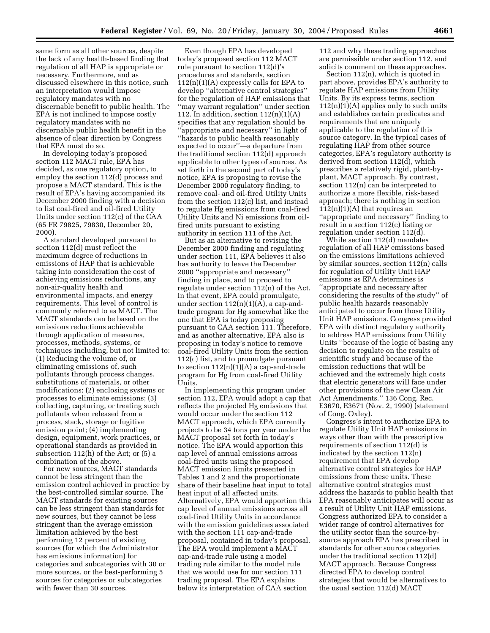same form as all other sources, despite the lack of any health-based finding that regulation of all HAP is appropriate or necessary. Furthermore, and as discussed elsewhere in this notice, such an interpretation would impose regulatory mandates with no discernable benefit to public health. The EPA is not inclined to impose costly regulatory mandates with no discernable public health benefit in the absence of clear direction by Congress that EPA must do so.

In developing today's proposed section 112 MACT rule, EPA has decided, as one regulatory option, to employ the section 112(d) process and propose a MACT standard. This is the result of EPA's having accompanied its December 2000 finding with a decision to list coal-fired and oil-fired Utility Units under section 112(c) of the CAA (65 FR 79825, 79830, December 20, 2000).

A standard developed pursuant to section 112(d) must reflect the maximum degree of reductions in emissions of HAP that is achievable taking into consideration the cost of achieving emissions reductions, any non-air-quality health and environmental impacts, and energy requirements. This level of control is commonly referred to as MACT. The MACT standards can be based on the emissions reductions achievable through application of measures, processes, methods, systems, or techniques including, but not limited to: (1) Reducing the volume of, or eliminating emissions of, such pollutants through process changes, substitutions of materials, or other modifications; (2) enclosing systems or processes to eliminate emissions; (3) collecting, capturing, or treating such pollutants when released from a process, stack, storage or fugitive emission point; (4) implementing design, equipment, work practices, or operational standards as provided in subsection 112(h) of the Act; or (5) a combination of the above.

For new sources, MACT standards cannot be less stringent than the emission control achieved in practice by the best-controlled similar source. The MACT standards for existing sources can be less stringent than standards for new sources, but they cannot be less stringent than the average emission limitation achieved by the best performing 12 percent of existing sources (for which the Administrator has emissions information) for categories and subcategories with 30 or more sources, or the best-performing 5 sources for categories or subcategories with fewer than 30 sources.

Even though EPA has developed today's proposed section 112 MACT rule pursuant to section 112(d)'s procedures and standards, section  $112(n)(1)(A)$  expressly calls for EPA to develop ''alternative control strategies'' for the regulation of HAP emissions that ''may warrant regulation'' under section 112. In addition, section  $112(n)(1)(A)$ specifies that any regulation should be ''appropriate and necessary'' in light of ''hazards to public health reasonably expected to occur''—a departure from the traditional section 112(d) approach applicable to other types of sources. As set forth in the second part of today's notice, EPA is proposing to revise the December 2000 regulatory finding, to remove coal- and oil-fired Utility Units from the section 112(c) list, and instead to regulate Hg emissions from coal-fired Utility Units and Ni emissions from oilfired units pursuant to existing authority in section 111 of the Act.

But as an alternative to revising the December 2000 finding and regulating under section 111, EPA believes it also has authority to leave the December 2000 ''appropriate and necessary'' finding in place, and to proceed to regulate under section 112(n) of the Act. In that event, EPA could promulgate, under section  $112(n)(1)(A)$ , a cap-andtrade program for Hg somewhat like the one that EPA is today proposing pursuant to CAA section 111. Therefore, and as another alternative, EPA also is proposing in today's notice to remove coal-fired Utility Units from the section 112(c) list, and to promulgate pursuant to section  $112(n)(1)(A)$  a cap-and-trade program for Hg from coal-fired Utility Units.

In implementing this program under section 112, EPA would adopt a cap that reflects the projected Hg emissions that would occur under the section 112 MACT approach, which EPA currently projects to be 34 tons per year under the MACT proposal set forth in today's notice. The EPA would apportion this cap level of annual emissions across coal-fired units using the proposed MACT emission limits presented in Tables 1 and 2 and the proportionate share of their baseline heat input to total heat input of all affected units. Alternatively, EPA would apportion this cap level of annual emissions across all coal-fired Utility Units in accordance with the emission guidelines associated with the section 111 cap-and-trade proposal, contained in today's proposal. The EPA would implement a MACT cap-and-trade rule using a model trading rule similar to the model rule that we would use for our section 111 trading proposal. The EPA explains below its interpretation of CAA section

112 and why these trading approaches are permissible under section 112, and solicits comment on these approaches.

Section 112(n), which is quoted in part above, provides EPA's authority to regulate HAP emissions from Utility Units. By its express terms, section  $112(n)(1)(A)$  applies only to such units and establishes certain predicates and requirements that are uniquely applicable to the regulation of this source category. In the typical cases of regulating HAP from other source categories, EPA's regulatory authority is derived from section 112(d), which prescribes a relatively rigid, plant-byplant, MACT approach. By contrast, section 112(n) can be interpreted to authorize a more flexible, risk-based approach; there is nothing in section  $112(n)(1)(A)$  that requires an ''appropriate and necessary'' finding to result in a section 112(c) listing or regulation under section 112(d).

While section 112(d) mandates regulation of all HAP emissions based on the emissions limitations achieved by similar sources, section 112(n) calls for regulation of Utility Unit HAP emissions as EPA determines is ''appropriate and necessary after considering the results of the study'' of public health hazards reasonably anticipated to occur from those Utility Unit HAP emissions. Congress provided EPA with distinct regulatory authority to address HAP emissions from Utility Units ''because of the logic of basing any decision to regulate on the results of scientific study and because of the emission reductions that will be achieved and the extremely high costs that electric generators will face under other provisions of the new Clean Air Act Amendments.'' 136 Cong. Rec. E3670, E3671 (Nov. 2, 1990) (statement of Cong. Oxley).

Congress's intent to authorize EPA to regulate Utility Unit HAP emissions in ways other than with the prescriptive requirements of section 112(d) is indicated by the section 112(n) requirement that EPA develop alternative control strategies for HAP emissions from these units. These alternative control strategies must address the hazards to public health that EPA reasonably anticipates will occur as a result of Utility Unit HAP emissions. Congress authorized EPA to consider a wider range of control alternatives for the utility sector than the source-bysource approach EPA has prescribed in standards for other source categories under the traditional section 112(d) MACT approach. Because Congress directed EPA to develop control strategies that would be alternatives to the usual section 112(d) MACT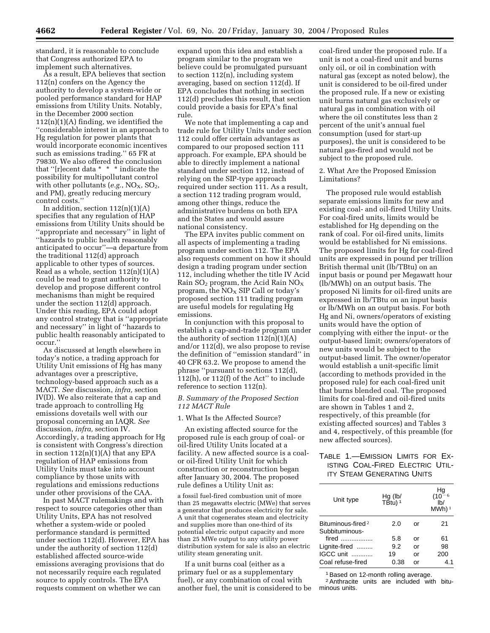standard, it is reasonable to conclude that Congress authorized EPA to implement such alternatives.

As a result, EPA believes that section 112(n) confers on the Agency the authority to develop a system-wide or pooled performance standard for HAP emissions from Utility Units. Notably, in the December 2000 section  $112(n)(1)(A)$  finding, we identified the ''considerable interest in an approach to Hg regulation for power plants that would incorporate economic incentives such as emissions trading.'' 65 FR at 79830. We also offered the conclusion that ''[r]ecent data \* \* \* indicate the possibility for multipollutant control with other pollutants  $(e.g., NO<sub>X</sub>, SO<sub>2</sub>)$ , and PM), greatly reducing mercury control costs.''

In addition, section  $112(n)(1)(A)$ specifies that any regulation of HAP emissions from Utility Units should be ''appropriate and necessary'' in light of ''hazards to public health reasonably anticipated to occur''—a departure from the traditional 112(d) approach applicable to other types of sources. Read as a whole, section  $112(n)(1)(A)$ could be read to grant authority to develop and propose different control mechanisms than might be required under the section 112(d) approach. Under this reading, EPA could adopt any control strategy that is ''appropriate and necessary'' in light of ''hazards to public health reasonably anticipated to occur.''

As discussed at length elsewhere in today's notice, a trading approach for Utility Unit emissions of Hg has many advantages over a prescriptive, technology-based approach such as a MACT. *See* discussion, *infra,* section IV(D). We also reiterate that a cap and trade approach to controlling Hg emissions dovetails well with our proposal concerning an IAQR. *See* discussion, *infra,* section IV. Accordingly, a trading approach for Hg is consistent with Congress's direction in section  $112(n)(1)(A)$  that any EPA regulation of HAP emissions from Utility Units must take into account compliance by those units with regulations and emissions reductions under other provisions of the CAA.

In past MACT rulemakings and with respect to source categories other than Utility Units, EPA has not resolved whether a system-wide or pooled performance standard is permitted under section 112(d). However, EPA has under the authority of section 112(d) established affected source-wide emissions averaging provisions that do not necessarily require each regulated source to apply controls. The EPA requests comment on whether we can

expand upon this idea and establish a program similar to the program we believe could be promulgated pursuant to section 112(n), including system averaging, based on section 112(d). If EPA concludes that nothing in section 112(d) precludes this result, that section could provide a basis for EPA's final rule.

We note that implementing a cap and trade rule for Utility Units under section 112 could offer certain advantages as compared to our proposed section 111 approach. For example, EPA should be able to directly implement a national standard under section 112, instead of relying on the SIP-type approach required under section 111. As a result, a section 112 trading program would, among other things, reduce the administrative burdens on both EPA and the States and would assure national consistency.

The EPA invites public comment on all aspects of implementing a trading program under section 112. The EPA also requests comment on how it should design a trading program under section 112, including whether the title IV Acid Rain  $SO<sub>2</sub>$  program, the Acid Rain  $NO<sub>x</sub>$ program, the  $NO<sub>X</sub>$  SIP Call or today's proposed section 111 trading program are useful models for regulating Hg emissions.

In conjunction with this proposal to establish a cap-and-trade program under the authority of section  $112(n)(1)(A)$ and/or 112(d), we also propose to revise the definition of ''emission standard'' in 40 CFR 63.2. We propose to amend the phrase ''pursuant to sections 112(d), 112(h), or 112(f) of the Act'' to include reference to section 112(n).

#### *B. Summary of the Proposed Section 112 MACT Rule*

#### 1. What Is the Affected Source?

An existing affected source for the proposed rule is each group of coal- or oil-fired Utility Units located at a facility. A new affected source is a coalor oil-fired Utility Unit for which construction or reconstruction began after January 30, 2004. The proposed rule defines a Utility Unit as:

a fossil fuel-fired combustion unit of more than 25 megawatts electric (MWe) that serves a generator that produces electricity for sale. A unit that cogenerates steam and electricity and supplies more than one-third of its potential electric output capacity and more than 25 MWe output to any utility power distribution system for sale is also an electric utility steam generating unit.

If a unit burns coal (either as a primary fuel or as a supplementary fuel), or any combination of coal with another fuel, the unit is considered to be

coal-fired under the proposed rule. If a unit is not a coal-fired unit and burns only oil, or oil in combination with natural gas (except as noted below), the unit is considered to be oil-fired under the proposed rule. If a new or existing unit burns natural gas exclusively or natural gas in combination with oil where the oil constitutes less than 2 percent of the unit's annual fuel consumption (used for start-up purposes), the unit is considered to be natural gas-fired and would not be subject to the proposed rule.

2. What Are the Proposed Emission Limitations?

The proposed rule would establish separate emissions limits for new and existing coal- and oil-fired Utility Units. For coal-fired units, limits would be established for Hg depending on the rank of coal. For oil-fired units, limits would be established for Ni emissions. The proposed limits for Hg for coal-fired units are expressed in pound per trillion British thermal unit (lb/TBtu) on an input basis or pound per Megawatt hour (lb/MWh) on an output basis. The proposed Ni limits for oil-fired units are expressed in lb/TBtu on an input basis or lb/MWh on an output basis. For both Hg and Ni, owners/operators of existing units would have the option of complying with either the input- or the output-based limit; owners/operators of new units would be subject to the output-based limit. The owner/operator would establish a unit-specific limit (according to methods provided in the proposed rule) for each coal-fired unit that burns blended coal. The proposed limits for coal-fired and oil-fired units are shown in Tables 1 and 2, respectively, of this preamble (for existing affected sources) and Tables 3 and 4, respectively, of this preamble (for new affected sources).

#### TABLE 1.—EMISSION LIMITS FOR EX-ISTING COAL-FIRED ELECTRIC UTIL-ITY STEAM GENERATING UNITS

| Unit type                                       | $Hg$ (lb/<br>TBtu) <sup>1</sup> |    | Hg<br>6–10)<br>I <sub>b</sub><br>$MWh$ ) <sup>1</sup> |
|-------------------------------------------------|---------------------------------|----|-------------------------------------------------------|
| Bituminous-fired <sup>2</sup><br>Subbituminous- | 2.0                             | or | 21                                                    |
| $fired$                                         | 5.8                             | or | 61                                                    |
| Lignite-fired                                   | 9.2                             | or | 98                                                    |
| IGCC unit                                       | 19                              | or | 200                                                   |
| Coal refuse-fired                               | 0.38                            | or | 4.1                                                   |

<sup>1</sup> Based on 12-month rolling average.

2Anthracite units are included with bituminous units.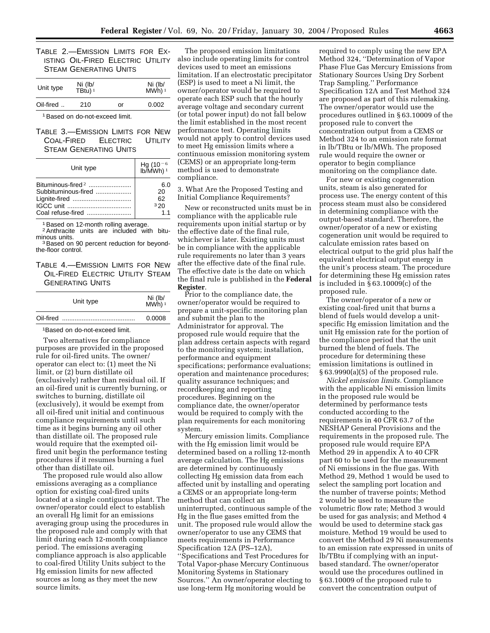TABLE 2.—EMISSION LIMITS FOR EX-ISTING OIL-FIRED ELECTRIC UTILITY STEAM GENERATING UNITS

| Unit type | Ni (lb/<br>TBtu) <sup>1</sup> |    | Ni (lb/<br>MWh) <sup>1</sup> |
|-----------|-------------------------------|----|------------------------------|
| Oil-fired | 210                           | or | 0.002                        |

1Based on do-not-exceed limit.

TABLE 3.—EMISSION LIMITS FOR NEW COAL-FIRED ELECTRIC UTILITY STEAM GENERATING UNITS

| Unit type           | $Hg (10^{-6}$<br>lb/MWh) <sup>1</sup> |
|---------------------|---------------------------------------|
|                     | 6.0                                   |
| Subbituminous-fired | 20                                    |
| Lignite-fired       | 62                                    |
|                     | 320                                   |
|                     | 11                                    |

<sup>1</sup> Based on 12-month rolling average.

<sup>2</sup> Anthracite units are included with bitu-

<sup>3</sup> Based on 90 percent reduction for beyondthe-floor control.

TABLE 4.—EMISSION LIMITS FOR NEW OIL-FIRED ELECTRIC UTILITY STEAM GENERATING UNITS

| Unit type |  | Ni (lb/<br>MWh) <sup>1</sup> |
|-----------|--|------------------------------|
| Oil-fired |  | 0.0008                       |

1Based on do-not-exceed limit.

Two alternatives for compliance purposes are provided in the proposed rule for oil-fired units. The owner/ operator can elect to: (1) meet the Ni limit, or (2) burn distillate oil (exclusively) rather than residual oil. If an oil-fired unit is currently burning, or switches to burning, distillate oil (exclusively), it would be exempt from all oil-fired unit initial and continuous compliance requirements until such time as it begins burning any oil other than distillate oil. The proposed rule would require that the exempted oilfired unit begin the performance testing procedures if it resumes burning a fuel other than distillate oil.

The proposed rule would also allow emissions averaging as a compliance option for existing coal-fired units located at a single contiguous plant. The owner/operator could elect to establish an overall Hg limit for an emissions averaging group using the procedures in the proposed rule and comply with that limit during each 12-month compliance period. The emissions averaging compliance approach is also applicable to coal-fired Utility Units subject to the Hg emission limits for new affected sources as long as they meet the new source limits.

The proposed emission limitations also include operating limits for control devices used to meet an emissions limitation. If an electrostatic precipitator (ESP) is used to meet a Ni limit, the owner/operator would be required to operate each ESP such that the hourly average voltage and secondary current (or total power input) do not fall below the limit established in the most recent performance test. Operating limits would not apply to control devices used to meet Hg emission limits where a continuous emission monitoring system (CEMS) or an appropriate long-term method is used to demonstrate compliance.

3. What Are the Proposed Testing and Initial Compliance Requirements?

New or reconstructed units must be in compliance with the applicable rule requirements upon initial startup or by the effective date of the final rule, whichever is later. Existing units must be in compliance with the applicable rule requirements no later than 3 years after the effective date of the final rule. The effective date is the date on which the final rule is published in the **Federal Register**.

Prior to the compliance date, the owner/operator would be required to prepare a unit-specific monitoring plan and submit the plan to the Administrator for approval. The proposed rule would require that the plan address certain aspects with regard to the monitoring system; installation, performance and equipment specifications; performance evaluations; operation and maintenance procedures; quality assurance techniques; and recordkeeping and reporting procedures. Beginning on the compliance date, the owner/operator would be required to comply with the plan requirements for each monitoring system.

Mercury emission limits. Compliance with the Hg emission limit would be determined based on a rolling 12-month average calculation. The Hg emissions are determined by continuously collecting Hg emission data from each affected unit by installing and operating a CEMS or an appropriate long-term method that can collect an uninterrupted, continuous sample of the Hg in the flue gases emitted from the unit. The proposed rule would allow the owner/operator to use any CEMS that meets requirements in Performance Specification 12A (PS–12A), ''Specifications and Test Procedures for Total Vapor-phase Mercury Continuous Monitoring Systems in Stationary Sources.'' An owner/operator electing to use long-term Hg monitoring would be

required to comply using the new EPA Method 324, ''Determination of Vapor Phase Flue Gas Mercury Emissions from Stationary Sources Using Dry Sorbent Trap Sampling.'' Performance Specification 12A and Test Method 324 are proposed as part of this rulemaking. The owner/operator would use the procedures outlined in § 63.10009 of the proposed rule to convert the concentration output from a CEMS or Method 324 to an emission rate format in lb/TBtu or lb/MWh. The proposed rule would require the owner or operator to begin compliance monitoring on the compliance date.

For new or existing cogeneration units, steam is also generated for process use. The energy content of this process steam must also be considered in determining compliance with the output-based standard. Therefore, the owner/operator of a new or existing cogeneration unit would be required to calculate emission rates based on electrical output to the grid plus half the equivalent electrical output energy in the unit's process steam. The procedure for determining these Hg emission rates is included in § 63.10009(c) of the proposed rule.

The owner/operator of a new or existing coal-fired unit that burns a blend of fuels would develop a unitspecific Hg emission limitation and the unit Hg emission rate for the portion of the compliance period that the unit burned the blend of fuels. The procedure for determining these emission limitations is outlined in § 63.9990(a)(5) of the proposed rule.

*Nickel emission limits.* Compliance with the applicable Ni emission limits in the proposed rule would be determined by performance tests conducted according to the requirements in 40 CFR 63.7 of the NESHAP General Provisions and the requirements in the proposed rule. The proposed rule would require EPA Method 29 in appendix A to 40 CFR part 60 to be used for the measurement of Ni emissions in the flue gas. With Method 29, Method 1 would be used to select the sampling port location and the number of traverse points; Method 2 would be used to measure the volumetric flow rate; Method 3 would be used for gas analysis; and Method 4 would be used to determine stack gas moisture. Method 19 would be used to convert the Method 29 Ni measurements to an emission rate expressed in units of lb/TBtu if complying with an inputbased standard. The owner/operator would use the procedures outlined in § 63.10009 of the proposed rule to convert the concentration output of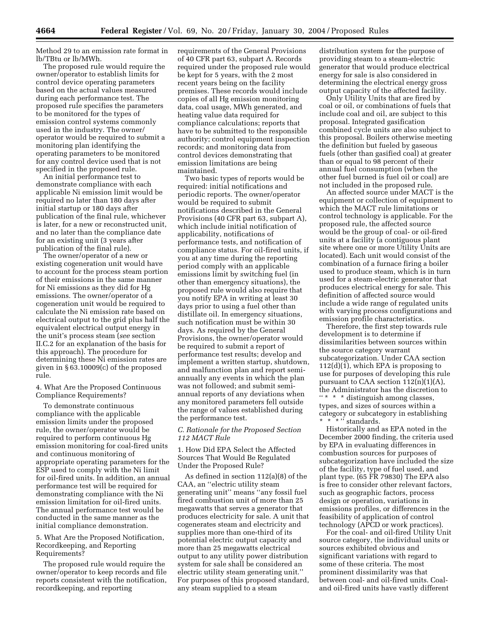Method 29 to an emission rate format in lb/TBtu or lb/MWh.

The proposed rule would require the owner/operator to establish limits for control device operating parameters based on the actual values measured during each performance test. The proposed rule specifies the parameters to be monitored for the types of emission control systems commonly used in the industry. The owner/ operator would be required to submit a monitoring plan identifying the operating parameters to be monitored for any control device used that is not specified in the proposed rule.

An initial performance test to demonstrate compliance with each applicable Ni emission limit would be required no later than 180 days after initial startup or 180 days after publication of the final rule, whichever is later, for a new or reconstructed unit, and no later than the compliance date for an existing unit (3 years after publication of the final rule).

The owner/operator of a new or existing cogeneration unit would have to account for the process steam portion of their emissions in the same manner for Ni emissions as they did for Hg emissions. The owner/operator of a cogeneration unit would be required to calculate the Ni emission rate based on electrical output to the grid plus half the equivalent electrical output energy in the unit's process steam (*see* section II.C.2 for an explanation of the basis for this approach). The procedure for determining these Ni emission rates are given in § 63.10009(c) of the proposed rule.

4. What Are the Proposed Continuous Compliance Requirements?

To demonstrate continuous compliance with the applicable emission limits under the proposed rule, the owner/operator would be required to perform continuous Hg emission monitoring for coal-fired units and continuous monitoring of appropriate operating parameters for the ESP used to comply with the Ni limit for oil-fired units. In addition, an annual performance test will be required for demonstrating compliance with the Ni emission limitation for oil-fired units. The annual performance test would be conducted in the same manner as the initial compliance demonstration.

#### 5. What Are the Proposed Notification, Recordkeeping, and Reporting Requirements?

The proposed rule would require the owner/operator to keep records and file reports consistent with the notification, recordkeeping, and reporting

requirements of the General Provisions of 40 CFR part 63, subpart A. Records required under the proposed rule would be kept for 5 years, with the 2 most recent years being on the facility premises. These records would include copies of all Hg emission monitoring data, coal usage, MWh generated, and heating value data required for compliance calculations; reports that have to be submitted to the responsible authority; control equipment inspection records; and monitoring data from control devices demonstrating that emission limitations are being maintained.

Two basic types of reports would be required: initial notifications and periodic reports. The owner/operator would be required to submit notifications described in the General Provisions (40 CFR part 63, subpart A), which include initial notification of applicability, notifications of performance tests, and notification of compliance status. For oil-fired units, if you at any time during the reporting period comply with an applicable emissions limit by switching fuel (in other than emergency situations), the proposed rule would also require that you notify EPA in writing at least 30 days prior to using a fuel other than distillate oil. In emergency situations, such notification must be within 30 days. As required by the General Provisions, the owner/operator would be required to submit a report of performance test results; develop and implement a written startup, shutdown, and malfunction plan and report semiannually any events in which the plan was not followed; and submit semiannual reports of any deviations when any monitored parameters fell outside the range of values established during the performance test.

#### *C. Rationale for the Proposed Section 112 MACT Rule*

1. How Did EPA Select the Affected Sources That Would Be Regulated Under the Proposed Rule?

As defined in section 112(a)(8) of the CAA, an ''electric utility steam generating unit'' means ''any fossil fuel fired combustion unit of more than 25 megawatts that serves a generator that produces electricity for sale. A unit that cogenerates steam and electricity and supplies more than one-third of its potential electric output capacity and more than 25 megawatts electrical output to any utility power distribution system for sale shall be considered an electric utility steam generating unit.'' For purposes of this proposed standard, any steam supplied to a steam

distribution system for the purpose of providing steam to a steam-electric generator that would produce electrical energy for sale is also considered in determining the electrical energy gross output capacity of the affected facility.

Only Utility Units that are fired by coal or oil, or combinations of fuels that include coal and oil, are subject to this proposal. Integrated gasification combined cycle units are also subject to this proposal. Boilers otherwise meeting the definition but fueled by gaseous fuels (other than gasified coal) at greater than or equal to 98 percent of their annual fuel consumption (when the other fuel burned is fuel oil or coal) are not included in the proposed rule.

An affected source under MACT is the equipment or collection of equipment to which the MACT rule limitations or control technology is applicable. For the proposed rule, the affected source would be the group of coal- or oil-fired units at a facility (a contiguous plant site where one or more Utility Units are located). Each unit would consist of the combination of a furnace firing a boiler used to produce steam, which is in turn used for a steam-electric generator that produces electrical energy for sale. This definition of affected source would include a wide range of regulated units with varying process configurations and emission profile characteristics.

Therefore, the first step towards rule development is to determine if dissimilarities between sources within the source category warrant subcategorization. Under CAA section 112(d)(1), which EPA is proposing to use for purposes of developing this rule pursuant to CAA section  $112(n)(1)(A)$ , the Administrator has the discretion to '' \* \* \* distinguish among classes, types, and sizes of sources within a category or subcategory in establishing \* \* " standards.

Historically and as EPA noted in the December 2000 finding, the criteria used by EPA in evaluating differences in combustion sources for purposes of subcategorization have included the size of the facility, type of fuel used, and plant type. (65 FR 79830) The EPA also is free to consider other relevant factors, such as geographic factors, process design or operation, variations in emissions profiles, or differences in the feasibility of application of control technology (APCD or work practices).

For the coal- and oil-fired Utility Unit source category, the individual units or sources exhibited obvious and significant variations with regard to some of these criteria. The most prominent dissimilarity was that between coal- and oil-fired units. Coaland oil-fired units have vastly different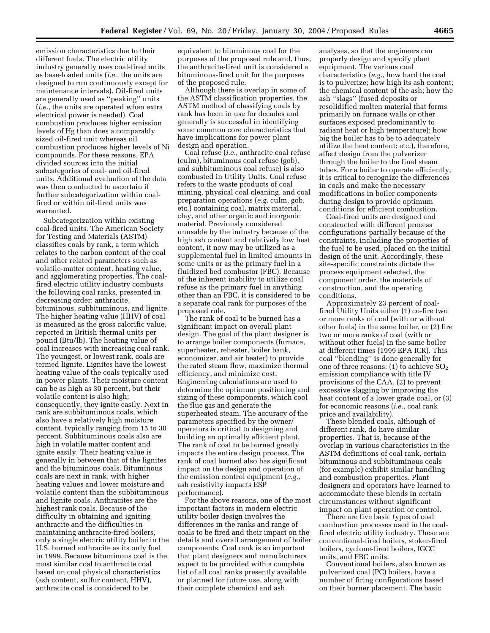emission characteristics due to their different fuels. The electric utility industry generally uses coal-fired units as base-loaded units (*i.e.*, the units are designed to run continuously except for maintenance intervals). Oil-fired units are generally used as ''peaking'' units (*i.e.*, the units are operated when extra electrical power is needed). Coal combustion produces higher emission levels of Hg than does a comparably sized oil-fired unit whereas oil combustion produces higher levels of Ni compounds. For these reasons, EPA divided sources into the initial subcategories of coal- and oil-fired units. Additional evaluation of the data was then conducted to ascertain if further subcategorization within coalfired or within oil-fired units was warranted.

Subcategorization within existing coal-fired units. The American Society for Testing and Materials (ASTM) classifies coals by rank, a term which relates to the carbon content of the coal and other related parameters such as volatile-matter content, heating value, and agglomerating properties. The coalfired electric utility industry combusts the following coal ranks, presented in decreasing order: anthracite, bituminous, subbituminous, and lignite. The higher heating value (HHV) of coal is measured as the gross calorific value, reported in British thermal units per pound (Btu/lb). The heating value of coal increases with increasing coal rank. The youngest, or lowest rank, coals are termed lignite. Lignites have the lowest heating value of the coals typically used in power plants. Their moisture content can be as high as 30 percent, but their volatile content is also high; consequently, they ignite easily. Next in rank are subbituminous coals, which also have a relatively high moisture content, typically ranging from 15 to 30 percent. Subbituminous coals also are high in volatile matter content and ignite easily. Their heating value is generally in between that of the lignites and the bituminous coals. Bituminous coals are next in rank, with higher heating values and lower moisture and volatile content than the subbituminous and lignite coals. Anthracites are the highest rank coals. Because of the difficulty in obtaining and igniting anthracite and the difficulties in maintaining anthracite-fired boilers, only a single electric utility boiler in the U.S. burned anthracite as its only fuel in 1999. Because bituminous coal is the most similar coal to anthracite coal based on coal physical characteristics (ash content, sulfur content, HHV), anthracite coal is considered to be

equivalent to bituminous coal for the purposes of the proposed rule and, thus, the anthracite-fired unit is considered a bituminous-fired unit for the purposes of the proposed rule.

Although there is overlap in some of the ASTM classification properties, the ASTM method of classifying coals by rank has been in use for decades and generally is successful in identifying some common core characteristics that have implications for power plant design and operation.

Coal refuse (*i.e.*, anthracite coal refuse (culm), bituminous coal refuse (gob), and subbituminous coal refuse) is also combusted in Utility Units. Coal refuse refers to the waste products of coal mining, physical coal cleaning, and coal preparation operations (*e.g.* culm, gob, etc.) containing coal, matrix material, clay, and other organic and inorganic material. Previously considered unusable by the industry because of the high ash content and relatively low heat content, it now may be utilized as a supplemental fuel in limited amounts in some units or as the primary fuel in a fluidized bed combustor (FBC). Because of the inherent inability to utilize coal refuse as the primary fuel in anything other than an FBC, it is considered to be a separate coal rank for purposes of the proposed rule.

The rank of coal to be burned has a significant impact on overall plant design. The goal of the plant designer is to arrange boiler components (furnace, superheater, reheater, boiler bank, economizer, and air heater) to provide the rated steam flow, maximize thermal efficiency, and minimize cost. Engineering calculations are used to determine the optimum positioning and sizing of these components, which cool the flue gas and generate the superheated steam. The accuracy of the parameters specified by the owner/ operators is critical to designing and building an optimally efficient plant. The rank of coal to be burned greatly impacts the entire design process. The rank of coal burned also has significant impact on the design and operation of the emission control equipment (*e.g.*, ash resistivity impacts ESP performance).

For the above reasons, one of the most important factors in modern electric utility boiler design involves the differences in the ranks and range of coals to be fired and their impact on the details and overall arrangement of boiler components. Coal rank is so important that plant designers and manufacturers expect to be provided with a complete list of all coal ranks presently available or planned for future use, along with their complete chemical and ash

analyses, so that the engineers can properly design and specify plant equipment. The various coal characteristics (*e.g.*, how hard the coal is to pulverize; how high its ash content; the chemical content of the ash; how the ash ''slags'' (fused deposits or resolidified molten material that forms primarily on furnace walls or other surfaces exposed predominantly to radiant heat or high temperature); how big the boiler has to be to adequately utilize the heat content; etc.), therefore, affect design from the pulverizer through the boiler to the final steam tubes. For a boiler to operate efficiently, it is critical to recognize the differences in coals and make the necessary modifications in boiler components during design to provide optimum conditions for efficient combustion.

Coal-fired units are designed and constructed with different process configurations partially because of the constraints, including the properties of the fuel to be used, placed on the initial design of the unit. Accordingly, these site-specific constraints dictate the process equipment selected, the component order, the materials of construction, and the operating conditions.

Approximately 23 percent of coalfired Utility Units either (1) co-fire two or more ranks of coal (with or without other fuels) in the same boiler, or (2) fire two or more ranks of coal (with or without other fuels) in the same boiler at different times (1999 EPA ICR). This coal ''blending'' is done generally for one of three reasons:  $(1)$  to achieve  $SO<sub>2</sub>$ emission compliance with title IV provisions of the CAA, (2) to prevent excessive slagging by improving the heat content of a lower grade coal, or (3) for economic reasons (*i.e.*, coal rank price and availability).

These blended coals, although of different rank, do have similar properties. That is, because of the overlap in various characteristics in the ASTM definitions of coal rank, certain bituminous and subbituminous coals (for example) exhibit similar handling and combustion properties. Plant designers and operators have learned to accommodate these blends in certain circumstances without significant impact on plant operation or control.

There are five basic types of coal combustion processes used in the coalfired electric utility industry. These are conventional-fired boilers, stoker-fired boilers, cyclone-fired boilers, IGCC units, and FBC units.

Conventional boilers, also known as pulverized coal (PC) boilers, have a number of firing configurations based on their burner placement. The basic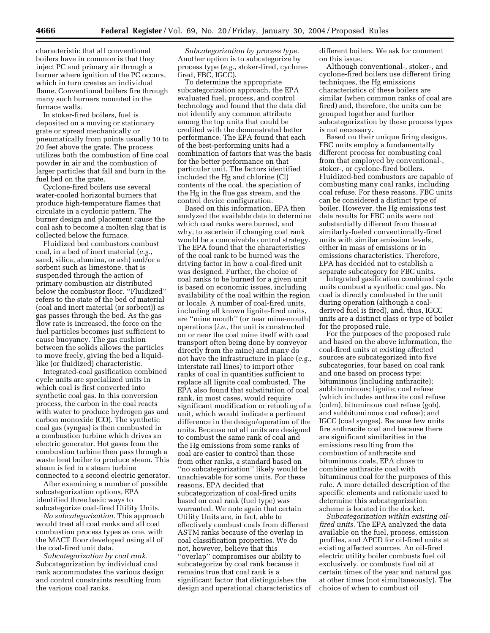characteristic that all conventional boilers have in common is that they inject PC and primary air through a burner where ignition of the PC occurs, which in turn creates an individual flame. Conventional boilers fire through many such burners mounted in the furnace walls.

In stoker-fired boilers, fuel is deposited on a moving or stationary grate or spread mechanically or pneumatically from points usually 10 to 20 feet above the grate. The process utilizes both the combustion of fine coal powder in air and the combustion of larger particles that fall and burn in the fuel bed on the grate.

Cyclone-fired boilers use several water-cooled horizontal burners that produce high-temperature flames that circulate in a cyclonic pattern. The burner design and placement cause the coal ash to become a molten slag that is collected below the furnace.

Fluidized bed combustors combust coal, in a bed of inert material (*e.g.*, sand, silica, alumina, or ash) and/or a sorbent such as limestone, that is suspended through the action of primary combustion air distributed below the combustor floor. ''Fluidized'' refers to the state of the bed of material (coal and inert material (or sorbent)) as gas passes through the bed. As the gas flow rate is increased, the force on the fuel particles becomes just sufficient to cause buoyancy. The gas cushion between the solids allows the particles to move freely, giving the bed a liquidlike (or fluidized) characteristic.

Integrated-coal gasification combined cycle units are specialized units in which coal is first converted into synthetic coal gas. In this conversion process, the carbon in the coal reacts with water to produce hydrogen gas and carbon monoxide (CO). The synthetic coal gas (syngas) is then combusted in a combustion turbine which drives an electric generator. Hot gases from the combustion turbine then pass through a waste heat boiler to produce steam. This steam is fed to a steam turbine connected to a second electric generator.

After examining a number of possible subcategorization options, EPA identified three basic ways to subcategorize coal-fired Utility Units.

*No subcategorization.* This approach would treat all coal ranks and all coal combustion process types as one, with the MACT floor developed using all of the coal-fired unit data.

*Subcategorization by coal rank.* Subcategorization by individual coal rank accommodates the various design and control constraints resulting from the various coal ranks.

*Subcategorization by process type.* Another option is to subcategorize by process type (*e.g.*, stoker-fired, cyclonefired, FBC, IGCC).

To determine the appropriate subcategorization approach, the EPA evaluated fuel, process, and control technology and found that the data did not identify any common attribute among the top units that could be credited with the demonstrated better performance. The EPA found that each of the best-performing units had a combination of factors that was the basis for the better performance on that particular unit. The factors identified included the Hg and chlorine (Cl) contents of the coal, the speciation of the Hg in the flue gas stream, and the control device configuration.

Based on this information, EPA then analyzed the available data to determine which coal ranks were burned, and why, to ascertain if changing coal rank would be a conceivable control strategy. The EPA found that the characteristics of the coal rank to be burned was the driving factor in how a coal-fired unit was designed. Further, the choice of coal ranks to be burned for a given unit is based on economic issues, including availability of the coal within the region or locale. A number of coal-fired units, including all known lignite-fired units, are ''mine mouth'' (or near mine-mouth) operations (*i.e.*, the unit is constructed on or near the coal mine itself with coal transport often being done by conveyor directly from the mine) and many do not have the infrastructure in place (*e.g.*, interstate rail lines) to import other ranks of coal in quantities sufficient to replace all lignite coal combusted. The EPA also found that substitution of coal rank, in most cases, would require significant modification or retooling of a unit, which would indicate a pertinent difference in the design/operation of the units. Because not all units are designed to combust the same rank of coal and the Hg emissions from some ranks of coal are easier to control than those from other ranks, a standard based on ''no subcategorization'' likely would be unachievable for some units. For these reasons, EPA decided that subcategorization of coal-fired units based on coal rank (fuel type) was warranted. We note again that certain Utility Units are, in fact, able to effectively combust coals from different ASTM ranks because of the overlap in coal classification properties. We do not, however, believe that this ''overlap'' compromises our ability to subcategorize by coal rank because it remains true that coal rank is a significant factor that distinguishes the design and operational characteristics of different boilers. We ask for comment on this issue.

Although conventional-, stoker-, and cyclone-fired boilers use different firing techniques, the Hg emissions characteristics of these boilers are similar (when common ranks of coal are fired) and, therefore, the units can be grouped together and further subcategorization by these process types is not necessary.

Based on their unique firing designs, FBC units employ a fundamentally different process for combusting coal from that employed by conventional-, stoker-, or cyclone-fired boilers. Fluidized-bed combustors are capable of combusting many coal ranks, including coal refuse. For these reasons, FBC units can be considered a distinct type of boiler. However, the Hg emissions test data results for FBC units were not substantially different from those at similarly-fueled conventionally-fired units with similar emission levels, either in mass of emissions or in emissions characteristics. Therefore, EPA has decided not to establish a separate subcategory for FBC units.

Integrated gasification combined cycle units combust a synthetic coal gas. No coal is directly combusted in the unit during operation (although a coalderived fuel is fired), and, thus, IGCC units are a distinct class or type of boiler for the proposed rule.

For the purposes of the proposed rule and based on the above information, the coal-fired units at existing affected sources are subcategorized into five subcategories, four based on coal rank and one based on process type: bituminous (including anthracite); subbituminous; lignite; coal refuse (which includes anthracite coal refuse (culm), bituminous coal refuse (gob), and subbituminous coal refuse); and IGCC (coal syngas). Because few units fire anthracite coal and because there are significant similarities in the emissions resulting from the combustion of anthracite and bituminous coals, EPA chose to combine anthracite coal with bituminous coal for the purposes of this rule. A more detailed description of the specific elements and rationale used to determine this subcategorization scheme is located in the docket.

*Subcategorization within existing oilfired units.* The EPA analyzed the data available on the fuel, process, emission profiles, and APCD for oil-fired units at existing affected sources. An oil-fired electric utility boiler combusts fuel oil exclusively, or combusts fuel oil at certain times of the year and natural gas at other times (not simultaneously). The choice of when to combust oil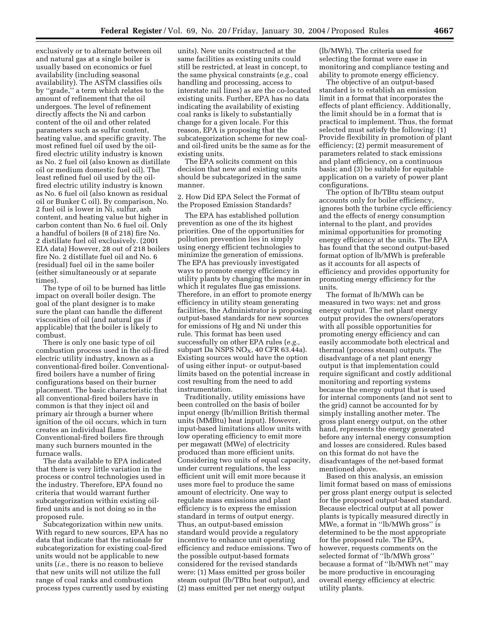exclusively or to alternate between oil and natural gas at a single boiler is usually based on economics or fuel availability (including seasonal availability). The ASTM classifies oils by ''grade,'' a term which relates to the amount of refinement that the oil undergoes. The level of refinement directly affects the Ni and carbon content of the oil and other related parameters such as sulfur content, heating value, and specific gravity. The most refined fuel oil used by the oilfired electric utility industry is known as No. 2 fuel oil (also known as distillate oil or medium domestic fuel oil). The least refined fuel oil used by the oilfired electric utility industry is known as No. 6 fuel oil (also known as residual oil or Bunker C oil). By comparison, No. 2 fuel oil is lower in Ni, sulfur, ash content, and heating value but higher in carbon content than No. 6 fuel oil. Only a handful of boilers (8 of 218) fire No. 2 distillate fuel oil exclusively. (2001 EIA data) However, 28 out of 218 boilers fire No. 2 distillate fuel oil and No. 6 (residual) fuel oil in the same boiler (either simultaneously or at separate times).

The type of oil to be burned has little impact on overall boiler design. The goal of the plant designer is to make sure the plant can handle the different viscosities of oil (and natural gas if applicable) that the boiler is likely to combust.

There is only one basic type of oil combustion process used in the oil-fired electric utility industry, known as a conventional-fired boiler. Conventionalfired boilers have a number of firing configurations based on their burner placement. The basic characteristic that all conventional-fired boilers have in common is that they inject oil and primary air through a burner where ignition of the oil occurs, which in turn creates an individual flame. Conventional-fired boilers fire through many such burners mounted in the furnace walls.

The data available to EPA indicated that there is very little variation in the process or control technologies used in the industry. Therefore, EPA found no criteria that would warrant further subcategorization within existing oilfired units and is not doing so in the proposed rule.

Subcategorization within new units. With regard to new sources, EPA has no data that indicate that the rationale for subcategorization for existing coal-fired units would not be applicable to new units (*i.e.,* there is no reason to believe that new units will not utilize the full range of coal ranks and combustion process types currently used by existing

units). New units constructed at the same facilities as existing units could still be restricted, at least in concept, to the same physical constraints (*e.g.,* coal handling and processing, access to interstate rail lines) as are the co-located existing units. Further, EPA has no data indicating the availability of existing coal ranks is likely to substantially change for a given locale. For this reason, EPA is proposing that the subcategorization scheme for new coaland oil-fired units be the same as for the existing units.

The EPA solicits comment on this decision that new and existing units should be subcategorized in the same manner.

2. How Did EPA Select the Format of the Proposed Emission Standards?

The EPA has established pollution prevention as one of the its highest priorities. One of the opportunities for pollution prevention lies in simply using energy efficient technologies to minimize the generation of emissions. The EPA has previously investigated ways to promote energy efficiency in utility plants by changing the manner in which it regulates flue gas emissions. Therefore, in an effort to promote energy efficiency in utility steam generating facilities, the Administrator is proposing output-based standards for new sources for emissions of Hg and Ni under this rule. This format has been used successfully on other EPA rules (*e.g.,* subpart Da NSPS  $NO<sub>X</sub>$ , 40 CFR 63.44a). Existing sources would have the option of using either input- or output-based limits based on the potential increase in cost resulting from the need to add instrumentation.

Traditionally, utility emissions have been controlled on the basis of boiler input energy (lb/million British thermal units (MMBtu) heat input). However, input-based limitations allow units with low operating efficiency to emit more per megawatt (MWe) of electricity produced than more efficient units. Considering two units of equal capacity, under current regulations, the less efficient unit will emit more because it uses more fuel to produce the same amount of electricity. One way to regulate mass emissions and plant efficiency is to express the emission standard in terms of output energy. Thus, an output-based emission standard would provide a regulatory incentive to enhance unit operating efficiency and reduce emissions. Two of the possible output-based formats considered for the revised standards were: (1) Mass emitted per gross boiler steam output (lb/TBtu heat output), and (2) mass emitted per net energy output

(lb/MWh). The criteria used for selecting the format were ease in monitoring and compliance testing and ability to promote energy efficiency.

The objective of an output-based standard is to establish an emission limit in a format that incorporates the effects of plant efficiency. Additionally, the limit should be in a format that is practical to implement. Thus, the format selected must satisfy the following: (1) Provide flexibility in promotion of plant efficiency; (2) permit measurement of parameters related to stack emissions and plant efficiency, on a continuous basis; and (3) be suitable for equitable application on a variety of power plant configurations.

The option of lb/TBtu steam output accounts only for boiler efficiency, ignores both the turbine cycle efficiency and the effects of energy consumption internal to the plant, and provides minimal opportunities for promoting energy efficiency at the units. The EPA has found that the second output-based format option of lb/MWh is preferable as it accounts for all aspects of efficiency and provides opportunity for promoting energy efficiency for the units.

The format of lb/MWh can be measured in two ways: net and gross energy output. The net plant energy output provides the owners/operators with all possible opportunities for promoting energy efficiency and can easily accommodate both electrical and thermal (process steam) outputs. The disadvantage of a net plant energy output is that implementation could require significant and costly additional monitoring and reporting systems because the energy output that is used for internal components (and not sent to the grid) cannot be accounted for by simply installing another meter. The gross plant energy output, on the other hand, represents the energy generated before any internal energy consumption and losses are considered. Rules based on this format do not have the disadvantages of the net-based format mentioned above.

Based on this analysis, an emission limit format based on mass of emissions per gross plant energy output is selected for the proposed output-based standard. Because electrical output at all power plants is typically measured directly in MWe, a format in ''lb/MWh gross'' is determined to be the most appropriate for the proposed rule. The EPA, however, requests comments on the selected format of ''lb/MWh gross'' because a format of ''lb/MWh net'' may be more productive in encouraging overall energy efficiency at electric utility plants.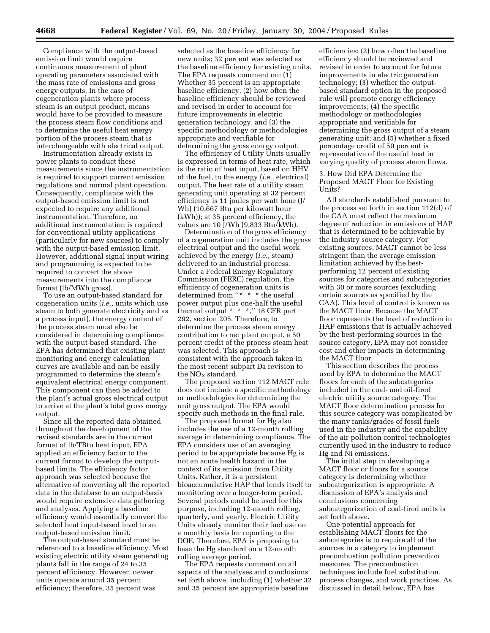Compliance with the output-based emission limit would require continuous measurement of plant operating parameters associated with the mass rate of emissions and gross energy outputs. In the case of cogeneration plants where process steam is an output product, means would have to be provided to measure the process steam flow conditions and to determine the useful heat energy portion of the process steam that is interchangeable with electrical output.

Instrumentation already exists in power plants to conduct these measurements since the instrumentation is required to support current emission regulations and normal plant operation. Consequently, compliance with the output-based emission limit is not expected to require any additional instrumentation. Therefore, no additional instrumentation is required for conventional utility applications (particularly for new sources) to comply with the output-based emission limit. However, additional signal input wiring and programming is expected to be required to convert the above measurements into the compliance format (lb/MWh gross).

To use an output-based standard for cogeneration units (*i.e.,* units which use steam to both generate electricity and as a process input), the energy content of the process steam must also be considered in determining compliance with the output-based standard. The EPA has determined that existing plant monitoring and energy calculation curves are available and can be easily programmed to determine the steam's equivalent electrical energy component. This component can then be added to the plant's actual gross electrical output to arrive at the plant's total gross energy output.

Since all the reported data obtained throughout the development of the revised standards are in the current format of lb/TBtu heat input, EPA applied an efficiency factor to the current format to develop the outputbased limits. The efficiency factor approach was selected because the alternative of converting all the reported data in the database to an output-basis would require extensive data gathering and analyses. Applying a baseline efficiency would essentially convert the selected heat input-based level to an output-based emission limit.

The output-based standard must be referenced to a baseline efficiency. Most existing electric utility steam generating plants fall in the range of 24 to 35 percent efficiency. However, newer units operate around 35 percent efficiency; therefore, 35 percent was

selected as the baseline efficiency for new units; 32 percent was selected as the baseline efficiency for existing units. The EPA requests comment on: (1) Whether 35 percent is an appropriate baseline efficiency, (2) how often the baseline efficiency should be reviewed and revised in order to account for future improvements in electric generation technology, and (3) the specific methodology or methodologies appropriate and verifiable for determining the gross energy output.

The efficiency of Utility Units usually is expressed in terms of heat rate, which is the ratio of heat input, based on HHV of the fuel, to the energy (*i.e.,* electrical) output. The heat rate of a utility steam generating unit operating at 32 percent efficiency is 11 joules per watt hour (J/ Wh) (10,667 Btu per kilowatt hour (kWh)); at 35 percent efficiency, the values are 10 J/Wh (9,833 Btu/kWh).

Determination of the gross efficiency of a cogeneration unit includes the gross electrical output and the useful work achieved by the energy (*i.e.,* steam) delivered to an industrial process. Under a Federal Energy Regulatory Commission (FERC) regulation, the efficiency of cogeneration units is determined from "\* \* \* the useful power output plus one-half the useful thermal output \* \* \*,'' 18 CFR part 292, section 205. Therefore, to determine the process steam energy contribution to net plant output, a 50 percent credit of the process steam heat was selected. This approach is consistent with the approach taken in the most recent subpart Da revision to the  $NO<sub>x</sub>$  standard.

The proposed section 112 MACT rule does not include a specific methodology or methodologies for determining the unit gross output. The EPA would specify such methods in the final rule.

The proposed format for Hg also includes the use of a 12-month rolling average in determining compliance. The EPA considers use of an averaging period to be appropriate because Hg is not an acute health hazard in the context of its emission from Utility Units. Rather, it is a persistent bioaccumulative HAP that lends itself to monitoring over a longer-term period. Several periods could be used for this purpose, including 12-month rolling, quarterly, and yearly. Electric Utility Units already monitor their fuel use on a monthly basis for reporting to the DOE. Therefore, EPA is proposing to base the Hg standard on a 12-month rolling average period.

The EPA requests comment on all aspects of the analyses and conclusions set forth above, including (1) whether 32 and 35 percent are appropriate baseline

efficiencies; (2) how often the baseline efficiency should be reviewed and revised in order to account for future improvements in electric generation technology; (3) whether the outputbased standard option in the proposed rule will promote energy efficiency improvements; (4) the specific methodology or methodologies appropriate and verifiable for determining the gross output of a steam generating unit; and (5) whether a fixed percentage credit of 50 percent is representative of the useful heat in varying quality of process steam flows.

3. How Did EPA Determine the Proposed MACT Floor for Existing Units?

All standards established pursuant to the process set forth in section 112(d) of the CAA must reflect the maximum degree of reduction in emissions of HAP that is determined to be achievable by the industry source category. For existing sources, MACT cannot be less stringent than the average emission limitation achieved by the bestperforming 12 percent of existing sources for categories and subcategories with 30 or more sources (excluding certain sources as specified by the CAA). This level of control is known as the MACT floor. Because the MACT floor represents the level of reduction in HAP emissions that is actually achieved by the best-performing sources in the source category, EPA may not consider cost and other impacts in determining the MACT floor.

This section describes the process used by EPA to determine the MACT floors for each of the subcategories included in the coal- and oil-fired electric utility source category. The MACT floor determination process for this source category was complicated by the many ranks/grades of fossil fuels used in the industry and the capability of the air pollution control technologies currently used in the industry to reduce Hg and Ni emissions.

The initial step in developing a MACT floor or floors for a source category is determining whether subcategorization is appropriate. A discussion of EPA's analysis and conclusions concerning subcategorization of coal-fired units is set forth above.

One potential approach for establishing MACT floors for the subcategories is to require all of the sources in a category to implement precombustion pollution prevention measures. The precombustion techniques include fuel substitution, process changes, and work practices. As discussed in detail below, EPA has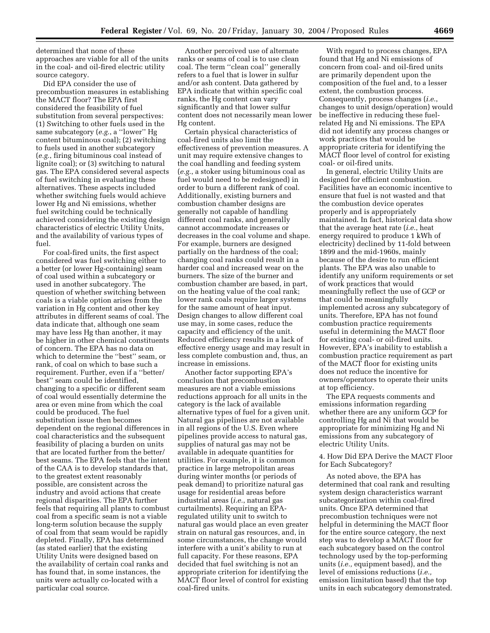determined that none of these approaches are viable for all of the units in the coal- and oil-fired electric utility source category.

Did EPA consider the use of precombustion measures in establishing the MACT floor? The EPA first considered the feasibility of fuel substitution from several perspectives: (1) Switching to other fuels used in the same subcategory (*e.g.*, a ''lower'' Hg content bituminous coal); (2) switching to fuels used in another subcategory (*e.g.*, firing bituminous coal instead of lignite coal); or (3) switching to natural gas. The EPA considered several aspects of fuel switching in evaluating these alternatives. These aspects included whether switching fuels would achieve lower Hg and Ni emissions, whether fuel switching could be technically achieved considering the existing design characteristics of electric Utility Units, and the availability of various types of fuel.

For coal-fired units, the first aspect considered was fuel switching either to a better (or lower Hg-containing) seam of coal used within a subcategory or used in another subcategory. The question of whether switching between coals is a viable option arises from the variation in Hg content and other key attributes in different seams of coal. The data indicate that, although one seam may have less Hg than another, it may be higher in other chemical constituents of concern. The EPA has no data on which to determine the ''best'' seam, or rank, of coal on which to base such a requirement. Further, even if a ''better/ best'' seam could be identified, changing to a specific or different seam of coal would essentially determine the area or even mine from which the coal could be produced. The fuel substitution issue then becomes dependent on the regional differences in coal characteristics and the subsequent feasibility of placing a burden on units that are located further from the better/ best seams. The EPA feels that the intent of the CAA is to develop standards that, to the greatest extent reasonably possible, are consistent across the industry and avoid actions that create regional disparities. The EPA further feels that requiring all plants to combust coal from a specific seam is not a viable long-term solution because the supply of coal from that seam would be rapidly depleted. Finally, EPA has determined (as stated earlier) that the existing Utility Units were designed based on the availability of certain coal ranks and has found that, in some instances, the units were actually co-located with a particular coal source.

Another perceived use of alternate ranks or seams of coal is to use clean coal. The term ''clean coal'' generally refers to a fuel that is lower in sulfur and/or ash content. Data gathered by EPA indicate that within specific coal ranks, the Hg content can vary significantly and that lower sulfur content does not necessarily mean lower Hg content.

Certain physical characteristics of coal-fired units also limit the effectiveness of prevention measures. A unit may require extensive changes to the coal handling and feeding system (*e.g.*, a stoker using bituminous coal as fuel would need to be redesigned) in order to burn a different rank of coal. Additionally, existing burners and combustion chamber designs are generally not capable of handling different coal ranks, and generally cannot accommodate increases or decreases in the coal volume and shape. For example, burners are designed partially on the hardness of the coal; changing coal ranks could result in a harder coal and increased wear on the burners. The size of the burner and combustion chamber are based, in part, on the heating value of the coal rank; lower rank coals require larger systems for the same amount of heat input. Design changes to allow different coal use may, in some cases, reduce the capacity and efficiency of the unit. Reduced efficiency results in a lack of effective energy usage and may result in less complete combustion and, thus, an increase in emissions.

Another factor supporting EPA's conclusion that precombustion measures are not a viable emissions reductions approach for all units in the category is the lack of available alternative types of fuel for a given unit. Natural gas pipelines are not available in all regions of the U.S. Even where pipelines provide access to natural gas, supplies of natural gas may not be available in adequate quantities for utilities. For example, it is common practice in large metropolitan areas during winter months (or periods of peak demand) to prioritize natural gas usage for residential areas before industrial areas (*i.e.*, natural gas curtailments). Requiring an EPAregulated utility unit to switch to natural gas would place an even greater strain on natural gas resources, and, in some circumstances, the change would interfere with a unit's ability to run at full capacity. For these reasons, EPA decided that fuel switching is not an appropriate criterion for identifying the MACT floor level of control for existing coal-fired units.

With regard to process changes, EPA found that Hg and Ni emissions of concern from coal- and oil-fired units are primarily dependent upon the composition of the fuel and, to a lesser extent, the combustion process. Consequently, process changes (*i.e.*, changes to unit design/operation) would be ineffective in reducing these fuelrelated Hg and Ni emissions. The EPA did not identify any process changes or work practices that would be appropriate criteria for identifying the MACT floor level of control for existing coal- or oil-fired units.

In general, electric Utility Units are designed for efficient combustion. Facilities have an economic incentive to ensure that fuel is not wasted and that the combustion device operates properly and is appropriately maintained. In fact, historical data show that the average heat rate (*i.e.*, heat energy required to produce 1 kWh of electricity) declined by 11-fold between 1899 and the mid-1960s, mainly because of the desire to run efficient plants. The EPA was also unable to identify any uniform requirements or set of work practices that would meaningfully reflect the use of GCP or that could be meaningfully implemented across any subcategory of units. Therefore, EPA has not found combustion practice requirements useful in determining the MACT floor for existing coal- or oil-fired units. However, EPA's inability to establish a combustion practice requirement as part of the MACT floor for existing units does not reduce the incentive for owners/operators to operate their units at top efficiency.

The EPA requests comments and emissions information regarding whether there are any uniform GCP for controlling Hg and Ni that would be appropriate for minimizing Hg and Ni emissions from any subcategory of electric Utility Units.

4. How Did EPA Derive the MACT Floor for Each Subcategory?

As noted above, the EPA has determined that coal rank and resulting system design characteristics warrant subcategorization within coal-fired units. Once EPA determined that precombustion techniques were not helpful in determining the MACT floor for the entire source category, the next step was to develop a MACT floor for each subcategory based on the control technology used by the top-performing units (*i.e.,* equipment based), and the level of emissions reductions (*i.e.,* emission limitation based) that the top units in each subcategory demonstrated.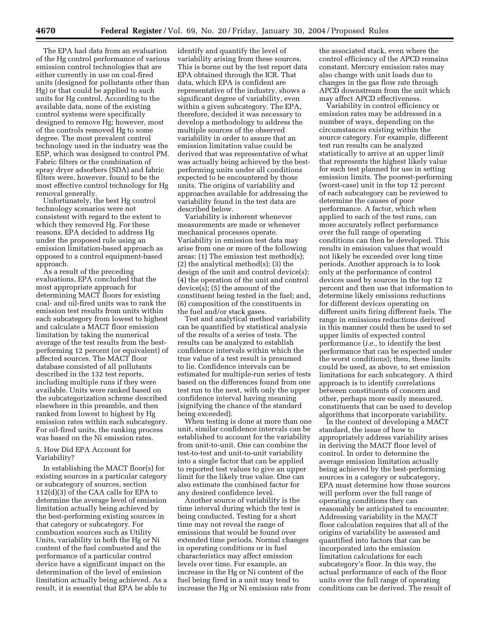The EPA had data from an evaluation of the Hg control performance of various emission control technologies that are either currently in use on coal-fired units (designed for pollutants other than Hg) or that could be applied to such units for Hg control. According to the available data, none of the existing control systems were specifically designed to remove Hg; however, most of the controls removed Hg to some degree. The most prevalent control technology used in the industry was the ESP, which was designed to control PM. Fabric filters or the combination of spray dryer adsorbers (SDA) and fabric filters were, however, found to be the most effective control technology for Hg removal generally.

Unfortunately, the best Hg control technology scenarios were not consistent with regard to the extent to which they removed Hg. For these reasons, EPA decided to address Hg under the proposed rule using an emission limitation-based approach as opposed to a control equipment-based approach.

As a result of the preceding evaluations, EPA concluded that the most appropriate approach for determining MACT floors for existing coal- and oil-fired units was to rank the emission test results from units within each subcategory from lowest to highest and calculate a MACT floor emission limitation by taking the numerical average of the test results from the bestperforming 12 percent (or equivalent) of affected sources. The MACT floor database consisted of all pollutants described in the 132 test reports, including multiple runs if they were available. Units were ranked based on the subcategorization scheme described elsewhere in this preamble, and then ranked from lowest to highest by Hg emission rates within each subcategory. For oil-fired units, the ranking process was based on the Ni emission rates.

#### 5. How Did EPA Account for Variability?

In establishing the MACT floor(s) for existing sources in a particular category or subcategory of sources, section 112(d)(3) of the CAA calls for EPA to determine the average level of emission limitation actually being achieved by the best-performing existing sources in that category or subcategory. For combustion sources such as Utility Units, variability in both the Hg or Ni content of the fuel combusted and the performance of a particular control device have a significant impact on the determination of the level of emission limitation actually being achieved. As a result, it is essential that EPA be able to

identify and quantify the level of variability arising from these sources. This is borne out by the test report data EPA obtained through the ICR. That data, which EPA is confident are representative of the industry, shows a significant degree of variability, even within a given subcategory. The EPA, therefore, decided it was necessary to develop a methodology to address the multiple sources of the observed variability in order to assure that an emission limitation value could be derived that was representative of what was actually being achieved by the bestperforming units under all conditions expected to be encountered by those units. The origins of variability and approaches available for addressing the variability found in the test data are described below.

Variability is inherent whenever measurements are made or whenever mechanical processes operate. Variability in emission test data may arise from one or more of the following areas: (1) The emission test method(s);  $(2)$  the analytical method $(s)$ ;  $(3)$  the design of the unit and control device(s); (4) the operation of the unit and control device(s); (5) the amount of the constituent being tested in the fuel; and, (6) composition of the constituents in the fuel and/or stack gases.

Test and analytical method variability can be quantified by statistical analysis of the results of a series of tests. The results can be analyzed to establish confidence intervals within which the true value of a test result is presumed to lie. Confidence intervals can be estimated for multiple-run series of tests based on the differences found from one test run to the next, with only the upper confidence interval having meaning (signifying the chance of the standard being exceeded).

When testing is done at more than one unit, similar confidence intervals can be established to account for the variability from unit-to-unit. One can combine the test-to-test and unit-to-unit variability into a single factor that can be applied to reported test values to give an upper limit for the likely true value. One can also estimate the combined factor for any desired confidence level.

Another source of variability is the time interval during which the test is being conducted. Testing for a short time may not reveal the range of emissions that would be found over extended time periods. Normal changes in operating conditions or in fuel characteristics may affect emission levels over time. For example, an increase in the Hg or Ni content of the fuel being fired in a unit may tend to increase the Hg or Ni emission rate from

the associated stack, even where the control efficiency of the APCD remains constant. Mercury emission rates may also change with unit loads due to changes in the gas flow rate through APCD downstream from the unit which may affect APCD effectiveness.

Variability in control efficiency or emission rates may be addressed in a number of ways, depending on the circumstances existing within the source category. For example, different test run results can be analyzed statistically to arrive at an upper limit that represents the highest likely value for each test planned for use in setting emission limits. The poorest-performing (worst-case) unit in the top 12 percent of each subcategory can be reviewed to determine the causes of poor performance. A factor, which when applied to each of the test runs, can more accurately reflect performance over the full range of operating conditions can then be developed. This results in emission values that would not likely be exceeded over long time periods. Another approach is to look only at the performance of control devices used by sources in the top 12 percent and then use that information to determine likely emissions reductions for different devices operating on different units firing different fuels. The range in emissions reductions derived in this manner could then be used to set upper limits of expected control performance (*i.e.,* to identify the best performance that can be expected under the worst conditions); then, these limits could be used, as above, to set emission limitations for each subcategory. A third approach is to identify correlations between constituents of concern and other, perhaps more easily measured, constituents that can be used to develop algorithms that incorporate variability.

In the context of developing a MACT standard, the issue of how to appropriately address variability arises in deriving the MACT floor level of control. In order to determine the average emission limitation actually being achieved by the best-performing sources in a category or subcategory, EPA must determine how those sources will perform over the full range of operating conditions they can reasonably be anticipated to encounter. Addressing variability in the MACT floor calculation requires that all of the origins of variability be assessed and quantified into factors that can be incorporated into the emission limitation calculations for each subcategory's floor. In this way, the actual performance of each of the floor units over the full range of operating conditions can be derived. The result of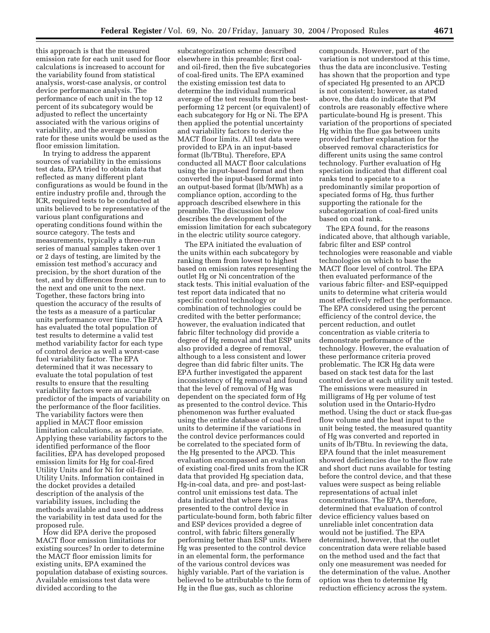this approach is that the measured emission rate for each unit used for floor calculations is increased to account for the variability found from statistical analysis, worst-case analysis, or control device performance analysis. The performance of each unit in the top 12 percent of its subcategory would be adjusted to reflect the uncertainty associated with the various origins of variability, and the average emission rate for these units would be used as the floor emission limitation.

In trying to address the apparent sources of variability in the emissions test data, EPA tried to obtain data that reflected as many different plant configurations as would be found in the entire industry profile and, through the ICR, required tests to be conducted at units believed to be representative of the various plant configurations and operating conditions found within the source category. The tests and measurements, typically a three-run series of manual samples taken over 1 or 2 days of testing, are limited by the emission test method's accuracy and precision, by the short duration of the test, and by differences from one run to the next and one unit to the next. Together, these factors bring into question the accuracy of the results of the tests as a measure of a particular units performance over time. The EPA has evaluated the total population of test results to determine a valid test method variability factor for each type of control device as well a worst-case fuel variability factor. The EPA determined that it was necessary to evaluate the total population of test results to ensure that the resulting variability factors were an accurate predictor of the impacts of variability on the performance of the floor facilities. The variability factors were then applied in MACT floor emission limitation calculations, as appropriate. Applying these variability factors to the identified performance of the floor facilities, EPA has developed proposed emission limits for Hg for coal-fired Utility Units and for Ni for oil-fired Utility Units. Information contained in the docket provides a detailed description of the analysis of the variability issues, including the methods available and used to address the variability in test data used for the proposed rule.

How did EPA derive the proposed MACT floor emission limitations for existing sources? In order to determine the MACT floor emission limits for existing units, EPA examined the population database of existing sources. Available emissions test data were divided according to the

subcategorization scheme described elsewhere in this preamble; first coaland oil-fired, then the five subcategories of coal-fired units. The EPA examined the existing emission test data to determine the individual numerical average of the test results from the bestperforming 12 percent (or equivalent) of each subcategory for Hg or Ni. The EPA then applied the potential uncertainty and variability factors to derive the MACT floor limits. All test data were provided to EPA in an input-based format (lb/TBtu). Therefore, EPA conducted all MACT floor calculations using the input-based format and then converted the input-based format into an output-based format (lb/MWh) as a compliance option, according to the approach described elsewhere in this preamble. The discussion below describes the development of the emission limitation for each subcategory in the electric utility source category.

The EPA initiated the evaluation of the units within each subcategory by ranking them from lowest to highest based on emission rates representing the outlet Hg or Ni concentration of the stack tests. This initial evaluation of the test report data indicated that no specific control technology or combination of technologies could be credited with the better performance; however, the evaluation indicated that fabric filter technology did provide a degree of Hg removal and that ESP units also provided a degree of removal, although to a less consistent and lower degree than did fabric filter units. The EPA further investigated the apparent inconsistency of Hg removal and found that the level of removal of Hg was dependent on the speciated form of Hg as presented to the control device. This phenomenon was further evaluated using the entire database of coal-fired units to determine if the variations in the control device performances could be correlated to the speciated form of the Hg presented to the APCD. This evaluation encompassed an evaluation of existing coal-fired units from the ICR data that provided Hg speciation data, Hg-in-coal data, and pre- and post-lastcontrol unit emissions test data. The data indicated that where Hg was presented to the control device in particulate-bound form, both fabric filter and ESP devices provided a degree of control, with fabric filters generally performing better than ESP units. Where Hg was presented to the control device in an elemental form, the performance of the various control devices was highly variable. Part of the variation is believed to be attributable to the form of Hg in the flue gas, such as chlorine

compounds. However, part of the variation is not understood at this time, thus the data are inconclusive. Testing has shown that the proportion and type of speciated Hg presented to an APCD is not consistent; however, as stated above, the data do indicate that PM controls are reasonably effective where particulate-bound Hg is present. This variation of the proportions of speciated Hg within the flue gas between units provided further explanation for the observed removal characteristics for different units using the same control technology. Further evaluation of Hg speciation indicated that different coal ranks tend to speciate to a predominantly similar proportion of speciated forms of Hg, thus further supporting the rationale for the subcategorization of coal-fired units based on coal rank.

The EPA found, for the reasons indicated above, that although variable, fabric filter and ESP control technologies were reasonable and viable technologies on which to base the MACT floor level of control. The EPA then evaluated performance of the various fabric filter- and ESP-equipped units to determine what criteria would most effectively reflect the performance. The EPA considered using the percent efficiency of the control device, the percent reduction, and outlet concentration as viable criteria to demonstrate performance of the technology. However, the evaluation of these performance criteria proved problematic. The ICR Hg data were based on stack test data for the last control device at each utility unit tested. The emissions were measured in milligrams of Hg per volume of test solution used in the Ontario-Hydro method. Using the duct or stack flue-gas flow volume and the heat input to the unit being tested, the measured quantity of Hg was converted and reported in units of lb/TBtu. In reviewing the data, EPA found that the inlet measurement showed deficiencies due to the flow rate and short duct runs available for testing before the control device, and that these values were suspect as being reliable representations of actual inlet concentrations. The EPA, therefore, determined that evaluation of control device efficiency values based on unreliable inlet concentration data would not be justified. The EPA determined, however, that the outlet concentration data were reliable based on the method used and the fact that only one measurement was needed for the determination of the value. Another option was then to determine Hg reduction efficiency across the system.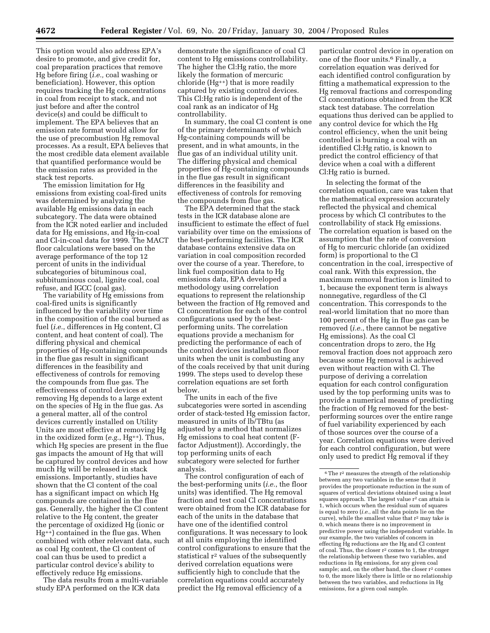This option would also address EPA's desire to promote, and give credit for, coal preparation practices that remove Hg before firing (*i.e.,* coal washing or beneficiation). However, this option requires tracking the Hg concentrations in coal from receipt to stack, and not just before and after the control device(s) and could be difficult to implement. The EPA believes that an emission rate format would allow for the use of precombustion Hg removal processes. As a result, EPA believes that the most credible data element available that quantified performance would be the emission rates as provided in the stack test reports.

The emission limitation for Hg emissions from existing coal-fired units was determined by analyzing the available Hg emissions data in each subcategory. The data were obtained from the ICR noted earlier and included data for Hg emissions, and Hg-in-coal and Cl-in-coal data for 1999. The MACT floor calculations were based on the average performance of the top 12 percent of units in the individual subcategories of bituminous coal, subbituminous coal, lignite coal, coal refuse, and IGCC (coal gas).

The variability of Hg emissions from coal-fired units is significantly influenced by the variability over time in the composition of the coal burned as fuel (*i.e.*, differences in Hg content, Cl content, and heat content of coal). The differing physical and chemical properties of Hg-containing compounds in the flue gas result in significant differences in the feasibility and effectiveness of controls for removing the compounds from flue gas. The effectiveness of control devices at removing Hg depends to a large extent on the species of Hg in the flue gas. As a general matter, all of the control devices currently installed on Utility Units are most effective at removing Hg in the oxidized form (*e.g.*, Hg++). Thus, which Hg species are present in the flue gas impacts the amount of Hg that will be captured by control devices and how much Hg will be released in stack emissions. Importantly, studies have shown that the Cl content of the coal has a significant impact on which Hg compounds are contained in the flue gas. Generally, the higher the Cl content relative to the Hg content, the greater the percentage of oxidized Hg (ionic or Hg++) contained in the flue gas. When combined with other relevant data, such as coal Hg content, the Cl content of coal can thus be used to predict a particular control device's ability to effectively reduce Hg emissions.

The data results from a multi-variable study EPA performed on the ICR data

demonstrate the significance of coal Cl content to Hg emissions controllability. The higher the Cl:Hg ratio, the more likely the formation of mercuric chloride (Hg++) that is more readily captured by existing control devices. This Cl:Hg ratio is independent of the coal rank as an indicator of Hg controllability.

In summary, the coal Cl content is one of the primary determinants of which Hg-containing compounds will be present, and in what amounts, in the flue gas of an individual utility unit. The differing physical and chemical properties of Hg-containing compounds in the flue gas result in significant differences in the feasibility and effectiveness of controls for removing the compounds from flue gas.

The EPA determined that the stack tests in the ICR database alone are insufficient to estimate the effect of fuel variability over time on the emissions of the best-performing facilities. The ICR database contains extensive data on variation in coal composition recorded over the course of a year. Therefore, to link fuel composition data to Hg emissions data, EPA developed a methodology using correlation equations to represent the relationship between the fraction of Hg removed and Cl concentration for each of the control configurations used by the bestperforming units. The correlation equations provide a mechanism for predicting the performance of each of the control devices installed on floor units when the unit is combusting any of the coals received by that unit during 1999. The steps used to develop these correlation equations are set forth below.

The units in each of the five subcategories were sorted in ascending order of stack-tested Hg emission factor, measured in units of lb/TBtu (as adjusted by a method that normalizes Hg emissions to coal heat content (Ffactor Adjustment)). Accordingly, the top performing units of each subcategory were selected for further analysis.

The control configuration of each of the best-performing units (*i.e.*, the floor units) was identified. The Hg removal fraction and test coal Cl concentrations were obtained from the ICR database for each of the units in the database that have one of the identified control configurations. It was necessary to look at all units employing the identified control configurations to ensure that the statistical r2 values of the subsequently derived correlation equations were sufficiently high to conclude that the correlation equations could accurately predict the Hg removal efficiency of a

particular control device in operation on one of the floor units.6 Finally, a correlation equation was derived for each identified control configuration by fitting a mathematical expression to the Hg removal fractions and corresponding Cl concentrations obtained from the ICR stack test database. The correlation equations thus derived can be applied to any control device for which the Hg control efficiency, when the unit being controlled is burning a coal with an identified Cl:Hg ratio, is known to predict the control efficiency of that device when a coal with a different Cl:Hg ratio is burned.

In selecting the format of the correlation equation, care was taken that the mathematical expression accurately reflected the physical and chemical process by which Cl contributes to the controllability of stack Hg emissions. The correlation equation is based on the assumption that the rate of conversion of Hg to mercuric chloride (an oxidized form) is proportional to the Cl concentration in the coal, irrespective of coal rank. With this expression, the maximum removal fraction is limited to 1, because the exponent term is always nonnegative, regardless of the Cl concentration. This corresponds to the real-world limitation that no more than 100 percent of the Hg in flue gas can be removed (*i.e.*, there cannot be negative Hg emissions). As the coal Cl concentration drops to zero, the Hg removal fraction does not approach zero because some Hg removal is achieved even without reaction with Cl. The purpose of deriving a correlation equation for each control configuration used by the top performing units was to provide a numerical means of predicting the fraction of Hg removed for the bestperforming sources over the entire range of fuel variability experienced by each of those sources over the course of a year. Correlation equations were derived for each control configuration, but were only used to predict Hg removal if they

<sup>6</sup>The r2 measures the strength of the relationship between any two variables in the sense that it provides the proportionate reduction in the sum of squares of vertical deviations obtained using a least squares approach. The largest value r<sup>2</sup> can attain is 1, which occurs when the residual sum of squares is equal to zero (*i.e.*, all the data points lie on the curve), while the smallest value that r2 may take is 0, which means there is no improvement in predictive power using the independent variable. In our example, the two variables of concern in effecting Hg reductions are the Hg and Cl content of coal. Thus, the closer r2 comes to 1, the stronger the relationship between these two variables, and reductions in Hg emissions, for any given coal sample; and, on the other hand, the closer r<sup>2</sup> comes to 0, the more likely there is little or no relationship between the two variables, and reductions in Hg emissions, for a given coal sample.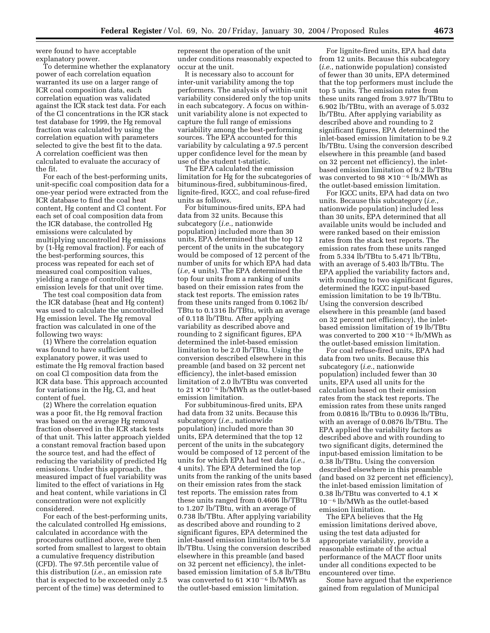were found to have acceptable explanatory power.

To determine whether the explanatory power of each correlation equation warranted its use on a larger range of ICR coal composition data, each correlation equation was validated against the ICR stack test data. For each of the Cl concentrations in the ICR stack test database for 1999, the Hg removal fraction was calculated by using the correlation equation with parameters selected to give the best fit to the data. A correlation coefficient was then calculated to evaluate the accuracy of the fit.

For each of the best-performing units, unit-specific coal composition data for a one-year period were extracted from the ICR database to find the coal heat content, Hg content and Cl content. For each set of coal composition data from the ICR database, the controlled Hg emissions were calculated by multiplying uncontrolled Hg emissions by (1-Hg removal fraction). For each of the best-performing sources, this process was repeated for each set of measured coal composition values, yielding a range of controlled Hg emission levels for that unit over time.

The test coal composition data from the ICR database (heat and Hg content) was used to calculate the uncontrolled Hg emission level. The Hg removal fraction was calculated in one of the following two ways:

(1) Where the correlation equation was found to have sufficient explanatory power, it was used to estimate the Hg removal fraction based on coal Cl composition data from the ICR data base. This approach accounted for variations in the Hg, Cl, and heat content of fuel.

(2) Where the correlation equation was a poor fit, the Hg removal fraction was based on the average Hg removal fraction observed in the ICR stack tests of that unit. This latter approach yielded a constant removal fraction based upon the source test, and had the effect of reducing the variability of predicted Hg emissions. Under this approach, the measured impact of fuel variability was limited to the effect of variations in Hg and heat content, while variations in Cl concentration were not explicitly considered.

For each of the best-performing units, the calculated controlled Hg emissions, calculated in accordance with the procedures outlined above, were then sorted from smallest to largest to obtain a cumulative frequency distribution (CFD). The 97.5th percentile value of this distribution (*i.e.*, an emission rate that is expected to be exceeded only 2.5 percent of the time) was determined to

represent the operation of the unit under conditions reasonably expected to occur at the unit.

It is necessary also to account for inter-unit variability among the top performers. The analysis of within-unit variability considered only the top units in each subcategory. A focus on withinunit variability alone is not expected to capture the full range of emissions variability among the best-performing sources. The EPA accounted for this variability by calculating a 97.5 percent upper confidence level for the mean by use of the student t-statistic.

The EPA calculated the emission limitation for Hg for the subcategories of bituminous-fired, subbituminous-fired, lignite-fired, IGCC, and coal refuse-fired units as follows.

For bituminous-fired units, EPA had data from 32 units. Because this subcategory (*i.e.*, nationwide population) included more than 30 units, EPA determined that the top 12 percent of the units in the subcategory would be composed of 12 percent of the number of units for which EPA had data (*i.e,* 4 units). The EPA determined the top four units from a ranking of units based on their emission rates from the stack test reports. The emission rates from these units ranged from 0.1062 lb/ TBtu to 0.1316 lb/TBtu, with an average of 0.118 lb/TBtu. After applying variability as described above and rounding to 2 significant figures, EPA determined the inlet-based emission limitation to be 2.0 lb/TBtu. Using the conversion described elsewhere in this preamble (and based on 32 percent net efficiency), the inlet-based emission limitation of 2.0 lb/TBtu was converted to  $21 \times 10^{-6}$  lb/MWh as the outlet-based emission limitation.

For subbituminous-fired units, EPA had data from 32 units. Because this subcategory (*i.e.*, nationwide population) included more than 30 units, EPA determined that the top 12 percent of the units in the subcategory would be composed of 12 percent of the units for which EPA had test data (*i.e.*, 4 units). The EPA determined the top units from the ranking of the units based on their emission rates from the stack test reports. The emission rates from these units ranged from 0.4606 lb/TBtu to 1.207 lb/TBtu, with an average of 0.738 lb/TBtu. After applying variability as described above and rounding to 2 significant figures, EPA determined the inlet-based emission limitation to be 5.8 lb/TBtu. Using the conversion described elsewhere in this preamble (and based on 32 percent net efficiency), the inletbased emission limitation of 5.8 lb/TBtu was converted to  $61 \times 10^{-6}$  lb/MWh as the outlet-based emission limitation.

For lignite-fired units, EPA had data from 12 units. Because this subcategory (*i.e.*, nationwide population) consisted of fewer than 30 units, EPA determined that the top performers must include the top 5 units. The emission rates from these units ranged from 3.977 lb/TBtu to 6.902 lb/TBtu, with an average of 5.032 lb/TBtu. After applying variability as described above and rounding to 2 significant figures, EPA determined the inlet-based emission limitation to be 9.2 lb/TBtu. Using the conversion described elsewhere in this preamble (and based on 32 percent net efficiency), the inletbased emission limitation of 9.2 lb/TBtu was converted to  $98 \times 10^{-6}$  lb/MWh as the outlet-based emission limitation.

For IGCC units, EPA had data on two units. Because this subcategory (*i.e.*, nationwide population) included less than 30 units, EPA determined that all available units would be included and were ranked based on their emission rates from the stack test reports. The emission rates from these units ranged from 5.334 lb/TBtu to 5.471 lb/TBtu, with an average of 5.403 lb/TBtu. The EPA applied the variability factors and, with rounding to two significant figures, determined the IGCC input-based emission limitation to be 19 lb/TBtu. Using the conversion described elsewhere in this preamble (and based on 32 percent net efficiency), the inletbased emission limitation of 19 lb/TBtu was converted to  $200 \times 10^{-6}$  lb/MWh as the outlet-based emission limitation.

For coal refuse-fired units, EPA had data from two units. Because this subcategory (*i.e.*, nationwide population) included fewer than 30 units, EPA used all units for the calculation based on their emission rates from the stack test reports. The emission rates from these units ranged from 0.0816 lb/TBtu to 0.0936 lb/TBtu, with an average of 0.0876 lb/TBtu. The EPA applied the variability factors as described above and with rounding to two significant digits, determined the input-based emission limitation to be 0.38 lb/TBtu. Using the conversion described elsewhere in this preamble (and based on 32 percent net efficiency), the inlet-based emission limitation of 0.38 lb/TBtu was converted to 4.1  $\times$  $10<sup>-6</sup>$  lb/MWh as the outlet-based emission limitation.

The EPA believes that the Hg emission limitations derived above, using the test data adjusted for appropriate variability, provide a reasonable estimate of the actual performance of the MACT floor units under all conditions expected to be encountered over time.

Some have argued that the experience gained from regulation of Municipal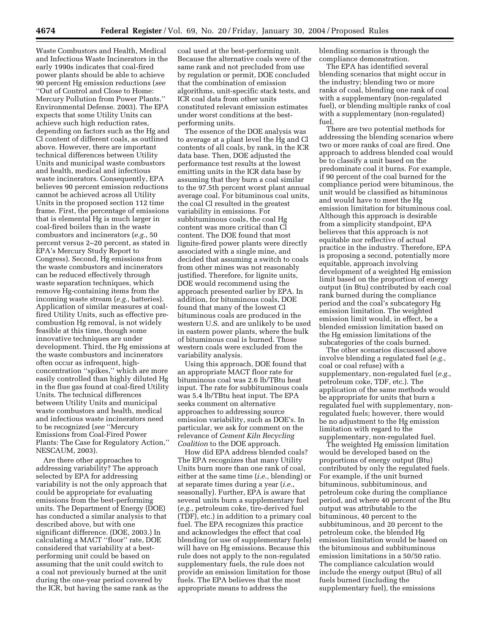Waste Combustors and Health, Medical and Infectious Waste Incinerators in the early 1990s indicates that coal-fired power plants should be able to achieve 90 percent Hg emission reductions (*see* ''Out of Control and Close to Home: Mercury Pollution from Power Plants.'' Environmental Defense. 2003). The EPA expects that some Utility Units can achieve such high reduction rates, depending on factors such as the Hg and Cl content of different coals, as outlined above. However, there are important technical differences between Utility Units and municipal waste combustors and health, medical and infectious waste incinerators. Consequently, EPA believes 90 percent emission reductions cannot be achieved across all Utility Units in the proposed section 112 time frame. First, the percentage of emissions that is elemental Hg is much larger in coal-fired boilers than in the waste combustors and incinerators (*e.g.*, 50 percent versus 2–20 percent, as stated in EPA's Mercury Study Report to Congress). Second, Hg emissions from the waste combustors and incinerators can be reduced effectively through waste separation techniques, which remove Hg-containing items from the incoming waste stream (*e.g.*, batteries). Application of similar measures at coalfired Utility Units, such as effective precombustion Hg removal, is not widely feasible at this time, though some innovative techniques are under development. Third, the Hg emissions at the waste combustors and incinerators often occur as infrequent, highconcentration ''spikes,'' which are more easily controlled than highly diluted Hg in the flue gas found at coal-fired Utility Units. The technical differences between Utility Units and municipal waste combustors and health, medical and infectious waste incinerators need to be recognized (*see* ''Mercury Emissions from Coal-Fired Power Plants: The Case for Regulatory Action,'' NESCAUM, 2003).

Are there other approaches to addressing variability? The approach selected by EPA for addressing variability is not the only approach that could be appropriate for evaluating emissions from the best-performing units. The Department of Energy (DOE) has conducted a similar analysis to that described above, but with one significant difference. (DOE, 2003.) In calculating a MACT ''floor'' rate, DOE considered that variability at a bestperforming unit could be based on assuming that the unit could switch to a coal not previously burned at the unit during the one-year period covered by the ICR, but having the same rank as the

coal used at the best-performing unit. Because the alternative coals were of the same rank and not precluded from use by regulation or permit, DOE concluded that the combination of emission algorithms, unit-specific stack tests, and ICR coal data from other units constituted relevant emission estimates under worst conditions at the bestperforming units.

The essence of the DOE analysis was to average at a plant level the Hg and Cl contents of all coals, by rank, in the ICR data base. Then, DOE adjusted the performance test results at the lowest emitting units in the ICR data base by assuming that they burn a coal similar to the 97.5th percent worst plant annual average coal. For bituminous coal units, the coal Cl resulted in the greatest variability in emissions. For subbituminous coals, the coal Hg content was more critical than Cl content. The DOE found that most lignite-fired power plants were directly associated with a single mine, and decided that assuming a switch to coals from other mines was not reasonably justified. Therefore, for lignite units, DOE would recommend using the approach presented earlier by EPA. In addition, for bituminous coals, DOE found that many of the lowest Cl bituminous coals are produced in the western U.S. and are unlikely to be used in eastern power plants, where the bulk of bituminous coal is burned. Those western coals were excluded from the variability analysis.

Using this approach, DOE found that an appropriate MACT floor rate for bituminous coal was 2.6 lb/TBtu heat input. The rate for subbituminous coals was 5.4 lb/TBtu heat input. The EPA seeks comment on alternative approaches to addressing source emission variability, such as DOE's. In particular, we ask for comment on the relevance of *Cement Kiln Recycling Coalition* to the DOE approach.

How did EPA address blended coals? The EPA recognizes that many Utility Units burn more than one rank of coal, either at the same time (*i.e.*, blending) or at separate times during a year (*i.e.*, seasonally). Further, EPA is aware that several units burn a supplementary fuel (*e.g.*, petroleum coke, tire-derived fuel (TDF), etc.) in addition to a primary coal fuel. The EPA recognizes this practice and acknowledges the effect that coal blending (or use of supplementary fuels) will have on Hg emissions. Because this rule does not apply to the non-regulated supplementary fuels, the rule does not provide an emission limitation for those fuels. The EPA believes that the most appropriate means to address the

blending scenarios is through the compliance demonstration.

The EPA has identified several blending scenarios that might occur in the industry; blending two or more ranks of coal, blending one rank of coal with a supplementary (non-regulated fuel), or blending multiple ranks of coal with a supplementary (non-regulated) fuel.

There are two potential methods for addressing the blending scenarios where two or more ranks of coal are fired. One approach to address blended coal would be to classify a unit based on the predominate coal it burns. For example, if 90 percent of the coal burned for the compliance period were bituminous, the unit would be classified as bituminous and would have to meet the Hg emission limitation for bituminous coal. Although this approach is desirable from a simplicity standpoint, EPA believes that this approach is not equitable nor reflective of actual practice in the industry. Therefore, EPA is proposing a second, potentially more equitable, approach involving development of a weighted Hg emission limit based on the proportion of energy output (in Btu) contributed by each coal rank burned during the compliance period and the coal's subcategory Hg emission limitation. The weighted emission limit would, in effect, be a blended emission limitation based on the Hg emission limitations of the subcategories of the coals burned.

The other scenarios discussed above involve blending a regulated fuel (*e.g.*, coal or coal refuse) with a supplementary, non-regulated fuel (*e.g.*, petroleum coke, TDF, etc.). The application of the same methods would be appropriate for units that burn a regulated fuel with supplementary, nonregulated fuels; however, there would be no adjustment to the Hg emission limitation with regard to the supplementary, non-regulated fuel.

The weighted Hg emission limitation would be developed based on the proportions of energy output (Btu) contributed by only the regulated fuels. For example, if the unit burned bituminous, subbituminous, and petroleum coke during the compliance period, and where 40 percent of the Btu output was attributable to the bituminous, 40 percent to the subbituminous, and 20 percent to the petroleum coke, the blended Hg emission limitation would be based on the bituminous and subbituminous emission limitations in a 50/50 ratio. The compliance calculation would include the energy output (Btu) of all fuels burned (including the supplementary fuel), the emissions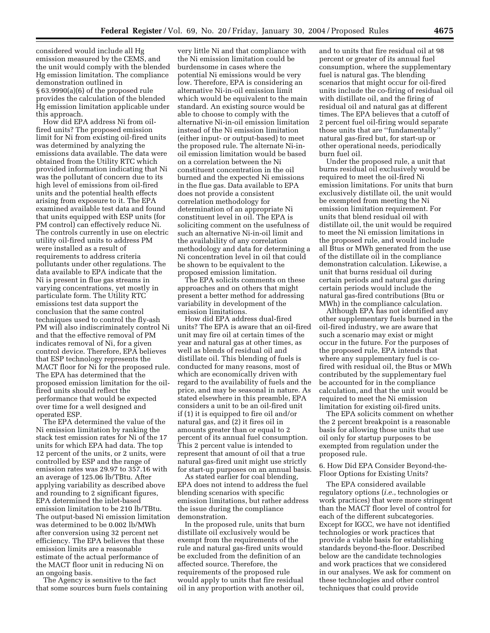considered would include all Hg emission measured by the CEMS, and the unit would comply with the blended Hg emission limitation. The compliance demonstration outlined in § 63.9990(a)(6) of the proposed rule provides the calculation of the blended Hg emission limitation applicable under this approach.

How did EPA address Ni from oilfired units? The proposed emission limit for Ni from existing oil-fired units was determined by analyzing the emissions data available. The data were obtained from the Utility RTC which provided information indicating that Ni was the pollutant of concern due to its high level of emissions from oil-fired units and the potential health effects arising from exposure to it. The EPA examined available test data and found that units equipped with ESP units (for PM control) can effectively reduce Ni. The controls currently in use on electric utility oil-fired units to address PM were installed as a result of requirements to address criteria pollutants under other regulations. The data available to EPA indicate that the Ni is present in flue gas streams in varying concentrations, yet mostly in particulate form. The Utility RTC emissions test data support the conclusion that the same control techniques used to control the fly-ash PM will also indiscriminately control Ni and that the effective removal of PM indicates removal of Ni, for a given control device. Therefore, EPA believes that ESP technology represents the MACT floor for Ni for the proposed rule. The EPA has determined that the proposed emission limitation for the oilfired units should reflect the performance that would be expected over time for a well designed and operated ESP.

The EPA determined the value of the Ni emission limitation by ranking the stack test emission rates for Ni of the 17 units for which EPA had data. The top 12 percent of the units, or 2 units, were controlled by ESP and the range of emission rates was 29.97 to 357.16 with an average of 125.06 lb/TBtu. After applying variability as described above and rounding to 2 significant figures, EPA determined the inlet-based emission limitation to be 210 lb/TBtu. The output-based Ni emission limitation was determined to be 0.002 lb/MWh after conversion using 32 percent net efficiency. The EPA believes that these emission limits are a reasonable estimate of the actual performance of the MACT floor unit in reducing Ni on an ongoing basis.

The Agency is sensitive to the fact that some sources burn fuels containing

very little Ni and that compliance with the Ni emission limitation could be burdensome in cases where the potential Ni emissions would be very low. Therefore, EPA is considering an alternative Ni-in-oil emission limit which would be equivalent to the main standard. An existing source would be able to choose to comply with the alternative Ni-in-oil emission limitation instead of the Ni emission limitation (either input- or output-based) to meet the proposed rule. The alternate Ni-inoil emission limitation would be based on a correlation between the Ni constituent concentration in the oil burned and the expected Ni emissions in the flue gas. Data available to EPA does not provide a consistent correlation methodology for determination of an appropriate Ni constituent level in oil. The EPA is soliciting comment on the usefulness of such an alternative Ni-in-oil limit and the availability of any correlation methodology and data for determining a Ni concentration level in oil that could be shown to be equivalent to the proposed emission limitation.

The EPA solicits comments on these approaches and on others that might present a better method for addressing variability in development of the emission limitations.

How did EPA address dual-fired units? The EPA is aware that an oil-fired unit may fire oil at certain times of the year and natural gas at other times, as well as blends of residual oil and distillate oil. This blending of fuels is conducted for many reasons, most of which are economically driven with regard to the availability of fuels and the price, and may be seasonal in nature. As stated elsewhere in this preamble, EPA considers a unit to be an oil-fired unit if (1) it is equipped to fire oil and/or natural gas, and (2) it fires oil in amounts greater than or equal to 2 percent of its annual fuel consumption. This 2 percent value is intended to represent that amount of oil that a true natural gas-fired unit might use strictly for start-up purposes on an annual basis.

As stated earlier for coal blending, EPA does not intend to address the fuel blending scenarios with specific emission limitations, but rather address the issue during the compliance demonstration.

In the proposed rule, units that burn distillate oil exclusively would be exempt from the requirements of the rule and natural gas-fired units would be excluded from the definition of an affected source. Therefore, the requirements of the proposed rule would apply to units that fire residual oil in any proportion with another oil,

and to units that fire residual oil at 98 percent or greater of its annual fuel consumption, where the supplementary fuel is natural gas. The blending scenarios that might occur for oil-fired units include the co-firing of residual oil with distillate oil, and the firing of residual oil and natural gas at different times. The EPA believes that a cutoff of 2 percent fuel oil-firing would separate those units that are ''fundamentally'' natural gas-fired but, for start-up or other operational needs, periodically burn fuel oil.

Under the proposed rule, a unit that burns residual oil exclusively would be required to meet the oil-fired Ni emission limitations. For units that burn exclusively distillate oil, the unit would be exempted from meeting the Ni emission limitation requirement. For units that blend residual oil with distillate oil, the unit would be required to meet the Ni emission limitations in the proposed rule, and would include all Btus or MWh generated from the use of the distillate oil in the compliance demonstration calculation. Likewise, a unit that burns residual oil during certain periods and natural gas during certain periods would include the natural gas-fired contributions (Btu or MWh) in the compliance calculation.

Although EPA has not identified any other supplementary fuels burned in the oil-fired industry, we are aware that such a scenario may exist or might occur in the future. For the purposes of the proposed rule, EPA intends that where any supplementary fuel is cofired with residual oil, the Btus or MWh contributed by the supplementary fuel be accounted for in the compliance calculation, and that the unit would be required to meet the Ni emission limitation for existing oil-fired units.

The EPA solicits comment on whether the 2 percent breakpoint is a reasonable basis for allowing those units that use oil only for startup purposes to be exempted from regulation under the proposed rule.

6. How Did EPA Consider Beyond-the-Floor Options for Existing Units?

The EPA considered available regulatory options (*i.e.*, technologies or work practices) that were more stringent than the MACT floor level of control for each of the different subcategories. Except for IGCC, we have not identified technologies or work practices that provide a viable basis for establishing standards beyond-the-floor. Described below are the candidate technologies and work practices that we considered in our analyses. We ask for comment on these technologies and other control techniques that could provide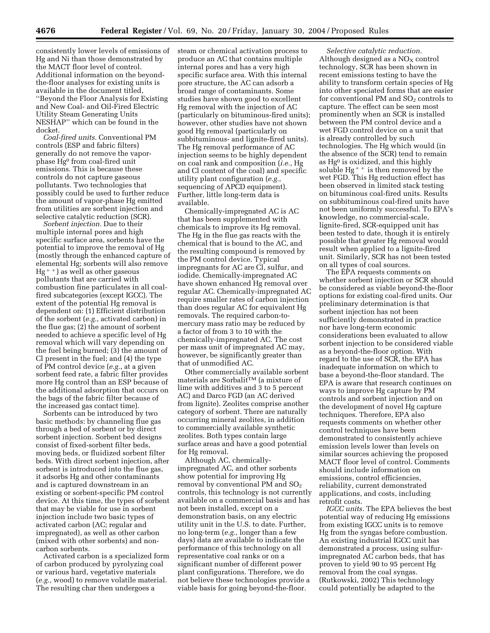consistently lower levels of emissions of Hg and Ni than those demonstrated by the MACT floor level of control. Additional information on the beyondthe-floor analyses for existing units is available in the document titled, ''Beyond the Floor Analysis for Existing and New Coal- and Oil-Fired Electric Utility Steam Generating Units NESHAP'' which can be found in the docket.

*Coal-fired units.* Conventional PM controls (ESP and fabric filters) generally do not remove the vaporphase Hg0 from coal-fired unit emissions. This is because these controls do not capture gaseous pollutants. Two technologies that possibly could be used to further reduce the amount of vapor-phase Hg emitted from utilities are sorbent injection and selective catalytic reduction (SCR).

*Sorbent injection.* Due to their multiple internal pores and high specific surface area, sorbents have the potential to improve the removal of Hg (mostly through the enhanced capture of elemental Hg; sorbents will also remove  $Hg<sup>++</sup>$ ) as well as other gaseous pollutants that are carried with combustion fine particulates in all coalfired subcategories (except IGCC). The extent of the potential Hg removal is dependent on: (1) Efficient distribution of the sorbent (*e.g.*, activated carbon) in the flue gas; (2) the amount of sorbent needed to achieve a specific level of Hg removal which will vary depending on the fuel being burned; (3) the amount of Cl present in the fuel; and (4) the type of PM control device (*e.g.*, at a given sorbent feed rate, a fabric filter provides more Hg control than an ESP because of the additional adsorption that occurs on the bags of the fabric filter because of the increased gas contact time).

Sorbents can be introduced by two basic methods: by channeling flue gas through a bed of sorbent or by direct sorbent injection. Sorbent bed designs consist of fixed-sorbent filter beds, moving beds, or fluidized sorbent filter beds. With direct sorbent injection, after sorbent is introduced into the flue gas, it adsorbs Hg and other contaminants and is captured downstream in an existing or sorbent-specific PM control device. At this time, the types of sorbent that may be viable for use in sorbent injection include two basic types of activated carbon (AC; regular and impregnated), as well as other carbon (mixed with other sorbents) and noncarbon sorbents.

Activated carbon is a specialized form of carbon produced by pyrolyzing coal or various hard, vegetative materials (*e.g.,* wood) to remove volatile material. The resulting char then undergoes a

steam or chemical activation process to produce an AC that contains multiple internal pores and has a very high specific surface area. With this internal pore structure, the AC can adsorb a broad range of contaminants. Some studies have shown good to excellent Hg removal with the injection of AC (particularly on bituminous-fired units); however, other studies have not shown good Hg removal (particularly on subbituminous- and lignite-fired units). The Hg removal performance of AC injection seems to be highly dependent on coal rank and composition (*i.e.,* Hg and Cl content of the coal) and specific utility plant configuration (*e.g.,* sequencing of APCD equipment). Further, little long-term data is available.

Chemically-impregnated AC is AC that has been supplemented with chemicals to improve its Hg removal. The Hg in the flue gas reacts with the chemical that is bound to the AC, and the resulting compound is removed by the PM control device. Typical impregnants for AC are Cl, sulfur, and iodide. Chemically-impregnated AC have shown enhanced Hg removal over regular AC. Chemically-impregnated AC require smaller rates of carbon injection than does regular AC for equivalent Hg removals. The required carbon-tomercury mass ratio may be reduced by a factor of from 3 to 10 with the chemically-impregnated AC. The cost per mass unit of impregnated AC may, however, be significantly greater than that of unmodified AC.

Other commercially available sorbent materials are SorbalitTM (a mixture of lime with additives and 3 to 5 percent AC) and Darco FGD (an AC derived from lignite). Zeolites comprise another category of sorbent. There are naturally occurring mineral zeolites, in addition to commercially available synthetic zeolites. Both types contain large surface areas and have a good potential for Hg removal.

Although AC, chemicallyimpregnated AC, and other sorbents show potential for improving Hg removal by conventional PM and  $SO_2$ controls, this technology is not currently available on a commercial basis and has not been installed, except on a demonstration basis, on any electric utility unit in the U.S. to date. Further, no long-term (*e.g.,* longer than a few days) data are available to indicate the performance of this technology on all representative coal ranks or on a significant number of different power plant configurations. Therefore, we do not believe these technologies provide a viable basis for going beyond-the-floor.

*Selective catalytic reduction.* Although designed as a  $NO<sub>X</sub>$  control technology, SCR has been shown in recent emissions testing to have the ability to transform certain species of Hg into other speciated forms that are easier for conventional PM and  $SO<sub>2</sub>$  controls to capture. The effect can be seen most prominently when an SCR is installed between the PM control device and a wet FGD control device on a unit that is already controlled by such technologies. The Hg which would (in the absence of the SCR) tend to remain as Hg0 is oxidized, and this highly soluble Hg<sup> $+$ </sup> is then removed by the wet FGD. This Hg reduction effect has been observed in limited stack testing on bituminous coal-fired units. Results on subbituminous coal-fired units have not been uniformly successful. To EPA's knowledge, no commercial-scale, lignite-fired, SCR-equipped unit has been tested to date, though it is entirely possible that greater Hg removal would result when applied to a lignite-fired unit. Similarly, SCR has not been tested on all types of coal sources.

The EPA requests comments on whether sorbent injection or SCR should be considered as viable beyond-the-floor options for existing coal-fired units. Our preliminary determination is that sorbent injection has not been sufficiently demonstrated in practice nor have long-term economic considerations been evaluated to allow sorbent injection to be considered viable as a beyond-the-floor option. With regard to the use of SCR, the EPA has inadequate information on which to base a beyond-the-floor standard. The EPA is aware that research continues on ways to improve Hg capture by PM controls and sorbent injection and on the development of novel Hg capture techniques. Therefore, EPA also requests comments on whether other control techniques have been demonstrated to consistently achieve emission levels lower than levels on similar sources achieving the proposed MACT floor level of control. Comments should include information on emissions, control efficiencies, reliability, current demonstrated applications, and costs, including retrofit costs.

*IGCC units.* The EPA believes the best potential way of reducing Hg emissions from existing IGCC units is to remove Hg from the syngas before combustion. An existing industrial IGCC unit has demonstrated a process, using sulfurimpregnated AC carbon beds, that has proven to yield 90 to 95 percent Hg removal from the coal syngas. (Rutkowski, 2002) This technology could potentially be adapted to the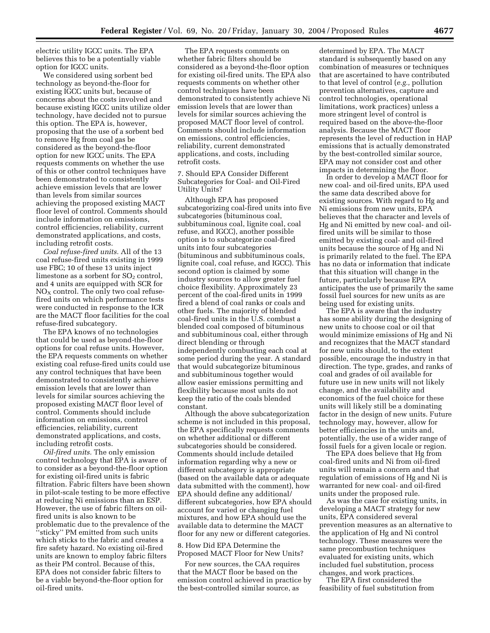electric utility IGCC units. The EPA believes this to be a potentially viable option for IGCC units.

We considered using sorbent bed technology as beyond-the-floor for existing IGCC units but, because of concerns about the costs involved and because existing IGCC units utilize older technology, have decided not to pursue this option. The EPA is, however, proposing that the use of a sorbent bed to remove Hg from coal gas be considered as the beyond-the-floor option for new IGCC units. The EPA requests comments on whether the use of this or other control techniques have been demonstrated to consistently achieve emission levels that are lower than levels from similar sources achieving the proposed existing MACT floor level of control. Comments should include information on emissions, control efficiencies, reliability, current demonstrated applications, and costs, including retrofit costs.

*Coal refuse-fired units.* All of the 13 coal refuse-fired units existing in 1999 use FBC; 10 of these 13 units inject limestone as a sorbent for  $SO<sub>2</sub>$  control, and 4 units are equipped with SCR for  $NO<sub>X</sub>$  control. The only two coal refusefired units on which performance tests were conducted in response to the ICR are the MACT floor facilities for the coal refuse-fired subcategory.

The EPA knows of no technologies that could be used as beyond-the-floor options for coal refuse units. However, the EPA requests comments on whether existing coal refuse-fired units could use any control techniques that have been demonstrated to consistently achieve emission levels that are lower than levels for similar sources achieving the proposed existing MACT floor level of control. Comments should include information on emissions, control efficiencies, reliability, current demonstrated applications, and costs, including retrofit costs.

*Oil-fired units.* The only emission control technology that EPA is aware of to consider as a beyond-the-floor option for existing oil-fired units is fabric filtration. Fabric filters have been shown in pilot-scale testing to be more effective at reducing Ni emissions than an ESP. However, the use of fabric filters on oilfired units is also known to be problematic due to the prevalence of the 'sticky" PM emitted from such units which sticks to the fabric and creates a fire safety hazard. No existing oil-fired units are known to employ fabric filters as their PM control. Because of this, EPA does not consider fabric filters to be a viable beyond-the-floor option for oil-fired units.

The EPA requests comments on whether fabric filters should be considered as a beyond-the-floor option for existing oil-fired units. The EPA also requests comments on whether other control techniques have been demonstrated to consistently achieve Ni emission levels that are lower than levels for similar sources achieving the proposed MACT floor level of control. Comments should include information on emissions, control efficiencies, reliability, current demonstrated applications, and costs, including retrofit costs.

7. Should EPA Consider Different Subcategories for Coal- and Oil-Fired Utility Units?

Although EPA has proposed subcategorizing coal-fired units into five subcategories (bituminous coal, subbituminous coal, lignite coal, coal refuse, and IGCC), another possible option is to subcategorize coal-fired units into four subcategories (bituminous and subbituminous coals, lignite coal, coal refuse, and IGCC). This second option is claimed by some industry sources to allow greater fuel choice flexibility. Approximately 23 percent of the coal-fired units in 1999 fired a blend of coal ranks or coals and other fuels. The majority of blended coal-fired units in the U.S. combust a blended coal composed of bituminous and subbituminous coal, either through direct blending or through independently combusting each coal at some period during the year. A standard that would subcategorize bituminous and subbituminous together would allow easier emissions permitting and flexibility because most units do not keep the ratio of the coals blended constant.

Although the above subcategorization scheme is not included in this proposal, the EPA specifically requests comments on whether additional or different subcategories should be considered. Comments should include detailed information regarding why a new or different subcategory is appropriate (based on the available data or adequate data submitted with the comment), how EPA should define any additional/ different subcategories, how EPA should account for varied or changing fuel mixtures, and how EPA should use the available data to determine the MACT floor for any new or different categories.

8. How Did EPA Determine the Proposed MACT Floor for New Units?

For new sources, the CAA requires that the MACT floor be based on the emission control achieved in practice by the best-controlled similar source, as

determined by EPA. The MACT standard is subsequently based on any combination of measures or techniques that are ascertained to have contributed to that level of control (*e.g.,* pollution prevention alternatives, capture and control technologies, operational limitations, work practices) unless a more stringent level of control is required based on the above-the-floor analysis. Because the MACT floor represents the level of reduction in HAP emissions that is actually demonstrated by the best-controlled similar source, EPA may not consider cost and other impacts in determining the floor.

In order to develop a MACT floor for new coal- and oil-fired units, EPA used the same data described above for existing sources. With regard to Hg and Ni emissions from new units, EPA believes that the character and levels of Hg and Ni emitted by new coal- and oilfired units will be similar to those emitted by existing coal- and oil-fired units because the source of Hg and Ni is primarily related to the fuel. The EPA has no data or information that indicate that this situation will change in the future, particularly because EPA anticipates the use of primarily the same fossil fuel sources for new units as are being used for existing units.

The EPA is aware that the industry has some ability during the designing of new units to choose coal or oil that would minimize emissions of Hg and Ni and recognizes that the MACT standard for new units should, to the extent possible, encourage the industry in that direction. The type, grades, and ranks of coal and grades of oil available for future use in new units will not likely change, and the availability and economics of the fuel choice for these units will likely still be a dominating factor in the design of new units. Future technology may, however, allow for better efficiencies in the units and, potentially, the use of a wider range of fossil fuels for a given locale or region.

The EPA does believe that Hg from coal-fired units and Ni from oil-fired units will remain a concern and that regulation of emissions of Hg and Ni is warranted for new coal- and oil-fired units under the proposed rule.

As was the case for existing units, in developing a MACT strategy for new units, EPA considered several prevention measures as an alternative to the application of Hg and Ni control technology. These measures were the same precombustion techniques evaluated for existing units, which included fuel substitution, process changes, and work practices.

The EPA first considered the feasibility of fuel substitution from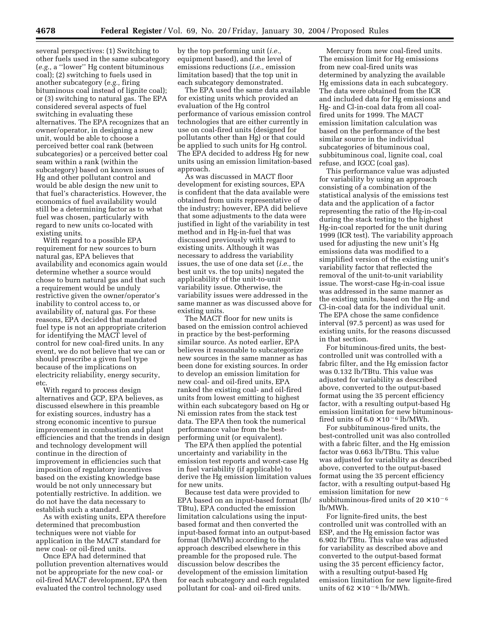several perspectives: (1) Switching to other fuels used in the same subcategory (*e.g.,* a ''lower'' Hg content bituminous coal); (2) switching to fuels used in another subcategory (*e.g.,* firing bituminous coal instead of lignite coal); or (3) switching to natural gas. The EPA considered several aspects of fuel switching in evaluating these alternatives. The EPA recognizes that an owner/operator, in designing a new unit, would be able to choose a perceived better coal rank (between subcategories) or a perceived better coal seam within a rank (within the subcategory) based on known issues of Hg and other pollutant control and would be able design the new unit to that fuel's characteristics. However, the economics of fuel availability would still be a determining factor as to what fuel was chosen, particularly with regard to new units co-located with existing units.

With regard to a possible EPA requirement for new sources to burn natural gas, EPA believes that availability and economics again would determine whether a source would chose to burn natural gas and that such a requirement would be unduly restrictive given the owner/operator's inability to control access to, or availability of, natural gas. For these reasons, EPA decided that mandated fuel type is not an appropriate criterion for identifying the MACT level of control for new coal-fired units. In any event, we do not believe that we can or should prescribe a given fuel type because of the implications on electricity reliability, energy security, etc.

With regard to process design alternatives and GCP, EPA believes, as discussed elsewhere in this preamble for existing sources, industry has a strong economic incentive to pursue improvement in combustion and plant efficiencies and that the trends in design and technology development will continue in the direction of improvement in efficiencies such that imposition of regulatory incentives based on the existing knowledge base would be not only unnecessary but potentially restrictive. In addition. we do not have the data necessary to establish such a standard.

As with existing units, EPA therefore determined that precombustion techniques were not viable for application in the MACT standard for new coal- or oil-fired units.

Once EPA had determined that pollution prevention alternatives would not be appropriate for the new coal- or oil-fired MACT development, EPA then evaluated the control technology used

by the top performing unit (*i.e.,* equipment based), and the level of emissions reductions (*i.e.,* emission limitation based) that the top unit in each subcategory demonstrated.

The EPA used the same data available for existing units which provided an evaluation of the Hg control performance of various emission control technologies that are either currently in use on coal-fired units (designed for pollutants other than Hg) or that could be applied to such units for Hg control. The EPA decided to address Hg for new units using an emission limitation-based approach.

As was discussed in MACT floor development for existing sources, EPA is confident that the data available were obtained from units representative of the industry; however, EPA did believe that some adjustments to the data were justified in light of the variability in test method and in Hg-in-fuel that was discussed previously with regard to existing units. Although it was necessary to address the variability issues, the use of one data set (*i.e.,* the best unit vs. the top units) negated the applicability of the unit-to-unit variability issue. Otherwise, the variability issues were addressed in the same manner as was discussed above for existing units.

The MACT floor for new units is based on the emission control achieved in practice by the best-performing similar source. As noted earlier, EPA believes it reasonable to subcategorize new sources in the same manner as has been done for existing sources. In order to develop an emission limitation for new coal- and oil-fired units, EPA ranked the existing coal- and oil-fired units from lowest emitting to highest within each subcategory based on Hg or Ni emission rates from the stack test data. The EPA then took the numerical performance value from the bestperforming unit (or equivalent).

The EPA then applied the potential uncertainty and variability in the emission test reports and worst-case Hg in fuel variability (if applicable) to derive the Hg emission limitation values for new units.

Because test data were provided to EPA based on an input-based format (lb/ TBtu), EPA conducted the emission limitation calculations using the inputbased format and then converted the input-based format into an output-based format (lb/MWh) according to the approach described elsewhere in this preamble for the proposed rule. The discussion below describes the development of the emission limitation for each subcategory and each regulated pollutant for coal- and oil-fired units.

Mercury from new coal-fired units. The emission limit for Hg emissions from new coal-fired units was determined by analyzing the available Hg emissions data in each subcategory. The data were obtained from the ICR and included data for Hg emissions and Hg- and Cl-in-coal data from all coalfired units for 1999. The MACT emission limitation calculation was based on the performance of the best similar source in the individual subcategories of bituminous coal, subbituminous coal, lignite coal, coal refuse, and IGCC (coal gas).

This performance value was adjusted for variability by using an approach consisting of a combination of the statistical analysis of the emissions test data and the application of a factor representing the ratio of the Hg-in-coal during the stack testing to the highest Hg-in-coal reported for the unit during 1999 (ICR test). The variability approach used for adjusting the new unit's Hg emissions data was modified to a simplified version of the existing unit's variability factor that reflected the removal of the unit-to-unit variability issue. The worst-case Hg-in-coal issue was addressed in the same manner as the existing units, based on the Hg- and Cl-in-coal data for the individual unit. The EPA chose the same confidence interval (97.5 percent) as was used for existing units, for the reasons discussed in that section.

For bituminous-fired units, the bestcontrolled unit was controlled with a fabric filter, and the Hg emission factor was 0.132 lb/TBtu. This value was adjusted for variability as described above, converted to the output-based format using the 35 percent efficiency factor, with a resulting output-based Hg emission limitation for new bituminousfired units of  $6.0 \times 10^{-6}$  lb/MWh.

For subbituminous-fired units, the best-controlled unit was also controlled with a fabric filter, and the Hg emission factor was 0.663 lb/TBtu. This value was adjusted for variability as described above, converted to the output-based format using the 35 percent efficiency factor, with a resulting output-based Hg emission limitation for new subbituminous-fired units of  $20 \times 10^{-6}$ lb/MWh.

For lignite-fired units, the best controlled unit was controlled with an ESP, and the Hg emission factor was 6.902 lb/TBtu. This value was adjusted for variability as described above and converted to the output-based format using the 35 percent efficiency factor, with a resulting output-based Hg emission limitation for new lignite-fired units of  $62 \times 10^{-6}$  lb/MWh.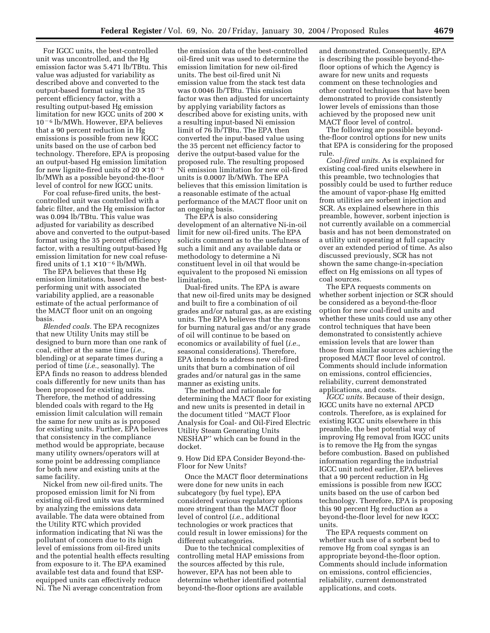For IGCC units, the best-controlled unit was uncontrolled, and the Hg emission factor was 5.471 lb/TBtu. This value was adjusted for variability as described above and converted to the output-based format using the 35 percent efficiency factor, with a resulting output-based Hg emission limitation for new IGCC units of 200 ×  $10<sup>-6</sup>$  lb/MWh. However, EPA believes that a 90 percent reduction in Hg emissions is possible from new IGCC units based on the use of carbon bed technology. Therefore, EPA is proposing an output-based Hg emission limitation for new lignite-fired units of  $20 \times 10^{-6}$ lb/MWh as a possible beyond-the-floor level of control for new IGCC units.

For coal refuse-fired units, the bestcontrolled unit was controlled with a fabric filter, and the Hg emission factor was 0.094 lb/TBtu. This value was adjusted for variability as described above and converted to the output-based format using the 35 percent efficiency factor, with a resulting output-based Hg emission limitation for new coal refusefired units of  $1.1 \times 10^{-6}$  lb/MWh.

The EPA believes that these Hg emission limitations, based on the bestperforming unit with associated variability applied, are a reasonable estimate of the actual performance of the MACT floor unit on an ongoing basis.

*Blended coals.* The EPA recognizes that new Utility Units may still be designed to burn more than one rank of coal, either at the same time (*i.e.,* blending) or at separate times during a period of time (*i.e.,* seasonally). The EPA finds no reason to address blended coals differently for new units than has been proposed for existing units. Therefore, the method of addressing blended coals with regard to the Hg emission limit calculation will remain the same for new units as is proposed for existing units. Further, EPA believes that consistency in the compliance method would be appropriate, because many utility owners/operators will at some point be addressing compliance for both new and existing units at the same facility.

Nickel from new oil-fired units. The proposed emission limit for Ni from existing oil-fired units was determined by analyzing the emissions data available. The data were obtained from the Utility RTC which provided information indicating that Ni was the pollutant of concern due to its high level of emissions from oil-fired units and the potential health effects resulting from exposure to it. The EPA examined available test data and found that ESPequipped units can effectively reduce Ni. The Ni average concentration from

the emission data of the best-controlled oil-fired unit was used to determine the emission limitation for new oil-fired units. The best oil-fired unit Ni emission value from the stack test data was 0.0046 lb/TBtu. This emission factor was then adjusted for uncertainty by applying variability factors as described above for existing units, with a resulting input-based Ni emission limit of 76 lb/TBtu. The EPA then converted the input-based value using the 35 percent net efficiency factor to derive the output-based value for the proposed rule. The resulting proposed Ni emission limitation for new oil-fired units is 0.0007 lb/MWh. The EPA believes that this emission limitation is a reasonable estimate of the actual performance of the MACT floor unit on an ongoing basis.

The EPA is also considering development of an alternative Ni-in-oil limit for new oil-fired units. The EPA solicits comment as to the usefulness of such a limit and any available data or methodology to determine a Ni constituent level in oil that would be equivalent to the proposed Ni emission limitation.

Dual-fired units. The EPA is aware that new oil-fired units may be designed and built to fire a combination of oil grades and/or natural gas, as are existing units. The EPA believes that the reasons for burning natural gas and/or any grade of oil will continue to be based on economics or availability of fuel (*i.e.*, seasonal considerations). Therefore, EPA intends to address new oil-fired units that burn a combination of oil grades and/or natural gas in the same manner as existing units.

The method and rationale for determining the MACT floor for existing and new units is presented in detail in the document titled ''MACT Floor Analysis for Coal- and Oil-Fired Electric Utility Steam Generating Units NESHAP'' which can be found in the docket.

9. How Did EPA Consider Beyond-the-Floor for New Units?

Once the MACT floor determinations were done for new units in each subcategory (by fuel type), EPA considered various regulatory options more stringent than the MACT floor level of control (*i.e.*, additional technologies or work practices that could result in lower emissions) for the different subcategories.

Due to the technical complexities of controlling metal HAP emissions from the sources affected by this rule, however, EPA has not been able to determine whether identified potential beyond-the-floor options are available

and demonstrated. Consequently, EPA is describing the possible beyond-thefloor options of which the Agency is aware for new units and requests comment on these technologies and other control techniques that have been demonstrated to provide consistently lower levels of emissions than those achieved by the proposed new unit MACT floor level of control.

The following are possible beyondthe-floor control options for new units that EPA is considering for the proposed rule.

*Coal-fired units.* As is explained for existing coal-fired units elsewhere in this preamble, two technologies that possibly could be used to further reduce the amount of vapor-phase Hg emitted from utilities are sorbent injection and SCR. As explained elsewhere in this preamble, however, sorbent injection is not currently available on a commercial basis and has not been demonstrated on a utility unit operating at full capacity over an extended period of time. As also discussed previously, SCR has not shown the same change-in-speciation effect on Hg emissions on all types of coal sources.

The EPA requests comments on whether sorbent injection or SCR should be considered as a beyond-the-floor option for new coal-fired units and whether these units could use any other control techniques that have been demonstrated to consistently achieve emission levels that are lower than those from similar sources achieving the proposed MACT floor level of control. Comments should include information on emissions, control efficiencies, reliability, current demonstrated applications, and costs.

*IGCC units.* Because of their design, IGCC units have no external APCD controls. Therefore, as is explained for existing IGCC units elsewhere in this preamble, the best potential way of improving Hg removal from IGCC units is to remove the Hg from the syngas before combustion. Based on published information regarding the industrial IGCC unit noted earlier, EPA believes that a 90 percent reduction in Hg emissions is possible from new IGCC units based on the use of carbon bed technology. Therefore, EPA is proposing this 90 percent Hg reduction as a beyond-the-floor level for new IGCC units.

The EPA requests comment on whether such use of a sorbent bed to remove Hg from coal syngas is an appropriate beyond-the-floor option. Comments should include information on emissions, control efficiencies, reliability, current demonstrated applications, and costs.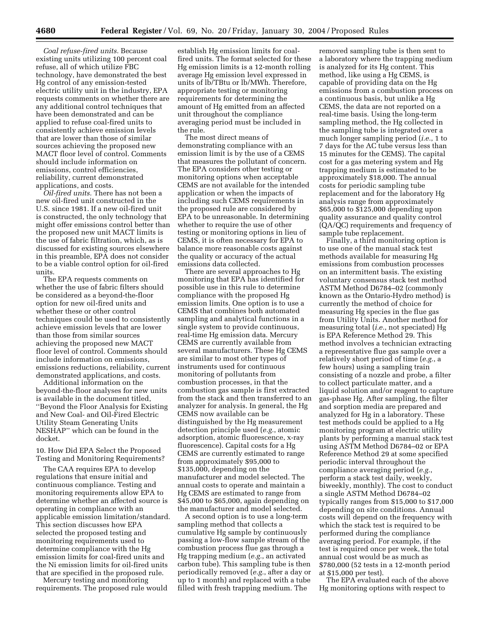*Coal refuse-fired units.* Because existing units utilizing 100 percent coal refuse, all of which utilize FBC technology, have demonstrated the best Hg control of any emission-tested electric utility unit in the industry, EPA requests comments on whether there are any additional control techniques that have been demonstrated and can be applied to refuse coal-fired units to consistently achieve emission levels that are lower than those of similar sources achieving the proposed new MACT floor level of control. Comments should include information on emissions, control efficiencies, reliability, current demonstrated applications, and costs.

*Oil-fired units.* There has not been a new oil-fired unit constructed in the U.S. since 1981. If a new oil-fired unit is constructed, the only technology that might offer emissions control better than the proposed new unit MACT limits is the use of fabric filtration, which, as is discussed for existing sources elsewhere in this preamble, EPA does not consider to be a viable control option for oil-fired units.

The EPA requests comments on whether the use of fabric filters should be considered as a beyond-the-floor option for new oil-fired units and whether these or other control techniques could be used to consistently achieve emission levels that are lower than those from similar sources achieving the proposed new MACT floor level of control. Comments should include information on emissions, emissions reductions, reliability, current demonstrated applications, and costs.

Additional information on the beyond-the-floor analyses for new units is available in the document titled, ''Beyond the Floor Analysis for Existing and New Coal- and Oil-Fired Electric Utility Steam Generating Units NESHAP'' which can be found in the docket.

10. How Did EPA Select the Proposed Testing and Monitoring Requirements?

The CAA requires EPA to develop regulations that ensure initial and continuous compliance. Testing and monitoring requirements allow EPA to determine whether an affected source is operating in compliance with an applicable emission limitation/standard. This section discusses how EPA selected the proposed testing and monitoring requirements used to determine compliance with the Hg emission limits for coal-fired units and the Ni emission limits for oil-fired units that are specified in the proposed rule.

Mercury testing and monitoring requirements. The proposed rule would

establish Hg emission limits for coalfired units. The format selected for these Hg emission limits is a 12-month rolling average Hg emission level expressed in units of lb/TBtu or lb/MWh. Therefore, appropriate testing or monitoring requirements for determining the amount of Hg emitted from an affected unit throughout the compliance averaging period must be included in the rule.

The most direct means of demonstrating compliance with an emission limit is by the use of a CEMS that measures the pollutant of concern. The EPA considers other testing or monitoring options when acceptable CEMS are not available for the intended application or when the impacts of including such CEMS requirements in the proposed rule are considered by EPA to be unreasonable. In determining whether to require the use of other testing or monitoring options in lieu of CEMS, it is often necessary for EPA to balance more reasonable costs against the quality or accuracy of the actual emissions data collected.

There are several approaches to Hg monitoring that EPA has identified for possible use in this rule to determine compliance with the proposed Hg emission limits. One option is to use a CEMS that combines both automated sampling and analytical functions in a single system to provide continuous, real-time Hg emission data. Mercury CEMS are currently available from several manufacturers. These Hg CEMS are similar to most other types of instruments used for continuous monitoring of pollutants from combustion processes, in that the combustion gas sample is first extracted from the stack and then transferred to an analyzer for analysis. In general, the Hg CEMS now available can be distinguished by the Hg measurement detection principle used (*e.g.*, atomic adsorption, atomic fluorescence, x-ray fluorescence). Capital costs for a Hg CEMS are currently estimated to range from approximately \$95,000 to \$135,000, depending on the manufacturer and model selected. The annual costs to operate and maintain a Hg CEMS are estimated to range from \$45,000 to \$65,000, again depending on the manufacturer and model selected.

A second option is to use a long-term sampling method that collects a cumulative Hg sample by continuously passing a low-flow sample stream of the combustion process flue gas through a Hg trapping medium (*e.g.*, an activated carbon tube). This sampling tube is then periodically removed (*e.g.*, after a day or up to 1 month) and replaced with a tube filled with fresh trapping medium. The

removed sampling tube is then sent to a laboratory where the trapping medium is analyzed for its Hg content. This method, like using a Hg CEMS, is capable of providing data on the Hg emissions from a combustion process on a continuous basis, but unlike a Hg CEMS, the data are not reported on a real-time basis. Using the long-term sampling method, the Hg collected in the sampling tube is integrated over a much longer sampling period (*i.e.*, 1 to 7 days for the AC tube versus less than 15 minutes for the CEMS). The capital cost for a gas metering system and Hg trapping medium is estimated to be approximately \$18,000. The annual costs for periodic sampling tube replacement and for the laboratory Hg analysis range from approximately \$65,000 to \$125,000 depending upon quality assurance and quality control (QA/QC) requirements and frequency of sample tube replacement.

Finally, a third monitoring option is to use one of the manual stack test methods available for measuring Hg emissions from combustion processes on an intermittent basis. The existing voluntary consensus stack test method ASTM Method D6784–02 (commonly known as the Ontario-Hydro method) is currently the method of choice for measuring Hg species in the flue gas from Utility Units. Another method for measuring total (*i.e.*, not speciated) Hg is EPA Reference Method 29. This method involves a technician extracting a representative flue gas sample over a relatively short period of time (*e.g.*, a few hours) using a sampling train consisting of a nozzle and probe, a filter to collect particulate matter, and a liquid solution and/or reagent to capture gas-phase Hg. After sampling, the filter and sorption media are prepared and analyzed for Hg in a laboratory. These test methods could be applied to a Hg monitoring program at electric utility plants by performing a manual stack test using ASTM Method D6784–02 or EPA Reference Method 29 at some specified periodic interval throughout the compliance averaging period (*e.g.*, perform a stack test daily, weekly, biweekly, monthly). The cost to conduct a single ASTM Method D6784–02 typically ranges from \$15,000 to \$17,000 depending on site conditions. Annual costs will depend on the frequency with which the stack test is required to be performed during the compliance averaging period. For example, if the test is required once per week, the total annual cost would be as much as \$780,000 (52 tests in a 12-month period at \$15,000 per test).

The EPA evaluated each of the above Hg monitoring options with respect to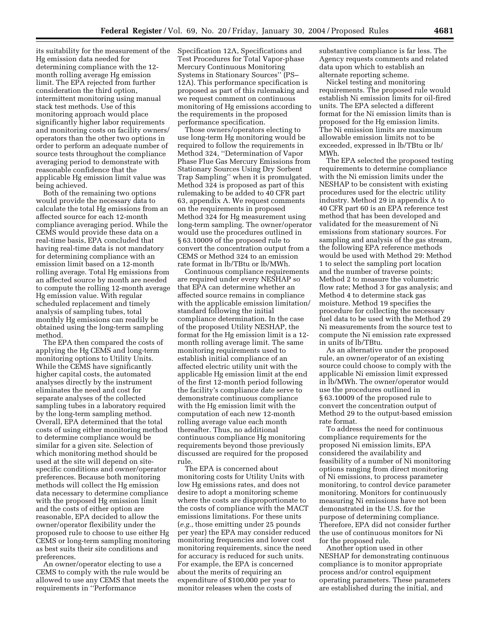its suitability for the measurement of the Hg emission data needed for determining compliance with the 12 month rolling average Hg emission limit. The EPA rejected from further consideration the third option, intermittent monitoring using manual stack test methods. Use of this monitoring approach would place significantly higher labor requirements and monitoring costs on facility owners/ operators than the other two options in order to perform an adequate number of source tests throughout the compliance averaging period to demonstrate with reasonable confidence that the applicable Hg emission limit value was being achieved.

Both of the remaining two options would provide the necessary data to calculate the total Hg emissions from an affected source for each 12-month compliance averaging period. While the CEMS would provide these data on a real-time basis, EPA concluded that having real-time data is not mandatory for determining compliance with an emission limit based on a 12-month rolling average. Total Hg emissions from an affected source by month are needed to compute the rolling 12-month average Hg emission value. With regular scheduled replacement and timely analysis of sampling tubes, total monthly Hg emissions can readily be obtained using the long-term sampling method.

The EPA then compared the costs of applying the Hg CEMS and long-term monitoring options to Utility Units. While the CEMS have significantly higher capital costs, the automated analyses directly by the instrument eliminates the need and cost for separate analyses of the collected sampling tubes in a laboratory required by the long-term sampling method. Overall, EPA determined that the total costs of using either monitoring method to determine compliance would be similar for a given site. Selection of which monitoring method should be used at the site will depend on sitespecific conditions and owner/operator preferences. Because both monitoring methods will collect the Hg emission data necessary to determine compliance with the proposed Hg emission limit and the costs of either option are reasonable, EPA decided to allow the owner/operator flexibility under the proposed rule to choose to use either Hg CEMS or long-term sampling monitoring as best suits their site conditions and preferences.

An owner/operator electing to use a CEMS to comply with the rule would be allowed to use any CEMS that meets the requirements in ''Performance

Specification 12A, Specifications and Test Procedures for Total Vapor-phase Mercury Continuous Monitoring Systems in Stationary Sources'' (PS– 12A). This performance specification is proposed as part of this rulemaking and we request comment on continuous monitoring of Hg emissions according to the requirements in the proposed performance specification.

Those owners/operators electing to use long-term Hg monitoring would be required to follow the requirements in Method 324, ''Determination of Vapor Phase Flue Gas Mercury Emissions from Stationary Sources Using Dry Sorbent Trap Sampling'' when it is promulgated. Method 324 is proposed as part of this rulemaking to be added to 40 CFR part 63, appendix A. We request comments on the requirements in proposed Method 324 for Hg measurement using long-term sampling. The owner/operator would use the procedures outlined in § 63.10009 of the proposed rule to convert the concentration output from a CEMS or Method 324 to an emission rate format in lb/TBtu or lb/MWh.

Continuous compliance requirements are required under every NESHAP so that EPA can determine whether an affected source remains in compliance with the applicable emission limitation/ standard following the initial compliance determination. In the case of the proposed Utility NESHAP, the format for the Hg emission limit is a 12 month rolling average limit. The same monitoring requirements used to establish initial compliance of an affected electric utility unit with the applicable Hg emission limit at the end of the first 12-month period following the facility's compliance date serve to demonstrate continuous compliance with the Hg emission limit with the computation of each new 12-month rolling average value each month thereafter. Thus, no additional continuous compliance Hg monitoring requirements beyond those previously discussed are required for the proposed rule.

The EPA is concerned about monitoring costs for Utility Units with low Hg emissions rates, and does not desire to adopt a monitoring scheme where the costs are disproportionate to the costs of compliance with the MACT emissions limitations. For these units (*e.g.*, those emitting under 25 pounds per year) the EPA may consider reduced monitoring frequencies and lower cost monitoring requirements, since the need for accuracy is reduced for such units. For example, the EPA is concerned about the merits of requiring an expenditure of \$100,000 per year to monitor releases when the costs of

substantive compliance is far less. The Agency requests comments and related data upon which to establish an alternate reporting scheme.

Nickel testing and monitoring requirements. The proposed rule would establish Ni emission limits for oil-fired units. The EPA selected a different format for the Ni emission limits than is proposed for the Hg emission limits. The Ni emission limits are maximum allowable emission limits not to be exceeded, expressed in lb/TBtu or lb/ MWh.

The EPA selected the proposed testing requirements to determine compliance with the Ni emission limits under the NESHAP to be consistent with existing procedures used for the electric utility industry. Method 29 in appendix A to 40 CFR part 60 is an EPA reference test method that has been developed and validated for the measurement of Ni emissions from stationary sources. For sampling and analysis of the gas stream, the following EPA reference methods would be used with Method 29: Method 1 to select the sampling port location and the number of traverse points; Method 2 to measure the volumetric flow rate; Method 3 for gas analysis; and Method 4 to determine stack gas moisture. Method 19 specifies the procedure for collecting the necessary fuel data to be used with the Method 29 Ni measurements from the source test to compute the Ni emission rate expressed in units of lb/TBtu.

As an alternative under the proposed rule, an owner/operator of an existing source could choose to comply with the applicable Ni emission limit expressed in lb/MWh. The owner/operator would use the procedures outlined in § 63.10009 of the proposed rule to convert the concentration output of Method 29 to the output-based emission rate format.

To address the need for continuous compliance requirements for the proposed Ni emission limits, EPA considered the availability and feasibility of a number of Ni monitoring options ranging from direct monitoring of Ni emissions, to process parameter monitoring, to control device parameter monitoring. Monitors for continuously measuring Ni emissions have not been demonstrated in the U.S. for the purpose of determining compliance. Therefore, EPA did not consider further the use of continuous monitors for Ni for the proposed rule.

Another option used in other NESHAP for demonstrating continuous compliance is to monitor appropriate process and/or control equipment operating parameters. These parameters are established during the initial, and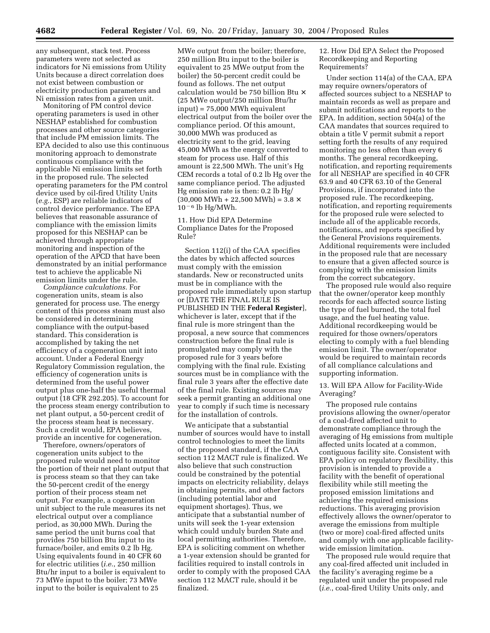any subsequent, stack test. Process parameters were not selected as indicators for Ni emissions from Utility Units because a direct correlation does not exist between combustion or electricity production parameters and Ni emission rates from a given unit.

Monitoring of PM control device operating parameters is used in other NESHAP established for combustion processes and other source categories that include PM emission limits. The EPA decided to also use this continuous monitoring approach to demonstrate continuous compliance with the applicable Ni emission limits set forth in the proposed rule. The selected operating parameters for the PM control device used by oil-fired Utility Units (*e.g.*, ESP) are reliable indicators of control device performance. The EPA believes that reasonable assurance of compliance with the emission limits proposed for this NESHAP can be achieved through appropriate monitoring and inspection of the operation of the APCD that have been demonstrated by an initial performance test to achieve the applicable Ni emission limits under the rule.

*Compliance calculations.* For cogeneration units, steam is also generated for process use. The energy content of this process steam must also be considered in determining compliance with the output-based standard. This consideration is accomplished by taking the net efficiency of a cogeneration unit into account. Under a Federal Energy Regulatory Commission regulation, the efficiency of cogeneration units is determined from the useful power output plus one-half the useful thermal output (18 CFR 292.205). To account for the process steam energy contribution to net plant output, a 50-percent credit of the process steam heat is necessary. Such a credit would, EPA believes, provide an incentive for cogeneration.

Therefore, owners/operators of cogeneration units subject to the proposed rule would need to monitor the portion of their net plant output that is process steam so that they can take the 50-percent credit of the energy portion of their process steam net output. For example, a cogeneration unit subject to the rule measures its net electrical output over a compliance period, as 30,000 MWh. During the same period the unit burns coal that provides 750 billion Btu input to its furnace/boiler, and emits 0.2 lb Hg. Using equivalents found in 40 CFR 60 for electric utilities (*i.e.*, 250 million Btu/hr input to a boiler is equivalent to 73 MWe input to the boiler; 73 MWe input to the boiler is equivalent to 25

MWe output from the boiler; therefore, 250 million Btu input to the boiler is equivalent to 25 MWe output from the boiler) the 50-percent credit could be found as follows. The net output calculation would be 750 billion Btu × (25 MWe output/250 million Btu/hr input) = 75,000 MWh equivalent electrical output from the boiler over the compliance period. Of this amount, 30,000 MWh was produced as electricity sent to the grid, leaving 45,000 MWh as the energy converted to steam for process use. Half of this amount is 22,500 MWh. The unit's Hg CEM records a total of 0.2 lb Hg over the same compliance period. The adjusted Hg emission rate is then: 0.2 lb Hg/  $(30,000 \text{ MWh} + 22,500 \text{ MWh}) = 3.8 \times$  $10<sup>-6</sup>$  lb Hg/MWh.

11. How Did EPA Determine Compliance Dates for the Proposed Rule?

Section 112(i) of the CAA specifies the dates by which affected sources must comply with the emission standards. New or reconstructed units must be in compliance with the proposed rule immediately upon startup or [DATE THE FINAL RULE IS PUBLISHED IN THE **Federal Register**], whichever is later, except that if the final rule is more stringent than the proposal, a new source that commences construction before the final rule is promulgated may comply with the proposed rule for 3 years before complying with the final rule. Existing sources must be in compliance with the final rule 3 years after the effective date of the final rule. Existing sources may seek a permit granting an additional one year to comply if such time is necessary for the installation of controls.

We anticipate that a substantial number of sources would have to install control technologies to meet the limits of the proposed standard, if the CAA section 112 MACT rule is finalized. We also believe that such construction could be constrained by the potential impacts on electricity reliability, delays in obtaining permits, and other factors (including potential labor and equipment shortages). Thus, we anticipate that a substantial number of units will seek the 1-year extension which could unduly burden State and local permitting authorities. Therefore, EPA is soliciting comment on whether a 1-year extension should be granted for facilities required to install controls in order to comply with the proposed CAA section 112 MACT rule, should it be finalized.

12. How Did EPA Select the Proposed Recordkeeping and Reporting Requirements?

Under section 114(a) of the CAA, EPA may require owners/operators of affected sources subject to a NESHAP to maintain records as well as prepare and submit notifications and reports to the EPA. In addition, section 504(a) of the CAA mandates that sources required to obtain a title V permit submit a report setting forth the results of any required monitoring no less often than every 6 months. The general recordkeeping, notification, and reporting requirements for all NESHAP are specified in 40 CFR 63.9 and 40 CFR 63.10 of the General Provisions, if incorporated into the proposed rule. The recordkeeping, notification, and reporting requirements for the proposed rule were selected to include all of the applicable records, notifications, and reports specified by the General Provisions requirements. Additional requirements were included in the proposed rule that are necessary to ensure that a given affected source is complying with the emission limits from the correct subcategory.

The proposed rule would also require that the owner/operator keep monthly records for each affected source listing the type of fuel burned, the total fuel usage, and the fuel heating value. Additional recordkeeping would be required for those owners/operators electing to comply with a fuel blending emission limit. The owner/operator would be required to maintain records of all compliance calculations and supporting information.

#### 13. Will EPA Allow for Facility-Wide Averaging?

The proposed rule contains provisions allowing the owner/operator of a coal-fired affected unit to demonstrate compliance through the averaging of Hg emissions from multiple affected units located at a common, contiguous facility site. Consistent with EPA policy on regulatory flexibility, this provision is intended to provide a facility with the benefit of operational flexibility while still meeting the proposed emission limitations and achieving the required emissions reductions. This averaging provision effectively allows the owner/operator to average the emissions from multiple (two or more) coal-fired affected units and comply with one applicable facilitywide emission limitation.

The proposed rule would require that any coal-fired affected unit included in the facility's averaging regime be a regulated unit under the proposed rule (*i.e.*, coal-fired Utility Units only, and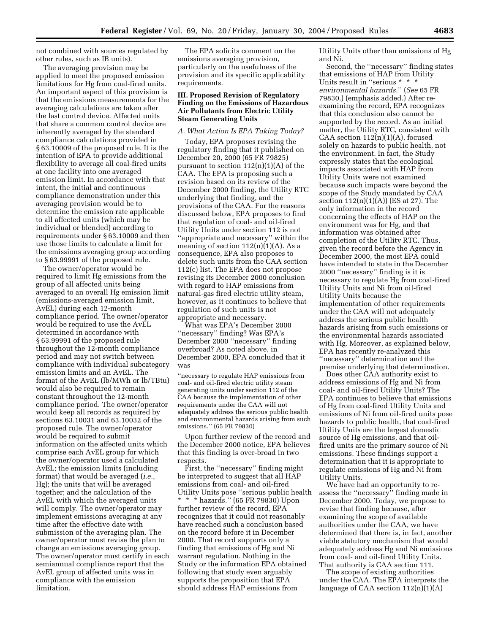not combined with sources regulated by other rules, such as IB units).

The averaging provision may be applied to meet the proposed emission limitations for Hg from coal-fired units. An important aspect of this provision is that the emissions measurements for the averaging calculations are taken after the last control device. Affected units that share a common control device are inherently averaged by the standard compliance calculations provided in § 63.10009 of the proposed rule. It is the intention of EPA to provide additional flexibility to average all coal-fired units at one facility into one averaged emission limit. In accordance with that intent, the initial and continuous compliance demonstration under this averaging provision would be to determine the emission rate applicable to all affected units (which may be individual or blended) according to requirements under § 63.10009 and then use those limits to calculate a limit for the emissions averaging group according to § 63.99991 of the proposed rule.

The owner/operator would be required to limit Hg emissions from the group of all affected units being averaged to an overall Hg emission limit (emissions-averaged emission limit, AvEL) during each 12-month compliance period. The owner/operator would be required to use the AvEL determined in accordance with § 63.99991 of the proposed rule throughout the 12-month compliance period and may not switch between compliance with individual subcategory emission limits and an AvEL. The format of the AvEL (lb/MWh or lb/TBtu) would also be required to remain constant throughout the 12-month compliance period. The owner/operator would keep all records as required by sections 63.10031 and 63.10032 of the proposed rule. The owner/operator would be required to submit information on the affected units which comprise each AvEL group for which the owner/operator used a calculated AvEL; the emission limits (including format) that would be averaged (*i.e.*, Hg); the units that will be averaged together; and the calculation of the AvEL with which the averaged units will comply. The owner/operator may implement emissions averaging at any time after the effective date with submission of the averaging plan. The owner/operator must revise the plan to change an emissions averaging group. The owner/operator must certify in each semiannual compliance report that the AvEL group of affected units was in compliance with the emission limitation.

The EPA solicits comment on the emissions averaging provision, particularly on the usefulness of the provision and its specific applicability requirements.

#### **III. Proposed Revision of Regulatory Finding on the Emissions of Hazardous Air Pollutants from Electric Utility Steam Generating Units**

#### *A. What Action Is EPA Taking Today?*

Today, EPA proposes revising the regulatory finding that it published on December 20, 2000 (65 FR 79825) pursuant to section  $112(n)(1)(A)$  of the CAA. The EPA is proposing such a revision based on its review of the December 2000 finding, the Utility RTC underlying that finding, and the provisions of the CAA. For the reasons discussed below, EPA proposes to find that regulation of coal- and oil-fired Utility Units under section 112 is not ''appropriate and necessary'' within the meaning of section  $112(n)(1)(A)$ . As a consequence, EPA also proposes to delete such units from the CAA section 112(c) list. The EPA does not propose revising its December 2000 conclusion with regard to HAP emissions from natural-gas fired electric utility steam, however, as it continues to believe that regulation of such units is not appropriate and necessary.

What was EPA's December 2000 ''necessary'' finding? Was EPA's December 2000 ''necessary'' finding overbroad? As noted above, in December 2000, EPA concluded that it was

''necessary to regulate HAP emissions from coal- and oil-fired electric utility steam generating units under section 112 of the CAA because the implementation of other requirements under the CAA will not adequately address the serious public health and environmental hazards arising from such emissions.'' (65 FR 79830)

Upon further review of the record and the December 2000 notice, EPA believes that this finding is over-broad in two respects.

First, the ''necessary'' finding might be interpreted to suggest that all HAP emissions from coal- and oil-fired Utility Units pose ''serious public health \* \* \* hazards.'' (65 FR 79830) Upon further review of the record, EPA recognizes that it could not reasonably have reached such a conclusion based on the record before it in December 2000. That record supports only a finding that emissions of Hg and Ni warrant regulation. Nothing in the Study or the information EPA obtained following that study even arguably supports the proposition that EPA should address HAP emissions from

Utility Units other than emissions of Hg and Ni.

Second, the ''necessary'' finding states that emissions of HAP from Utility Units result in ''serious \* \* \* *environmental hazards.*'' (*See* 65 FR 79830.) (emphasis added.) After reexamining the record, EPA recognizes that this conclusion also cannot be supported by the record. As an initial matter, the Utility RTC, consistent with CAA section  $112(n)(1)(A)$ , focused solely on hazards to public health, not the environment. In fact, the Study expressly states that the ecological impacts associated with HAP from Utility Units were not examined because such impacts were beyond the scope of the Study mandated by CAA section 112(n)(1)(A)) (ES at 27). The only information in the record concerning the effects of HAP on the environment was for Hg, and that information was obtained after completion of the Utility RTC. Thus, given the record before the Agency in December 2000, the most EPA could have intended to state in the December 2000 ''necessary'' finding is it is necessary to regulate Hg from coal-fired Utility Units and Ni from oil-fired Utility Units because the implementation of other requirements under the CAA will not adequately address the serious public health hazards arising from such emissions or the environmental hazards associated with Hg. Moreover, as explained below, EPA has recently re-analyzed this ''necessary'' determination and the premise underlying that determination.

Does other CAA authority exist to address emissions of Hg and Ni from coal- and oil-fired Utility Units? The EPA continues to believe that emissions of Hg from coal-fired Utility Units and emissions of Ni from oil-fired units pose hazards to public health, that coal-fired Utility Units are the largest domestic source of Hg emissions, and that oilfired units are the primary source of Ni emissions. These findings support a determination that it is appropriate to regulate emissions of Hg and Ni from Utility Units.

We have had an opportunity to reassess the ''necessary'' finding made in December 2000. Today, we propose to revise that finding because, after examining the scope of available authorities under the CAA, we have determined that there is, in fact, another viable statutory mechanism that would adequately address Hg and Ni emissions from coal- and oil-fired Utility Units. That authority is CAA section 111.

The scope of existing authorities under the CAA. The EPA interprets the language of CAA section  $112(n)(1)(A)$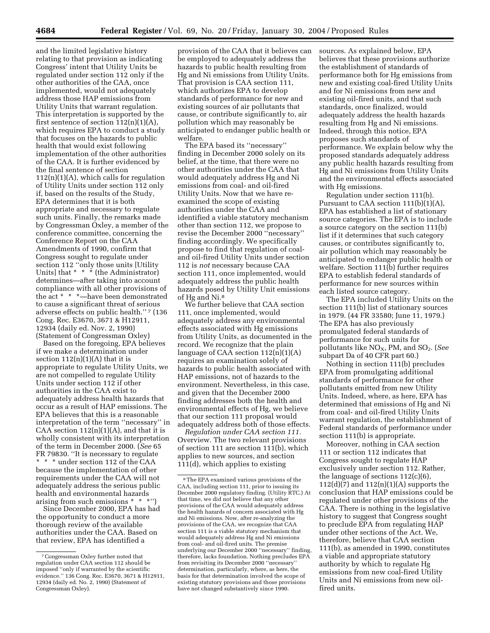and the limited legislative history relating to that provision as indicating Congress' intent that Utility Units be regulated under section 112 only if the other authorities of the CAA, once implemented, would not adequately address those HAP emissions from Utility Units that warrant regulation. This interpretation is supported by the first sentence of section  $112(n)(1)(A)$ , which requires EPA to conduct a study that focuses on the hazards to public health that would exist following implementation of the other authorities of the CAA. It is further evidenced by the final sentence of section  $112(n)(1)(A)$ , which calls for regulation of Utility Units under section 112 only if, based on the results of the Study, EPA determines that it is both appropriate and necessary to regulate such units. Finally, the remarks made by Congressman Oxley, a member of the conference committee, concerning the Conference Report on the CAA Amendments of 1990, confirm that Congress sought to regulate under section 112 ''only those units [Utility Units] that \* \* \* (the Administrator) determines—after taking into account compliance with all other provisions of the act \* \* \*—have been demonstrated to cause a significant threat of serious adverse effects on public health."<sup>7</sup> (136 Cong. Rec. E3670, 3671 & H12911, 12934 (daily ed. Nov. 2, 1990) (Statement of Congressman Oxley)

Based on the foregoing, EPA believes if we make a determination under section  $112(n)(1)(A)$  that it is appropriate to regulate Utility Units, we are not compelled to regulate Utility Units under section 112 if other authorities in the CAA exist to adequately address health hazards that occur as a result of HAP emissions. The EPA believes that this is a reasonable interpretation of the term ''necessary'' in CAA section  $112(n)(1)(A)$ , and that it is wholly consistent with its interpretation of the term in December 2000. (*See* 65 FR 79830. ''It is necessary to regulate \* \* \* under section 112 of the CAA because the implementation of other requirements under the CAA will not adequately address the serious public health and environmental hazards arising from such emissions \* \* \*'')

Since December 2000, EPA has had the opportunity to conduct a more thorough review of the available authorities under the CAA. Based on that review, EPA has identified a

provision of the CAA that it believes can be employed to adequately address the hazards to public health resulting from Hg and Ni emissions from Utility Units. That provision is CAA section 111, which authorizes EPA to develop standards of performance for new and existing sources of air pollutants that cause, or contribute significantly to, air pollution which may reasonably be anticipated to endanger public health or welfare.

The EPA based its ''necessary'' finding in December 2000 solely on its belief, at the time, that there were no other authorities under the CAA that would adequately address Hg and Ni emissions from coal- and oil-fired Utility Units. Now that we have reexamined the scope of existing authorities under the CAA and identified a viable statutory mechanism other than section 112, we propose to revise the December 2000 ''necessary'' finding accordingly. We specifically propose to find that regulation of coaland oil-fired Utility Units under section 112 is *not* necessary because CAA section 111, once implemented, would adequately address the public health hazards posed by Utility Unit emissions of Hg and Ni.8

We further believe that CAA section 111, once implemented, would adequately address any environmental effects associated with Hg emissions from Utility Units, as documented in the record. We recognize that the plain language of CAA section  $112(n)(1)(A)$ requires an examination solely of hazards to public health associated with HAP emissions, not of hazards to the environment. Nevertheless, in this case, and given that the December 2000 finding addresses both the health and environmental effects of Hg, we believe that our section 111 proposal would adequately address both of those effects.

*Regulation under CAA section 111.* Overview. The two relevant provisions of section 111 are section 111(b), which applies to new sources, and section 111(d), which applies to existing

sources. As explained below, EPA believes that these provisions authorize the establishment of standards of performance both for Hg emissions from new and existing coal-fired Utility Units and for Ni emissions from new and existing oil-fired units, and that such standards, once finalized, would adequately address the health hazards resulting from Hg and Ni emissions. Indeed, through this notice, EPA proposes such standards of performance. We explain below why the proposed standards adequately address any public health hazards resulting from Hg and Ni emissions from Utility Units and the environmental effects associated with Hg emissions.

Regulation under section 111(b). Pursuant to CAA section 111(b)(1)(A), EPA has established a list of stationary source categories. The EPA is to include a source category on the section 111(b) list if it determines that such category causes, or contributes significantly to, air pollution which may reasonably be anticipated to endanger public health or welfare. Section 111(b) further requires EPA to establish federal standards of performance for new sources within each listed source category.

The EPA included Utility Units on the section 111(b) list of stationary sources in 1979. (44 FR 33580; June 11, 1979.) The EPA has also previously promulgated federal standards of performance for such units for pollutants like NO<sub>X</sub>, PM, and SO<sub>2</sub>. (*See* subpart Da of 40 CFR part 60.)

Nothing in section 111(b) precludes EPA from promulgating additional standards of performance for other pollutants emitted from new Utility Units. Indeed, where, as here, EPA has determined that emissions of Hg and Ni from coal- and oil-fired Utility Units warrant regulation, the establishment of Federal standards of performance under section 111(b) is appropriate.

Moreover, nothing in CAA section 111 or section 112 indicates that Congress sought to regulate HAP exclusively under section 112. Rather, the language of sections 112(c)(6),  $112(d)(7)$  and  $112(n)(1)(A)$  supports the conclusion that HAP emissions could be regulated under other provisions of the CAA. There is nothing in the legislative history to suggest that Congress sought to preclude EPA from regulating HAP under other sections of the Act. We, therefore, believe that CAA section 111(b), as amended in 1990, constitutes a viable and appropriate statutory authority by which to regulate Hg emissions from new coal-fired Utility Units and Ni emissions from new oilfired units.

<sup>7</sup>Congressman Oxley further noted that regulation under CAA section 112 should be imposed ''only if warranted by the scientific evidence.'' 136 Cong. Rec. E3670, 3671 & H12911, 12934 (daily ed. No. 2, 1990) (Statement of Congressman Oxley).

<sup>8</sup>The EPA examined various provisions of the CAA, including section 111, prior to issuing its December 2000 regulatory finding. (Utility RTC.) At that time, we did not believe that any other provisions of the CAA would adequately address the health hazards of concern associated with Hg and Ni emissions. Now, after re-analyzing the provisions of the CAA, we recognize that CAA section 111 is a viable statutory mechanism that would adequately address Hg and Ni emissions from coal- and oil-fired units. The premise underlying our December 2000 ''necessary'' finding, therefore, lacks foundation. Nothing precludes EPA from revisiting its December 2000 "necessary determination, particularly, where, as here, the basis for that determination involved the scope of existing statutory provisions and those provisions have not changed substantively since 1990.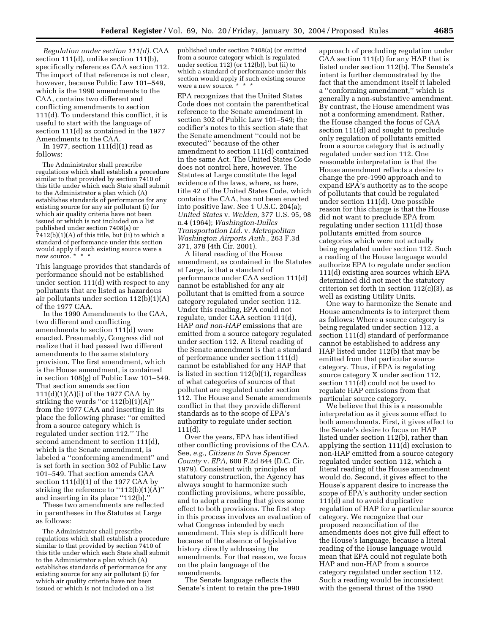*Regulation under section 111(d).* CAA section 111(d), unlike section 111(b), specifically references CAA section 112. The import of that reference is not clear, however, because Public Law 101–549, which is the 1990 amendments to the CAA, contains two different and conflicting amendments to section 111(d). To understand this conflict, it is useful to start with the language of section 111(d) as contained in the 1977 Amendments to the CAA.

In 1977, section  $111(d)(1)$  read as follows:

The Administrator shall prescribe regulations which shall establish a procedure similar to that provided by section 7410 of this title under which each State shall submit to the Administrator a plan which (A) establishes standards of performance for any existing source for any air pollutant (i) for which air quality criteria have not been issued or which is not included on a list published under section 7408(a) or  $7412(b)(1)(A)$  of this title, but (ii) to which a standard of performance under this section would apply if such existing source were a new source. \* \* \*

This language provides that standards of performance should not be established under section 111(d) with respect to any pollutants that are listed as hazardous air pollutants under section 112(b)(1)(A) of the 1977 CAA.

In the 1990 Amendments to the CAA, two different and conflicting amendments to section 111(d) were enacted. Presumably, Congress did not realize that it had passed two different amendments to the same statutory provision. The first amendment, which is the House amendment, is contained in section 108(g) of Public Law 101–549. That section amends section 111(d)(1)(A)(i) of the 1977 CAA by striking the words "or  $112(b)(1)(A)$ " from the 1977 CAA and inserting in its place the following phrase: ''or emitted from a source category which is regulated under section 112.'' The second amendment to section 111(d), which is the Senate amendment, is labeled a ''conforming amendment'' and is set forth in section 302 of Public Law 101–549. That section amends CAA section  $111(d)(1)$  of the 1977 CAA by striking the reference to " $112(b)(1)(A)$ " and inserting in its place "112(b).

These two amendments are reflected in parentheses in the Statutes at Large as follows:

The Administrator shall prescribe regulations which shall establish a procedure similar to that provided by section 7410 of this title under which each State shall submit to the Administrator a plan which (A) establishes standards of performance for any existing source for any air pollutant (i) for which air quality criteria have not been issued or which is not included on a list

published under section 7408(a) (or emitted from a source category which is regulated under section 112) (or 112(b)), but (ii) to which a standard of performance under this section would apply if such existing source were a new source. \* \* \*

EPA recognizes that the United States Code does not contain the parenthetical reference to the Senate amendment in section 302 of Public Law 101–549; the codifier's notes to this section state that the Senate amendment ''could not be executed'' because of the other amendment to section 111(d) contained in the same Act. The United States Code does not control here, however. The Statutes at Large constitute the legal evidence of the laws, where, as here, title 42 of the United States Code, which contains the CAA, has not been enacted into positive law. See 1 U.S.C. 204(a); *United States* v. *Welden,* 377 U.S. 95, 98 n.4 (1964); *Washington-Dulles Transportation Ltd.* v. *Metropolitan Washington Airports Auth.,* 263 F.3d 371, 378 (4th Cir. 2001).

A literal reading of the House amendment, as contained in the Statutes at Large, is that a standard of performance under CAA section 111(d) cannot be established for any air pollutant that is emitted from a source category regulated under section 112. Under this reading, EPA could not regulate, under CAA section 111(d), HAP *and non-HAP* emissions that are emitted from a source category regulated under section 112. A literal reading of the Senate amendment is that a standard of performance under section 111(d) cannot be established for any HAP that is listed in section 112(b)(1), regardless of what categories of sources of that pollutant are regulated under section 112. The House and Senate amendments conflict in that they provide different standards as to the scope of EPA's authority to regulate under section 111(d).

Over the years, EPA has identified other conflicting provisions of the CAA. See, *e.g., Citizens to Save Spencer County* v. *EPA,* 600 F.2d 844 (D.C. Cir. 1979). Consistent with principles of statutory construction, the Agency has always sought to harmonize such conflicting provisions, where possible, and to adopt a reading that gives some effect to both provisions. The first step in this process involves an evaluation of what Congress intended by each amendment. This step is difficult here because of the absence of legislative history directly addressing the amendments. For that reason, we focus on the plain language of the amendments.

The Senate language reflects the Senate's intent to retain the pre-1990

approach of precluding regulation under CAA section 111(d) for any HAP that is listed under section 112(b). The Senate's intent is further demonstrated by the fact that the amendment itself it labeled a ''conforming amendment,'' which is generally a non-substantive amendment. By contrast, the House amendment was not a conforming amendment. Rather, the House changed the focus of CAA section 111(d) and sought to preclude only regulation of pollutants emitted from a source category that is actually regulated under section 112. One reasonable interpretation is that the House amendment reflects a desire to change the pre-1990 approach and to expand EPA's authority as to the scope of pollutants that could be regulated under section 111(d). One possible reason for this change is that the House did not want to preclude EPA from regulating under section 111(d) those pollutants emitted from source categories which were not actually being regulated under section 112. Such a reading of the House language would authorize EPA to regulate under section 111(d) existing area sources which EPA determined did not meet the statutory criterion set forth in section  $112(c)(3)$ , as well as existing Utility Units.

One way to harmonize the Senate and House amendments is to interpret them as follows: Where a source category is being regulated under section 112, a section 111(d) standard of performance cannot be established to address any HAP listed under 112(b) that may be emitted from that particular source category. Thus, if EPA is regulating source category X under section 112, section 111(d) could not be used to regulate HAP emissions from that particular source category.

We believe that this is a reasonable interpretation as it gives some effect to both amendments. First, it gives effect to the Senate's desire to focus on HAP listed under section 112(b), rather than applying the section 111(d) exclusion to non-HAP emitted from a source category regulated under section 112, which a literal reading of the House amendment would do. Second, it gives effect to the House's apparent desire to increase the scope of EPA's authority under section 111(d) and to avoid duplicative regulation of HAP for a particular source category. We recognize that our proposed reconciliation of the amendments does not give full effect to the House's language, because a literal reading of the House language would mean that EPA could not regulate both HAP and non-HAP from a source category regulated under section 112. Such a reading would be inconsistent with the general thrust of the 1990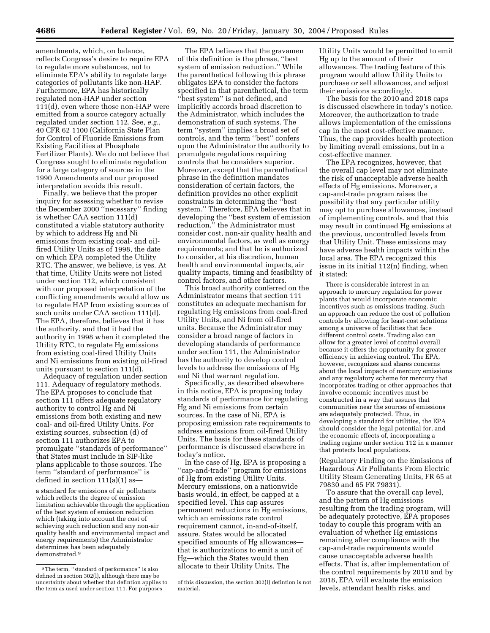amendments, which, on balance, reflects Congress's desire to require EPA to regulate more substances, not to eliminate EPA's ability to regulate large categories of pollutants like non-HAP. Furthermore, EPA has historically regulated non-HAP under section 111(d), even where those non-HAP were emitted from a source category actually regulated under section 112. See, *e.g.,* 40 CFR 62 1100 (California State Plan for Control of Fluoride Emissions from Existing Facilities at Phosphate Fertilizer Plants). We do not believe that Congress sought to eliminate regulation for a large category of sources in the 1990 Amendments and our proposed interpretation avoids this result.

Finally, we believe that the proper inquiry for assessing whether to revise the December 2000 ''necessary'' finding is whether CAA section 111(d) constituted a viable statutory authority by which to address Hg and Ni emissions from existing coal- and oilfired Utility Units as of 1998, the date on which EPA completed the Utility RTC. The answer, we believe, is yes. At that time, Utility Units were not listed under section 112, which consistent with our proposed interpretation of the conflicting amendments would allow us to regulate HAP from existing sources of such units under CAA section 111(d). The EPA, therefore, believes that it has the authority, and that it had the authority in 1998 when it completed the Utility RTC, to regulate Hg emissions from existing coal-fired Utility Units and Ni emissions from existing oil-fired units pursuant to section 111(d).

Adequacy of regulation under section 111. Adequacy of regulatory methods. The EPA proposes to conclude that section 111 offers adequate regulatory authority to control Hg and Ni emissions from both existing and new coal- and oil-fired Utility Units. For existing sources, subsection (d) of section 111 authorizes EPA to promulgate ''standards of performance'' that States must include in SIP-like plans applicable to those sources. The term ''standard of performance'' is defined in section 111(a)(1) as—

a standard for emissions of air pollutants which reflects the degree of emission limitation achievable through the application of the best system of emission reduction which (taking into account the cost of achieving such reduction and any non-air quality health and environmental impact and energy requirements) the Administrator determines has been adequately demonstrated.9

The EPA believes that the gravamen of this definition is the phrase, ''best system of emission reduction.'' While the parenthetical following this phrase obligates EPA to consider the factors specified in that parenthetical, the term ''best system'' is not defined, and implicitly accords broad discretion to the Administrator, which includes the demonstration of such systems. The term ''system'' implies a broad set of controls, and the term ''best'' confers upon the Administrator the authority to promulgate regulations requiring controls that he considers superior. Moreover, except that the parenthetical phrase in the definition mandates consideration of certain factors, the definition provides no other explicit constraints in determining the ''best system.'' Therefore, EPA believes that in developing the ''best system of emission reduction,'' the Administrator must consider cost, non-air quality health and environmental factors, as well as energy requirements; and that he is authorized to consider, at his discretion, human health and environmental impacts, air quality impacts, timing and feasibility of control factors, and other factors.

This broad authority conferred on the Administrator means that section 111 constitutes an adequate mechanism for regulating Hg emissions from coal-fired Utility Units, and Ni from oil-fired units. Because the Administrator may consider a broad range of factors in developing standards of performance under section 111, the Administrator has the authority to develop control levels to address the emissions of Hg and Ni that warrant regulation.

Specifically, as described elsewhere in this notice, EPA is proposing today standards of performance for regulating Hg and Ni emissions from certain sources. In the case of Ni, EPA is proposing emission rate requirements to address emissions from oil-fired Utility Units. The basis for these standards of performance is discussed elsewhere in today's notice.

In the case of Hg, EPA is proposing a ''cap-and-trade'' program for emissions of Hg from existing Utility Units. Mercury emissions, on a nationwide basis would, in effect, be capped at a specified level. This cap assures permanent reductions in Hg emissions, which an emissions rate control requirement cannot, in-and-of-itself, assure. States would be allocated specified amounts of Hg allowances that is authorizations to emit a unit of Hg—which the States would then allocate to their Utility Units. The

Utility Units would be permitted to emit Hg up to the amount of their allowances. The trading feature of this program would allow Utility Units to purchase or sell allowances, and adjust their emissions accordingly.

The basis for the 2010 and 2018 caps is discussed elsewhere in today's notice. Moreover, the authorization to trade allows implementation of the emissions cap in the most cost-effective manner. Thus, the cap provides health protection by limiting overall emissions, but in a cost-effective manner.

The EPA recognizes, however, that the overall cap level may not eliminate the risk of unacceptable adverse health effects of Hg emissions. Moreover, a cap-and-trade program raises the possibility that any particular utility may opt to purchase allowances, instead of implementing controls, and that this may result in continued Hg emissions at the previous, uncontrolled levels from that Utility Unit. These emissions may have adverse health impacts within the local area. The EPA recognized this issue in its initial 112(n) finding, when it stated:

There is considerable interest in an approach to mercury regulation for power plants that would incorporate economic incentives such as emissions trading. Such an approach can reduce the cost of pollution controls by allowing for least-cost solutions among a universe of facilities that face different control costs. Trading also can allow for a greater level of control overall because it offers the opportunity for greater efficiency in achieving control. The EPA, however, recognizes and shares concerns about the local impacts of mercury emissions and any regulatory scheme for mercury that incorporates trading or other approaches that involve economic incentives must be constructed in a way that assures that communities near the sources of emissions are adequately protected. Thus, in developing a standard for utilities, the EPA should consider the legal potential for, and the economic effects of, incorporating a trading regime under section 112 in a manner that protects local populations.

(Regulatory Finding on the Emissions of Hazardous Air Pollutants From Electric Utility Steam Generating Units, FR 65 at 79830 and 65 FR 79831).

To assure that the overall cap level, and the pattern of Hg emissions resulting from the trading program, will be adequately protective, EPA proposes today to couple this program with an evaluation of whether Hg emissions remaining after compliance with the cap-and-trade requirements would cause unacceptable adverse health effects. That is, after implementation of the control requirements by 2010 and by 2018, EPA will evaluate the emission levels, attendant health risks, and

<sup>9</sup>The term, ''standard of performance'' is also defined in section 302(l), although there may be uncertainty about whether that defintion applies to the term as used under section 111. For purposes

of this discussion, the section 302(l) defintion is not material.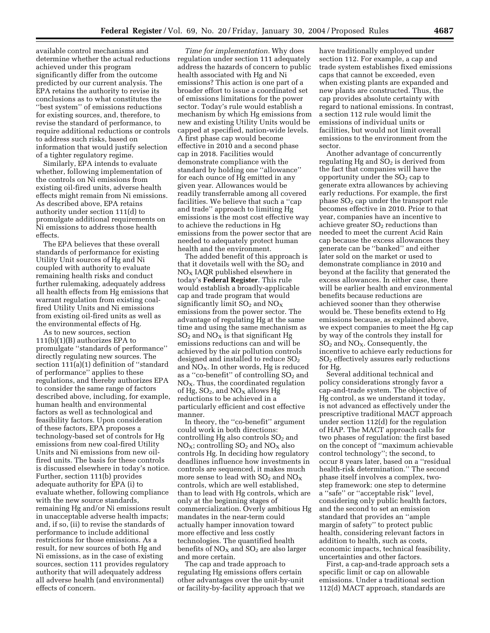available control mechanisms and determine whether the actual reductions achieved under this program significantly differ from the outcome predicted by our current analysis. The EPA retains the authority to revise its conclusions as to what constitutes the ''best system'' of emissions reductions for existing sources, and, therefore, to revise the standard of performance, to require additional reductions or controls to address such risks, based on information that would justify selection of a tighter regulatory regime.

Similarly, EPA intends to evaluate whether, following implementation of the controls on Ni emissions from existing oil-fired units, adverse health effects might remain from Ni emissions. As described above, EPA retains authority under section 111(d) to promulgate additional requirements on Ni emissions to address those health effects.

The EPA believes that these overall standards of performance for existing Utility Unit sources of Hg and Ni coupled with authority to evaluate remaining health risks and conduct further rulemaking, adequately address all health effects from Hg emissions that warrant regulation from existing coalfired Utility Units and Ni emissions from existing oil-fired units as well as the environmental effects of Hg.

As to new sources, section 111(b)(1)(B) authorizes EPA to promulgate ''standards of performance'' directly regulating new sources. The section 111(a)(1) definition of ''standard of performance'' applies to these regulations, and thereby authorizes EPA to consider the same range of factors described above, including, for example, human health and environmental factors as well as technological and feasibility factors. Upon consideration of these factors, EPA proposes a technology-based set of controls for Hg emissions from new coal-fired Utility Units and Ni emissions from new oilfired units. The basis for these controls is discussed elsewhere in today's notice. Further, section 111(b) provides adequate authority for EPA (i) to evaluate whether, following compliance with the new source standards, remaining Hg and/or Ni emissions result in unacceptable adverse health impacts; and, if so, (ii) to revise the standards of performance to include additional restrictions for those emissions. As a result, for new sources of both Hg and Ni emissions, as in the case of existing sources, section 111 provides regulatory authority that will adequately address all adverse health (and environmental) effects of concern.

*Time for implementation.* Why does regulation under section 111 adequately address the hazards of concern to public health associated with Hg and Ni emissions? This action is one part of a broader effort to issue a coordinated set of emissions limitations for the power sector. Today's rule would establish a mechanism by which Hg emissions from new and existing Utility Units would be capped at specified, nation-wide levels. A first phase cap would become effective in 2010 and a second phase cap in 2018. Facilities would demonstrate compliance with the standard by holding one ''allowance'' for each ounce of Hg emitted in any given year. Allowances would be readily transferrable among all covered facilities. We believe that such a ''cap and trade'' approach to limiting Hg emissions is the most cost effective way to achieve the reductions in Hg emissions from the power sector that are needed to adequately protect human health and the environment.

The added benefit of this approach is that it dovetails well with the  $SO<sub>2</sub>$  and  $NO<sub>x</sub>$  IAQR published elsewhere in today's **Federal Register**. This rule would establish a broadly-applicable cap and trade program that would significantly limit  $SO_2$  and  $NO_X$ emissions from the power sector. The advantage of regulating Hg at the same time and using the same mechanism as  $SO<sub>2</sub>$  and  $NO<sub>X</sub>$  is that significant Hg emissions reductions can and will be achieved by the air pollution controls designed and installed to reduce  $SO<sub>2</sub>$ and  $NO<sub>x</sub>$ . In other words, Hg is reduced as a "co-benefit" of controlling  $SO<sub>2</sub>$  and  $NO<sub>X</sub>$ . Thus, the coordinated regulation of Hg,  $SO_2$ , and  $NO<sub>X</sub>$  allows Hg reductions to be achieved in a particularly efficient and cost effective manner.

In theory, the ''co-benefit'' argument could work in both directions: controlling Hg also controls  $SO<sub>2</sub>$  and  $NO<sub>X</sub>$ ; controlling  $SO<sub>2</sub>$  and  $NO<sub>X</sub>$  also controls Hg. In deciding how regulatory deadlines influence how investments in controls are sequenced, it makes much more sense to lead with  $\mathrm{SO}_2$  and  $\mathrm{NO_X}$ controls, which are well established, than to lead with Hg controls, which are only at the beginning stages of commercialization. Overly ambitious Hg mandates in the near-term could actually hamper innovation toward more effective and less costly technologies. The quantified health benefits of  $NO<sub>X</sub>$  and  $SO<sub>2</sub>$  are also larger and more certain.

The cap and trade approach to regulating Hg emissions offers certain other advantages over the unit-by-unit or facility-by-facility approach that we

have traditionally employed under section 112. For example, a cap and trade system establishes fixed emissions caps that cannot be exceeded, even when existing plants are expanded and new plants are constructed. Thus, the cap provides absolute certainty with regard to national emissions. In contrast, a section 112 rule would limit the emissions of individual units or facilities, but would not limit overall emissions to the environment from the sector.

Another advantage of concurrently regulating Hg and  $SO<sub>2</sub>$  is derived from the fact that companies will have the opportunity under the  $SO<sub>2</sub>$  cap to generate extra allowances by achieving early reductions. For example, the first phase SO<sub>2</sub> cap under the transport rule becomes effective in 2010. Prior to that year, companies have an incentive to achieve greater  $SO<sub>2</sub>$  reductions than needed to meet the current Acid Rain cap because the excess allowances they generate can be ''banked'' and either later sold on the market or used to demonstrate compliance in 2010 and beyond at the facility that generated the excess allowances. In either case, there will be earlier health and environmental benefits because reductions are achieved sooner than they otherwise would be. These benefits extend to Hg emissions because, as explained above, we expect companies to meet the Hg cap by way of the controls they install for  $SO<sub>2</sub>$  and  $NO<sub>X</sub>$ . Consequently, the incentive to achieve early reductions for SO2 effectively assures early reductions for Hg.

Several additional technical and policy considerations strongly favor a cap-and-trade system. The objective of Hg control, as we understand it today, is not advanced as effectively under the prescriptive traditional MACT approach under section 112(d) for the regulation of HAP. The MACT approach calls for two phases of regulation: the first based on the concept of ''maximum achievable control technology''; the second, to occur 8 years later, based on a ''residual health-risk determination.'' The second phase itself involves a complex, twostep framework: one step to determine a ''safe'' or ''acceptable risk'' level, considering only public health factors, and the second to set an emission standard that provides an ''ample margin of safety'' to protect public health, considering relevant factors in addition to health, such as costs, economic impacts, technical feasibility, uncertainties and other factors.

First, a cap-and-trade approach sets a specific limit or cap on allowable emissions. Under a traditional section 112(d) MACT approach, standards are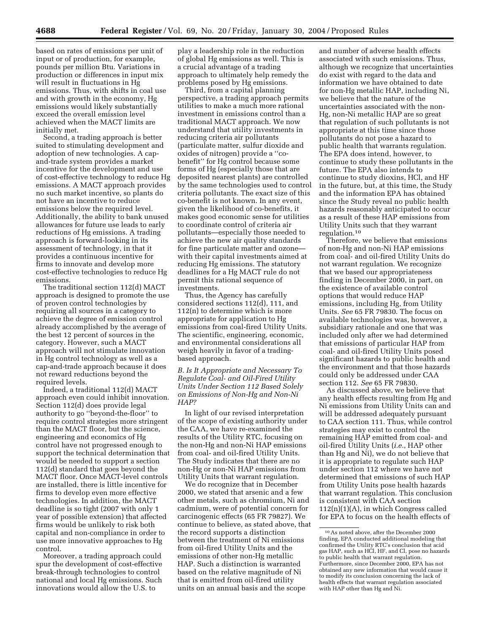based on rates of emissions per unit of input or of production, for example, pounds per million Btu. Variations in production or differences in input mix will result in fluctuations in Hg emissions. Thus, with shifts in coal use and with growth in the economy, Hg emissions would likely substantially exceed the overall emission level achieved when the MACT limits are initially met.

Second, a trading approach is better suited to stimulating development and adoption of new technologies. A capand-trade system provides a market incentive for the development and use of cost-effective technology to reduce Hg emissions. A MACT approach provides no such market incentive, so plants do not have an incentive to reduce emissions below the required level. Additionally, the ability to bank unused allowances for future use leads to early reductions of Hg emissions. A trading approach is forward-looking in its assessment of technology, in that it provides a continuous incentive for firms to innovate and develop more cost-effective technologies to reduce Hg emissions.

The traditional section 112(d) MACT approach is designed to promote the use of proven control technologies by requiring all sources in a category to achieve the degree of emission control already accomplished by the average of the best 12 percent of sources in the category. However, such a MACT approach will not stimulate innovation in Hg control technology as well as a cap-and-trade approach because it does not reward reductions beyond the required levels.

Indeed, a traditional 112(d) MACT approach even could inhibit innovation. Section 112(d) does provide legal authority to go ''beyond-the-floor'' to require control strategies more stringent than the MACT floor, but the science, engineering and economics of Hg control have not progressed enough to support the technical determination that would be needed to support a section 112(d) standard that goes beyond the MACT floor. Once MACT-level controls are installed, there is little incentive for firms to develop even more effective technologies. In addition, the MACT deadline is so tight (2007 with only 1 year of possible extension) that affected firms would be unlikely to risk both capital and non-compliance in order to use more innovative approaches to Hg control.

Moreover, a trading approach could spur the development of cost-effective break-through technologies to control national and local Hg emissions. Such innovations would allow the U.S. to

play a leadership role in the reduction of global Hg emissions as well. This is a crucial advantage of a trading approach to ultimately help remedy the problems posed by Hg emissions.

Third, from a capital planning perspective, a trading approach permits utilities to make a much more rational investment in emissions control than a traditional MACT approach. We now understand that utility investments in reducing criteria air pollutants (particulate matter, sulfur dioxide and oxides of nitrogen) provide a ''cobenefit'' for Hg control because some forms of Hg (especially those that are deposited nearest plants) are controlled by the same technologies used to control criteria pollutants. The exact size of this co-benefit is not known. In any event, given the likelihood of co-benefits, it makes good economic sense for utilities to coordinate control of criteria air pollutants—especially those needed to achieve the new air quality standards for fine particulate matter and ozone with their capital investments aimed at reducing Hg emissions. The statutory deadlines for a Hg MACT rule do not permit this rational sequence of investments.

Thus, the Agency has carefully considered sections 112(d), 111, and 112(n) to determine which is more appropriate for application to Hg emissions from coal-fired Utility Units. The scientific, engineering, economic, and environmental considerations all weigh heavily in favor of a tradingbased approach.

*B. Is It Appropriate and Necessary To Regulate Coal- and Oil-Fired Utility Units Under Section 112 Based Solely on Emissions of Non-Hg and Non-Ni HAP?* 

In light of our revised interpretation of the scope of existing authority under the CAA, we have re-examined the results of the Utility RTC, focusing on the non-Hg and non-Ni HAP emissions from coal- and oil-fired Utility Units. The Study indicates that there are no non-Hg or non-Ni HAP emissions from Utility Units that warrant regulation.

We do recognize that in December 2000, we stated that arsenic and a few other metals, such as chromium, Ni and cadmium, were of potential concern for carcinogenic effects (65 FR 79827). We continue to believe, as stated above, that the record supports a distinction between the treatment of Ni emissions from oil-fired Utility Units and the emissions of other non-Hg metallic HAP. Such a distinction is warranted based on the relative magnitude of Ni that is emitted from oil-fired utility units on an annual basis and the scope

and number of adverse health effects associated with such emissions. Thus, although we recognize that uncertainties do exist with regard to the data and information we have obtained to date for non-Hg metallic HAP, including Ni, we believe that the nature of the uncertainties associated with the non-Hg, non-Ni metallic HAP are so great that regulation of such pollutants is not appropriate at this time since those pollutants do not pose a hazard to public health that warrants regulation. The EPA does intend, however, to continue to study these pollutants in the future. The EPA also intends to continue to study dioxins, HCl, and HF in the future, but, at this time, the Study and the information EPA has obtained since the Study reveal no public health hazards reasonably anticipated to occur as a result of these HAP emissions from Utility Units such that they warrant regulation.10

Therefore, we believe that emissions of non-Hg and non-Ni HAP emissions from coal- and oil-fired Utility Units do not warrant regulation. We recognize that we based our appropriateness finding in December 2000, in part, on the existence of available control options that would reduce HAP emissions, including Hg, from Utility Units. *See* 65 FR 79830. The focus on available technologies was, however, a subsidiary rationale and one that was included only after we had determined that emissions of particular HAP from coal- and oil-fired Utility Units posed significant hazards to public health and the environment and that those hazards could only be addressed under CAA section 112. *See* 65 FR 79830.

As discussed above, we believe that any health effects resulting from Hg and Ni emissions from Utility Units can and will be addressed adequately pursuant to CAA section 111. Thus, while control strategies may exist to control the remaining HAP emitted from coal- and oil-fired Utility Units (*i.e.*, HAP other than Hg and Ni), we do not believe that it is appropriate to regulate such HAP under section 112 where we have not determined that emissions of such HAP from Utility Units pose health hazards that warrant regulation. This conclusion is consistent with CAA section 112(n)(1)(A), in which Congress called for EPA to focus on the health effects of

<sup>10</sup>As noted above, after the December 2000 finding, EPA conducted additional modeling that confirmed the Utility RTC's conclusion that acid gas HAP, such as HCl, HF, and Cl, pose no hazards to public health that warrant regulation. Furthermore, since December 2000, EPA has not obtained any new information that would cause it to modify its conclusion concerning the lack of health effects that warrant regulation associated with HAP other than Hg and Ni.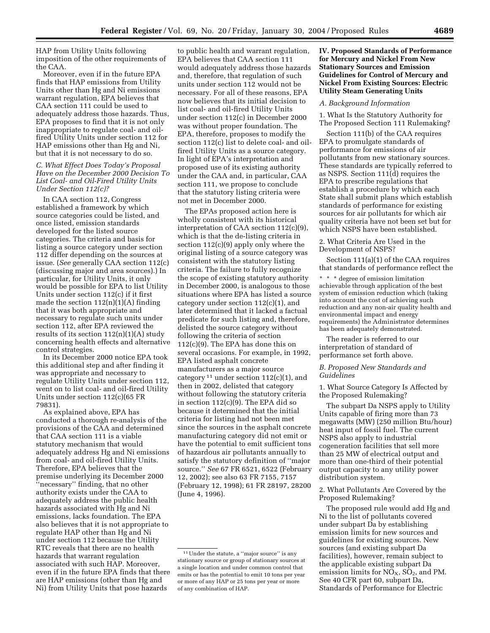HAP from Utility Units following imposition of the other requirements of the CAA.

Moreover, even if in the future EPA finds that HAP emissions from Utility Units other than Hg and Ni emissions warrant regulation, EPA believes that CAA section 111 could be used to adequately address those hazards. Thus, EPA proposes to find that it is not only inappropriate to regulate coal- and oilfired Utility Units under section 112 for HAP emissions other than Hg and Ni, but that it is not necessary to do so.

# *C. What Effect Does Today's Proposal Have on the December 2000 Decision To List Coal- and Oil-Fired Utility Units Under Section 112(c)?*

In CAA section 112, Congress established a framework by which source categories could be listed, and once listed, emission standards developed for the listed source categories. The criteria and basis for listing a source category under section 112 differ depending on the sources at issue. (*See* generally CAA section 112(c) (discussing major and area sources).) In particular, for Utility Units, it only would be possible for EPA to list Utility Units under section 112(c) if it first made the section  $112(n)(1)(A)$  finding that it was both appropriate and necessary to regulate such units under section 112, after EPA reviewed the results of its section  $112(n)(1)(A)$  study concerning health effects and alternative control strategies.

In its December 2000 notice EPA took this additional step and after finding it was appropriate and necessary to regulate Utility Units under section 112, went on to list coal- and oil-fired Utility Units under section 112(c)(65 FR 79831).

As explained above, EPA has conducted a thorough re-analysis of the provisions of the CAA and determined that CAA section 111 is a viable statutory mechanism that would adequately address Hg and Ni emissions from coal- and oil-fired Utility Units. Therefore, EPA believes that the premise underlying its December 2000 ''necessary'' finding, that no other authority exists under the CAA to adequately address the public health hazards associated with Hg and Ni emissions, lacks foundation. The EPA also believes that it is not appropriate to regulate HAP other than Hg and Ni under section 112 because the Utility RTC reveals that there are no health hazards that warrant regulation associated with such HAP. Moreover, even if in the future EPA finds that there are HAP emissions (other than Hg and Ni) from Utility Units that pose hazards

to public health and warrant regulation, EPA believes that CAA section 111 would adequately address those hazards and, therefore, that regulation of such units under section 112 would not be necessary. For all of these reasons, EPA now believes that its initial decision to list coal- and oil-fired Utility Units under section 112(c) in December 2000 was without proper foundation. The EPA, therefore, proposes to modify the section 112(c) list to delete coal- and oilfired Utility Units as a source category. In light of EPA's interpretation and proposed use of its existing authority under the CAA and, in particular, CAA section 111, we propose to conclude that the statutory listing criteria were not met in December 2000.

The EPAs proposed action here is wholly consistent with its historical interpretation of CAA section 112(c)(9), which is that the de-listing criteria in section 112(c)(9) apply only where the original listing of a source category was consistent with the statutory listing criteria. The failure to fully recognize the scope of existing statutory authority in December 2000, is analogous to those situations where EPA has listed a source category under section 112(c)(1), and later determined that it lacked a factual predicate for such listing and, therefore, delisted the source category without following the criteria of section 112(c)(9). The EPA has done this on several occasions. For example, in 1992, EPA listed asphalt concrete manufacturers as a major source category  $11$  under section  $112(c)(1)$ , and then in 2002, delisted that category without following the statutory criteria in section 112(c)(9). The EPA did so because it determined that the initial criteria for listing had not been met since the sources in the asphalt concrete manufacturing category did not emit or have the potential to emit sufficient tons of hazardous air pollutants annually to satisfy the statutory definition of ''major source.'' *See* 67 FR 6521, 6522 (February 12, 2002); see also 63 FR 7155, 7157 (February 12, 1998); 61 FR 28197, 28200 (June 4, 1996).

# **IV. Proposed Standards of Performance for Mercury and Nickel From New Stationary Sources and Emission Guidelines for Control of Mercury and Nickel From Existing Sources: Electric Utility Steam Generating Units**

### *A. Background Information*

1. What Is the Statutory Authority for The Proposed Section 111 Rulemaking?

Section 111(b) of the CAA requires EPA to promulgate standards of performance for emissions of air pollutants from new stationary sources. These standards are typically referred to as NSPS. Section 111(d) requires the EPA to prescribe regulations that establish a procedure by which each State shall submit plans which establish standards of performance for existing sources for air pollutants for which air quality criteria have not been set but for which NSPS have been established.

2. What Criteria Are Used in the Development of NSPS?

Section 111(a)(1) of the CAA requires that standards of performance reflect the

\* \* \* degree of emission limitation achievable through application of the best system of emission reduction which (taking into account the cost of achieving such reduction and any non-air quality health and environmental impact and energy requirements) the Administrator determines has been adequately demonstrated.

The reader is referred to our interpretation of standard of performance set forth above.

## *B. Proposed New Standards and Guidelines*

1. What Source Category Is Affected by the Proposed Rulemaking?

The subpart Da NSPS apply to Utility Units capable of firing more than 73 megawatts (MW) (250 million Btu/hour) heat input of fossil fuel. The current NSPS also apply to industrial cogeneration facilities that sell more than 25 MW of electrical output and more than one-third of their potential output capacity to any utility power distribution system.

2. What Pollutants Are Covered by the Proposed Rulemaking?

The proposed rule would add Hg and Ni to the list of pollutants covered under subpart Da by establishing emission limits for new sources and guidelines for existing sources. New sources (and existing subpart Da facilities), however, remain subject to the applicable existing subpart Da emission limits for  $NO<sub>X</sub>$ ,  $SO<sub>2</sub>$ , and PM. See 40 CFR part 60, subpart Da, Standards of Performance for Electric

 $^{\rm 11}\rm Under$  the statute, a ''major source'' is any stationary source or group of stationary sources at a single location and under common control that emits or has the potential to emit 10 tons per year or more of any HAP or 25 tons per year or more of any combination of HAP.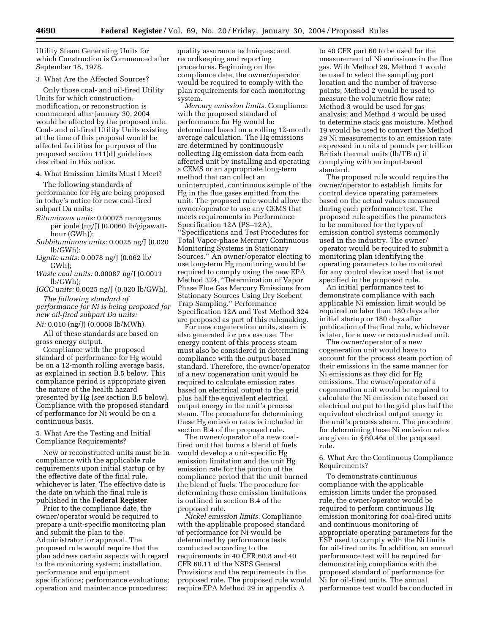Utility Steam Generating Units for which Construction is Commenced after September 18, 1978.

### 3. What Are the Affected Sources?

Only those coal- and oil-fired Utility Units for which construction, modification, or reconstruction is commenced after January 30, 2004 would be affected by the proposed rule. Coal- and oil-fired Utility Units existing at the time of this proposal would be affected facilities for purposes of the proposed section 111(d) guidelines described in this notice.

### 4. What Emission Limits Must I Meet?

The following standards of performance for Hg are being proposed in today's notice for new coal-fired subpart Da units:

- *Bituminous units:* 0.00075 nanograms per joule (ng/J) (0.0060 lb/gigawatthour (GWh));
- *Subbituminous units:* 0.0025 ng/J (0.020 lb/GWh);
- *Lignite units:* 0.0078 ng/J (0.062 lb/ GWh);
- *Waste coal units:* 0.00087 ng/J (0.0011 lb/GWh);
- *IGCC units:* 0.0025 ng/J (0.020 lb/GWh). *The following standard of*

*performance for Ni is being proposed for new oil-fired subpart Da units:*

*Ni:* 0.010 (ng/J) (0.0008 lb/MWh).

All of these standards are based on gross energy output.

Compliance with the proposed standard of performance for Hg would be on a 12-month rolling average basis, as explained in section B.5 below. This compliance period is appropriate given the nature of the health hazard presented by Hg (*see* section B.5 below). Compliance with the proposed standard of performance for Ni would be on a continuous basis.

# 5. What Are the Testing and Initial Compliance Requirements?

New or reconstructed units must be in compliance with the applicable rule requirements upon initial startup or by the effective date of the final rule, whichever is later. The effective date is the date on which the final rule is published in the **Federal Register**.

Prior to the compliance date, the owner/operator would be required to prepare a unit-specific monitoring plan and submit the plan to the Administrator for approval. The proposed rule would require that the plan address certain aspects with regard to the monitoring system; installation, performance and equipment specifications; performance evaluations; operation and maintenance procedures;

quality assurance techniques; and recordkeeping and reporting procedures. Beginning on the compliance date, the owner/operator would be required to comply with the plan requirements for each monitoring system.

*Mercury emission limits.* Compliance with the proposed standard of performance for Hg would be determined based on a rolling 12-month average calculation. The Hg emissions are determined by continuously collecting Hg emission data from each affected unit by installing and operating a CEMS or an appropriate long-term method that can collect an uninterrupted, continuous sample of the Hg in the flue gases emitted from the unit. The proposed rule would allow the owner/operator to use any CEMS that meets requirements in Performance Specification 12A (PS–12A), ''Specifications and Test Procedures for Total Vapor-phase Mercury Continuous Monitoring Systems in Stationary Sources.'' An owner/operator electing to use long-term Hg monitoring would be required to comply using the new EPA Method 324, ''Determination of Vapor Phase Flue Gas Mercury Emissions from Stationary Sources Using Dry Sorbent Trap Sampling.'' Performance Specification 12A and Test Method 324 are proposed as part of this rulemaking.

For new cogeneration units, steam is also generated for process use. The energy content of this process steam must also be considered in determining compliance with the output-based standard. Therefore, the owner/operator of a new cogeneration unit would be required to calculate emission rates based on electrical output to the grid plus half the equivalent electrical output energy in the unit's process steam. The procedure for determining these Hg emission rates is included in section B.4 of the proposed rule.

The owner/operator of a new coalfired unit that burns a blend of fuels would develop a unit-specific Hg emission limitation and the unit Hg emission rate for the portion of the compliance period that the unit burned the blend of fuels. The procedure for determining these emission limitations is outlined in section B.4 of the proposed rule.

*Nickel emission limits.* Compliance with the applicable proposed standard of performance for Ni would be determined by performance tests conducted according to the requirements in 40 CFR 60.8 and 40 CFR 60.11 of the NSPS General Provisions and the requirements in the proposed rule. The proposed rule would require EPA Method 29 in appendix A

to 40 CFR part 60 to be used for the measurement of Ni emissions in the flue gas. With Method 29, Method 1 would be used to select the sampling port location and the number of traverse points; Method 2 would be used to measure the volumetric flow rate; Method 3 would be used for gas analysis; and Method 4 would be used to determine stack gas moisture. Method 19 would be used to convert the Method 29 Ni measurements to an emission rate expressed in units of pounds per trillion British thermal units (lb/TBtu) if complying with an input-based standard.

The proposed rule would require the owner/operator to establish limits for control device operating parameters based on the actual values measured during each performance test. The proposed rule specifies the parameters to be monitored for the types of emission control systems commonly used in the industry. The owner/ operator would be required to submit a monitoring plan identifying the operating parameters to be monitored for any control device used that is not specified in the proposed rule.

An initial performance test to demonstrate compliance with each applicable Ni emission limit would be required no later than 180 days after initial startup or 180 days after publication of the final rule, whichever is later, for a new or reconstructed unit.

The owner/operator of a new cogeneration unit would have to account for the process steam portion of their emissions in the same manner for Ni emissions as they did for Hg emissions. The owner/operator of a cogeneration unit would be required to calculate the Ni emission rate based on electrical output to the grid plus half the equivalent electrical output energy in the unit's process steam. The procedure for determining these Ni emission rates are given in § 60.46a of the proposed rule.

# 6. What Are the Continuous Compliance Requirements?

To demonstrate continuous compliance with the applicable emission limits under the proposed rule, the owner/operator would be required to perform continuous Hg emission monitoring for coal-fired units and continuous monitoring of appropriate operating parameters for the ESP used to comply with the Ni limits for oil-fired units. In addition, an annual performance test will be required for demonstrating compliance with the proposed standard of performance for Ni for oil-fired units. The annual performance test would be conducted in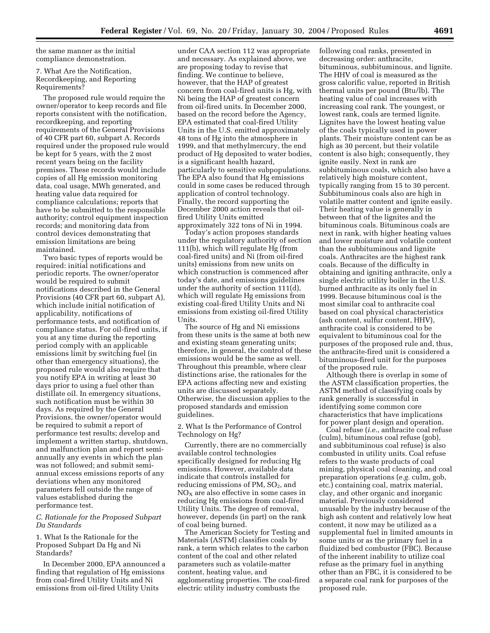the same manner as the initial compliance demonstration.

7. What Are the Notification, Recordkeeping, and Reporting Requirements?

The proposed rule would require the owner/operator to keep records and file reports consistent with the notification, recordkeeping, and reporting requirements of the General Provisions of 40 CFR part 60, subpart A. Records required under the proposed rule would be kept for 5 years, with the 2 most recent years being on the facility premises. These records would include copies of all Hg emission monitoring data, coal usage, MWh generated, and heating value data required for compliance calculations; reports that have to be submitted to the responsible authority; control equipment inspection records; and monitoring data from control devices demonstrating that emission limitations are being maintained.

Two basic types of reports would be required: initial notifications and periodic reports. The owner/operator would be required to submit notifications described in the General Provisions (40 CFR part 60, subpart A), which include initial notification of applicability, notifications of performance tests, and notification of compliance status. For oil-fired units, if you at any time during the reporting period comply with an applicable emissions limit by switching fuel (in other than emergency situations), the proposed rule would also require that you notify EPA in writing at least 30 days prior to using a fuel other than distillate oil. In emergency situations, such notification must be within 30 days. As required by the General Provisions, the owner/operator would be required to submit a report of performance test results; develop and implement a written startup, shutdown, and malfunction plan and report semiannually any events in which the plan was not followed; and submit semiannual excess emissions reports of any deviations when any monitored parameters fell outside the range of values established during the performance test.

# *C. Rationale for the Proposed Subpart Da Standards*

1. What Is the Rationale for the Proposed Subpart Da Hg and Ni Standards?

In December 2000, EPA announced a finding that regulation of Hg emissions from coal-fired Utility Units and Ni emissions from oil-fired Utility Units

under CAA section 112 was appropriate and necessary. As explained above, we are proposing today to revise that finding. We continue to believe, however, that the HAP of greatest concern from coal-fired units is Hg, with Ni being the HAP of greatest concern from oil-fired units. In December 2000, based on the record before the Agency, EPA estimated that coal-fired Utility Units in the U.S. emitted approximately 48 tons of Hg into the atmosphere in 1999, and that methylmercury, the end product of Hg deposited to water bodies, is a significant health hazard, particularly to sensitive subpopulations. The EPA also found that Hg emissions could in some cases be reduced through application of control technology. Finally, the record supporting the December 2000 action reveals that oilfired Utility Units emitted approximately 322 tons of Ni in 1994.

Today's action proposes standards under the regulatory authority of section 111(b), which will regulate Hg (from coal-fired units) and Ni (from oil-fired units) emissions from new units on which construction is commenced after today's date, and emissions guidelines under the authority of section 111(d), which will regulate Hg emissions from existing coal-fired Utility Units and Ni emissions from existing oil-fired Utility Units.

The source of Hg and Ni emissions from these units is the same at both new and existing steam generating units; therefore, in general, the control of these emissions would be the same as well. Throughout this preamble, where clear distinctions arise, the rationales for the EPA actions affecting new and existing units are discussed separately. Otherwise, the discussion applies to the proposed standards and emission guidelines.

2. What Is the Performance of Control Technology on Hg?

Currently, there are no commercially available control technologies specifically designed for reducing Hg emissions. However, available data indicate that controls installed for reducing emissions of  $PM$ ,  $SO<sub>2</sub>$ , and  $NO<sub>x</sub>$  are also effective in some cases in reducing Hg emissions from coal-fired Utility Units. The degree of removal, however, depends (in part) on the rank of coal being burned.

The American Society for Testing and Materials (ASTM) classifies coals by rank, a term which relates to the carbon content of the coal and other related parameters such as volatile-matter content, heating value, and agglomerating properties. The coal-fired electric utility industry combusts the

following coal ranks, presented in decreasing order: anthracite, bituminous, subbituminous, and lignite. The HHV of coal is measured as the gross calorific value, reported in British thermal units per pound (Btu/lb). The heating value of coal increases with increasing coal rank. The youngest, or lowest rank, coals are termed lignite. Lignites have the lowest heating value of the coals typically used in power plants. Their moisture content can be as high as 30 percent, but their volatile content is also high; consequently, they ignite easily. Next in rank are subbituminous coals, which also have a relatively high moisture content, typically ranging from 15 to 30 percent. Subbituminous coals also are high in volatile matter content and ignite easily. Their heating value is generally in between that of the lignites and the bituminous coals. Bituminous coals are next in rank, with higher heating values and lower moisture and volatile content than the subbituminous and lignite coals. Anthracites are the highest rank coals. Because of the difficulty in obtaining and igniting anthracite, only a single electric utility boiler in the U.S. burned anthracite as its only fuel in 1999. Because bituminous coal is the most similar coal to anthracite coal based on coal physical characteristics (ash content, sulfur content, HHV), anthracite coal is considered to be equivalent to bituminous coal for the purposes of the proposed rule and, thus, the anthracite-fired unit is considered a bituminous-fired unit for the purposes of the proposed rule.

Although there is overlap in some of the ASTM classification properties, the ASTM method of classifying coals by rank generally is successful in identifying some common core characteristics that have implications for power plant design and operation.

Coal refuse (*i.e.*, anthracite coal refuse (culm), bituminous coal refuse (gob), and subbituminous coal refuse) is also combusted in utility units. Coal refuse refers to the waste products of coal mining, physical coal cleaning, and coal preparation operations (*e.g.* culm, gob, etc.) containing coal, matrix material, clay, and other organic and inorganic material. Previously considered unusable by the industry because of the high ash content and relatively low heat content, it now may be utilized as a supplemental fuel in limited amounts in some units or as the primary fuel in a fluidized bed combustor (FBC). Because of the inherent inability to utilize coal refuse as the primary fuel in anything other than an FBC, it is considered to be a separate coal rank for purposes of the proposed rule.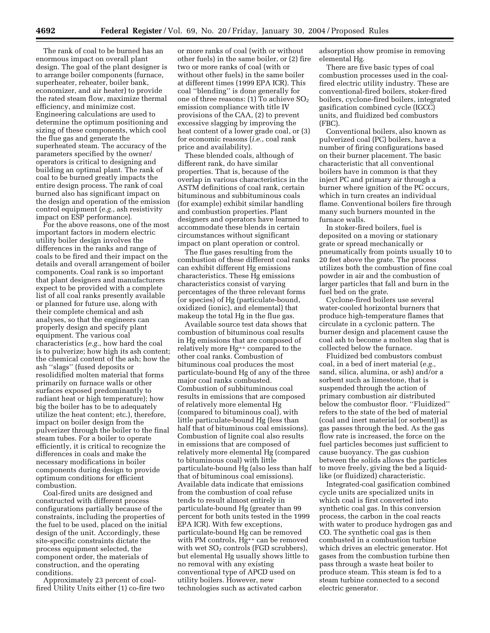The rank of coal to be burned has an enormous impact on overall plant design. The goal of the plant designer is to arrange boiler components (furnace, superheater, reheater, boiler bank, economizer, and air heater) to provide the rated steam flow, maximize thermal efficiency, and minimize cost. Engineering calculations are used to determine the optimum positioning and sizing of these components, which cool the flue gas and generate the superheated steam. The accuracy of the parameters specified by the owner/ operators is critical to designing and building an optimal plant. The rank of coal to be burned greatly impacts the entire design process. The rank of coal burned also has significant impact on the design and operation of the emission control equipment (*e.g.*, ash resistivity impact on ESP performance).

For the above reasons, one of the most important factors in modern electric utility boiler design involves the differences in the ranks and range of coals to be fired and their impact on the details and overall arrangement of boiler components. Coal rank is so important that plant designers and manufacturers expect to be provided with a complete list of all coal ranks presently available or planned for future use, along with their complete chemical and ash analyses, so that the engineers can properly design and specify plant equipment. The various coal characteristics (*e.g.*, how hard the coal is to pulverize; how high its ash content; the chemical content of the ash; how the ash ''slags'' (fused deposits or resolidified molten material that forms primarily on furnace walls or other surfaces exposed predominantly to radiant heat or high temperature); how big the boiler has to be to adequately utilize the heat content; etc.), therefore, impact on boiler design from the pulverizer through the boiler to the final steam tubes. For a boiler to operate efficiently, it is critical to recognize the differences in coals and make the necessary modifications in boiler components during design to provide optimum conditions for efficient combustion.

Coal-fired units are designed and constructed with different process configurations partially because of the constraints, including the properties of the fuel to be used, placed on the initial design of the unit. Accordingly, these site-specific constraints dictate the process equipment selected, the component order, the materials of construction, and the operating conditions.

Approximately 23 percent of coalfired Utility Units either (1) co-fire two

or more ranks of coal (with or without other fuels) in the same boiler, or (2) fire two or more ranks of coal (with or without other fuels) in the same boiler at different times (1999 EPA ICR). This coal ''blending'' is done generally for one of three reasons:  $(1)$  To achieve  $SO<sub>2</sub>$ emission compliance with title IV provisions of the CAA, (2) to prevent excessive slagging by improving the heat content of a lower grade coal, or (3) for economic reasons (*i.e.*, coal rank price and availability).

These blended coals, although of different rank, do have similar properties. That is, because of the overlap in various characteristics in the ASTM definitions of coal rank, certain bituminous and subbituminous coals (for example) exhibit similar handling and combustion properties. Plant designers and operators have learned to accommodate these blends in certain circumstances without significant impact on plant operation or control.

The flue gases resulting from the combustion of these different coal ranks can exhibit different Hg emissions characteristics. These Hg emissions characteristics consist of varying percentages of the three relevant forms (or species) of Hg (particulate-bound, oxidized (ionic), and elemental) that makeup the total Hg in the flue gas.

Available source test data shows that combustion of bituminous coal results in Hg emissions that are composed of relatively more Hg++ compared to the other coal ranks. Combustion of bituminous coal produces the most particulate-bound Hg of any of the three major coal ranks combusted. Combustion of subbituminous coal results in emissions that are composed of relatively more elemental Hg (compared to bituminous coal), with little particulate-bound Hg (less than half that of bituminous coal emissions). Combustion of lignite coal also results in emissions that are composed of relatively more elemental Hg (compared to bituminous coal) with little particulate-bound Hg (also less than half that of bituminous coal emissions). Available data indicate that emissions from the combustion of coal refuse tends to result almost entirely in particulate-bound Hg (greater than 99 percent for both units tested in the 1999 EPA ICR). With few exceptions, particulate-bound Hg can be removed with PM controls, Hg<sup>++</sup> can be removed with wet  $SO<sub>2</sub>$  controls (FGD scrubbers), but elemental Hg usually shows little to no removal with any existing conventional type of APCD used on utility boilers. However, new technologies such as activated carbon

adsorption show promise in removing elemental Hg.

There are five basic types of coal combustion processes used in the coalfired electric utility industry. These are conventional-fired boilers, stoker-fired boilers, cyclone-fired boilers, integrated gasification combined cycle (IGCC) units, and fluidized bed combustors (FBC).

Conventional boilers, also known as pulverized coal (PC) boilers, have a number of firing configurations based on their burner placement. The basic characteristic that all conventional boilers have in common is that they inject PC and primary air through a burner where ignition of the PC occurs, which in turn creates an individual flame. Conventional boilers fire through many such burners mounted in the furnace walls.

In stoker-fired boilers, fuel is deposited on a moving or stationary grate or spread mechanically or pneumatically from points usually 10 to 20 feet above the grate. The process utilizes both the combustion of fine coal powder in air and the combustion of larger particles that fall and burn in the fuel bed on the grate.

Cyclone-fired boilers use several water-cooled horizontal burners that produce high-temperature flames that circulate in a cyclonic pattern. The burner design and placement cause the coal ash to become a molten slag that is collected below the furnace.

Fluidized bed combustors combust coal, in a bed of inert material (*e.g.*, sand, silica, alumina, or ash) and/or a sorbent such as limestone, that is suspended through the action of primary combustion air distributed below the combustor floor. ''Fluidized'' refers to the state of the bed of material (coal and inert material (or sorbent)) as gas passes through the bed. As the gas flow rate is increased, the force on the fuel particles becomes just sufficient to cause buoyancy. The gas cushion between the solids allows the particles to move freely, giving the bed a liquidlike (or fluidized) characteristic.

Integrated-coal gasification combined cycle units are specialized units in which coal is first converted into synthetic coal gas. In this conversion process, the carbon in the coal reacts with water to produce hydrogen gas and CO. The synthetic coal gas is then combusted in a combustion turbine which drives an electric generator. Hot gases from the combustion turbine then pass through a waste heat boiler to produce steam. This steam is fed to a steam turbine connected to a second electric generator.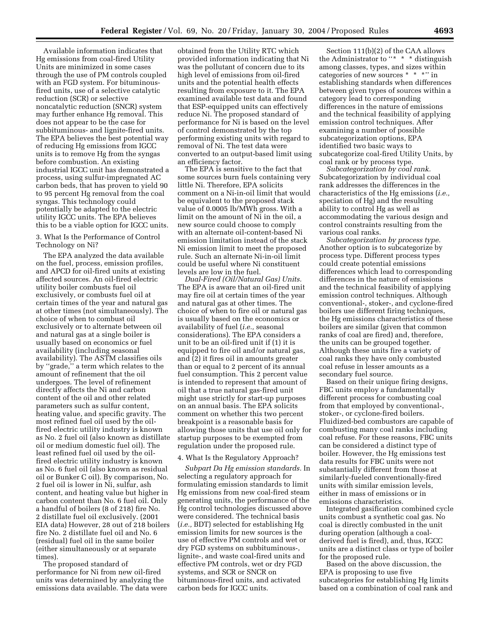Available information indicates that Hg emissions from coal-fired Utility Units are minimized in some cases through the use of PM controls coupled with an FGD system. For bituminousfired units, use of a selective catalytic reduction (SCR) or selective noncatalytic reduction (SNCR) system may further enhance Hg removal. This does not appear to be the case for subbituminous- and lignite-fired units. The EPA believes the best potential way of reducing Hg emissions from IGCC units is to remove Hg from the syngas before combustion. An existing industrial IGCC unit has demonstrated a process, using sulfur-impregnated AC carbon beds, that has proven to yield 90 to 95 percent Hg removal from the coal syngas. This technology could potentially be adapted to the electric utility IGCC units. The EPA believes this to be a viable option for IGCC units.

3. What Is the Performance of Control Technology on Ni?

The EPA analyzed the data available on the fuel, process, emission profiles, and APCD for oil-fired units at existing affected sources. An oil-fired electric utility boiler combusts fuel oil exclusively, or combusts fuel oil at certain times of the year and natural gas at other times (not simultaneously). The choice of when to combust oil exclusively or to alternate between oil and natural gas at a single boiler is usually based on economics or fuel availability (including seasonal availability). The ASTM classifies oils by ''grade,'' a term which relates to the amount of refinement that the oil undergoes. The level of refinement directly affects the Ni and carbon content of the oil and other related parameters such as sulfur content, heating value, and specific gravity. The most refined fuel oil used by the oilfired electric utility industry is known as No. 2 fuel oil (also known as distillate oil or medium domestic fuel oil). The least refined fuel oil used by the oilfired electric utility industry is known as No. 6 fuel oil (also known as residual oil or Bunker C oil). By comparison, No. 2 fuel oil is lower in Ni, sulfur, ash content, and heating value but higher in carbon content than No. 6 fuel oil. Only a handful of boilers (8 of 218) fire No. 2 distillate fuel oil exclusively. (2001 EIA data) However, 28 out of 218 boilers fire No. 2 distillate fuel oil and No. 6 (residual) fuel oil in the same boiler (either simultaneously or at separate times).

The proposed standard of performance for Ni from new oil-fired units was determined by analyzing the emissions data available. The data were

obtained from the Utility RTC which provided information indicating that Ni was the pollutant of concern due to its high level of emissions from oil-fired units and the potential health effects resulting from exposure to it. The EPA examined available test data and found that ESP-equipped units can effectively reduce Ni. The proposed standard of performance for Ni is based on the level of control demonstrated by the top performing existing units with regard to removal of Ni. The test data were converted to an output-based limit using an efficiency factor.

The EPA is sensitive to the fact that some sources burn fuels containing very little Ni. Therefore, EPA solicits comment on a Ni-in-oil limit that would be equivalent to the proposed stack value of 0.0005 lb/MWh gross. With a limit on the amount of Ni in the oil, a new source could choose to comply with an alternate oil-content-based Ni emission limitation instead of the stack Ni emission limit to meet the proposed rule. Such an alternate Ni-in-oil limit could be useful where Ni constituent levels are low in the fuel.

*Dual-Fired (Oil/Natural Gas) Units.* The EPA is aware that an oil-fired unit may fire oil at certain times of the year and natural gas at other times. The choice of when to fire oil or natural gas is usually based on the economics or availability of fuel (*i.e.,* seasonal considerations). The EPA considers a unit to be an oil-fired unit if (1) it is equipped to fire oil and/or natural gas, and (2) it fires oil in amounts greater than or equal to 2 percent of its annual fuel consumption. This 2 percent value is intended to represent that amount of oil that a true natural gas-fired unit might use strictly for start-up purposes on an annual basis. The EPA solicits comment on whether this two percent breakpoint is a reasonable basis for allowing those units that use oil only for startup purposes to be exempted from regulation under the proposed rule.

### 4. What Is the Regulatory Approach?

*Subpart Da Hg emission standards.* In selecting a regulatory approach for formulating emission standards to limit Hg emissions from new coal-fired steam generating units, the performance of the Hg control technologies discussed above were considered. The technical basis (*i.e.,* BDT) selected for establishing Hg emission limits for new sources is the use of effective PM controls and wet or dry FGD systems on subbituminous-, lignite-, and waste coal-fired units and effective PM controls, wet or dry FGD systems, and SCR or SNCR on bituminous-fired units, and activated carbon beds for IGCC units.

Section 111(b)(2) of the CAA allows the Administrator to "\* \* \* distinguish among classes, types, and sizes within categories of new sources \* \* \*'' in establishing standards when differences between given types of sources within a category lead to corresponding differences in the nature of emissions and the technical feasibility of applying emission control techniques. After examining a number of possible subcategorization options, EPA identified two basic ways to subcategorize coal-fired Utility Units, by coal rank or by process type.

*Subcategorization by coal rank.* Subcategorization by individual coal rank addresses the differences in the characteristics of the Hg emissions (*i.e.,* speciation of Hg) and the resulting ability to control Hg as well as accommodating the various design and control constraints resulting from the various coal ranks.

*Subcategorization by process type.* Another option is to subcategorize by process type. Different process types could create potential emissions differences which lead to corresponding differences in the nature of emissions and the technical feasibility of applying emission control techniques. Although conventional-, stoker-, and cyclone-fired boilers use different firing techniques, the Hg emissions characteristics of these boilers are similar (given that common ranks of coal are fired) and, therefore, the units can be grouped together. Although these units fire a variety of coal ranks they have only combusted coal refuse in lesser amounts as a secondary fuel source.

Based on their unique firing designs, FBC units employ a fundamentally different process for combusting coal from that employed by conventional-, stoker-, or cyclone-fired boilers. Fluidized-bed combustors are capable of combusting many coal ranks including coal refuse. For these reasons, FBC units can be considered a distinct type of boiler. However, the Hg emissions test data results for FBC units were not substantially different from those at similarly-fueled conventionally-fired units with similar emission levels, either in mass of emissions or in emissions characteristics.

Integrated gasification combined cycle units combust a synthetic coal gas. No coal is directly combusted in the unit during operation (although a coalderived fuel is fired), and, thus, IGCC units are a distinct class or type of boiler for the proposed rule.

Based on the above discussion, the EPA is proposing to use five subcategories for establishing Hg limits based on a combination of coal rank and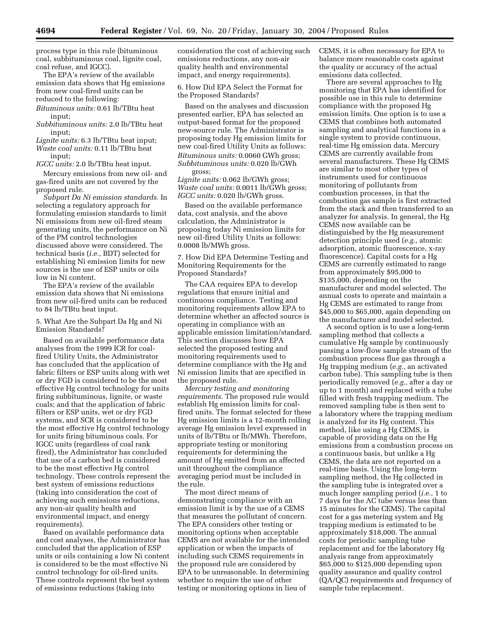process type in this rule (bituminous coal, subbituminous coal, lignite coal, coal refuse, and IGCC).

The EPA's review of the available emission data shows that Hg emissions from new coal-fired units can be reduced to the following:

*Bituminous units:* 0.61 lb/TBtu heat input;

*Subbituminous units:* 2.0 lb/TBtu heat input;

*Lignite units:* 6.3 lb/TBtu heat input; *Waste coal units:* 0.11 lb/TBtu heat input;

*IGCC units:* 2.0 lb/TBtu heat input.

Mercury emissions from new oil- and gas-fired units are not covered by the proposed rule.

*Subpart Da Ni emission standards.* In selecting a regulatory approach for formulating emission standards to limit Ni emissions from new oil-fired steam generating units, the performance on Ni of the PM control technologies discussed above were considered. The technical basis (*i.e.,* BDT) selected for establishing Ni emission limits for new sources is the use of ESP units or oils low in Ni content.

The EPA's review of the available emission data shows that Ni emissions from new oil-fired units can be reduced to 84 lb/TBtu heat input.

# 5. What Are the Subpart Da Hg and Ni Emission Standards?

Based on available performance data analyses from the 1999 ICR for coalfired Utility Units, the Administrator has concluded that the application of fabric filters or ESP units along with wet or dry FGD is considered to be the most effective Hg control technology for units firing subbituminous, lignite, or waste coals; and that the application of fabric filters or ESP units, wet or dry FGD systems, and SCR is considered to be the most effective Hg control technology for units firing bituminous coals. For IGCC units (regardless of coal rank fired), the Administrator has concluded that use of a carbon bed is considered to be the most effective Hg control technology. These controls represent the best system of emissions reductions (taking into consideration the cost of achieving such emissions reductions, any non-air quality health and environmental impact, and energy requirements).

Based on available performance data and cost analyses, the Administrator has concluded that the application of ESP units or oils containing a low Ni content is considered to be the most effective Ni control technology for oil-fired units. These controls represent the best system of emissions reductions (taking into

consideration the cost of achieving such emissions reductions, any non-air quality health and environmental impact, and energy requirements).

6. How Did EPA Select the Format for the Proposed Standards?

Based on the analyses and discussion presented earlier, EPA has selected an output-based format for the proposed new-source rule. The Administrator is proposing today Hg emission limits for new coal-fired Utility Units as follows: *Bituminous units:* 0.0060 GWh gross; *Subbituminous units:* 0.020 lb/GWh

gross; *Lignite units:* 0.062 lb/GWh gross; *Waste coal units:* 0.0011 lb/GWh gross; *IGCC units:* 0.020 lb/GWh gross.

Based on the available performance data, cost analysis, and the above calculation, the Administrator is proposing today Ni emission limits for new oil-fired Utility Units as follows: 0.0008 lb/MWh gross.

7. How Did EPA Determine Testing and Monitoring Requirements for the Proposed Standards?

The CAA requires EPA to develop regulations that ensure initial and continuous compliance. Testing and monitoring requirements allow EPA to determine whether an affected source is operating in compliance with an applicable emission limitation/standard. This section discusses how EPA selected the proposed testing and monitoring requirements used to determine compliance with the Hg and Ni emission limits that are specified in the proposed rule.

*Mercury testing and monitoring requirements.* The proposed rule would establish Hg emission limits for coalfired units. The format selected for these Hg emission limits is a 12-month rolling average Hg emission level expressed in units of lb/TBtu or lb/MWh. Therefore, appropriate testing or monitoring requirements for determining the amount of Hg emitted from an affected unit throughout the compliance averaging period must be included in the rule.

The most direct means of demonstrating compliance with an emission limit is by the use of a CEMS that measures the pollutant of concern. The EPA considers other testing or monitoring options when acceptable CEMS are not available for the intended application or when the impacts of including such CEMS requirements in the proposed rule are considered by EPA to be unreasonable. In determining whether to require the use of other testing or monitoring options in lieu of

CEMS, it is often necessary for EPA to balance more reasonable costs against the quality or accuracy of the actual emissions data collected.

There are several approaches to Hg monitoring that EPA has identified for possible use in this rule to determine compliance with the proposed Hg emission limits. One option is to use a CEMS that combines both automated sampling and analytical functions in a single system to provide continuous, real-time Hg emission data. Mercury CEMS are currently available from several manufacturers. These Hg CEMS are similar to most other types of instruments used for continuous monitoring of pollutants from combustion processes, in that the combustion gas sample is first extracted from the stack and then transferred to an analyzer for analysis. In general, the Hg CEMS now available can be distinguished by the Hg measurement detection principle used (*e.g.,* atomic adsorption, atomic fluorescence, x-ray fluorescence). Capital costs for a Hg CEMS are currently estimated to range from approximately \$95,000 to \$135,000, depending on the manufacturer and model selected. The annual costs to operate and maintain a Hg CEMS are estimated to range from \$45,000 to \$65,000, again depending on the manufacturer and model selected.

A second option is to use a long-term sampling method that collects a cumulative Hg sample by continuously passing a low-flow sample stream of the combustion process flue gas through a Hg trapping medium (*e.g.,* an activated carbon tube). This sampling tube is then periodically removed (*e.g.,* after a day or up to 1 month) and replaced with a tube filled with fresh trapping medium. The removed sampling tube is then sent to a laboratory where the trapping medium is analyzed for its Hg content. This method, like using a Hg CEMS, is capable of providing data on the Hg emissions from a combustion process on a continuous basis, but unlike a Hg CEMS, the data are not reported on a real-time basis. Using the long-term sampling method, the Hg collected in the sampling tube is integrated over a much longer sampling period (*i.e.,* 1 to 7 days for the AC tube versus less than 15 minutes for the CEMS). The capital cost for a gas metering system and Hg trapping medium is estimated to be approximately \$18,000. The annual costs for periodic sampling tube replacement and for the laboratory Hg analysis range from approximately \$65,000 to \$125,000 depending upon quality assurance and quality control (QA/QC) requirements and frequency of sample tube replacement.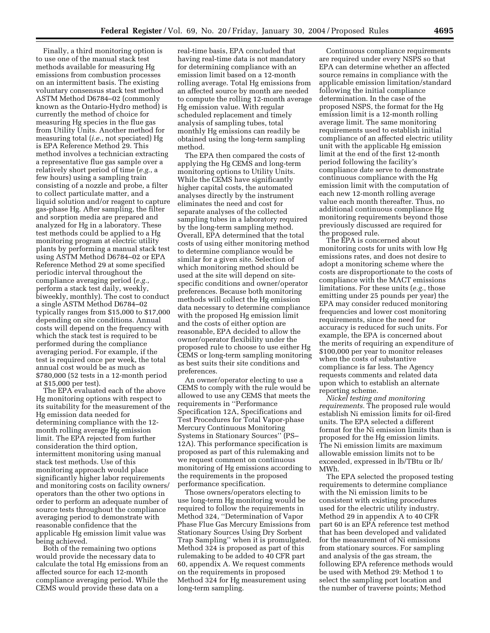Finally, a third monitoring option is to use one of the manual stack test methods available for measuring Hg emissions from combustion processes on an intermittent basis. The existing voluntary consensus stack test method ASTM Method D6784–02 (commonly known as the Ontario-Hydro method) is currently the method of choice for measuring Hg species in the flue gas from Utility Units. Another method for measuring total (*i.e.*, not speciated) Hg is EPA Reference Method 29. This method involves a technician extracting a representative flue gas sample over a relatively short period of time (*e.g.*, a few hours) using a sampling train consisting of a nozzle and probe, a filter to collect particulate matter, and a liquid solution and/or reagent to capture gas-phase Hg. After sampling, the filter and sorption media are prepared and analyzed for Hg in a laboratory. These test methods could be applied to a Hg monitoring program at electric utility plants by performing a manual stack test using ASTM Method D6784–02 or EPA Reference Method 29 at some specified periodic interval throughout the compliance averaging period (*e.g.*, perform a stack test daily, weekly, biweekly, monthly). The cost to conduct a single ASTM Method D6784–02 typically ranges from \$15,000 to \$17,000 depending on site conditions. Annual costs will depend on the frequency with which the stack test is required to be performed during the compliance averaging period. For example, if the test is required once per week, the total annual cost would be as much as \$780,000 (52 tests in a 12-month period at \$15,000 per test).

The EPA evaluated each of the above Hg monitoring options with respect to its suitability for the measurement of the Hg emission data needed for determining compliance with the 12 month rolling average Hg emission limit. The EPA rejected from further consideration the third option, intermittent monitoring using manual stack test methods. Use of this monitoring approach would place significantly higher labor requirements and monitoring costs on facility owners/ operators than the other two options in order to perform an adequate number of source tests throughout the compliance averaging period to demonstrate with reasonable confidence that the applicable Hg emission limit value was being achieved.

Both of the remaining two options would provide the necessary data to calculate the total Hg emissions from an affected source for each 12-month compliance averaging period. While the CEMS would provide these data on a

real-time basis, EPA concluded that having real-time data is not mandatory for determining compliance with an emission limit based on a 12-month rolling average. Total Hg emissions from an affected source by month are needed to compute the rolling 12-month average Hg emission value. With regular scheduled replacement and timely analysis of sampling tubes, total monthly Hg emissions can readily be obtained using the long-term sampling method.

The EPA then compared the costs of applying the Hg CEMS and long-term monitoring options to Utility Units. While the CEMS have significantly higher capital costs, the automated analyses directly by the instrument eliminates the need and cost for separate analyses of the collected sampling tubes in a laboratory required by the long-term sampling method. Overall, EPA determined that the total costs of using either monitoring method to determine compliance would be similar for a given site. Selection of which monitoring method should be used at the site will depend on sitespecific conditions and owner/operator preferences. Because both monitoring methods will collect the Hg emission data necessary to determine compliance with the proposed Hg emission limit and the costs of either option are reasonable, EPA decided to allow the owner/operator flexibility under the proposed rule to choose to use either Hg CEMS or long-term sampling monitoring as best suits their site conditions and preferences.

An owner/operator electing to use a CEMS to comply with the rule would be allowed to use any CEMS that meets the requirements in ''Performance Specification 12A, Specifications and Test Procedures for Total Vapor-phase Mercury Continuous Monitoring Systems in Stationary Sources'' (PS– 12A). This performance specification is proposed as part of this rulemaking and we request comment on continuous monitoring of Hg emissions according to the requirements in the proposed performance specification.

Those owners/operators electing to use long-term Hg monitoring would be required to follow the requirements in Method 324, ''Determination of Vapor Phase Flue Gas Mercury Emissions from Stationary Sources Using Dry Sorbent Trap Sampling'' when it is promulgated. Method 324 is proposed as part of this rulemaking to be added to 40 CFR part 60, appendix A. We request comments on the requirements in proposed Method 324 for Hg measurement using long-term sampling.

Continuous compliance requirements are required under every NSPS so that EPA can determine whether an affected source remains in compliance with the applicable emission limitation/standard following the initial compliance determination. In the case of the proposed NSPS, the format for the Hg emission limit is a 12-month rolling average limit. The same monitoring requirements used to establish initial compliance of an affected electric utility unit with the applicable Hg emission limit at the end of the first 12-month period following the facility's compliance date serve to demonstrate continuous compliance with the Hg emission limit with the computation of each new 12-month rolling average value each month thereafter. Thus, no additional continuous compliance Hg monitoring requirements beyond those previously discussed are required for the proposed rule.

The EPA is concerned about monitoring costs for units with low Hg emissions rates, and does not desire to adopt a monitoring scheme where the costs are disproportionate to the costs of compliance with the MACT emissions limitations. For these units (*e.g.*, those emitting under 25 pounds per year) the EPA may consider reduced monitoring frequencies and lower cost monitoring requirements, since the need for accuracy is reduced for such units. For example, the EPA is concerned about the merits of requiring an expenditure of \$100,000 per year to monitor releases when the costs of substantive compliance is far less. The Agency requests comments and related data upon which to establish an alternate reporting scheme.

*Nickel testing and monitoring requirements.* The proposed rule would establish Ni emission limits for oil-fired units. The EPA selected a different format for the Ni emission limits than is proposed for the Hg emission limits. The Ni emission limits are maximum allowable emission limits not to be exceeded, expressed in lb/TBtu or lb/ MWh.

The EPA selected the proposed testing requirements to determine compliance with the Ni emission limits to be consistent with existing procedures used for the electric utility industry. Method 29 in appendix A to 40 CFR part 60 is an EPA reference test method that has been developed and validated for the measurement of Ni emissions from stationary sources. For sampling and analysis of the gas stream, the following EPA reference methods would be used with Method 29: Method 1 to select the sampling port location and the number of traverse points; Method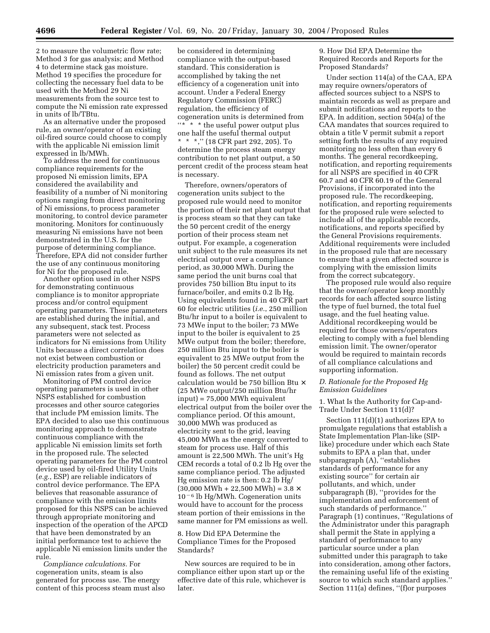2 to measure the volumetric flow rate; Method 3 for gas analysis; and Method 4 to determine stack gas moisture. Method 19 specifies the procedure for collecting the necessary fuel data to be used with the Method 29 Ni measurements from the source test to compute the Ni emission rate expressed in units of lb/TBtu.

As an alternative under the proposed rule, an owner/operator of an existing oil-fired source could choose to comply with the applicable Ni emission limit expressed in lb/MWh.

To address the need for continuous compliance requirements for the proposed Ni emission limits, EPA considered the availability and feasibility of a number of Ni monitoring options ranging from direct monitoring of Ni emissions, to process parameter monitoring, to control device parameter monitoring. Monitors for continuously measuring Ni emissions have not been demonstrated in the U.S. for the purpose of determining compliance. Therefore, EPA did not consider further the use of any continuous monitoring for Ni for the proposed rule.

Another option used in other NSPS for demonstrating continuous compliance is to monitor appropriate process and/or control equipment operating parameters. These parameters are established during the initial, and any subsequent, stack test. Process parameters were not selected as indicators for Ni emissions from Utility Units because a direct correlation does not exist between combustion or electricity production parameters and Ni emission rates from a given unit.

Monitoring of PM control device operating parameters is used in other NSPS established for combustion processes and other source categories that include PM emission limits. The EPA decided to also use this continuous monitoring approach to demonstrate continuous compliance with the applicable Ni emission limits set forth in the proposed rule. The selected operating parameters for the PM control device used by oil-fired Utility Units (*e.g.*, ESP) are reliable indicators of control device performance. The EPA believes that reasonable assurance of compliance with the emission limits proposed for this NSPS can be achieved through appropriate monitoring and inspection of the operation of the APCD that have been demonstrated by an initial performance test to achieve the applicable Ni emission limits under the rule.

*Compliance calculations.* For cogeneration units, steam is also generated for process use. The energy content of this process steam must also

be considered in determining compliance with the output-based standard. This consideration is accomplished by taking the net efficiency of a cogeneration unit into account. Under a Federal Energy Regulatory Commission (FERC) regulation, the efficiency of cogeneration units is determined from "\* \* \* the useful power output plus one half the useful thermal output \* \* \*,'' (18 CFR part 292, 205). To determine the process steam energy contribution to net plant output, a 50 percent credit of the process steam heat is necessary.

Therefore, owners/operators of cogeneration units subject to the proposed rule would need to monitor the portion of their net plant output that is process steam so that they can take the 50 percent credit of the energy portion of their process steam net output. For example, a cogeneration unit subject to the rule measures its net electrical output over a compliance period, as 30,000 MWh. During the same period the unit burns coal that provides 750 billion Btu input to its furnace/boiler, and emits 0.2 lb Hg. Using equivalents found in 40 CFR part 60 for electric utilities (*i.e.*, 250 million Btu/hr input to a boiler is equivalent to 73 MWe input to the boiler; 73 MWe input to the boiler is equivalent to 25 MWe output from the boiler; therefore, 250 million Btu input to the boiler is equivalent to 25 MWe output from the boiler) the 50 percent credit could be found as follows. The net output calculation would be 750 billion Btu × (25 MWe output/250 million Btu/hr input) = 75,000 MWh equivalent electrical output from the boiler over the compliance period. Of this amount, 30,000 MWh was produced as electricity sent to the grid, leaving 45,000 MWh as the energy converted to steam for process use. Half of this amount is 22,500 MWh. The unit's Hg CEM records a total of 0.2 lb Hg over the same compliance period. The adjusted Hg emission rate is then: 0.2 lb Hg/  $(30,000 \text{ MWh} + 22,500 \text{ MWh}) = 3.8 \times$  $10<sup>-6</sup>$  lb Hg/MWh. Cogeneration units would have to account for the process steam portion of their emissions in the same manner for PM emissions as well.

# 8. How Did EPA Determine the Compliance Times for the Proposed Standards?

New sources are required to be in compliance either upon start up or the effective date of this rule, whichever is later.

9. How Did EPA Determine the Required Records and Reports for the Proposed Standards?

Under section 114(a) of the CAA, EPA may require owners/operators of affected sources subject to a NSPS to maintain records as well as prepare and submit notifications and reports to the EPA. In addition, section 504(a) of the CAA mandates that sources required to obtain a title V permit submit a report setting forth the results of any required monitoring no less often than every 6 months. The general recordkeeping, notification, and reporting requirements for all NSPS are specified in 40 CFR 60.7 and 40 CFR 60.19 of the General Provisions, if incorporated into the proposed rule. The recordkeeping, notification, and reporting requirements for the proposed rule were selected to include all of the applicable records, notifications, and reports specified by the General Provisions requirements. Additional requirements were included in the proposed rule that are necessary to ensure that a given affected source is complying with the emission limits from the correct subcategory.

The proposed rule would also require that the owner/operator keep monthly records for each affected source listing the type of fuel burned, the total fuel usage, and the fuel heating value. Additional recordkeeping would be required for those owners/operators electing to comply with a fuel blending emission limit. The owner/operator would be required to maintain records of all compliance calculations and supporting information.

# *D. Rationale for the Proposed Hg Emission Guidelines*

1. What Is the Authority for Cap-and-Trade Under Section 111(d)?

Section 111(d)(1) authorizes EPA to promulgate regulations that establish a State Implementation Plan-like (SIPlike) procedure under which each State submits to EPA a plan that, under subparagraph (A), ''establishes standards of performance for any existing source'' for certain air pollutants, and which, under subparagraph (B), ''provides for the implementation and enforcement of such standards of performance.'' Paragraph (1) continues, ''Regulations of the Administrator under this paragraph shall permit the State in applying a standard of performance to any particular source under a plan submitted under this paragraph to take into consideration, among other factors, the remaining useful life of the existing source to which such standard applies.'' Section 111(a) defines, "(f)or purposes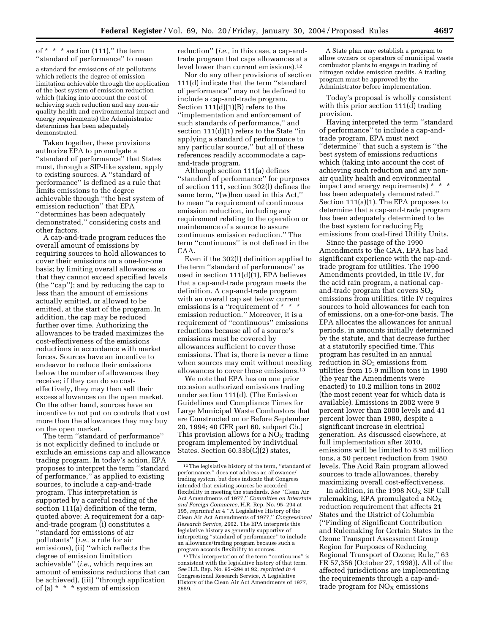# of  $* * *$  section (111)," the term ''standard of performance'' to mean

a standard for emissions of air pollutants which reflects the degree of emission limitation achievable through the application of the best system of emission reduction which (taking into account the cost of achieving such reduction and any non-air quality health and environmental impact and energy requirements) the Administrator determines has been adequately demonstrated.

Taken together, these provisions authorize EPA to promulgate a ''standard of performance'' that States must, through a SIP-like system, apply to existing sources. A ''standard of performance'' is defined as a rule that limits emissions to the degree achievable through ''the best system of emission reduction'' that EPA ''determines has been adequately demonstrated,'' considering costs and other factors.

A cap-and-trade program reduces the overall amount of emissions by requiring sources to hold allowances to cover their emissions on a one-for-one basis; by limiting overall allowances so that they cannot exceed specified levels (the ''cap''); and by reducing the cap to less than the amount of emissions actually emitted, or allowed to be emitted, at the start of the program. In addition, the cap may be reduced further over time. Authorizing the allowances to be traded maximizes the cost-effectiveness of the emissions reductions in accordance with market forces. Sources have an incentive to endeavor to reduce their emissions below the number of allowances they receive; if they can do so costeffectively, they may then sell their excess allowances on the open market. On the other hand, sources have an incentive to not put on controls that cost more than the allowances they may buy on the open market.

The term ''standard of performance'' is not explicitly defined to include or exclude an emissions cap and allowance trading program. In today's action, EPA proposes to interpret the term ''standard of performance,'' as applied to existing sources, to include a cap-and-trade program. This interpretation is supported by a careful reading of the section 111(a) definition of the term, quoted above: A requirement for a capand-trade program (i) constitutes a ''standard for emissions of air pollutants'' (*i.e.,* a rule for air emissions), (ii) ''which reflects the degree of emission limitation achievable'' (*i.e.,* which requires an amount of emissions reductions that can be achieved), (iii) ''through application of (a) \* \* \* system of emission

reduction'' (*i.e.,* in this case, a cap-andtrade program that caps allowances at a level lower than current emissions).12

Nor do any other provisions of section 111(d) indicate that the term ''standard of performance'' may not be defined to include a cap-and-trade program. Section  $111(d)(1)(B)$  refers to the ''implementation and enforcement of such standards of performance,'' and section 111(d)(1) refers to the State ''in applying a standard of performance to any particular source,'' but all of these references readily accommodate a capand-trade program.

Although section 111(a) defines ''standard of performance'' for purposes of section 111, section 302(l) defines the same term, "(w)hen used in this Act," to mean ''a requirement of continuous emission reduction, including any requirement relating to the operation or maintenance of a source to assure continuous emission reduction.'' The term ''continuous'' is not defined in the CAA.

Even if the 302(l) definition applied to the term ''standard of performance'' as used in section 111(d)(1), EPA believes that a cap-and-trade program meets the definition. A cap-and-trade program with an overall cap set below current emissions is a "requirement of \* \* \* emission reduction.'' Moreover, it is a requirement of ''continuous'' emissions reductions because all of a source's emissions must be covered by allowances sufficient to cover those emissions. That is, there is never a time when sources may emit without needing allowances to cover those emissions.13

We note that EPA has on one prior occasion authorized emissions trading under section 111(d). (The Emission Guidelines and Compliance Times for Large Municipal Waste Combustors that are Constructed on or Before September 20, 1994; 40 CFR part 60, subpart Cb.) This provision allows for a  $NO<sub>x</sub>$  trading program implemented by individual States. Section 60.33b(C)(2) states,

13This interpretation of the term ''continuous'' is consistent with the legislative history of that term. *See* H.R. Rep. No. 95–294 at 92, *reprinted in* 4 Congressional Research Service, A Legislative History of the Clean Air Act Amendments of 1977, 2559.

A State plan may establish a program to allow owners or operators of municipal waste combustor plants to engage in trading of nitrogen oxides emission credits. A trading program must be approved by the Administrator before implementation.

Today's proposal is wholly consistent with this prior section 111(d) trading provision.

Having interpreted the term ''standard of performance'' to include a cap-andtrade program, EPA must next ''determine'' that such a system is ''the best system of emissions reductions which (taking into account the cost of achieving such reduction and any nonair quality health and environmental impact and energy requirements) \* \* \* has been adequately demonstrated.'' Section 111(a)(1). The EPA proposes to determine that a cap-and-trade program has been adequately determined to be the best system for reducing Hg emissions from coal-fired Utility Units.

Since the passage of the 1990 Amendments to the CAA, EPA has had significant experience with the cap-andtrade program for utilities. The 1990 Amendments provided, in title IV, for the acid rain program, a national capand-trade program that covers  $SO<sub>2</sub>$ emissions from utilities. title IV requires sources to hold allowances for each ton of emissions, on a one-for-one basis. The EPA allocates the allowances for annual periods, in amounts initially determined by the statute, and that decrease further at a statutorily specified time. This program has resulted in an annual reduction in  $SO<sub>2</sub>$  emissions from utilities from 15.9 million tons in 1990 (the year the Amendments were enacted) to 10.2 million tons in 2002 (the most recent year for which data is available). Emissions in 2002 were 9 percent lower than 2000 levels and 41 percent lower than 1980, despite a significant increase in electrical generation. As discussed elsewhere, at full implementation after 2010, emissions will be limited to 8.95 million tons, a 50 percent reduction from 1980 levels. The Acid Rain program allowed sources to trade allowances, thereby maximizing overall cost-effectiveness.

In addition, in the 1998  $NO<sub>X</sub>$  SIP Call rulemaking, EPA promulgated a  $NO<sub>x</sub>$ reduction requirement that affects 21 States and the District of Columbia (''Finding of Significant Contribution and Rulemaking for Certain States in the Ozone Transport Assessment Group Region for Purposes of Reducing Regional Transport of Ozone; Rule,'' 63 FR 57,356 (October 27, 1998)). All of the affected jurisdictions are implementing the requirements through a cap-andtrade program for  $NO<sub>x</sub>$  emissions

<sup>12</sup>The legislative history of the term, ''standard of performance,'' does not address an allowance/ trading system, but does indicate that Congress intended that existing sources be accorded flexibility in meeting the standards. *See* ''Clean Air Act Amendments of 1977,'' *Committee on Interstate and Foreign Commerce,* H.R. Rep. No. 95–294 at 195, *reprinted in* 4 ''A Legislative History of the Clean Air Act Amendments of 1977,'' *Congressional Research Service,* 2662. The EPA interprets this legislative history as generally supportive of interpreting ''standard of performance'' to include an allowance/trading program because such a program accords flexibility to sources.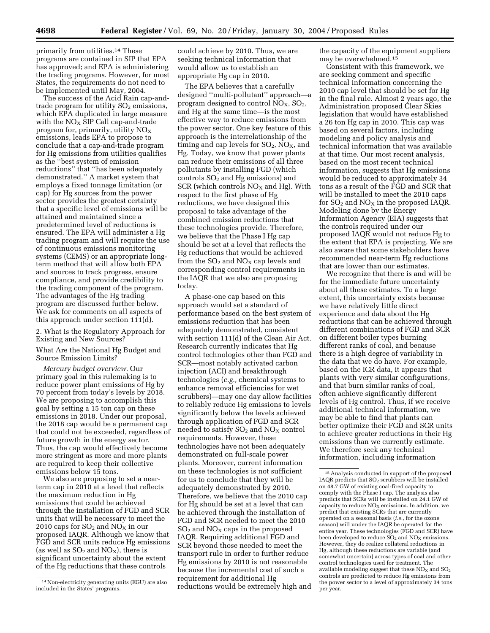primarily from utilities.14 These programs are contained in SIP that EPA has approved; and EPA is administering the trading programs. However, for most States, the requirements do not need to be implemented until May, 2004.

The success of the Acid Rain cap-andtrade program for utility  $SO<sub>2</sub>$  emissions, which EPA duplicated in large measure with the  $NO<sub>X</sub>$  SIP Call cap-and-trade program for, primarily, utility  $NO<sub>x</sub>$ emissions, leads EPA to propose to conclude that a cap-and-trade program for Hg emissions from utilities qualifies as the ''best system of emission reductions'' that ''has been adequately demonstrated.'' A market system that employs a fixed tonnage limitation (or cap) for Hg sources from the power sector provides the greatest certainty that a specific level of emissions will be attained and maintained since a predetermined level of reductions is ensured. The EPA will administer a Hg trading program and will require the use of continuous emissions monitoring systems (CEMS) or an appropriate longterm method that will allow both EPA and sources to track progress, ensure compliance, and provide credibility to the trading component of the program. The advantages of the Hg trading program are discussed further below. We ask for comments on all aspects of this approach under section 111(d).

2. What Is the Regulatory Approach for Existing and New Sources?

What Are the National Hg Budget and Source Emission Limits?

*Mercury budget overview.* Our primary goal in this rulemaking is to reduce power plant emissions of Hg by 70 percent from today's levels by 2018. We are proposing to accomplish this goal by setting a 15 ton cap on these emissions in 2018. Under our proposal, the 2018 cap would be a permanent cap that could not be exceeded, regardless of future growth in the energy sector. Thus, the cap would effectively become more stringent as more and more plants are required to keep their collective emissions below 15 tons.

We also are proposing to set a nearterm cap in 2010 at a level that reflects the maximum reduction in Hg emissions that could be achieved through the installation of FGD and SCR units that will be necessary to meet the 2010 caps for  $SO_2$  and  $NO_X$  in our proposed IAQR. Although we know that FGD and SCR units reduce Hg emissions (as well as  $SO_2$  and  $NO_X$ ), there is significant uncertainty about the extent of the Hg reductions that these controls

could achieve by 2010. Thus, we are seeking technical information that would allow us to establish an appropriate Hg cap in 2010.

The EPA believes that a carefully designed ''multi-pollutant'' approach—a program designed to control  $NO<sub>x</sub>$ ,  $SO<sub>2</sub>$ , and Hg at the same time—is the most effective way to reduce emissions from the power sector. One key feature of this approach is the interrelationship of the timing and cap levels for  $SO_2$ ,  $NO_X$ , and Hg. Today, we know that power plants can reduce their emissions of all three pollutants by installing FGD (which controls  $SO<sub>2</sub>$  and Hg emissions) and SCR (which controls  $NO<sub>X</sub>$  and Hg). With respect to the first phase of Hg reductions, we have designed this proposal to take advantage of the combined emission reductions that these technologies provide. Therefore, we believe that the Phase I Hg cap should be set at a level that reflects the Hg reductions that would be achieved from the  $SO_2$  and  $NO_X$  cap levels and corresponding control requirements in the IAQR that we also are proposing today.

A phase-one cap based on this approach would set a standard of performance based on the best system of emissions reduction that has been adequately demonstrated, consistent with section 111(d) of the Clean Air Act. Research currently indicates that Hg control technologies other than FGD and SCR—most notably activated carbon injection (ACI) and breakthrough technologies (*e.g.,* chemical systems to enhance removal efficiencies for wet scrubbers)—may one day allow facilities to reliably reduce Hg emissions to levels significantly below the levels achieved through application of FGD and SCR needed to satisfy  $SO<sub>2</sub>$  and  $NO<sub>X</sub>$  control requirements. However, these technologies have not been adequately demonstrated on full-scale power plants. Moreover, current information on these technologies is not sufficient for us to conclude that they will be adequately demonstrated by 2010. Therefore, we believe that the 2010 cap for Hg should be set at a level that can be achieved through the installation of FGD and SCR needed to meet the 2010  $SO<sub>2</sub>$  and  $NO<sub>X</sub>$  caps in the proposed IAQR. Requiring additional FGD and SCR beyond those needed to meet the transport rule in order to further reduce Hg emissions by 2010 is not reasonable because the incremental cost of such a requirement for additional Hg reductions would be extremely high and

the capacity of the equipment suppliers may be overwhelmed.15

Consistent with this framework, we are seeking comment and specific technical information concerning the 2010 cap level that should be set for Hg in the final rule. Almost 2 years ago, the Administration proposed Clear Skies legislation that would have established a 26 ton Hg cap in 2010. This cap was based on several factors, including modeling and policy analysis and technical information that was available at that time. Our most recent analysis, based on the most recent technical information, suggests that Hg emissions would be reduced to approximately 34 tons as a result of the FGD and SCR that will be installed to meet the 2010 caps for  $SO_2$  and  $NO_X$  in the proposed IAQR. Modeling done by the Energy Information Agency (EIA) suggests that the controls required under our proposed IAQR would not reduce Hg to the extent that EPA is projecting. We are also aware that some stakeholders have recommended near-term Hg reductions that are lower than our estimates.

We recognize that there is and will be for the immediate future uncertainty about all these estimates. To a large extent, this uncertainty exists because we have relatively little direct experience and data about the Hg reductions that can be achieved through different combinations of FGD and SCR on different boiler types burning different ranks of coal, and because there is a high degree of variability in the data that we do have. For example, based on the ICR data, it appears that plants with very similar configurations, and that burn similar ranks of coal, often achieve significantly different levels of Hg control. Thus, if we receive additional technical information, we may be able to find that plants can better optimize their FGD and SCR units to achieve greater reductions in their Hg emissions than we currently estimate. We therefore seek any technical information, including information

<sup>14</sup>Non-electricity generating units (EGU) are also included in the States' programs.

<sup>15</sup>Analysis conducted in support of the proposed IAQR predicts that  $SO_2$  scrubbers will be installed on 48.7 GW of existing coal-fired capacity to comply with the Phase I cap. The analysis also predicts that SCRs will be installed on 24.1 GW of capacity to reduce  $NO<sub>x</sub>$  emissions. In addition, we predict that existing SCRs that are currently operated on a seasonal basis (*i.e.,* for the ozone season) will under the IAQR be operated for the entire year. These technologies (FGD and SCR) have been developed to reduce  $SO_2$  and  $NO_X$  emissions. However, they do realize collateral reductions in Hg, although these reductions are variable (and somewhat uncertain) across types of coal and other control technologies used for treatment. The available modeling suggest that these  $NO<sub>x</sub>$  and  $SO<sub>2</sub>$ controls are predicted to reduce Hg emissions from the power sector to a level of approximately 34 tons per year.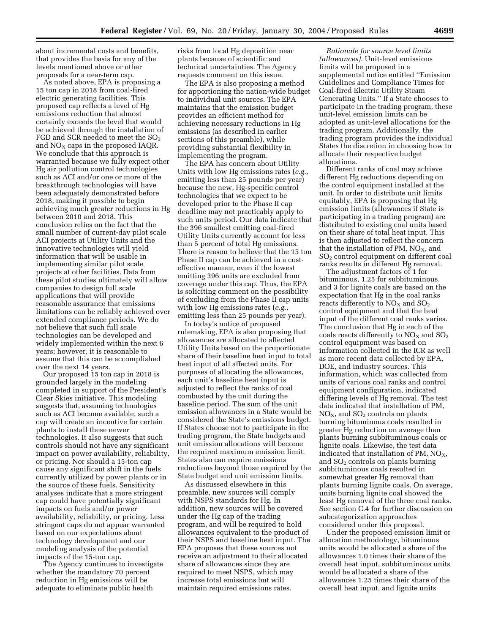about incremental costs and benefits, that provides the basis for any of the levels mentioned above or other proposals for a near-term cap.

As noted above, EPA is proposing a 15 ton cap in 2018 from coal-fired electric generating facilities. This proposed cap reflects a level of Hg emissions reduction that almost certainly exceeds the level that would be achieved through the installation of FGD and SCR needed to meet the  $SO<sub>2</sub>$ and  $NO<sub>X</sub>$  caps in the proposed IAQR. We conclude that this approach is warranted because we fully expect other Hg air pollution control technologies such as ACI and/or one or more of the breakthrough technologies will have been adequately demonstrated before 2018, making it possible to begin achieving much greater reductions in Hg between 2010 and 2018. This conclusion relies on the fact that the small number of current-day pilot scale ACI projects at Utility Units and the innovative technologies will yield information that will be usable in implementing similar pilot scale projects at other facilities. Data from these pilot studies ultimately will allow companies to design full scale applications that will provide reasonable assurance that emissions limitations can be reliably achieved over extended compliance periods. We do not believe that such full scale technologies can be developed and widely implemented within the next 6 years; however, it is reasonable to assume that this can be accomplished over the next 14 years.

Our proposed 15 ton cap in 2018 is grounded largely in the modeling completed in support of the President's Clear Skies initiative. This modeling suggests that, assuming technologies such as ACI become available, such a cap will create an incentive for certain plants to install these newer technologies. It also suggests that such controls should not have any significant impact on power availability, reliability, or pricing. Nor should a 15-ton cap cause any significant shift in the fuels currently utilized by power plants or in the source of these fuels. Sensitivity analyses indicate that a more stringent cap could have potentially significant impacts on fuels and/or power availability, reliability, or pricing. Less stringent caps do not appear warranted based on our expectations about technology development and our modeling analysis of the potential impacts of the 15-ton cap.

The Agency continues to investigate whether the mandatory 70 percent reduction in Hg emissions will be adequate to eliminate public health

risks from local Hg deposition near plants because of scientific and technical uncertainties. The Agency requests comment on this issue.

The EPA is also proposing a method for apportioning the nation-wide budget to individual unit sources. The EPA maintains that the emission budget provides an efficient method for achieving necessary reductions in Hg emissions (as described in earlier sections of this preamble), while providing substantial flexibility in implementing the program.

The EPA has concern about Utility Units with low Hg emissions rates (*e.g.*, emitting less than 25 pounds per year) because the new, Hg-specific control technologies that we expect to be developed prior to the Phase II cap deadline may not practicably apply to such units period. Our data indicate that the 396 smallest emitting coal-fired Utility Units currently account for less than 5 percent of total Hg emissions. There is reason to believe that the 15 ton Phase II cap can be achieved in a costeffective manner, even if the lowest emitting 396 units are excluded from coverage under this cap. Thus, the EPA is soliciting comment on the possibility of excluding from the Phase II cap units with low Hg emissions rates (*e.g.*, emitting less than 25 pounds per year).

In today's notice of proposed rulemaking, EPA is also proposing that allowances are allocated to affected Utility Units based on the proportionate share of their baseline heat input to total heat input of all affected units. For purposes of allocating the allowances, each unit's baseline heat input is adjusted to reflect the ranks of coal combusted by the unit during the baseline period. The sum of the unit emission allowances in a State would be considered the State's emissions budget. If States choose not to participate in the trading program, the State budgets and unit emission allocations will become the required maximum emission limit. States also can require emissions reductions beyond those required by the State budget and unit emission limits.

As discussed elsewhere in this preamble, new sources will comply with NSPS standards for Hg. In addition, new sources will be covered under the Hg cap of the trading program, and will be required to hold allowances equivalent to the product of their NSPS and baseline heat input. The EPA proposes that these sources not receive an adjustment to their allocated share of allowances since they are required to meet NSPS, which may increase total emissions but will maintain required emissions rates.

*Rationale for source level limits (allowances).* Unit-level emissions limits will be proposed in a supplemental notice entitled ''Emission Guidelines and Compliance Times for Coal-fired Electric Utility Steam Generating Units.'' If a State chooses to participate in the trading program, these unit-level emission limits can be adopted as unit-level allocations for the trading program. Additionally, the trading program provides the individual States the discretion in choosing how to allocate their respective budget allocations.

Different ranks of coal may achieve different Hg reductions depending on the control equipment installed at the unit. In order to distribute unit limits equitably, EPA is proposing that Hg emission limits (allowances if State is participating in a trading program) are distributed to existing coal units based on their share of total heat input. This is then adjusted to reflect the concern that the installation of PM,  $NO<sub>X</sub>$ , and SO2 control equipment on different coal ranks results in different Hg removal.

The adjustment factors of 1 for bituminous, 1.25 for subbituminous, and 3 for lignite coals are based on the expectation that Hg in the coal ranks reacts differently to  $NO<sub>X</sub>$  and  $SO<sub>2</sub>$ control equipment and that the heat input of the different coal ranks varies. The conclusion that Hg in each of the coals reacts differently to  $NO<sub>X</sub>$  and  $SO<sub>2</sub>$ control equipment was based on information collected in the ICR as well as more recent data collected by EPA, DOE, and industry sources. This information, which was collected from units of various coal ranks and control equipment configuration, indicated differing levels of Hg removal. The test data indicated that installation of PM,  $NO<sub>x</sub>$ , and  $SO<sub>2</sub>$  controls on plants burning bituminous coals resulted in greater Hg reduction on average than plants burning subbituminous coals or lignite coals. Likewise, the test data indicated that installation of PM,  $NO<sub>X</sub>$ , and  $SO<sub>2</sub>$  controls on plants burning subbituminous coals resulted in somewhat greater Hg removal than plants burning lignite coals. On average, units burning lignite coal showed the least Hg removal of the three coal ranks. See section C.4 for further discussion on subcategorization approaches considered under this proposal.

Under the proposed emission limit or allocation methodology, bituminous units would be allocated a share of the allowances 1.0 times their share of the overall heat input, subbituminous units would be allocated a share of the allowances 1.25 times their share of the overall heat input, and lignite units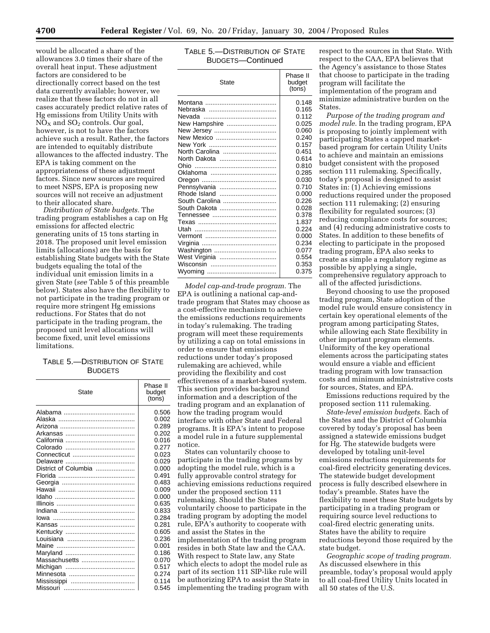would be allocated a share of the allowances 3.0 times their share of the overall heat input. These adjustment factors are considered to be directionally correct based on the test data currently available; however, we realize that these factors do not in all cases accurately predict relative rates of Hg emissions from Utility Units with  $NO<sub>X</sub>$  and  $SO<sub>2</sub>$  controls. Our goal, however, is not to have the factors achieve such a result. Rather, the factors are intended to equitably distribute allowances to the affected industry. The EPA is taking comment on the appropriateness of these adjustment factors. Since new sources are required to meet NSPS, EPA is proposing new sources will not receive an adjustment to their allocated share.

*Distribution of State budgets.* The trading program establishes a cap on Hg emissions for affected electric generating units of 15 tons starting in 2018. The proposed unit level emission limits (allocations) are the basis for establishing State budgets with the State budgets equaling the total of the individual unit emission limits in a given State (*see* Table 5 of this preamble below). States also have the flexibility to not participate in the trading program or require more stringent Hg emissions reductions. For States that do not participate in the trading program, the proposed unit level allocations will become fixed, unit level emissions limitations.

# TABLE 5.—DISTRIBUTION OF STATE BUDGETS

| State                | Phase II<br>budget<br>(tons) |
|----------------------|------------------------------|
|                      | 0.506                        |
| Alaska               | 0.002                        |
|                      | 0.289                        |
|                      | 0.202                        |
|                      | 0.016                        |
|                      | 0.277                        |
|                      | 0.023                        |
|                      | 0.029                        |
| District of Columbia | 0.000                        |
|                      | 0.491                        |
|                      | 0.483                        |
|                      | 0.009                        |
|                      | 0.000                        |
|                      | 0.635                        |
|                      | 0.833                        |
|                      | 0.284                        |
|                      | 0.281                        |
|                      | 0.605                        |
|                      | 0.236                        |
|                      | 0.001                        |
|                      | 0.186                        |
| Massachusetts        | 0.070                        |
|                      | 0.517                        |
|                      | 0.274                        |
|                      | 0.114                        |
|                      | 0.545                        |

# TABLE 5.—DISTRIBUTION OF STATE BUDGETS—Continued

| State          | Phase II<br>budget<br>(tons) |
|----------------|------------------------------|
|                | 0.148                        |
|                | 0.165                        |
|                | 0.112                        |
| New Hampshire  | 0.025                        |
|                | 0.060                        |
| New Mexico     | 0.240                        |
|                | 0.157                        |
| North Carolina | 0.451                        |
| North Dakota   | 0.614                        |
|                | 0.810                        |
|                | 0.285                        |
|                | 0.030                        |
| Pennsylvania   | 0.710                        |
| Rhode Island   | 0.000                        |
| South Carolina | 0.226                        |
| South Dakota   | 0.028                        |
|                | 0.378                        |
|                | 1.837                        |
|                | 0.224                        |
|                | 0.000                        |
|                | 0.234                        |
| Washington     | 0.077                        |
| West Virginia  | 0.554                        |
|                | 0.353                        |
|                | 0.375                        |

*Model cap-and-trade program.* The EPA is outlining a national cap-andtrade program that States may choose as a cost-effective mechanism to achieve the emissions reductions requirements in today's rulemaking. The trading program will meet these requirements by utilizing a cap on total emissions in order to ensure that emissions reductions under today's proposed rulemaking are achieved, while providing the flexibility and cost effectiveness of a market-based system. This section provides background information and a description of the trading program and an explanation of how the trading program would interface with other State and Federal programs. It is EPA's intent to propose a model rule in a future supplemental notice.

States can voluntarily choose to participate in the trading programs by adopting the model rule, which is a fully approvable control strategy for achieving emissions reductions required under the proposed section 111 rulemaking. Should the States voluntarily choose to participate in the trading program by adopting the model rule, EPA's authority to cooperate with and assist the States in the implementation of the trading program resides in both State law and the CAA. With respect to State law, any State which elects to adopt the model rule as part of its section 111 SIP-like rule will be authorizing EPA to assist the State in implementing the trading program with

respect to the sources in that State. With respect to the CAA, EPA believes that the Agency's assistance to those States that choose to participate in the trading program will facilitate the implementation of the program and minimize administrative burden on the States.

*Purpose of the trading program and model rule.* In the trading program, EPA is proposing to jointly implement with participating States a capped marketbased program for certain Utility Units to achieve and maintain an emissions budget consistent with the proposed section 111 rulemaking. Specifically, today's proposal is designed to assist States in: (1) Achieving emissions reductions required under the proposed section 111 rulemaking; (2) ensuring flexibility for regulated sources; (3) reducing compliance costs for sources; and (4) reducing administrative costs to States. In addition to these benefits of electing to participate in the proposed trading program, EPA also seeks to create as simple a regulatory regime as possible by applying a single, comprehensive regulatory approach to all of the affected jurisdictions.

Beyond choosing to use the proposed trading program, State adoption of the model rule would ensure consistency in certain key operational elements of the program among participating States, while allowing each State flexibility in other important program elements. Uniformity of the key operational elements across the participating states would ensure a viable and efficient trading program with low transaction costs and minimum administrative costs for sources, States, and EPA.

Emissions reductions required by the proposed section 111 rulemaking.

*State-level emission budgets.* Each of the States and the District of Columbia covered by today's proposal has been assigned a statewide emissions budget for Hg. The statewide budgets were developed by totaling unit-level emissions reductions requirements for coal-fired electricity generating devices. The statewide budget development process is fully described elsewhere in today's preamble. States have the flexibility to meet these State budgets by participating in a trading program or requiring source level reductions to coal-fired electric generating units. States have the ability to require reductions beyond those required by the state budget.

*Geographic scope of trading program.* As discussed elsewhere in this preamble, today's proposal would apply to all coal-fired Utility Units located in all 50 states of the U.S.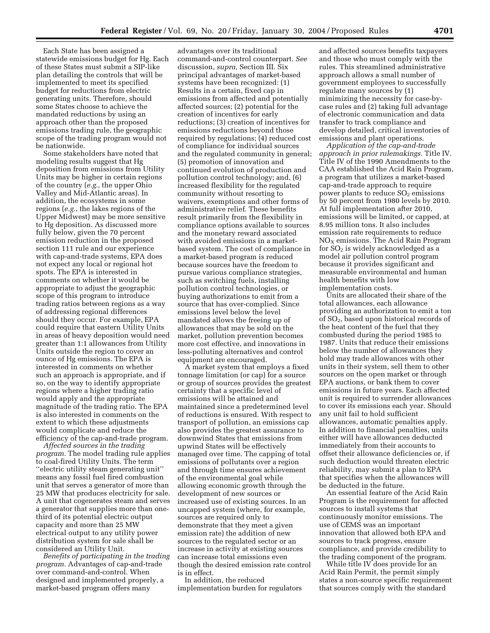Each State has been assigned a statewide emissions budget for Hg. Each of these States must submit a SIP-like plan detailing the controls that will be implemented to meet its specified budget for reductions from electric generating units. Therefore, should some States choose to achieve the mandated reductions by using an approach other than the proposed emissions trading rule, the geographic scope of the trading program would not be nationwide.

Some stakeholders have noted that modeling results suggest that Hg deposition from emissions from Utility Units may be higher in certain regions of the country (*e.g.*, the upper Ohio Valley and Mid-Atlantic areas). In addition, the ecosystems in some regions (*e.g.*, the lakes regions of the Upper Midwest) may be more sensitive to Hg deposition. As discussed more fully below, given the 70 percent emission reduction in the proposed section 111 rule and our experience with cap-and-trade systems, EPA does not expect any local or regional hot spots. The EPA is interested in comments on whether it would be appropriate to adjust the geographic scope of this program to introduce trading ratios between regions as a way of addressing regional differences should they occur. For example, EPA could require that eastern Utility Units in areas of heavy deposition would need greater than 1:1 allowances from Utility Units outside the region to cover an ounce of Hg emissions. The EPA is interested in comments on whether such an approach is appropriate, and if so, on the way to identify appropriate regions where a higher trading ratio would apply and the appropriate magnitude of the trading ratio. The EPA is also interested in comments on the extent to which these adjustments would complicate and reduce the efficiency of the cap-and-trade program.

*Affected sources in the trading program.* The model trading rule applies to coal-fired Utility Units. The term ''electric utility steam generating unit'' means any fossil fuel fired combustion unit that serves a generator of more than 25 MW that produces electricity for sale. A unit that cogenerates steam and serves a generator that supplies more than onethird of its potential electric output capacity and more than 25 MW electrical output to any utility power distribution system for sale shall be considered an Utility Unit.

*Benefits of participating in the trading program.* Advantages of cap-and-trade over command-and-control. When designed and implemented properly, a market-based program offers many

advantages over its traditional command-and-control counterpart. *See* discussion, *supra,* Section III. Six principal advantages of market-based systems have been recognized: (1) Results in a certain, fixed cap in emissions from affected and potentially affected sources; (2) potential for the creation of incentives for early reductions; (3) creation of incentives for emissions reductions beyond those required by regulations; (4) reduced cost of compliance for individual sources and the regulated community in general; (5) promotion of innovation and continued evolution of production and pollution control technology; and, (6) increased flexibility for the regulated community without resorting to waivers, exemptions and other forms of administrative relief. These benefits result primarily from the flexibility in compliance options available to sources and the monetary reward associated with avoided emissions in a marketbased system. The cost of compliance in a market-based program is reduced because sources have the freedom to pursue various compliance strategies, such as switching fuels, installing pollution control technologies, or buying authorizations to emit from a source that has over-complied. Since emissions level below the level mandated allows the freeing up of allowances that may be sold on the market, pollution prevention becomes more cost effective, and innovations in less-polluting alternatives and control equipment are encouraged.

A market system that employs a fixed tonnage limitation (or cap) for a source or group of sources provides the greatest certainty that a specific level of emissions will be attained and maintained since a predetermined level of reductions is ensured. With respect to transport of pollution, an emissions cap also provides the greatest assurance to downwind States that emissions from upwind States will be effectively managed over time. The capping of total emissions of pollutants over a region and through time ensures achievement of the environmental goal while allowing economic growth through the development of new sources or increased use of existing sources. In an uncapped system (where, for example, sources are required only to demonstrate that they meet a given emission rate) the addition of new sources to the regulated sector or an increase in activity at existing sources can increase total emissions even though the desired emission rate control is in effect.

In addition, the reduced implementation burden for regulators

and affected sources benefits taxpayers and those who must comply with the rules. This streamlined administrative approach allows a small number of government employees to successfully regulate many sources by (1) minimizing the necessity for case-bycase rules and (2) taking full advantage of electronic communication and data transfer to track compliance and develop detailed, critical inventories of emissions and plant operations.

*Application of the cap-and-trade approach in prior rulemakings.* Title IV. Title IV of the 1990 Amendments to the CAA established the Acid Rain Program, a program that utilizes a market-based cap-and-trade approach to require power plants to reduce  $SO<sub>2</sub>$  emissions by 50 percent from 1980 levels by 2010. At full implementation after 2010, emissions will be limited, or capped, at 8.95 million tons. It also includes emission rate requirements to reduce  $NO<sub>x</sub>$  emissions. The Acid Rain Program for  $SO<sub>2</sub>$  is widely acknowledged as a model air pollution control program because it provides significant and measurable environmental and human health benefits with low implementation costs.

Units are allocated their share of the total allowances, each allowance providing an authorization to emit a ton of SO2, based upon historical records of the heat content of the fuel that they combusted during the period 1985 to 1987. Units that reduce their emissions below the number of allowances they hold may trade allowances with other units in their system, sell them to other sources on the open market or through EPA auctions, or bank them to cover emissions in future years. Each affected unit is required to surrender allowances to cover its emissions each year. Should any unit fail to hold sufficient allowances, automatic penalties apply. In addition to financial penalties, units either will have allowances deducted immediately from their accounts to offset their allowance deficiencies or, if such deduction would threaten electric reliability, may submit a plan to EPA that specifies when the allowances will be deducted in the future.

An essential feature of the Acid Rain Program is the requirement for affected sources to install systems that continuously monitor emissions. The use of CEMS was an important innovation that allowed both EPA and sources to track progress, ensure compliance, and provide credibility to the trading component of the program.

While title IV does provide for an Acid Rain Permit, the permit simply states a non-source specific requirement that sources comply with the standard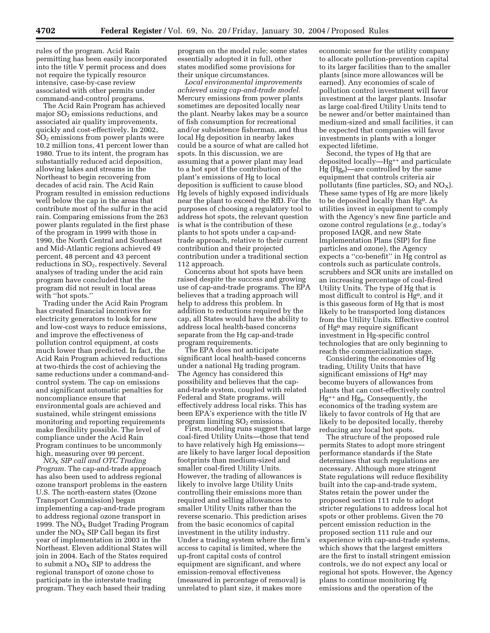rules of the program. Acid Rain permitting has been easily incorporated into the title V permit process and does not require the typically resource intensive, case-by-case review associated with other permits under command-and-control programs.

The Acid Rain Program has achieved major  $SO<sub>2</sub>$  emissions reductions, and associated air quality improvements, quickly and cost-effectively. In 2002,  $SO<sub>2</sub>$  emissions from power plants were 10.2 million tons, 41 percent lower than 1980. True to its intent, the program has substantially reduced acid deposition, allowing lakes and streams in the Northeast to begin recovering from decades of acid rain. The Acid Rain Program resulted in emission reductions well below the cap in the areas that contribute most of the sulfur in the acid rain. Comparing emissions from the 263 power plants regulated in the first phase of the program in 1999 with those in 1990, the North Central and Southeast and Mid-Atlantic regions achieved 49 percent, 48 percent and 43 percent reductions in SO2, respectively. Several analyses of trading under the acid rain program have concluded that the program did not result in local areas with ''hot spots.''

Trading under the Acid Rain Program has created financial incentives for electricity generators to look for new and low-cost ways to reduce emissions, and improve the effectiveness of pollution control equipment, at costs much lower than predicted. In fact, the Acid Rain Program achieved reductions at two-thirds the cost of achieving the same reductions under a command-andcontrol system. The cap on emissions and significant automatic penalties for noncompliance ensure that environmental goals are achieved and sustained, while stringent emissions monitoring and reporting requirements make flexibility possible. The level of compliance under the Acid Rain Program continues to be uncommonly high, measuring over 99 percent.

*NO*X *SIP call and OTC Trading Program.* The cap-and-trade approach has also been used to address regional ozone transport problems in the eastern U.S. The north-eastern states (Ozone Transport Commission) began implementing a cap-and-trade program to address regional ozone transport in 1999. The  $NO_X$  Budget Trading Program under the  $NO<sub>x</sub>$  SIP Call began its first year of implementation in 2003 in the Northeast. Eleven additional States will join in 2004. Each of the States required to submit a  $NO<sub>x</sub>$  SIP to address the regional transport of ozone chose to participate in the interstate trading program. They each based their trading

program on the model rule; some states essentially adopted it in full, other states modified some provisions for their unique circumstances.

*Local environmental improvements achieved using cap-and-trade model.* Mercury emissions from power plants sometimes are deposited locally near the plant. Nearby lakes may be a source of fish consumption for recreational and/or subsistence fisherman, and thus local Hg deposition in nearby lakes could be a source of what are called hot spots. In this discussion, we are assuming that a power plant may lead to a hot spot if the contribution of the plant's emissions of Hg to local deposition is sufficient to cause blood Hg levels of highly exposed individuals near the plant to exceed the RfD. For the purposes of choosing a regulatory tool to address hot spots, the relevant question is what is the contribution of these plants to hot spots under a cap-andtrade approach, relative to their current contribution and their projected contribution under a traditional section 112 approach.

Concerns about hot spots have been raised despite the success and growing use of cap-and-trade programs. The EPA believes that a trading approach will help to address this problem. In addition to reductions required by the cap, all States would have the ability to address local health-based concerns separate from the Hg cap-and-trade program requirements.

The EPA does not anticipate significant local health-based concerns under a national Hg trading program. The Agency has considered this possibility and believes that the capand-trade system, coupled with related Federal and State programs, will effectively address local risks. This has been EPA's experience with the title IV program limiting  $SO<sub>2</sub>$  emissions.

First, modeling runs suggest that large coal-fired Utility Units—those that tend to have relatively high Hg emissions are likely to have larger local deposition footprints than medium-sized and smaller coal-fired Utility Units. However, the trading of allowances is likely to involve large Utility Units controlling their emissions more than required and selling allowances to smaller Utility Units rather than the reverse scenario. This prediction arises from the basic economics of capital investment in the utility industry. Under a trading system where the firm's access to capital is limited, where the up-front capital costs of control equipment are significant, and where emission-removal effectiveness (measured in percentage of removal) is unrelated to plant size, it makes more

economic sense for the utility company to allocate pollution-prevention capital to its larger facilities than to the smaller plants (since more allowances will be earned). Any economies of scale of pollution control investment will favor investment at the larger plants. Insofar as large coal-fired Utility Units tend to be newer and/or better maintained than medium-sized and small facilities, it can be expected that companies will favor investments in plants with a longer expected lifetime.

Second, the types of Hg that are deposited locally—Hg++ and particulate  $Hg(Hg_p)$ —are controlled by the same equipment that controls criteria air pollutants (fine particles,  $SO_2$  and  $NO_X$ ). These same types of Hg are more likely to be deposited locally than Hg0. As utilities invest in equipment to comply with the Agency's new fine particle and ozone control regulations (*e.g.*, today's proposed IAQR, and new State Implementation Plans (SIP) for fine particles and ozone), the Agency expects a ''co-benefit'' in Hg control as controls such as particulate controls, scrubbers and SCR units are installed on an increasing percentage of coal-fired Utility Units. The type of Hg that is most difficult to control is Hg0, and it is this gaseous form of Hg that is most likely to be transported long distances from the Utility Units. Effective control of Hg0 may require significant investment in Hg-specific control technologies that are only beginning to reach the commercialization stage.

Considering the economies of Hg trading, Utility Units that have significant emissions of Hg<sup>o</sup> may become buyers of allowances from plants that can cost-effectively control Hg++ and Hgp. Consequently, the economics of the trading system are likely to favor controls of Hg that are likely to be deposited locally, thereby reducing any local hot spots.

The structure of the proposed rule permits States to adopt more stringent performance standards if the State determines that such regulations are necessary. Although more stringent State regulations will reduce flexibility built into the cap-and-trade system, States retain the power under the proposed section 111 rule to adopt stricter regulations to address local hot spots or other problems. Given the 70 percent emission reduction in the proposed section 111 rule and our experience with cap-and-trade systems, which shows that the largest emitters are the first to install stringent emission controls, we do not expect any local or regional hot spots. However, the Agency plans to continue monitoring Hg emissions and the operation of the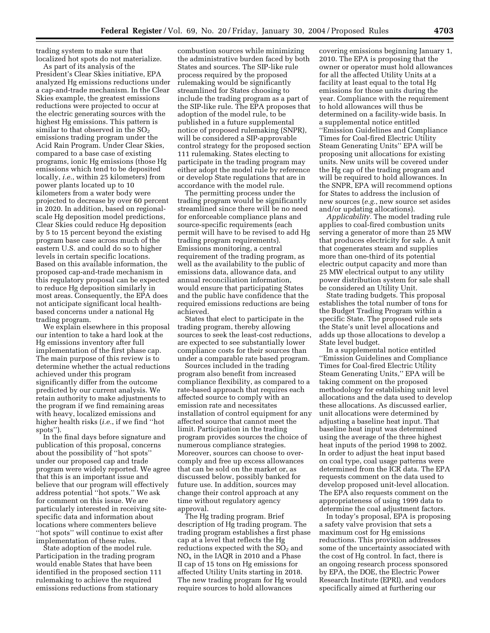trading system to make sure that localized hot spots do not materialize.

As part of its analysis of the President's Clear Skies initiative, EPA analyzed Hg emissions reductions under a cap-and-trade mechanism. In the Clear Skies example, the greatest emissions reductions were projected to occur at the electric generating sources with the highest Hg emissions. This pattern is similar to that observed in the  $SO<sub>2</sub>$ emissions trading program under the Acid Rain Program. Under Clear Skies, compared to a base case of existing programs, ionic Hg emissions (those Hg emissions which tend to be deposited locally, *i.e.*, within 25 kilometers) from power plants located up to 10 kilometers from a water body were projected to decrease by over 60 percent in 2020. In addition, based on regionalscale Hg deposition model predictions, Clear Skies could reduce Hg deposition by 5 to 15 percent beyond the existing program base case across much of the eastern U.S. and could do so to higher levels in certain specific locations. Based on this available information, the proposed cap-and-trade mechanism in this regulatory proposal can be expected to reduce Hg deposition similarly in most areas. Consequently, the EPA does not anticipate significant local healthbased concerns under a national Hg trading program.

We explain elsewhere in this proposal our intention to take a hard look at the Hg emissions inventory after full implementation of the first phase cap. The main purpose of this review is to determine whether the actual reductions achieved under this program significantly differ from the outcome predicted by our current analysis. We retain authority to make adjustments to the program if we find remaining areas with heavy, localized emissions and higher health risks (*i.e.*, if we find ''hot spots'').

In the final days before signature and publication of this proposal, concerns about the possibility of ''hot spots'' under our proposed cap and trade program were widely reported. We agree that this is an important issue and believe that our program will effectively address potential ''hot spots.'' We ask for comment on this issue. We are particularly interested in receiving sitespecific data and information about locations where commenters believe ''hot spots'' will continue to exist after implementation of these rules.

State adoption of the model rule. Participation in the trading program would enable States that have been identified in the proposed section 111 rulemaking to achieve the required emissions reductions from stationary

combustion sources while minimizing the administrative burden faced by both States and sources. The SIP-like rule process required by the proposed rulemaking would be significantly streamlined for States choosing to include the trading program as a part of the SIP-like rule. The EPA proposes that adoption of the model rule, to be published in a future supplemental notice of proposed rulemaking (SNPR), will be considered a SIP-approvable control strategy for the proposed section 111 rulemaking. States electing to participate in the trading program may either adopt the model rule by reference or develop State regulations that are in accordance with the model rule.

The permitting process under the trading program would be significantly streamlined since there will be no need for enforceable compliance plans and source-specific requirements (each permit will have to be revised to add Hg trading program requirements). Emissions monitoring, a central requirement of the trading program, as well as the availability to the public of emissions data, allowance data, and annual reconciliation information, would ensure that participating States and the public have confidence that the required emissions reductions are being achieved.

States that elect to participate in the trading program, thereby allowing sources to seek the least-cost reductions, are expected to see substantially lower compliance costs for their sources than under a comparable rate based program.

Sources included in the trading program also benefit from increased compliance flexibility, as compared to a rate-based approach that requires each affected source to comply with an emission rate and necessitates installation of control equipment for any affected source that cannot meet the limit. Participation in the trading program provides sources the choice of numerous compliance strategies. Moreover, sources can choose to overcomply and free up excess allowances that can be sold on the market or, as discussed below, possibly banked for future use. In addition, sources may change their control approach at any time without regulatory agency approval.

The Hg trading program. Brief description of Hg trading program. The trading program establishes a first phase cap at a level that reflects the Hg reductions expected with the  $SO<sub>2</sub>$  and  $NO<sub>x</sub>$  in the IAQR in 2010 and a Phase II cap of 15 tons on Hg emissions for affected Utility Units starting in 2018. The new trading program for Hg would require sources to hold allowances

covering emissions beginning January 1, 2010. The EPA is proposing that the owner or operator must hold allowances for all the affected Utility Units at a facility at least equal to the total Hg emissions for those units during the year. Compliance with the requirement to hold allowances will thus be determined on a facility-wide basis. In a supplemental notice entitled ''Emission Guidelines and Compliance Times for Coal-fired Electric Utility Steam Generating Units'' EPA will be proposing unit allocations for existing units. New units will be covered under the Hg cap of the trading program and will be required to hold allowances. In the SNPR, EPA will recommend options for States to address the inclusion of new sources (*e.g.*, new source set asides and/or updating allocations).

*Applicability.* The model trading rule applies to coal-fired combustion units serving a generator of more than 25 MW that produces electricity for sale. A unit that cogenerates steam and supplies more than one-third of its potential electric output capacity and more than 25 MW electrical output to any utility power distribution system for sale shall be considered an Utility Unit.

State trading budgets. This proposal establishes the total number of tons for the Budget Trading Program within a specific State. The proposed rule sets the State's unit level allocations and adds up those allocations to develop a State level budget.

In a supplemental notice entitled ''Emission Guidelines and Compliance Times for Coal-fired Electric Utility Steam Generating Units,'' EPA will be taking comment on the proposed methodology for establishing unit level allocations and the data used to develop these allocations. As discussed earlier, unit allocations were determined by adjusting a baseline heat input. That baseline heat input was determined using the average of the three highest heat inputs of the period 1998 to 2002. In order to adjust the heat input based on coal type, coal usage patterns were determined from the ICR data. The EPA requests comment on the data used to develop proposed unit-level allocation. The EPA also requests comment on the appropriateness of using 1999 data to determine the coal adjustment factors.

In today's proposal, EPA is proposing a safety valve provision that sets a maximum cost for Hg emissions reductions. This provision addresses some of the uncertainty associated with the cost of Hg control. In fact, there is an ongoing research process sponsored by EPA, the DOE, the Electric Power Research Institute (EPRI), and vendors specifically aimed at furthering our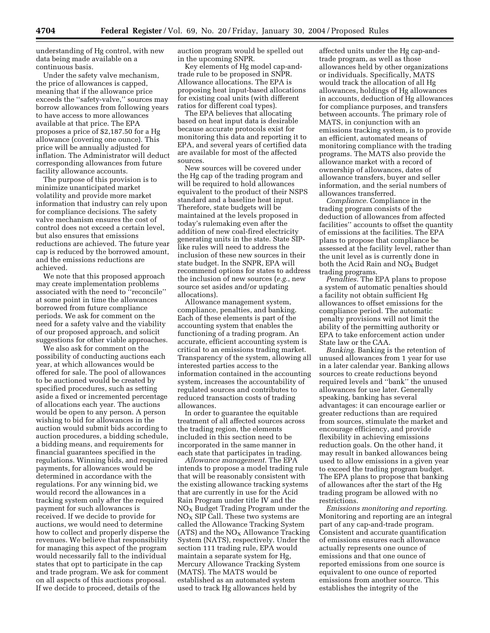understanding of Hg control, with new data being made available on a continuous basis.

Under the safety valve mechanism, the price of allowances is capped, meaning that if the allowance price exceeds the ''safety-valve,'' sources may borrow allowances from following years to have access to more allowances available at that price. The EPA proposes a price of \$2,187.50 for a Hg allowance (covering one ounce). This price will be annually adjusted for inflation. The Administrator will deduct corresponding allowances from future facility allowance accounts.

The purpose of this provision is to minimize unanticipated market volatility and provide more market information that industry can rely upon for compliance decisions. The safety valve mechanism ensures the cost of control does not exceed a certain level, but also ensures that emissions reductions are achieved. The future year cap is reduced by the borrowed amount, and the emissions reductions are achieved.

We note that this proposed approach may create implementation problems associated with the need to ''reconcile'' at some point in time the allowances borrowed from future compliance periods. We ask for comment on the need for a safety valve and the viability of our proposed approach, and solicit suggestions for other viable approaches.

We also ask for comment on the possibility of conducting auctions each year, at which allowances would be offered for sale. The pool of allowances to be auctioned would be created by specified procedures, such as setting aside a fixed or incremented percentage of allocations each year. The auctions would be open to any person. A person wishing to bid for allowances in the auction would submit bids according to auction procedures, a bidding schedule, a bidding means, and requirements for financial guarantees specified in the regulations. Winning bids, and required payments, for allowances would be determined in accordance with the regulations. For any winning bid, we would record the allowances in a tracking system only after the required payment for such allowances is received. If we decide to provide for auctions, we would need to determine how to collect and properly disperse the revenues. We believe that responsibility for managing this aspect of the program would necessarily fall to the individual states that opt to participate in the cap and trade program. We ask for comment on all aspects of this auctions proposal. If we decide to proceed, details of the

auction program would be spelled out in the upcoming SNPR.

Key elements of Hg model cap-andtrade rule to be proposed in SNPR. Allowance allocations. The EPA is proposing heat input-based allocations for existing coal units (with different ratios for different coal types).

The EPA believes that allocating based on heat input data is desirable because accurate protocols exist for monitoring this data and reporting it to EPA, and several years of certified data are available for most of the affected sources.

New sources will be covered under the Hg cap of the trading program and will be required to hold allowances equivalent to the product of their NSPS standard and a baseline heat input. Therefore, state budgets will be maintained at the levels proposed in today's rulemaking even after the addition of new coal-fired electricity generating units in the state. State SIPlike rules will need to address the inclusion of these new sources in their state budget. In the SNPR, EPA will recommend options for states to address the inclusion of new sources (*e.g.*, new source set asides and/or updating allocations).

Allowance management system, compliance, penalties, and banking. Each of these elements is part of the accounting system that enables the functioning of a trading program. An accurate, efficient accounting system is critical to an emissions trading market. Transparency of the system, allowing all interested parties access to the information contained in the accounting system, increases the accountability of regulated sources and contributes to reduced transaction costs of trading allowances.

In order to guarantee the equitable treatment of all affected sources across the trading region, the elements included in this section need to be incorporated in the same manner in each state that participates in trading.

*Allowance management.* The EPA intends to propose a model trading rule that will be reasonably consistent with the existing allowance tracking systems that are currently in use for the Acid Rain Program under title IV and the  $NO<sub>x</sub>$  Budget Trading Program under the  $NO<sub>X</sub>$  SIP Call. These two systems are called the Allowance Tracking System (ATS) and the  $NO<sub>X</sub>$  Allowance Tracking System (NATS), respectively. Under the section 111 trading rule, EPA would maintain a separate system for Hg, Mercury Allowance Tracking System (MATS). The MATS would be established as an automated system used to track Hg allowances held by

affected units under the Hg cap-andtrade program, as well as those allowances held by other organizations or individuals. Specifically, MATS would track the allocation of all Hg allowances, holdings of Hg allowances in accounts, deduction of Hg allowances for compliance purposes, and transfers between accounts. The primary role of MATS, in conjunction with an emissions tracking system, is to provide an efficient, automated means of monitoring compliance with the trading programs. The MATS also provide the allowance market with a record of ownership of allowances, dates of allowance transfers, buyer and seller information, and the serial numbers of allowances transferred.

*Compliance.* Compliance in the trading program consists of the deduction of allowances from affected facilities'' accounts to offset the quantity of emissions at the facilities. The EPA plans to propose that compliance be assessed at the facility level, rather than the unit level as is currently done in both the Acid Rain and  $NO<sub>X</sub>$  Budget trading programs.

*Penalties.* The EPA plans to propose a system of automatic penalties should a facility not obtain sufficient Hg allowances to offset emissions for the compliance period. The automatic penalty provisions will not limit the ability of the permitting authority or EPA to take enforcement action under State law or the CAA.

*Banking.* Banking is the retention of unused allowances from 1 year for use in a later calendar year. Banking allows sources to create reductions beyond required levels and ''bank'' the unused allowances for use later. Generally speaking, banking has several advantages: it can encourage earlier or greater reductions than are required from sources, stimulate the market and encourage efficiency, and provide flexibility in achieving emissions reduction goals. On the other hand, it may result in banked allowances being used to allow emissions in a given year to exceed the trading program budget. The EPA plans to propose that banking of allowances after the start of the Hg trading program be allowed with no restrictions.

*Emissions monitoring and reporting.* Monitoring and reporting are an integral part of any cap-and-trade program. Consistent and accurate quantification of emissions ensures each allowance actually represents one ounce of emissions and that one ounce of reported emissions from one source is equivalent to one ounce of reported emissions from another source. This establishes the integrity of the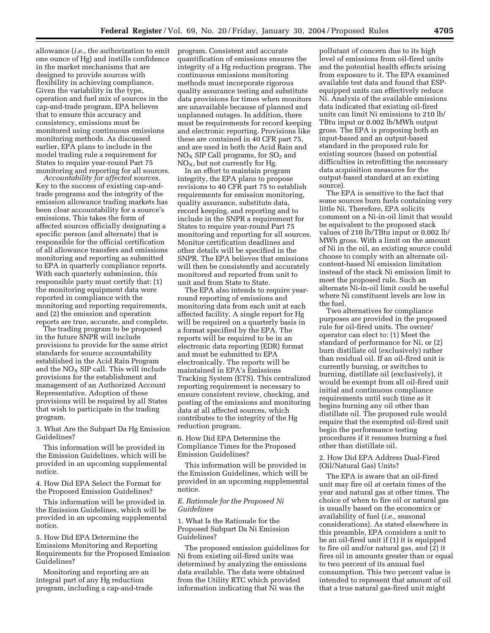allowance (*i.e.*, the authorization to emit one ounce of Hg) and instills confidence in the market mechanisms that are designed to provide sources with flexibility in achieving compliance. Given the variability in the type, operation and fuel mix of sources in the cap-and-trade program, EPA believes that to ensure this accuracy and consistency, emissions must be monitored using continuous emissions monitoring methods. As discussed earlier, EPA plans to include in the model trading rule a requirement for States to require year-round Part 75 monitoring and reporting for all sources.

*Accountability for affected sources.* Key to the success of existing cap-andtrade programs and the integrity of the emission allowance trading markets has been clear accountability for a source's emissions. This takes the form of affected sources officially designating a specific person (and alternate) that is responsible for the official certification of all allowance transfers and emissions monitoring and reporting as submitted to EPA in quarterly compliance reports. With each quarterly submission, this responsible party must certify that: (1) the monitoring equipment data were reported in compliance with the monitoring and reporting requirements, and (2) the emission and operation reports are true, accurate, and complete.

The trading program to be proposed in the future SNPR will include provisions to provide for the same strict standards for source accountability established in the Acid Rain Program and the  $NO<sub>x</sub>$  SIP call. This will include provisions for the establishment and management of an Authorized Account Representative. Adoption of these provisions will be required by all States that wish to participate in the trading program.

3. What Are the Subpart Da Hg Emission Guidelines?

This information will be provided in the Emission Guidelines, which will be provided in an upcoming supplemental notice.

4. How Did EPA Select the Format for the Proposed Emission Guidelines?

This information will be provided in the Emission Guidelines, which will be provided in an upcoming supplemental notice.

5. How Did EPA Determine the Emissions Monitoring and Reporting Requirements for the Proposed Emission Guidelines?

Monitoring and reporting are an integral part of any Hg reduction program, including a cap-and-trade program. Consistent and accurate quantification of emissions ensures the integrity of a Hg reduction program. The continuous emissions monitoring methods must incorporate rigorous quality assurance testing and substitute data provisions for times when monitors are unavailable because of planned and unplanned outages. In addition, there must be requirements for record keeping and electronic reporting. Provisions like these are contained in 40 CFR part 75, and are used in both the Acid Rain and  $NO<sub>x</sub>$  SIP Call programs, for  $SO<sub>2</sub>$  and  $NO<sub>X</sub>$ , but not currently for Hg.

In an effort to maintain program integrity, the EPA plans to propose revisions to 40 CFR part 75 to establish requirements for emission monitoring, quality assurance, substitute data, record keeping, and reporting and to include in the SNPR a requirement for States to require year-round Part 75 monitoring and reporting for all sources. Monitor certification deadlines and other details will be specified in the SNPR. The EPA believes that emissions will then be consistently and accurately monitored and reported from unit to unit and from State to State.

The EPA also intends to require yearround reporting of emissions and monitoring data from each unit at each affected facility. A single report for Hg will be required on a quarterly basis in a format specified by the EPA. The reports will be required to be in an electronic data reporting (EDR) format and must be submitted to EPA electronically. The reports will be maintained in EPA's Emissions Tracking System (ETS). This centralized reporting requirement is necessary to ensure consistent review, checking, and posting of the emissions and monitoring data at all affected sources, which contributes to the integrity of the Hg reduction program.

6. How Did EPA Determine the Compliance Times for the Proposed Emission Guidelines?

This information will be provided in the Emission Guidelines, which will be provided in an upcoming supplemental notice.

# *E. Rationale for the Proposed Ni Guidelines*

1. What Is the Rationale for the Proposed Subpart Da Ni Emission Guidelines?

The proposed emission guidelines for Ni from existing oil-fired units was determined by analyzing the emissions data available. The data were obtained from the Utility RTC which provided information indicating that Ni was the

pollutant of concern due to its high level of emissions from oil-fired units and the potential health effects arising from exposure to it. The EPA examined available test data and found that ESPequipped units can effectively reduce Ni. Analysis of the available emissions data indicated that existing oil-fired units can limit Ni emissions to 210 lb/ TBtu input or 0.002 lb/MWh output gross. The EPA is proposing both an input-based and an output-based standard in the proposed rule for existing sources (based on potential difficulties in retrofitting the necessary data acquisition measures for the output-based standard at an existing source).

The EPA is sensitive to the fact that some sources burn fuels containing very little Ni. Therefore, EPA solicits comment on a Ni-in-oil limit that would be equivalent to the proposed stack values of 210 lb/TBtu input or 0.002 lb/ MWh gross. With a limit on the amount of Ni in the oil, an existing source could choose to comply with an alternate oilcontent-based Ni emission limitation instead of the stack Ni emission limit to meet the proposed rule. Such an alternate Ni-in-oil limit could be useful where Ni constituent levels are low in the fuel.

Two alternatives for compliance purposes are provided in the proposed rule for oil-fired units. The owner/ operator can elect to: (1) Meet the standard of performance for Ni, or (2) burn distillate oil (exclusively) rather than residual oil. If an oil-fired unit is currently burning, or switches to burning, distillate oil (exclusively), it would be exempt from all oil-fired unit initial and continuous compliance requirements until such time as it begins burning any oil other than distillate oil. The proposed rule would require that the exempted oil-fired unit begin the performance testing procedures if it resumes burning a fuel other than distillate oil.

# 2. How Did EPA Address Dual-Fired (Oil/Natural Gas) Units?

The EPA is aware that an oil-fired unit may fire oil at certain times of the year and natural gas at other times. The choice of when to fire oil or natural gas is usually based on the economics or availability of fuel (*i.e.,* seasonal considerations). As stated elsewhere in this preamble, EPA considers a unit to be an oil-fired unit if (1) it is equipped to fire oil and/or natural gas, and (2) it fires oil in amounts greater than or equal to two percent of its annual fuel consumption. This two percent value is intended to represent that amount of oil that a true natural gas-fired unit might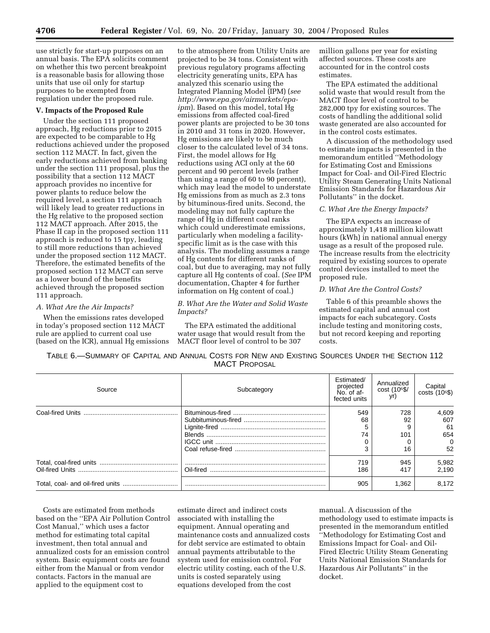use strictly for start-up purposes on an annual basis. The EPA solicits comment on whether this two percent breakpoint is a reasonable basis for allowing those units that use oil only for startup purposes to be exempted from regulation under the proposed rule.

# **V. Impacts of the Proposed Rule**

Under the section 111 proposed approach, Hg reductions prior to 2015 are expected to be comparable to Hg reductions achieved under the proposed section 112 MACT. In fact, given the early reductions achieved from banking under the section 111 proposal, plus the possibility that a section 112 MACT approach provides no incentive for power plants to reduce below the required level, a section 111 approach will likely lead to greater reductions in the Hg relative to the proposed section 112 MACT approach. After 2015, the Phase II cap in the proposed section 111 approach is reduced to 15 tpy, leading to still more reductions than achieved under the proposed section 112 MACT. Therefore, the estimated benefits of the proposed section 112 MACT can serve as a lower bound of the benefits achieved through the proposed section 111 approach.

### *A. What Are the Air Impacts?*

When the emissions rates developed in today's proposed section 112 MACT rule are applied to current coal use (based on the ICR), annual Hg emissions

to the atmosphere from Utility Units are projected to be 34 tons. Consistent with previous regulatory programs affecting electricity generating units, EPA has analyzed this scenario using the Integrated Planning Model (IPM) (*see http://www.epa.gov/airmarkets/epaipm*). Based on this model, total Hg emissions from affected coal-fired power plants are projected to be 30 tons in 2010 and 31 tons in 2020. However, Hg emissions are likely to be much closer to the calculated level of 34 tons. First, the model allows for Hg reductions using ACI only at the 60 percent and 90 percent levels (rather than using a range of 60 to 90 percent), which may lead the model to understate Hg emissions from as much as 2.3 tons by bituminous-fired units. Second, the modeling may not fully capture the range of Hg in different coal ranks which could underestimate emissions, particularly when modeling a facilityspecific limit as is the case with this analysis. The modeling assumes a range of Hg contents for different ranks of coal, but due to averaging, may not fully capture all Hg contents of coal. (*See* IPM documentation, Chapter 4 for further information on Hg content of coal.)

# *B. What Are the Water and Solid Waste Impacts?*

The EPA estimated the additional water usage that would result from the MACT floor level of control to be 307

million gallons per year for existing affected sources. These costs are accounted for in the control costs estimates.

The EPA estimated the additional solid waste that would result from the MACT floor level of control to be 282,000 tpy for existing sources. The costs of handling the additional solid waste generated are also accounted for in the control costs estimates.

A discussion of the methodology used to estimate impacts is presented in the memorandum entitled ''Methodology for Estimating Cost and Emissions Impact for Coal- and Oil-Fired Electric Utility Steam Generating Units National Emission Standards for Hazardous Air Pollutants'' in the docket.

### *C. What Are the Energy Impacts?*

The EPA expects an increase of approximately 1,418 million kilowatt hours (kWh) in national annual energy usage as a result of the proposed rule. The increase results from the electricity required by existing sources to operate control devices installed to meet the proposed rule.

# *D. What Are the Control Costs?*

Table 6 of this preamble shows the estimated capital and annual cost impacts for each subcategory. Costs include testing and monitoring costs, but not record keeping and reporting costs.

| TABLE 6.—SUMMARY OF CAPITAL AND ANNUAL COSTS FOR NEW AND EXISTING SOURCES UNDER THE SECTION 112 |                      |  |  |
|-------------------------------------------------------------------------------------------------|----------------------|--|--|
|                                                                                                 | <b>MACT PROPOSAL</b> |  |  |

| Source | Subcategory | Estimated/<br>projected<br>No. of af<br>fected units | Annualized<br>cost (106\$/ | Capital<br>costs (10 <sup>6</sup> \$) |
|--------|-------------|------------------------------------------------------|----------------------------|---------------------------------------|
|        |             | 549                                                  | 728                        | 4,609                                 |
|        |             | 68                                                   | 92                         | 607                                   |
|        |             |                                                      |                            | -61                                   |
|        |             | 74                                                   | 101                        | 654                                   |
|        |             |                                                      |                            | $\Omega$                              |
|        |             |                                                      | 16                         | 52                                    |
|        |             | 719                                                  | 945                        | 5,982                                 |
|        |             | 186                                                  | 417                        | 2.190                                 |
|        |             | 905                                                  | 1,362                      | 8.172                                 |

Costs are estimated from methods based on the ''EPA Air Pollution Control Cost Manual,'' which uses a factor method for estimating total capital investment, then total annual and annualized costs for an emission control system. Basic equipment costs are found either from the Manual or from vendor contacts. Factors in the manual are applied to the equipment cost to

estimate direct and indirect costs associated with installing the equipment. Annual operating and maintenance costs and annualized costs for debt service are estimated to obtain annual payments attributable to the system used for emission control. For electric utility costing, each of the U.S. units is costed separately using equations developed from the cost

manual. A discussion of the methodology used to estimate impacts is presented in the memorandum entitled ''Methodology for Estimating Cost and Emissions Impact for Coal- and Oil-Fired Electric Utility Steam Generating Units National Emission Standards for Hazardous Air Pollutants'' in the docket.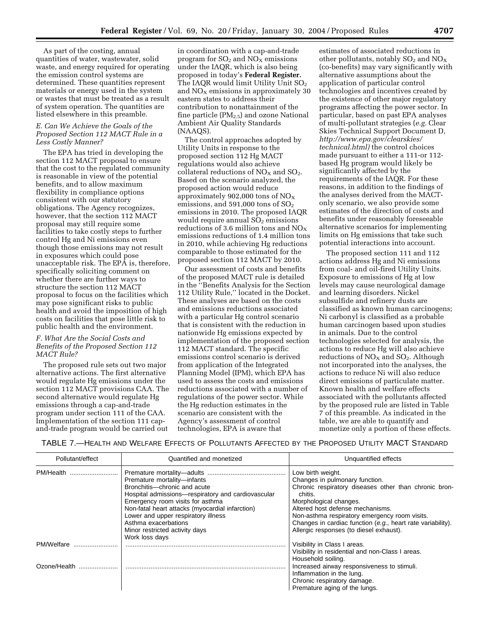As part of the costing, annual quantities of water, wastewater, solid waste, and energy required for operating the emission control systems are determined. These quantities represent materials or energy used in the system or wastes that must be treated as a result of system operation. The quantities are listed elsewhere in this preamble.

# *E. Can We Achieve the Goals of the Proposed Section 112 MACT Rule in a Less Costly Manner?*

The EPA has tried in developing the section 112 MACT proposal to ensure that the cost to the regulated community is reasonable in view of the potential benefits, and to allow maximum flexibility in compliance options consistent with our statutory obligations. The Agency recognizes, however, that the section 112 MACT proposal may still require some facilities to take costly steps to further control Hg and Ni emissions even though those emissions may not result in exposures which could pose unacceptable risk. The EPA is, therefore, specifically soliciting comment on whether there are further ways to structure the section 112 MACT proposal to focus on the facilities which may pose significant risks to public health and avoid the imposition of high costs on facilities that pose little risk to public health and the environment.

# *F. What Are the Social Costs and Benefits of the Proposed Section 112 MACT Rule?*

The proposed rule sets out two major alternative actions. The first alternative would regulate Hg emissions under the section 112 MACT provisions CAA. The second alternative would regulate Hg emissions through a cap-and-trade program under section 111 of the CAA. Implementation of the section 111 capand-trade program would be carried out

in coordination with a cap-and-trade program for  $SO_2$  and  $NO<sub>X</sub>$  emissions under the IAQR, which is also being proposed in today's **Federal Register.** The IAQR would limit Utility Unit  $SO<sub>2</sub>$ and  $NO<sub>x</sub>$  emissions in approximately 30 eastern states to address their contribution to nonattainment of the fine particle  $(PM_{2.5})$  and ozone National Ambient Air Quality Standards (NAAQS).

The control approaches adopted by Utility Units in response to the proposed section 112 Hg MACT regulations would also achieve collateral reductions of  $NO<sub>X</sub>$  and  $SO<sub>2</sub>$ . Based on the scenario analyzed, the proposed action would reduce approximately 902,000 tons of  $NO<sub>x</sub>$ emissions, and  $591,000$  tons of  $SO<sub>2</sub>$ emissions in 2010. The proposed IAQR would require annual  $SO<sub>2</sub>$  emissions reductions of 3.6 million tons and  $NO<sub>X</sub>$ emissions reductions of 1.4 million tons in 2010, while achieving Hg reductions comparable to those estimated for the proposed section 112 MACT by 2010.

Our assessment of costs and benefits of the proposed MACT rule is detailed in the ''Benefits Analysis for the Section 112 Utility Rule,'' located in the Docket. These analyses are based on the costs and emissions reductions associated with a particular Hg control scenario that is consistent with the reduction in nationwide Hg emissions expected by implementation of the proposed section 112 MACT standard. The specific emissions control scenario is derived from application of the Integrated Planning Model (IPM), which EPA has used to assess the costs and emissions reductions associated with a number of regulations of the power sector. While the Hg reduction estimates in the scenario are consistent with the Agency's assessment of control technologies, EPA is aware that

estimates of associated reductions in other pollutants, notably  $SO_2$  and  $NO<sub>x</sub>$ (co-benefits) may vary significantly with alternative assumptions about the application of particular control technologies and incentives created by the existence of other major regulatory programs affecting the power sector. In particular, based on past EPA analyses of multi-pollutant strategies (*e.g.* Clear Skies Technical Support Document D, *http://www.epa.gov/clearskies/ technical.html)* the control choices made pursuant to either a 111-or 112 based Hg program would likely be significantly affected by the requirements of the IAQR. For these reasons, in addition to the findings of the analyses derived from the MACTonly scenario, we also provide some estimates of the direction of costs and benefits under reasonably foreseeable alternative scenarios for implementing limits on Hg emissions that take such potential interactions into account.

The proposed section 111 and 112 actions address Hg and Ni emissions from coal- and oil-fired Utility Units. Exposure to emissions of Hg at low levels may cause neurological damage and learning disorders. Nickel subsulfide and refinery dusts are classified as known human carcinogens; Ni carbonyl is classified as a probable human carcinogen based upon studies in animals. Due to the control technologies selected for analysis, the actions to reduce Hg will also achieve reductions of  $NO<sub>X</sub>$  and  $SO<sub>2</sub>$ . Although not incorporated into the analyses, the actions to reduce Ni will also reduce direct emissions of particulate matter. Known health and welfare effects associated with the pollutants affected by the proposed rule are listed in Table 7 of this preamble. As indicated in the table, we are able to quantify and monetize only a portion of these effects.

TABLE 7.—HEALTH AND WELFARE EFFECTS OF POLLUTANTS AFFECTED BY THE PROPOSED UTILITY MACT STANDARD

| Pollutant/effect           | Quantified and monetized                                                                                                                                                                                                                                                                                                    | Unquantified effects                                                                                                                                                                                                                                                                                                                             |
|----------------------------|-----------------------------------------------------------------------------------------------------------------------------------------------------------------------------------------------------------------------------------------------------------------------------------------------------------------------------|--------------------------------------------------------------------------------------------------------------------------------------------------------------------------------------------------------------------------------------------------------------------------------------------------------------------------------------------------|
| PM/Health                  | Premature mortality-infants<br>Bronchitis-chronic and acute<br>Hospital admissions-respiratory and cardiovascular<br>Emergency room visits for asthma<br>Non-fatal heart attacks (myocardial infarction)<br>Lower and upper respiratory illness<br>Asthma exacerbations<br>Minor restricted activity days<br>Work loss days | Low birth weight.<br>Changes in pulmonary function.<br>Chronic respiratory diseases other than chronic bron-<br>chitis.<br>Morphological changes.<br>Altered host defense mechanisms.<br>Non-asthma respiratory emergency room visits.<br>Changes in cardiac function (e.g., heart rate variability).<br>Allergic responses (to diesel exhaust). |
| PM/Welfare<br>Ozone/Health |                                                                                                                                                                                                                                                                                                                             | Visibility in Class I areas.<br>Visibility in residential and non-Class I areas.<br>Household soiling.<br>Increased airway responsiveness to stimuli.<br>Inflammation in the lung.<br>Chronic respiratory damage.<br>Premature aging of the lungs.                                                                                               |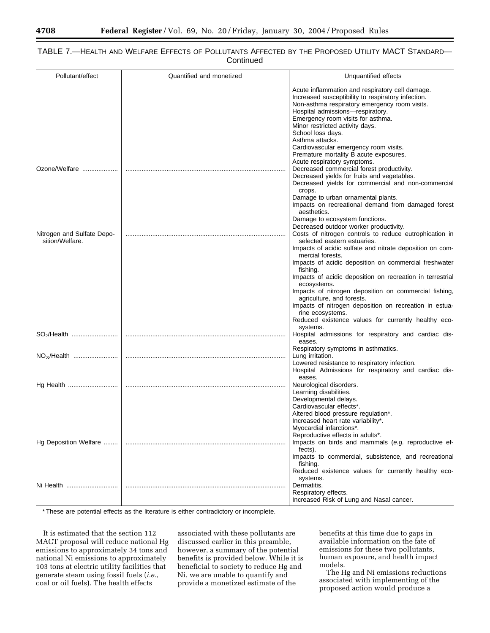# TABLE 7.—HEALTH AND WELFARE EFFECTS OF POLLUTANTS AFFECTED BY THE PROPOSED UTILITY MACT STANDARD— **Continued**

| Pollutant/effect                              | Quantified and monetized | Unquantified effects                                                                                                                                                                                                                                                                                                                                                                                                                                                                                                     |
|-----------------------------------------------|--------------------------|--------------------------------------------------------------------------------------------------------------------------------------------------------------------------------------------------------------------------------------------------------------------------------------------------------------------------------------------------------------------------------------------------------------------------------------------------------------------------------------------------------------------------|
| Ozone/Welfare                                 |                          | Acute inflammation and respiratory cell damage.<br>Increased susceptibility to respiratory infection.<br>Non-asthma respiratory emergency room visits.<br>Hospital admissions-respiratory.<br>Emergency room visits for asthma.<br>Minor restricted activity days.<br>School loss days.<br>Asthma attacks.<br>Cardiovascular emergency room visits.<br>Premature mortality B acute exposures.<br>Acute respiratory symptoms.<br>Decreased commercial forest productivity.<br>Decreased yields for fruits and vegetables. |
|                                               |                          | Decreased yields for commercial and non-commercial<br>crops.<br>Damage to urban ornamental plants.<br>Impacts on recreational demand from damaged forest<br>aesthetics.                                                                                                                                                                                                                                                                                                                                                  |
| Nitrogen and Sulfate Depo-<br>sition/Welfare. |                          | Damage to ecosystem functions.<br>Decreased outdoor worker productivity.<br>Costs of nitrogen controls to reduce eutrophication in<br>selected eastern estuaries.<br>Impacts of acidic sulfate and nitrate deposition on com-<br>mercial forests.                                                                                                                                                                                                                                                                        |
|                                               |                          | Impacts of acidic deposition on commercial freshwater<br>fishing.<br>Impacts of acidic deposition on recreation in terrestrial<br>ecosystems.<br>Impacts of nitrogen deposition on commercial fishing,                                                                                                                                                                                                                                                                                                                   |
|                                               |                          | agriculture, and forests.<br>Impacts of nitrogen deposition on recreation in estua-<br>rine ecosystems.<br>Reduced existence values for currently healthy eco-                                                                                                                                                                                                                                                                                                                                                           |
|                                               |                          | systems.<br>Hospital admissions for respiratory and cardiac dis-<br>eases.                                                                                                                                                                                                                                                                                                                                                                                                                                               |
|                                               |                          | Respiratory symptoms in asthmatics.<br>Lung irritation.<br>Lowered resistance to respiratory infection.<br>Hospital Admissions for respiratory and cardiac dis-                                                                                                                                                                                                                                                                                                                                                          |
|                                               |                          | eases.<br>Neurological disorders.<br>Learning disabilities.<br>Developmental delays.<br>Cardiovascular effects*.<br>Altered blood pressure regulation*.                                                                                                                                                                                                                                                                                                                                                                  |
| Hg Deposition Welfare                         |                          | Increased heart rate variability*.<br>Myocardial infarctions <sup>*</sup> .<br>Reproductive effects in adults*.<br>Impacts on birds and mammals (e.g. reproductive ef-<br>fects).<br>Impacts to commercial, subsistence, and recreational<br>fishing.                                                                                                                                                                                                                                                                    |
| Ni Health                                     |                          | Reduced existence values for currently healthy eco-<br>systems.<br>Dermatitis.<br>Respiratory effects.<br>Increased Risk of Lung and Nasal cancer.                                                                                                                                                                                                                                                                                                                                                                       |

\* These are potential effects as the literature is either contradictory or incomplete.

It is estimated that the section 112 MACT proposal will reduce national Hg emissions to approximately 34 tons and national Ni emissions to approximately 103 tons at electric utility facilities that generate steam using fossil fuels (*i.e.*, coal or oil fuels). The health effects

associated with these pollutants are discussed earlier in this preamble, however, a summary of the potential benefits is provided below. While it is beneficial to society to reduce Hg and Ni, we are unable to quantify and provide a monetized estimate of the

benefits at this time due to gaps in available information on the fate of emissions for these two pollutants, human exposure, and health impact models.

The Hg and Ni emissions reductions associated with implementing of the proposed action would produce a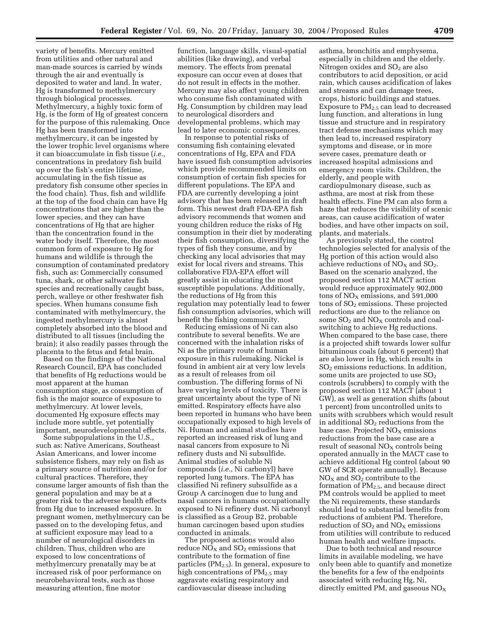variety of benefits. Mercury emitted from utilities and other natural and man-made sources is carried by winds through the air and eventually is deposited to water and land. In water, Hg is transformed to methylmercury through biological processes. Methylmercury, a highly toxic form of Hg, is the form of Hg of greatest concern for the purpose of this rulemaking. Once Hg has been transformed into methylmercury, it can be ingested by the lower trophic level organisms where it can bioaccumulate in fish tissue (*i.e.*, concentrations in predatory fish build up over the fish's entire lifetime, accumulating in the fish tissue as predatory fish consume other species in the food chain). Thus, fish and wildlife at the top of the food chain can have Hg concentrations that are higher than the lower species, and they can have concentrations of Hg that are higher than the concentration found in the water body itself. Therefore, the most common form of exposure to Hg for humans and wildlife is through the consumption of contaminated predatory fish, such as: Commercially consumed tuna, shark, or other saltwater fish species and recreationally caught bass, perch, walleye or other freshwater fish species. When humans consume fish contaminated with methylmercury, the ingested methylmercury is almost completely absorbed into the blood and distributed to all tissues (including the brain); it also readily passes through the placenta to the fetus and fetal brain.

Based on the findings of the National Research Council, EPA has concluded that benefits of Hg reductions would be most apparent at the human consumption stage, as consumption of fish is the major source of exposure to methylmercury. At lower levels, documented Hg exposure effects may include more subtle, yet potentially important, neurodevelopmental effects.

Some subpopulations in the U.S., such as: Native Americans, Southeast Asian Americans, and lower income subsistence fishers, may rely on fish as a primary source of nutrition and/or for cultural practices. Therefore, they consume larger amounts of fish than the general population and may be at a greater risk to the adverse health effects from Hg due to increased exposure. In pregnant women, methylmercury can be passed on to the developing fetus, and at sufficient exposure may lead to a number of neurological disorders in children. Thus, children who are exposed to low concentrations of methylmercury prenatally may be at increased risk of poor performance on neurobehavioral tests, such as those measuring attention, fine motor

function, language skills, visual-spatial abilities (like drawing), and verbal memory. The effects from prenatal exposure can occur even at doses that do not result in effects in the mother. Mercury may also affect young children who consume fish contaminated with Hg. Consumption by children may lead to neurological disorders and developmental problems, which may lead to later economic consequences.

In response to potential risks of consuming fish containing elevated concentrations of Hg, EPA and FDA have issued fish consumption advisories which provide recommended limits on consumption of certain fish species for different populations. The EPA and FDA are currently developing a joint advisory that has been released in draft form. This newest draft FDA-EPA fish advisory recommends that women and young children reduce the risks of Hg consumption in their diet by moderating their fish consumption, diversifying the types of fish they consume, and by checking any local advisories that may exist for local rivers and streams. This collaborative FDA-EPA effort will greatly assist in educating the most susceptible populations. Additionally, the reductions of Hg from this regulation may potentially lead to fewer fish consumption advisories, which will benefit the fishing community.

Reducing emissions of Ni can also contribute to several benefits. We are concerned with the inhalation risks of Ni as the primary route of human exposure in this rulemaking. Nickel is found in ambient air at very low levels as a result of releases from oil combustion. The differing forms of Ni have varying levels of toxicity. There is great uncertainty about the type of Ni emitted. Respiratory effects have also been reported in humans who have been occupationally exposed to high levels of Ni. Human and animal studies have reported an increased risk of lung and nasal cancers from exposure to Ni refinery dusts and Ni subsulfide. Animal studies of soluble Ni compounds (*i.e.*, Ni carbonyl) have reported lung tumors. The EPA has classified Ni refinery subsulfide as a Group A carcinogen due to lung and nasal cancers in humans occupationally exposed to Ni refinery dust. Ni carbonyl is classified as a Group B2, probable human carcinogen based upon studies conducted in animals.

The proposed actions would also reduce  $NO<sub>X</sub>$  and  $SO<sub>2</sub>$  emissions that contribute to the formation of fine particles  $(PM_{2.5})$ . In general, exposure to high concentrations of  $PM_{2.5}$  may aggravate existing respiratory and cardiovascular disease including

asthma, bronchitis and emphysema, especially in children and the elderly. Nitrogen oxides and  $SO<sub>2</sub>$  are also contributors to acid deposition, or acid rain, which causes acidification of lakes and streams and can damage trees, crops, historic buildings and statues. Exposure to  $PM_{2.5}$  can lead to decreased lung function, and alterations in lung tissue and structure and in respiratory tract defense mechanisms which may then lead to, increased respiratory symptoms and disease, or in more severe cases, premature death or increased hospital admissions and emergency room visits. Children, the elderly, and people with cardiopulmonary disease, such as asthma, are most at risk from these health effects. Fine PM can also form a haze that reduces the visibility of scenic areas, can cause acidification of water bodies, and have other impacts on soil, plants, and materials.

As previously stated, the control technologies selected for analysis of the Hg portion of this action would also achieve reductions of  $NO<sub>X</sub>$  and  $SO<sub>2</sub>$ . Based on the scenario analyzed, the proposed section 112 MACT action would reduce approximately 902,000 tons of  $NO<sub>X</sub>$  emissions, and 591,000 tons of SO2 emissions. These projected reductions are due to the reliance on some  $SO_2$  and  $NO_X$  controls and coalswitching to achieve Hg reductions. When compared to the base case, there is a projected shift towards lower sulfur bituminous coals (about 6 percent) that are also lower in Hg, which results in  $SO<sub>2</sub>$  emissions reductions. In addition, some units are projected to use  $SO<sub>2</sub>$ controls (scrubbers) to comply with the proposed section 112 MACT (about 1 GW), as well as generation shifts (about 1 percent) from uncontrolled units to units with scrubbers which would result in additional  $SO<sub>2</sub>$  reductions from the base case. Projected  $NO<sub>x</sub>$  emissions reductions from the base case are a result of seasonal  $NO<sub>X</sub>$  controls being operated annually in the MACT case to achieve additional Hg control (about 90 GW of SCR operate annually). Because  $NO<sub>X</sub>$  and  $SO<sub>2</sub>$  contribute to the formation of  $PM<sub>2.5</sub>$ , and because direct PM controls would be applied to meet the Ni requirements, these standards should lead to substantial benefits from reductions of ambient PM. Therefore, reduction of  $SO<sub>2</sub>$  and  $NO<sub>x</sub>$  emissions from utilities will contribute to reduced human health and welfare impacts.

Due to both technical and resource limits in available modeling, we have only been able to quantify and monetize the benefits for a few of the endpoints associated with reducing Hg, Ni, directly emitted PM, and gaseous  $NO<sub>X</sub>$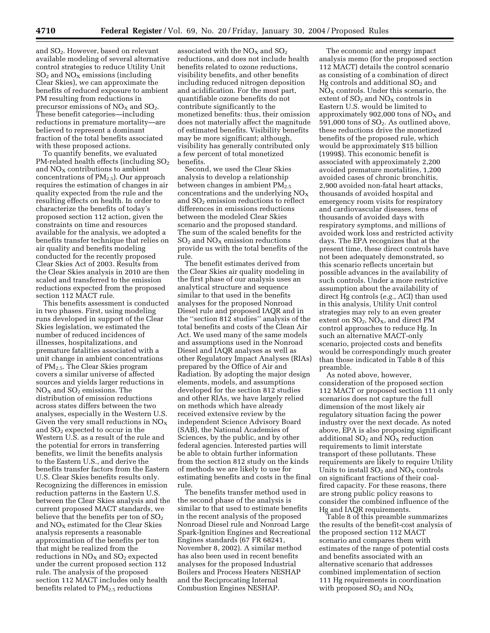and SO2. However, based on relevant available modeling of several alternative control strategies to reduce Utility Unit  $SO<sub>2</sub>$  and  $NO<sub>X</sub>$  emissions (including Clear Skies), we can approximate the benefits of reduced exposure to ambient PM resulting from reductions in precursor emissions of  $NO<sub>X</sub>$  and  $SO<sub>2</sub>$ . These benefit categories—including reductions in premature mortality—are believed to represent a dominant fraction of the total benefits associated with these proposed actions.

To quantify benefits, we evaluated PM-related health effects (including  $SO<sub>2</sub>$ and  $NO<sub>X</sub>$  contributions to ambient concentrations of  $PM_{2.5}$ ). Our approach requires the estimation of changes in air quality expected from the rule and the resulting effects on health. In order to characterize the benefits of today's proposed section 112 action, given the constraints on time and resources available for the analysis, we adopted a benefits transfer technique that relies on air quality and benefits modeling conducted for the recently proposed Clear Skies Act of 2003. Results from the Clear Skies analysis in 2010 are then scaled and transferred to the emission reductions expected from the proposed section 112 MACT rule.

This benefits assessment is conducted in two phases. First, using modeling runs developed in support of the Clear Skies legislation, we estimated the number of reduced incidences of illnesses, hospitalizations, and premature fatalities associated with a unit change in ambient concentrations of PM2.5. The Clear Skies program covers a similar universe of affected sources and yields larger reductions in  $NO<sub>x</sub>$  and  $SO<sub>2</sub>$  emissions. The distribution of emission reductions across states differs between the two analyses, especially in the Western U.S. Given the very small reductions in  $NO<sub>x</sub>$ and  $SO<sub>2</sub>$  expected to occur in the Western U.S. as a result of the rule and the potential for errors in transferring benefits, we limit the benefits analysis to the Eastern U.S., and derive the benefits transfer factors from the Eastern U.S. Clear Skies benefits results only. Recognizing the differences in emission reduction patterns in the Eastern U.S. between the Clear Skies analysis and the current proposed MACT standards, we believe that the benefits per ton of  $SO<sub>2</sub>$ and  $NO<sub>X</sub>$  estimated for the Clear Skies analysis represents a reasonable approximation of the benefits per ton that might be realized from the reductions in  $NO<sub>X</sub>$  and  $SO<sub>2</sub>$  expected under the current proposed section 112 rule. The analysis of the proposed section 112 MACT includes only health benefits related to PM<sub>2.5</sub> reductions

associated with the  $NO<sub>X</sub>$  and  $SO<sub>2</sub>$ reductions, and does not include health benefits related to ozone reductions, visibility benefits, and other benefits including reduced nitrogen deposition and acidification. For the most part, quantifiable ozone benefits do not contribute significantly to the monetized benefits: thus, their omission does not materially affect the magnitude of estimated benefits. Visibility benefits may be more significant; although, visibility has generally contributed only a few percent of total monetized benefits.

Second, we used the Clear Skies analysis to develop a relationship between changes in ambient PM<sub>2.5</sub> concentrations and the underlying  $NO<sub>x</sub>$ and  $SO<sub>2</sub>$  emission reductions to reflect differences in emissions reductions between the modeled Clear Skies scenario and the proposed standard. The sum of the scaled benefits for the  $SO<sub>2</sub>$  and  $NO<sub>X</sub>$  emission reductions provide us with the total benefits of the rule.

The benefit estimates derived from the Clear Skies air quality modeling in the first phase of our analysis uses an analytical structure and sequence similar to that used in the benefits analyses for the proposed Nonroad Diesel rule and proposed IAQR and in the ''section 812 studies'' analysis of the total benefits and costs of the Clean Air Act. We used many of the same models and assumptions used in the Nonroad Diesel and IAQR analyses as well as other Regulatory Impact Analyses (RIAs) prepared by the Office of Air and Radiation. By adopting the major design elements, models, and assumptions developed for the section 812 studies and other RIAs, we have largely relied on methods which have already received extensive review by the independent Science Advisory Board (SAB), the National Academies of Sciences, by the public, and by other federal agencies. Interested parties will be able to obtain further information from the section 812 study on the kinds of methods we are likely to use for estimating benefits and costs in the final rule.

The benefits transfer method used in the second phase of the analysis is similar to that used to estimate benefits in the recent analysis of the proposed Nonroad Diesel rule and Nonroad Large Spark-Ignition Engines and Recreational Engines standards (67 FR 68241, November 8, 2002). A similar method has also been used in recent benefits analyses for the proposed Industrial Boilers and Process Heaters NESHAP and the Reciprocating Internal Combustion Engines NESHAP.

The economic and energy impact analysis memo (for the proposed section 112 MACT) details the control scenario as consisting of a combination of direct Hg controls and additional SO<sub>2</sub> and  $NO<sub>X</sub>$  controls. Under this scenario, the extent of  $SO_2$  and  $NO<sub>X</sub>$  controls in Eastern U.S. would be limited to approximately 902,000 tons of  $NO<sub>x</sub>$  and 591,000 tons of  $SO<sub>2</sub>$ . As outlined above, these reductions drive the monetized benefits of the proposed rule, which would be approximately \$15 billion (1999\$). This economic benefit is associated with approximately 2,200 avoided premature mortalities, 1,200 avoided cases of chronic bronchitis, 2,900 avoided non-fatal heart attacks, thousands of avoided hospital and emergency room visits for respiratory and cardiovascular diseases, tens of thousands of avoided days with respiratory symptoms, and millions of avoided work loss and restricted activity days. The EPA recognizes that at the present time, these direct controls have not been adequately demonstrated, so this scenario reflects uncertain but possible advances in the availability of such controls. Under a more restrictive assumption about the availability of direct Hg controls (*e.g.*, ACI) than used in this analysis, Utility Unit control strategies may rely to an even greater extent on  $SO_2$ ,  $NO_X$ , and direct PM control approaches to reduce Hg. In such an alternative MACT-only scenario, projected costs and benefits would be correspondingly much greater than those indicated in Table 8 of this preamble.

As noted above, however, consideration of the proposed section 112 MACT or proposed section 111 only scenarios does not capture the full dimension of the most likely air regulatory situation facing the power industry over the next decade. As noted above, EPA is also proposing significant additional  $SO_2$  and  $NO_X$  reduction requirements to limit interstate transport of these pollutants. These requirements are likely to require Utility Units to install  $SO_2$  and  $NO_X$  controls on significant fractions of their coalfired capacity. For these reasons, there are strong public policy reasons to consider the combined influence of the Hg and IAQR requirements.

Table 8 of this preamble summarizes the results of the benefit-cost analysis of the proposed section 112 MACT scenario and compares them with estimates of the range of potential costs and benefits associated with an alternative scenario that addresses combined implementation of section 111 Hg requirements in coordination with proposed  $SO_2$  and  $NO_X$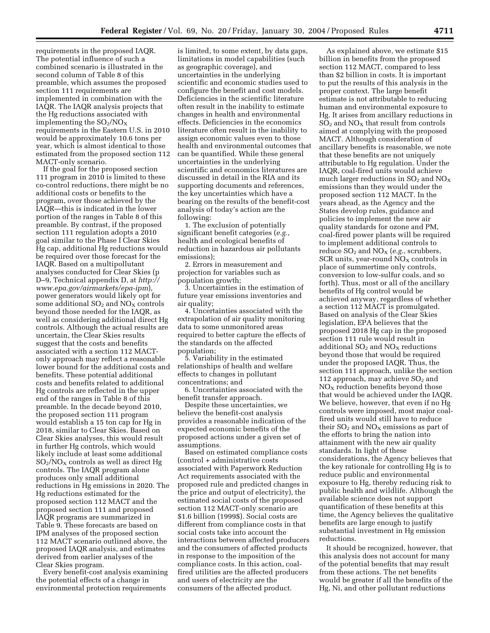requirements in the proposed IAQR. The potential influence of such a combined scenario is illustrated in the second column of Table 8 of this preamble, which assumes the proposed section 111 requirements are implemented in combination with the IAQR. The IAQR analysis projects that the Hg reductions associated with implementing the  $SO_2/NO_X$ requirements in the Eastern U.S. in 2010 would be approximately 10.6 tons per year, which is almost identical to those estimated from the proposed section 112 MACT-only scenario.

If the goal for the proposed section 111 program in 2010 is limited to these co-control reductions, there might be no additional costs or benefits to the program, over those achieved by the IAQR—this is indicated in the lower portion of the ranges in Table 8 of this preamble. By contrast, if the proposed section 111 regulation adopts a 2010 goal similar to the Phase I Clear Skies Hg cap, additional Hg reductions would be required over those forecast for the IAQR. Based on a multipollutant analyses conducted for Clear Skies (p D–9, Technical appendix D, at *http:// www.epa.gov/airmarkets/epa-ipm*), power generators would likely opt for some additional  $SO<sub>2</sub>$  and  $NO<sub>X</sub>$  controls beyond those needed for the IAQR, as well as considering additional direct Hg controls. Although the actual results are uncertain, the Clear Skies results suggest that the costs and benefits associated with a section 112 MACTonly approach may reflect a reasonable lower bound for the additional costs and benefits. These potential additional costs and benefits related to additional Hg controls are reflected in the upper end of the ranges in Table 8 of this preamble. In the decade beyond 2010, the proposed section 111 program would establish a 15 ton cap for Hg in 2018, similar to Clear Skies. Based on Clear Skies analyses, this would result in further Hg controls, which would likely include at least some additional  $SO<sub>2</sub>/NO<sub>X</sub>$  controls as well as direct Hg controls. The IAQR program alone produces only small additional reductions in Hg emissions in 2020. The Hg reductions estimated for the proposed section 112 MACT and the proposed section 111 and proposed IAQR programs are summarized in Table 9. These forecasts are based on IPM analyses of the proposed section 112 MACT scenario outlined above, the proposed IAQR analysis, and estimates derived from earlier analyses of the Clear Skies program.

Every benefit-cost analysis examining the potential effects of a change in environmental protection requirements

is limited, to some extent, by data gaps, limitations in model capabilities (such as geographic coverage), and uncertainties in the underlying scientific and economic studies used to configure the benefit and cost models. Deficiencies in the scientific literature often result in the inability to estimate changes in health and environmental effects. Deficiencies in the economics literature often result in the inability to assign economic values even to those health and environmental outcomes that can be quantified. While these general uncertainties in the underlying scientific and economics literatures are discussed in detail in the RIA and its supporting documents and references, the key uncertainties which have a bearing on the results of the benefit-cost analysis of today's action are the following:

1. The exclusion of potentially significant benefit categories (*e.g.*, health and ecological benefits of reduction in hazardous air pollutants emissions);

2. Errors in measurement and projection for variables such as population growth;

3. Uncertainties in the estimation of future year emissions inventories and air quality;

4. Uncertainties associated with the extrapolation of air quality monitoring data to some unmonitored areas required to better capture the effects of the standards on the affected population;

5. Variability in the estimated relationships of health and welfare effects to changes in pollutant concentrations; and

6. Uncertainties associated with the benefit transfer approach.

Despite these uncertainties, we believe the benefit-cost analysis provides a reasonable indication of the expected economic benefits of the proposed actions under a given set of assumptions.

Based on estimated compliance costs (control + administrative costs associated with Paperwork Reduction Act requirements associated with the proposed rule and predicted changes in the price and output of electricity), the estimated social costs of the proposed section 112 MACT-only scenario are \$1.6 billion (1999\$). Social costs are different from compliance costs in that social costs take into account the interactions between affected producers and the consumers of affected products in response to the imposition of the compliance costs. In this action, coalfired utilities are the affected producers and users of electricity are the consumers of the affected product.

As explained above, we estimate \$15 billion in benefits from the proposed section 112 MACT, compared to less than \$2 billion in costs. It is important to put the results of this analysis in the proper context. The large benefit estimate is not attributable to reducing human and environmental exposure to Hg. It arises from ancillary reductions in  $SO<sub>2</sub>$  and  $NO<sub>X</sub>$  that result from controls aimed at complying with the proposed MACT. Although consideration of ancillary benefits is reasonable, we note that these benefits are not uniquely attributable to Hg regulation. Under the IAQR, coal-fired units would achieve much larger reductions in  $SO_2$  and  $NO_X$ emissions than they would under the proposed section 112 MACT. In the years ahead, as the Agency and the States develop rules, guidance and policies to implement the new air quality standards for ozone and PM, coal-fired power plants will be required to implement additional controls to reduce  $SO_2$  and  $NO<sub>X</sub>$  (*e.g.*, scrubbers, SCR units, year-round  $NO<sub>X</sub>$  controls in place of summertime only controls, conversion to low-sulfur coals, and so forth). Thus, most or all of the ancillary benefits of Hg control would be achieved anyway, regardless of whether a section 112 MACT is promulgated. Based on analysis of the Clear Skies legislation, EPA believes that the proposed 2018 Hg cap in the proposed section 111 rule would result in additional  $SO_2$  and  $NO_X$  reductions beyond those that would be required under the proposed IAQR. Thus, the section 111 approach, unlike the section 112 approach, may achieve  $SO<sub>2</sub>$  and  $NO<sub>X</sub>$  reduction benefits beyond those that would be achieved under the IAQR. We believe, however, that even if no Hg controls were imposed, most major coalfired units would still have to reduce their  $SO_2$  and  $NO<sub>X</sub>$  emissions as part of the efforts to bring the nation into attainment with the new air quality standards. In light of these considerations, the Agency believes that the key rationale for controlling Hg is to reduce public and environmental exposure to Hg, thereby reducing risk to public health and wildlife. Although the available science does not support quantification of these benefits at this time, the Agency believes the qualitative benefits are large enough to justify substantial investment in Hg emission reductions.

It should be recognized, however, that this analysis does not account for many of the potential benefits that may result from these actions. The net benefits would be greater if all the benefits of the Hg, Ni, and other pollutant reductions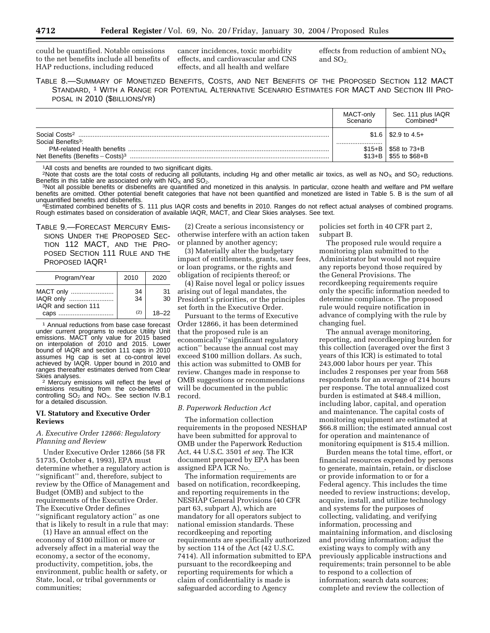could be quantified. Notable omissions to the net benefits include all benefits of HAP reductions, including reduced

cancer incidences, toxic morbidity effects, and cardiovascular and CNS effects, and all health and welfare

effects from reduction of ambient  $NO<sub>x</sub>$ and  $SO<sub>2</sub>$ .

TABLE 8.—SUMMARY OF MONETIZED BENEFITS, COSTS, AND NET BENEFITS OF THE PROPOSED SECTION 112 MACT STANDARD, 1 WITH A RANGE FOR POTENTIAL ALTERNATIVE SCENARIO ESTIMATES FOR MACT AND SECTION III PRO-POSAL IN 2010 (\$BILLIONS/YR)

|                                                                                     | MACT-only<br>Scenario | Sec. 111 plus IAQR<br>Combined <sup>4</sup> |
|-------------------------------------------------------------------------------------|-----------------------|---------------------------------------------|
| Social Costs <sup>2</sup><br>Social Benefits <sup>3</sup> :                         |                       | $$1.6 \mid $2.9$$ to 4.5+                   |
| <b>PM-related Health benefits</b><br>Net Benefits (Benefits $-Costs$ ) <sup>3</sup> | $$15+B$<br>$$13 + B$  | \$58 to $73 + B$<br>$$55$ to $$68 + B$      |

<sup>1</sup>All costs and benefits are rounded to two significant digits.

2Note that costs are the total costs of reducing all pollutants, including Hg and other metallic air toxics, as well as NO<sub>x</sub> and SO<sub>2</sub> reductions. Benefits in this table are associated only with NO<sub>X</sub> and SO<sub>2</sub>. 3Not all postible in this analysis. In particular, ozone health and welfare and PM welfare and PM welfare

benefits are omitted. Other potential benefit categories that have not been quantified and monetized are listed in Table 5. B is the sum of all<br>unquantified benefits and disbenefits.

<sup>4</sup>Estimated combined benefits of S. 111 plus IAQR costs and benefits in 2010. Ranges do not reflect actual analyses of combined programs. Rough estimates based on consideration of available IAQR, MACT, and Clear Skies analyses. See text.

TABLE 9.—FORECAST MERCURY EMIS-SIONS UNDER THE PROPOSED SEC-TION 112 MACT, AND THE PRO-POSED SECTION 111 RULE AND THE PROPOSED IAQR1

| Program/Year                                   | 2010     | 2020      |
|------------------------------------------------|----------|-----------|
| MACT only<br>IAQR only<br>IAQR and section 111 | 34<br>34 | 31<br>30  |
| caps                                           | (2)      | $18 - 22$ |

1 Annual reductions from base case forecast under current programs to reduce Utility Unit emissions. MACT only value for 2015 based on interpolation of 2010 and 2015. Lower bound of IAQR and section 111 caps in 2010 assumes Hg cap is set at co-control level achieved by IAQR. Upper bound in 2010 and ranges thereafter estimates derived from Clear<br>Skies analvses.

<sup>2</sup> Mercury emissions will reflect the level of emissions resulting from the co-benefits of controlling  $SO_2$  and  $NO_X$ . See section IV.B.1 for a detailed discussion.

### **VI. Statutory and Executive Order Reviews**

# *A. Executive Order 12866: Regulatory Planning and Review*

Under Executive Order 12866 (58 FR 51735, October 4, 1993), EPA must determine whether a regulatory action is ''significant'' and, therefore, subject to review by the Office of Management and Budget (OMB) and subject to the requirements of the Executive Order. The Executive Order defines ''significant regulatory action'' as one that is likely to result in a rule that may:

(1) Have an annual effect on the economy of \$100 million or more or adversely affect in a material way the economy, a sector of the economy, productivity, competition, jobs, the environment, public health or safety, or State, local, or tribal governments or communities;

(2) Create a serious inconsistency or otherwise interfere with an action taken or planned by another agency;

(3) Materially alter the budgetary impact of entitlements, grants, user fees, or loan programs, or the rights and obligation of recipients thereof; or

(4) Raise novel legal or policy issues arising out of legal mandates, the President's priorities, or the principles set forth in the Executive Order.

Pursuant to the terms of Executive Order 12866, it has been determined that the proposed rule is an economically ''significant regulatory action'' because the annual cost may exceed \$100 million dollars. As such, this action was submitted to OMB for review. Changes made in response to OMB suggestions or recommendations will be documented in the public record.

### *B. Paperwork Reduction Act*

The information collection requirements in the proposed NESHAP have been submitted for approval to OMB under the Paperwork Reduction Act, 44 U.S.C. 3501 *et seq.* The ICR document prepared by EPA has been assigned EPA ICR No.

The information requirements are based on notification, recordkeeping, and reporting requirements in the NESHAP General Provisions (40 CFR part 63, subpart A), which are mandatory for all operators subject to national emission standards. These recordkeeping and reporting requirements are specifically authorized by section 114 of the Act (42 U.S.C. 7414). All information submitted to EPA pursuant to the recordkeeping and reporting requirements for which a claim of confidentiality is made is safeguarded according to Agency

policies set forth in 40 CFR part 2, subpart B.

The proposed rule would require a monitoring plan submitted to the Administrator but would not require any reports beyond those required by the General Provisions. The recordkeeping requirements require only the specific information needed to determine compliance. The proposed rule would require notification in advance of complying with the rule by changing fuel.

The annual average monitoring, reporting, and recordkeeping burden for this collection (averaged over the first 3 years of this ICR) is estimated to total 243,000 labor hours per year. This includes 2 responses per year from 568 respondents for an average of 214 hours per response. The total annualized cost burden is estimated at \$48.4 million, including labor, capital, and operation and maintenance. The capital costs of monitoring equipment are estimated at \$66.8 million; the estimated annual cost for operation and maintenance of monitoring equipment is \$15.4 million.

Burden means the total time, effort, or financial resources expended by persons to generate, maintain, retain, or disclose or provide information to or for a Federal agency. This includes the time needed to review instructions; develop, acquire, install, and utilize technology and systems for the purposes of collecting, validating, and verifying information, processing and maintaining information, and disclosing and providing information; adjust the existing ways to comply with any previously applicable instructions and requirements; train personnel to be able to respond to a collection of information; search data sources; complete and review the collection of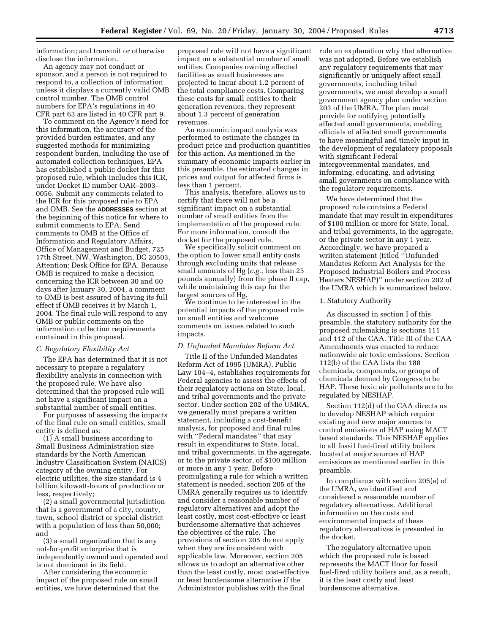information; and transmit or otherwise disclose the information.

An agency may not conduct or sponsor, and a person is not required to respond to, a collection of information unless it displays a currently valid OMB control number. The OMB control numbers for EPA's regulations in 40 CFR part 63 are listed in 40 CFR part 9.

To comment on the Agency's need for this information, the accuracy of the provided burden estimates, and any suggested methods for minimizing respondent burden, including the use of automated collection techniques, EPA has established a public docket for this proposed rule, which includes this ICR, under Docket ID number OAR–2003– 0056. Submit any comments related to the ICR for this proposed rule to EPA and OMB. See the **ADDRESSES** section at the beginning of this notice for where to submit comments to EPA. Send comments to OMB at the Office of Information and Regulatory Affairs, Office of Management and Budget, 725 17th Street, NW, Washington, DC 20503, Attention: Desk Office for EPA. Because OMB is required to make a decision concerning the ICR between 30 and 60 days after January 30, 2004, a comment to OMB is best assured of having its full effect if OMB receives it by March 1, 2004. The final rule will respond to any OMB or public comments on the information collection requirements contained in this proposal.

### *C. Regulatory Flexibility Act*

The EPA has determined that it is not necessary to prepare a regulatory flexibility analysis in connection with the proposed rule. We have also determined that the proposed rule will not have a significant impact on a substantial number of small entities.

For purposes of assessing the impacts of the final rule on small entities, small entity is defined as:

(1) A small business according to Small Business Administration size standards by the North American Industry Classification System (NAICS) category of the owning entity. For electric utilities, the size standard is 4 billion kilowatt-hours of production or less, respectively;

(2) a small governmental jurisdiction that is a government of a city, county, town, school district or special district with a population of less than 50,000; and

(3) a small organization that is any not-for-profit enterprise that is independently owned and operated and is not dominant in its field.

After considering the economic impact of the proposed rule on small entities, we have determined that the

proposed rule will not have a significant impact on a substantial number of small entities. Companies owning affected facilities as small businesses are projected to incur about 1.2 percent of the total compliance costs. Comparing these costs for small entities to their generation revenues, they represent about 1.3 percent of generation revenues.

An economic impact analysis was performed to estimate the changes in product price and production quantities for this action. As mentioned in the summary of economic impacts earlier in this preamble, the estimated changes in prices and output for affected firms is less than 1 percent.

This analysis, therefore, allows us to certify that there will not be a significant impact on a substantial number of small entities from the implementation of the proposed rule. For more information, consult the docket for the proposed rule.

We specifically solicit comment on the option to lower small entity costs through excluding units that release small amounts of Hg (*e.g.*, less than 25 pounds annually) from the phase II cap, while maintaining this cap for the largest sources of Hg.

We continue to be interested in the potential impacts of the proposed rule on small entities and welcome comments on issues related to such impacts.

# *D. Unfunded Mandates Reform Act*

Title II of the Unfunded Mandates Reform Act of 1995 (UMRA), Public Law 104–4, establishes requirements for Federal agencies to assess the effects of their regulatory actions on State, local, and tribal governments and the private sector. Under section 202 of the UMRA, we generally must prepare a written statement, including a cost-benefit analysis, for proposed and final rules with ''Federal mandates'' that may result in expenditures to State, local, and tribal governments, in the aggregate, or to the private sector, of \$100 million or more in any 1 year. Before promulgating a rule for which a written statement is needed, section 205 of the UMRA generally requires us to identify and consider a reasonable number of regulatory alternatives and adopt the least costly, most cost-effective or least burdensome alternative that achieves the objectives of the rule. The provisions of section 205 do not apply when they are inconsistent with applicable law. Moreover, section 205 allows us to adopt an alternative other than the least costly, most cost-effective or least burdensome alternative if the Administrator publishes with the final

rule an explanation why that alternative was not adopted. Before we establish any regulatory requirements that may significantly or uniquely affect small governments, including tribal governments, we must develop a small government agency plan under section 203 of the UMRA. The plan must provide for notifying potentially affected small governments, enabling officials of affected small governments to have meaningful and timely input in the development of regulatory proposals with significant Federal intergovernmental mandates, and informing, educating, and advising small governments on compliance with the regulatory requirements.

We have determined that the proposed rule contains a Federal mandate that may result in expenditures of \$100 million or more for State, local, and tribal governments, in the aggregate, or the private sector in any 1 year. Accordingly, we have prepared a written statement (titled ''Unfunded Mandates Reform Act Analysis for the Proposed Industrial Boilers and Process Heaters NESHAP)'' under section 202 of the UMRA which is summarized below.

### 1. Statutory Authority

As discussed in section I of this preamble, the statutory authority for the proposed rulemaking is sections 111 and 112 of the CAA. Title III of the CAA Amendments was enacted to reduce nationwide air toxic emissions. Section 112(b) of the CAA lists the 188 chemicals, compounds, or groups of chemicals deemed by Congress to be HAP. These toxic air pollutants are to be regulated by NESHAP.

Section 112(d) of the CAA directs us to develop NESHAP which require existing and new major sources to control emissions of HAP using MACT based standards. This NESHAP applies to all fossil fuel-fired utility boilers located at major sources of HAP emissions as mentioned earlier in this preamble.

In compliance with section 205(a) of the UMRA, we identified and considered a reasonable number of regulatory alternatives. Additional information on the costs and environmental impacts of these regulatory alternatives is presented in the docket.

The regulatory alternative upon which the proposed rule is based represents the MACT floor for fossil fuel-fired utility boilers and, as a result, it is the least costly and least burdensome alternative.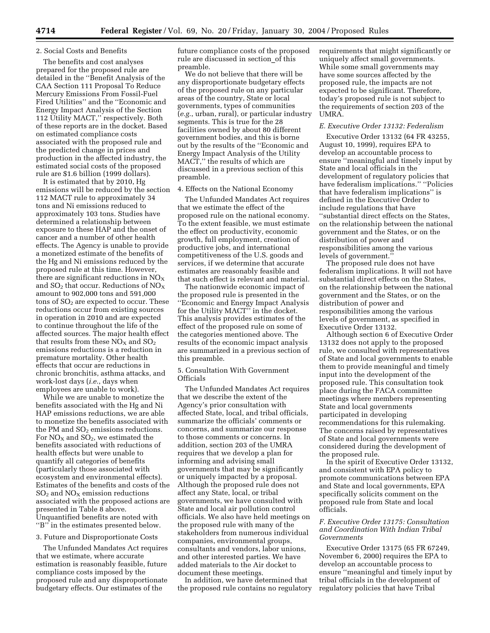### 2. Social Costs and Benefits

The benefits and cost analyses prepared for the proposed rule are detailed in the ''Benefit Analysis of the CAA Section 111 Proposal To Reduce Mercury Emissions From Fossil-Fuel Fired Utilities'' and the ''Economic and Energy Impact Analysis of the Section 112 Utility MACT,'' respectively. Both of these reports are in the docket. Based on estimated compliance costs associated with the proposed rule and the predicted change in prices and production in the affected industry, the estimated social costs of the proposed rule are \$1.6 billion (1999 dollars).

It is estimated that by 2010, Hg emissions will be reduced by the section 112 MACT rule to approximately 34 tons and Ni emissions reduced to approximately 103 tons. Studies have determined a relationship between exposure to these HAP and the onset of cancer and a number of other health effects. The Agency is unable to provide a monetized estimate of the benefits of the Hg and Ni emissions reduced by the proposed rule at this time. However, there are significant reductions in  $NO<sub>x</sub>$ and  $SO_2$  that occur. Reductions of  $NO_X$ amount to 902,000 tons and 591,000 tons of  $SO<sub>2</sub>$  are expected to occur. These reductions occur from existing sources in operation in 2010 and are expected to continue throughout the life of the affected sources. The major health effect that results from these  $NO<sub>x</sub>$  and  $SO<sub>2</sub>$ emissions reductions is a reduction in premature mortality. Other health effects that occur are reductions in chronic bronchitis, asthma attacks, and work-lost days (*i.e.*, days when employees are unable to work).

While we are unable to monetize the benefits associated with the Hg and Ni HAP emissions reductions, we are able to monetize the benefits associated with the PM and  $SO<sub>2</sub>$  emissions reductions. For  $NO<sub>X</sub>$  and  $SO<sub>2</sub>$ , we estimated the benefits associated with reductions of health effects but were unable to quantify all categories of benefits (particularly those associated with ecosystem and environmental effects). Estimates of the benefits and costs of the  $SO<sub>2</sub>$  and  $NO<sub>X</sub>$  emission reductions associated with the proposed actions are presented in Table 8 above. Unquantified benefits are noted with ''B'' in the estimates presented below.

### 3. Future and Disproportionate Costs

The Unfunded Mandates Act requires that we estimate, where accurate estimation is reasonably feasible, future compliance costs imposed by the proposed rule and any disproportionate budgetary effects. Our estimates of the

future compliance costs of the proposed rule are discussed in section\_of this preamble.

We do not believe that there will be any disproportionate budgetary effects of the proposed rule on any particular areas of the country, State or local governments, types of communities (*e.g.*, urban, rural), or particular industry segments. This is true for the 28 facilities owned by about 80 different government bodies, and this is borne out by the results of the ''Economic and Energy Impact Analysis of the Utility MACT,'' the results of which are discussed in a previous section of this preamble.

### 4. Effects on the National Economy

The Unfunded Mandates Act requires that we estimate the effect of the proposed rule on the national economy. To the extent feasible, we must estimate the effect on productivity, economic growth, full employment, creation of productive jobs, and international competitiveness of the U.S. goods and services, if we determine that accurate estimates are reasonably feasible and that such effect is relevant and material.

The nationwide economic impact of the proposed rule is presented in the ''Economic and Energy Impact Analysis for the Utility MACT'' in the docket. This analysis provides estimates of the effect of the proposed rule on some of the categories mentioned above. The results of the economic impact analysis are summarized in a previous section of this preamble.

5. Consultation With Government **Officials** 

The Unfunded Mandates Act requires that we describe the extent of the Agency's prior consultation with affected State, local, and tribal officials, summarize the officials' comments or concerns, and summarize our response to those comments or concerns. In addition, section 203 of the UMRA requires that we develop a plan for informing and advising small governments that may be significantly or uniquely impacted by a proposal. Although the proposed rule does not affect any State, local, or tribal governments, we have consulted with State and local air pollution control officials. We also have held meetings on the proposed rule with many of the stakeholders from numerous individual companies, environmental groups, consultants and vendors, labor unions, and other interested parties. We have added materials to the Air docket to document these meetings.

In addition, we have determined that the proposed rule contains no regulatory requirements that might significantly or uniquely affect small governments. While some small governments may have some sources affected by the proposed rule, the impacts are not expected to be significant. Therefore, today's proposed rule is not subject to the requirements of section 203 of the UMRA.

# *E. Executive Order 13132: Federalism*

Executive Order 13132 (64 FR 43255, August 10, 1999), requires EPA to develop an accountable process to ensure ''meaningful and timely input by State and local officials in the development of regulatory policies that have federalism implications.'' ''Policies that have federalism implications'' is defined in the Executive Order to include regulations that have ''substantial direct effects on the States, on the relationship between the national government and the States, or on the distribution of power and responsibilities among the various levels of government.''

The proposed rule does not have federalism implications. It will not have substantial direct effects on the States, on the relationship between the national government and the States, or on the distribution of power and responsibilities among the various levels of government, as specified in Executive Order 13132.

Although section 6 of Executive Order 13132 does not apply to the proposed rule, we consulted with representatives of State and local governments to enable them to provide meaningful and timely input into the development of the proposed rule. This consultation took place during the FACA committee meetings where members representing State and local governments participated in developing recommendations for this rulemaking. The concerns raised by representatives of State and local governments were considered during the development of the proposed rule.

In the spirit of Executive Order 13132, and consistent with EPA policy to promote communications between EPA and State and local governments, EPA specifically solicits comment on the proposed rule from State and local officials.

# *F. Executive Order 13175: Consultation and Coordination With Indian Tribal Governments*

Executive Order 13175 (65 FR 67249, November 6, 2000) requires the EPA to develop an accountable process to ensure ''meaningful and timely input by tribal officials in the development of regulatory policies that have Tribal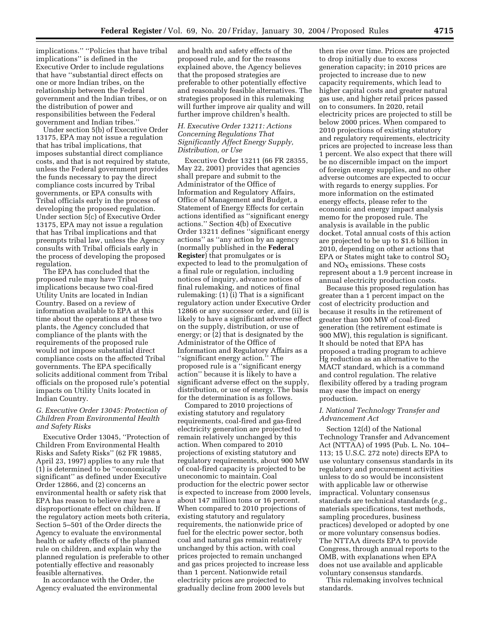implications.'' ''Policies that have tribal implications'' is defined in the Executive Order to include regulations that have ''substantial direct effects on one or more Indian tribes, on the relationship between the Federal government and the Indian tribes, or on the distribution of power and responsibilities between the Federal government and Indian tribes.''

Under section 5(b) of Executive Order 13175, EPA may not issue a regulation that has tribal implications, that imposes substantial direct compliance costs, and that is not required by statute, unless the Federal government provides the funds necessary to pay the direct compliance costs incurred by Tribal governments, or EPA consults with Tribal officials early in the process of developing the proposed regulation. Under section 5(c) of Executive Order 13175, EPA may not issue a regulation that has Tribal implications and that preempts tribal law, unless the Agency consults with Tribal officials early in the process of developing the proposed regulation.

The EPA has concluded that the proposed rule may have Tribal implications because two coal-fired Utility Units are located in Indian Country. Based on a review of information available to EPA at this time about the operations at these two plants, the Agency concluded that compliance of the plants with the requirements of the proposed rule would not impose substantial direct compliance costs on the affected Tribal governments. The EPA specifically solicits additional comment from Tribal officials on the proposed rule's potential impacts on Utility Units located in Indian Country.

### *G. Executive Order 13045: Protection of Children From Environmental Health and Safety Risks*

Executive Order 13045, ''Protection of Children From Environmental Health Risks and Safety Risks'' (62 FR 19885, April 23, 1997) applies to any rule that (1) is determined to be ''economically significant'' as defined under Executive Order 12866, and (2) concerns an environmental health or safety risk that EPA has reason to believe may have a disproportionate effect on children. If the regulatory action meets both criteria, Section 5–501 of the Order directs the Agency to evaluate the environmental health or safety effects of the planned rule on children, and explain why the planned regulation is preferable to other potentially effective and reasonably feasible alternatives.

In accordance with the Order, the Agency evaluated the environmental and health and safety effects of the proposed rule, and for the reasons explained above, the Agency believes that the proposed strategies are preferable to other potentially effective and reasonably feasible alternatives. The strategies proposed in this rulemaking will further improve air quality and will further improve children's health.

# *H. Executive Order 13211: Actions Concerning Regulations That Significantly Affect Energy Supply, Distribution, or Use*

Executive Order 13211 (66 FR 28355, May 22, 2001) provides that agencies shall prepare and submit to the Administrator of the Office of Information and Regulatory Affairs, Office of Management and Budget, a Statement of Energy Effects for certain actions identified as ''significant energy actions.'' Section 4(b) of Executive Order 13211 defines ''significant energy actions'' as ''any action by an agency (normally published in the **Federal Register**) that promulgates or is expected to lead to the promulgation of a final rule or regulation, including notices of inquiry, advance notices of final rulemaking, and notices of final rulemaking: (1) (i) That is a significant regulatory action under Executive Order 12866 or any successor order, and (ii) is likely to have a significant adverse effect on the supply, distribution, or use of energy; or (2) that is designated by the Administrator of the Office of Information and Regulatory Affairs as a ''significant energy action.'' The proposed rule is a ''significant energy action'' because it is likely to have a significant adverse effect on the supply, distribution, or use of energy. The basis for the determination is as follows.

Compared to 2010 projections of existing statutory and regulatory requirements, coal-fired and gas-fired electricity generation are projected to remain relatively unchanged by this action. When compared to 2010 projections of existing statutory and regulatory requirements, about 900 MW of coal-fired capacity is projected to be uneconomic to maintain. Coal production for the electric power sector is expected to increase from 2000 levels, about 147 million tons or 16 percent. When compared to 2010 projections of existing statutory and regulatory requirements, the nationwide price of fuel for the electric power sector, both coal and natural gas remain relatively unchanged by this action, with coal prices projected to remain unchanged and gas prices projected to increase less than 1 percent. Nationwide retail electricity prices are projected to gradually decline from 2000 levels but

then rise over time. Prices are projected to drop initially due to excess generation capacity; in 2010 prices are projected to increase due to new capacity requirements, which lead to higher capital costs and greater natural gas use, and higher retail prices passed on to consumers. In 2020, retail electricity prices are projected to still be below 2000 prices. When compared to 2010 projections of existing statutory and regulatory requirements, electricity prices are projected to increase less than 1 percent. We also expect that there will be no discernible impact on the import of foreign energy supplies, and no other adverse outcomes are expected to occur with regards to energy supplies. For more information on the estimated energy effects, please refer to the economic and energy impact analysis memo for the proposed rule. The analysis is available in the public docket. Total annual costs of this action are projected to be up to \$1.6 billion in 2010, depending on other actions that EPA or States might take to control  $SO<sub>2</sub>$ and  $NO<sub>x</sub>$  emissions. These costs represent about a 1.9 percent increase in annual electricity production costs.

Because this proposed regulation has greater than a 1 percent impact on the cost of electricity production and because it results in the retirement of greater than 500 MW of coal-fired generation (the retirement estimate is 900 MW), this regulation is significant. It should be noted that EPA has proposed a trading program to achieve Hg reduction as an alternative to the MACT standard, which is a command and control regulation. The relative flexibility offered by a trading program may ease the impact on energy production.

### *I. National Technology Transfer and Advancement Act*

Section 12(d) of the National Technology Transfer and Advancement Act (NTTAA) of 1995 (Pub. L. No. 104– 113; 15 U.S.C. 272 note) directs EPA to use voluntary consensus standards in its regulatory and procurement activities unless to do so would be inconsistent with applicable law or otherwise impractical. Voluntary consensus standards are technical standards (*e.g.*, materials specifications, test methods, sampling procedures, business practices) developed or adopted by one or more voluntary consensus bodies. The NTTAA directs EPA to provide Congress, through annual reports to the OMB, with explanations when EPA does not use available and applicable voluntary consensus standards.

This rulemaking involves technical standards.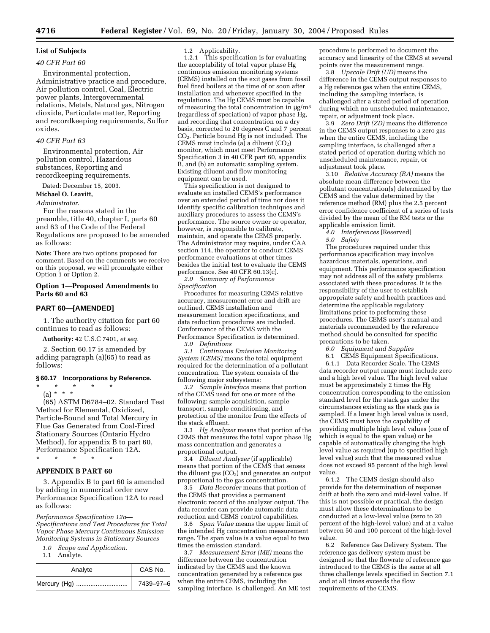# **List of Subjects**

# *40 CFR Part 60*

Environmental protection, Administrative practice and procedure, Air pollution control, Coal, Electric power plants, Intergovernmental relations, Metals, Natural gas, Nitrogen dioxide, Particulate matter, Reporting and recordkeeping requirements, Sulfur oxides.

### *40 CFR Part 63*

Environmental protection, Air pollution control, Hazardous substances, Reporting and recordkeeping requirements.

Dated: December 15, 2003.

**Michael O. Leavitt,** 

### *Administrator.*

For the reasons stated in the preamble, title 40, chapter I, parts 60 and 63 of the Code of the Federal Regulations are proposed to be amended as follows:

**Note:** There are two options proposed for comment. Based on the comments we receive on this proposal, we will promulgate either Option 1 or Option 2.

# **Option 1—Proposed Amendments to Parts 60 and 63**

### **PART 60—[AMENDED]**

1. The authority citation for part 60 continues to read as follows:

**Authority:** 42 U.S.C 7401, *et seq.*

2. Section 60.17 is amended by adding paragraph (a)(65) to read as follows:

### **§ 60.17 Incorporations by Reference.**

\* \* \* \* \*

(a) \* \* \* (65) ASTM D6784–02, Standard Test Method for Elemental, Oxidized, Particle-Bound and Total Mercury in Flue Gas Generated from Coal-Fired Stationary Sources (Ontario Hydro Method), for appendix B to part 60, Performance Specification 12A. \* \* \* \* \*

### **APPENDIX B PART 60**

3. Appendix B to part 60 is amended by adding in numerical order new Performance Specification 12A to read as follows:

*Performance Specification 12a— Specifications and Test Procedures for Total Vapor Phase Mercury Continuous Emission Monitoring Systems in Stationary Sources* 

- *1.0 Scope and Application.*
- 1.1 Analyte.

| Analyte | CAS No.   |
|---------|-----------|
|         | 7439–97–6 |

1.2 Applicability.

1.2.1 This specification is for evaluating the acceptability of total vapor phase Hg continuous emission monitoring systems (CEMS) installed on the exit gases from fossil fuel fired boilers at the time of or soon after installation and whenever specified in the regulations. The Hg CEMS must be capable of measuring the total concentration in  $\mu$ g/m<sup>3</sup> (regardless of speciation) of vapor phase Hg, and recording that concentration on a dry basis, corrected to 20 degrees C and 7 percent CO2. Particle bound Hg is not included. The CEMS must include (a) a diluent  $(CO<sub>2</sub>)$ monitor, which must meet Performance Specification 3 in 40 CFR part 60, appendix B, and (b) an automatic sampling system. Existing diluent and flow monitoring equipment can be used.

This specification is not designed to evaluate an installed CEMS's performance over an extended period of time nor does it identify specific calibration techniques and auxiliary procedures to assess the CEMS's performance. The source owner or operator, however, is responsible to calibrate, maintain, and operate the CEMS properly. The Administrator may require, under CAA section 114, the operator to conduct CEMS performance evaluations at other times besides the initial test to evaluate the CEMS performance. See 40 CFR 60.13(c).

*2.0 Summary of Performance Specification*

Procedures for measuring CEMS relative accuracy, measurement error and drift are outlined. CEMS installation and measurement location specifications, and data reduction procedures are included. Conformance of the CEMS with the Performance Specification is determined.

*3.0 Definitions*

*3.1 Continuous Emission Monitoring System (CEMS)* means the total equipment required for the determination of a pollutant concentration. The system consists of the following major subsystems:

*3.2 Sample Interface* means that portion of the CEMS used for one or more of the following: sample acquisition, sample transport, sample conditioning, and protection of the monitor from the effects of the stack effluent.

3.3 *Hg Analyzer* means that portion of the CEMS that measures the total vapor phase Hg mass concentration and generates a proportional output.

3.4 *Diluent Analyzer* (if applicable) means that portion of the CEMS that senses the diluent gas  $(CO<sub>2</sub>)$  and generates an output proportional to the gas concentration.

3.5 *Data Recorder* means that portion of the CEMS that provides a permanent electronic record of the analyzer output. The data recorder can provide automatic data reduction and CEMS control capabilities.

3.6 *Span Value* means the upper limit of the intended Hg concentration measurement range. The span value is a value equal to two times the emission standard.

3.7 *Measurement Error (ME)* means the difference between the concentration indicated by the CEMS and the known concentration generated by a reference gas when the entire CEMS, including the sampling interface, is challenged. An ME test procedure is performed to document the accuracy and linearity of the CEMS at several points over the measurement range.

3.8 *Upscale Drift (UD)* means the difference in the CEMS output responses to a Hg reference gas when the entire CEMS, including the sampling interface, is challenged after a stated period of operation during which no unscheduled maintenance, repair, or adjustment took place.

3.9 *Zero Drift (ZD)* means the difference in the CEMS output responses to a zero gas when the entire CEMS, including the sampling interface, is challenged after a stated period of operation during which no unscheduled maintenance, repair, or adjustment took place.

3.10 *Relative Accuracy (RA)* means the absolute mean difference between the pollutant concentration(s) determined by the CEMS and the value determined by the reference method (RM) plus the 2.5 percent error confidence coefficient of a series of tests divided by the mean of the RM tests or the applicable emission limit.

*4.0 Interferences* [Reserved]

*5.0 Safety*

The procedures required under this performance specification may involve hazardous materials, operations, and equipment. This performance specification may not address all of the safety problems associated with these procedures. It is the responsibility of the user to establish appropriate safety and health practices and determine the applicable regulatory limitations prior to performing these procedures. The CEMS user's manual and materials recommended by the reference method should be consulted for specific precautions to be taken.

*6.0 Equipment and Supplies*

6.1 CEMS Equipment Specifications.

6.1.1 Data Recorder Scale. The CEMS data recorder output range must include zero and a high level value. The high level value must be approximately 2 times the Hg concentration corresponding to the emission standard level for the stack gas under the circumstances existing as the stack gas is sampled. If a lower high level value is used, the CEMS must have the capability of providing multiple high level values (one of which is equal to the span value) or be capable of automatically changing the high level value as required (up to specified high level value) such that the measured value does not exceed 95 percent of the high level value.<br> $6.1.2$ 

The CEMS design should also provide for the determination of response drift at both the zero and mid-level value. If this is not possible or practical, the design must allow these determinations to be conducted at a low-level value (zero to 20 percent of the high-level value) and at a value between 50 and 100 percent of the high-level value.

6.2 Reference Gas Delivery System. The reference gas delivery system must be designed so that the flowrate of reference gas introduced to the CEMS is the same at all three challenge levels specified in Section 7.1 and at all times exceeds the flow requirements of the CEMS.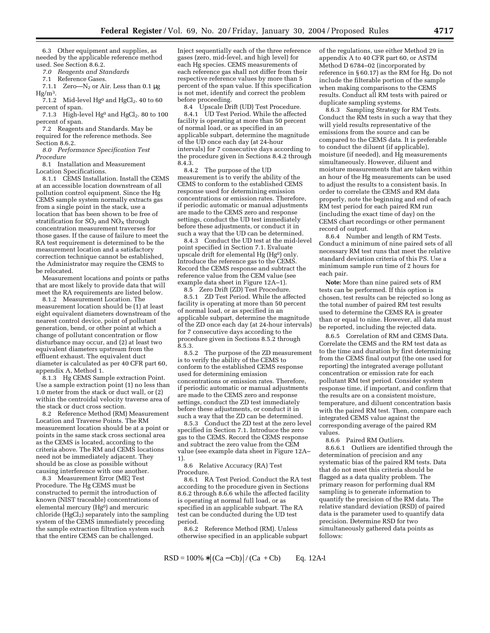6.3 Other equipment and supplies, as needed by the applicable reference method used. See Section 8.6.2.

*7.0 Reagents and Standards*

Reference Gases.

7.1.1 Zero— $N_2$  or Air. Less than 0.1  $\mu$ g  $Hg/m<sup>3</sup>$ .

7.1.2 Mid-level  $Hg^0$  and  $HgCl_2$ . 40 to 60 percent of span.

7.1.3 High-level  $Hg^0$  and  $HgCl_2$ . 80 to 100 percent of span.

7.2 Reagents and Standards. May be required for the reference methods. See Section 8.6.2.

*8.0 Performance Specification Test Procedure*

8.1 Installation and Measurement Location Specifications.

8.1.1 CEMS Installation. Install the CEMS at an accessible location downstream of all pollution control equipment. Since the Hg CEMS sample system normally extracts gas from a single point in the stack, use a location that has been shown to be free of stratification for  $SO_2$  and  $NO_X$  through concentration measurement traverses for those gases. If the cause of failure to meet the RA test requirement is determined to be the measurement location and a satisfactory correction technique cannot be established, the Administrator may require the CEMS to be relocated.

Measurement locations and points or paths that are most likely to provide data that will meet the RA requirements are listed below.

8.1.2 Measurement Location. The measurement location should be (1) at least eight equivalent diameters downstream of the nearest control device, point of pollutant generation, bend, or other point at which a change of pollutant concentration or flow disturbance may occur, and (2) at least two equivalent diameters upstream from the effluent exhaust. The equivalent duct diameter is calculated as per 40 CFR part 60, appendix A, Method 1.

8.1.3 Hg CEMS Sample extraction Point. Use a sample extraction point (1) no less than 1.0 meter from the stack or duct wall, or (2) within the centroidal velocity traverse area of the stack or duct cross section.

8.2 Reference Method (RM) Measurement Location and Traverse Points. The RM measurement location should be at a point or points in the same stack cross sectional area as the CEMS is located, according to the criteria above. The RM and CEMS locations need not be immediately adjacent. They should be as close as possible without causing interference with one another.

8.3 Measurement Error (ME) Test Procedure. The Hg CEMS must be constructed to permit the introduction of known (NIST traceable) concentrations of elemental mercury (Hg<sup>0</sup>) and mercuric  $chloride$  (HgCl<sub>2</sub>) separately into the sampling system of the CEMS immediately preceding the sample extraction filtration system such that the entire CEMS can be challenged.

Inject sequentially each of the three reference gases (zero, mid-level, and high level) for each Hg species. CEMS measurements of each reference gas shall not differ from their respective reference values by more than 5 percent of the span value. If this specification is not met, identify and correct the problem before proceeding.

8.4 Upscale Drift (UD) Test Procedure. 8.4.1 UD Test Period. While the affected facility is operating at more than 50 percent of normal load, or as specified in an applicable subpart, determine the magnitude of the UD once each day (at 24-hour intervals) for 7 consecutive days according to the procedure given in Sections 8.4.2 through  $8.4.\overline{3}$ .

8.4.2 The purpose of the UD measurement is to verify the ability of the CEMS to conform to the established CEMS response used for determining emission concentrations or emission rates. Therefore, if periodic automatic or manual adjustments are made to the CEMS zero and response settings, conduct the UD test immediately before these adjustments, or conduct it in such a way that the UD can be determined.

8.4.3 Conduct the UD test at the mid-level point specified in Section 7.1. Evaluate upscale drift for elemental Hg (Hg<sup>0</sup>) only. Introduce the reference gas to the CEMS. Record the CEMS response and subtract the reference value from the CEM value (see example data sheet in Figure 12A–1).

8.5<sup> Zero Drift (ZD) Test Procedure.</sup> 8.5.1 ZD Test Period. While the affected facility is operating at more than 50 percent of normal load, or as specified in an applicable subpart, determine the magnitude of the ZD once each day (at 24-hour intervals) for 7 consecutive days according to the procedure given in Sections 8.5.2 through  $8.5.3.$ 

8.5.2 The purpose of the ZD measurement is to verify the ability of the CEMS to conform to the established CEMS response used for determining emission concentrations or emission rates. Therefore, if periodic automatic or manual adjustments are made to the CEMS zero and response settings, conduct the ZD test immediately before these adjustments, or conduct it in such a way that the ZD can be determined.

8.5.3 Conduct the ZD test at the zero level specified in Section 7.1. Introduce the zero gas to the CEMS. Record the CEMS response and subtract the zero value from the CEM value (see example data sheet in Figure 12A– 1).

8.6 Relative Accuracy (RA) Test Procedure.

8.6.1 RA Test Period. Conduct the RA test according to the procedure given in Sections 8.6.2 through 8.6.6 while the affected facility is operating at normal full load, or as specified in an applicable subpart. The RA test can be conducted during the UD test period.

8.6.2 Reference Method (RM). Unless otherwise specified in an applicable subpart

$$
RSD = 100\% * |(Ca - Cb)| / (Ca + Cb)
$$
 Eq. 12A-1

of the regulations, use either Method 29 in appendix A to 40 CFR part 60, or ASTM Method D 6784–02 (incorporated by reference in § 60.17) as the RM for Hg. Do not include the filterable portion of the sample when making comparisons to the CEMS results. Conduct all RM tests with paired or duplicate sampling systems.

8.6.3 Sampling Strategy for RM Tests. Conduct the RM tests in such a way that they will yield results representative of the emissions from the source and can be compared to the CEMS data. It is preferable to conduct the diluent (if applicable), moisture (if needed), and Hg measurements simultaneously. However, diluent and moisture measurements that are taken within an hour of the Hg measurements can be used to adjust the results to a consistent basis. In order to correlate the CEMS and RM data properly, note the beginning and end of each RM test period for each paired RM run (including the exact time of day) on the CEMS chart recordings or other permanent record of output.

8.6.4 Number and length of RM Tests. Conduct a minimum of nine paired sets of all necessary RM test runs that meet the relative standard deviation criteria of this PS. Use a minimum sample run time of 2 hours for each pair.

**Note:** More than nine paired sets of RM tests can be performed. If this option is chosen, test results can be rejected so long as the total number of paired RM test results used to determine the CEMS RA is greater than or equal to nine. However, all data must be reported, including the rejected data.

8.6.5 Correlation of RM and CEMS Data. Correlate the CEMS and the RM test data as to the time and duration by first determining from the CEMS final output (the one used for reporting) the integrated average pollutant concentration or emission rate for each pollutant RM test period. Consider system response time, if important, and confirm that the results are on a consistent moisture, temperature, and diluent concentration basis with the paired RM test. Then, compare each integrated CEMS value against the corresponding average of the paired RM values.

8.6.6 Paired RM Outliers.

8.6.6.1 Outliers are identified through the determination of precision and any systematic bias of the paired RM tests. Data that do not meet this criteria should be flagged as a data quality problem. The primary reason for performing dual RM sampling is to generate information to quantify the precision of the RM data. The relative standard deviation (RSD) of paired data is the parameter used to quantify data precision. Determine RSD for two simultaneously gathered data points as follows: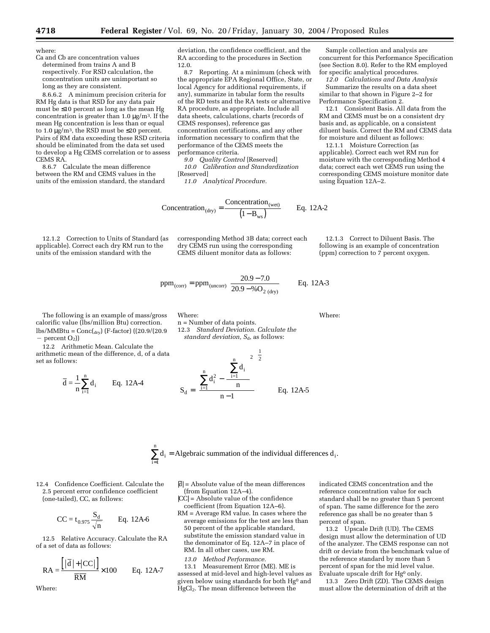where:

Ca and Cb are concentration values determined from trains A and B respectively. For RSD calculation, the concentration units are unimportant so long as they are consistent.

8.6.6.2 A minimum precision criteria for RM Hg data is that RSD for any data pair must be ≤10 percent as long as the mean Hg concentration is greater than  $1.0 \mu g/m<sup>3</sup>$ . If the mean Hg concentration is less than or equal to 1.0  $\mu$ g/m<sup>3</sup>, the RSD must be ≤20 percent. Pairs of RM data exceeding these RSD criteria should be eliminated from the data set used to develop a Hg CEMS correlation or to assess CEMS RA.

8.6.7 Calculate the mean difference between the RM and CEMS values in the units of the emission standard, the standard

12.1.2 Correction to Units of Standard (as applicable). Correct each dry RM run to the units of the emission standard with the

deviation, the confidence coefficient, and the RA according to the procedures in Section 12.0.

8.7 Reporting. At a minimum (check with the appropriate EPA Regional Office, State, or local Agency for additional requirements, if any), summarize in tabular form the results of the RD tests and the RA tests or alternative RA procedure, as appropriate. Include all data sheets, calculations, charts (records of CEMS responses), reference gas concentration certifications, and any other information necessary to confirm that the performance of the CEMS meets the performance criteria.

*9.0 Quality Control* [Reserved] *10.0 Calibration and Standardization* [Reserved]

*11.0 Analytical Procedure.*

$$
Concentration_{(dry)} = \frac{Concentration_{(wet)}}{(1 - B_{ws})}
$$
 Eq. 12A-2

corresponding Method 3B data; correct each dry CEMS run using the corresponding CEMS diluent monitor data as follows: 12.1.3 Correct to Diluent Basis. The following is an example of concentration (ppm) correction to 7 percent oxygen.

Where:

ppm<sub>(corr)</sub> = ppm<sub>(uncorr)</sub> 
$$
\left[ \frac{20.9 - 7.0}{20.9 - %\text{O}_{2 (dry)}} \right]
$$
 Eq. 12A-3

12.3 *Standard Deviation. Calculate the standard deviation, S<sub>d</sub>, as follows:* 

Where:

n = Number of data points.

The following is an example of mass/gross calorific value (lbs/million Btu) correction.  $\text{lbs/MMBtu} = \text{Conc}(\text{d}_{\text{rv}})$  (F-factor) ((20.9/(20.9)  $-$  percent  $O_2$ )

12.2 Arithmetic Mean. Calculate the arithmetic mean of the difference, d, of a data set as follows:

$$
\overline{d} = \frac{1}{n} \sum_{i=1}^{n} d_i
$$
 Eq. 12A-4



 $\sum_{i=1}^{n} d_i$  = Algebraic summation of the individual differences  $d_i$ . 1

12.4 Confidence Coefficient. Calculate the 2.5 percent error confidence coefficient (one-tailed), CC, as follows:

i =

$$
CC = t_{0.975} \frac{S_d}{\sqrt{n}} \qquad Eq. 12A-6
$$

12.5 Relative Accuracy. Calculate the RA of a set of data as follows:

$$
RA = \frac{\left[|\overline{d}| + |CC|\right]}{\overline{RM}} \times 100 \qquad Eq. 12A-7
$$

Where:

- $|\overline{d}|$  = Absolute value of the mean differences (from Equation 12A–4).
- |CC| = Absolute value of the confidence coefficient (from Equation 12A–6).
- RM = Average RM value. In cases where the average emissions for the test are less than 50 percent of the applicable standard, substitute the emission standard value in the denominator of Eq. 12A–7 in place of RM. In all other cases, use RM.
	- *13.0 Method Performance.*

13.1 Measurement Error (ME). ME is assessed at mid-level and high-level values as given below using standards for both Hg0 and HgCl<sub>2</sub>. The mean difference between the

indicated CEMS concentration and the reference concentration value for each standard shall be no greater than 5 percent of span. The same difference for the zero reference gas shall be no greater than 5 percent of span.

13.2 Upscale Drift (UD). The CEMS design must allow the determination of UD of the analyzer. The CEMS response can not drift or deviate from the benchmark value of the reference standard by more than 5 percent of span for the mid level value. Evaluate upscale drift for Hg0 only.

13.3 Zero Drift (ZD). The CEMS design must allow the determination of drift at the

Sample collection and analysis are concurrent for this Performance Specification (see Section 8.0). Refer to the RM employed for specific analytical procedures.

*12.0 Calculations and Data Analysis* Summarize the results on a data sheet similar to that shown in Figure 2–2 for Performance Specification 2.

12.1 Consistent Basis. All data from the RM and CEMS must be on a consistent dry basis and, as applicable, on a consistent diluent basis. Correct the RM and CEMS data for moisture and diluent as follows:

12.1.1 Moisture Correction (as applicable). Correct each wet RM run for moisture with the corresponding Method 4 data; correct each wet CEMS run using the corresponding CEMS moisture monitor date using Equation 12A–2.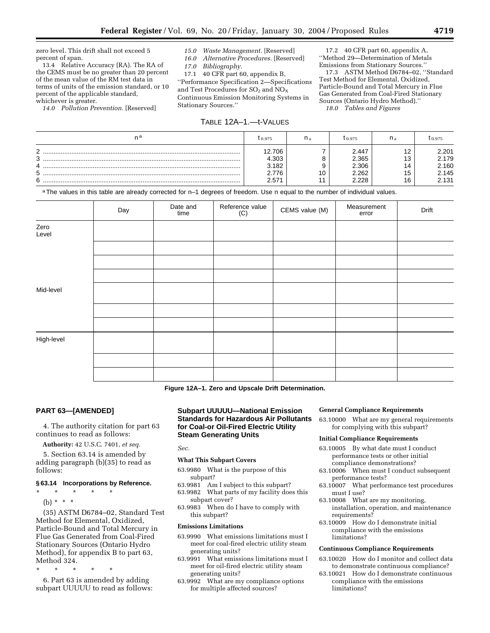zero level. This drift shall not exceed 5 percent of span.

13.4 Relative Accuracy (RA). The RA of the CEMS must be no greater than 20 percent of the mean value of the RM test data in terms of units of the emission standard, or 10 percent of the applicable standard, whichever is greater.

*14.0 Pollution Prevention.* [Reserved]

# *15.0 Waste Management.* [Reserved]

*16.0 Alternative Procedures.* [Reserved] *17.0 Bibliography.*

17.1 40 CFR part 60, appendix B,

''Performance Specification 2—Specifications and Test Procedures for  $SO<sub>2</sub>$  and  $NO<sub>X</sub>$ Continuous Emission Monitoring Systems in Stationary Sources.''

# TABLE 12A–1.—t-VALUES

17.2 40 CFR part 60, appendix A, ''Method 29—Determination of Metals Emissions from Stationary Sources.''

17.3 ASTM Method D6784–02, ''Standard Test Method for Elemental, Oxidized, Particle-Bound and Total Mercury in Flue Gas Generated from Coal-Fired Stationary Sources (Ontario Hydro Method).'' *18.0 Tables and Figures*

| na                              | 0.975                                     | n, | 10.975                                    | II o                                   | 0.975                                     |
|---------------------------------|-------------------------------------------|----|-------------------------------------------|----------------------------------------|-------------------------------------------|
| ◠<br>∼<br>ີ<br>v<br>4<br>5<br>6 | 12.706<br>4.303<br>.182<br>2.776<br>2.571 |    | 2.447<br>2.365<br>2.306<br>2.262<br>2.228 | ៱<br>ے ا<br>៱<br>ں ا<br>14<br>15<br>16 | 2.201<br>2.179<br>2.160<br>2.145<br>2.131 |

a The values in this table are already corrected for n-1 degrees of freedom. Use n equal to the number of individual values.

|               | Day | Date and<br>time | Reference value<br>(C) | CEMS value (M) | Measurement<br>error | Drift |
|---------------|-----|------------------|------------------------|----------------|----------------------|-------|
| Zero<br>Level |     |                  |                        |                |                      |       |
|               |     |                  |                        |                |                      |       |
|               |     |                  |                        |                |                      |       |
|               |     |                  |                        |                |                      |       |
| Mid-level     |     |                  |                        |                |                      |       |
|               |     |                  |                        |                |                      |       |
|               |     |                  |                        |                |                      |       |
| High-level    |     |                  |                        |                |                      |       |
|               |     |                  |                        |                |                      |       |
|               |     |                  |                        |                |                      |       |

**Figure 12A–1. Zero and Upscale Drift Determination.**

### **PART 63—[AMENDED]**

4. The authority citation for part 63 continues to read as follows:

**Authority:** 42 U.S.C. 7401, *et seq.*

5. Section 63.14 is amended by adding paragraph (b)(35) to read as follows:

### **§ 63.14 Incorporations by Reference.**

- \* \* \* \* \*
	- (b) \* \* \*

(35) ASTM D6784–02, Standard Test Method for Elemental, Oxidized, Particle-Bound and Total Mercury in Flue Gas Generated from Coal-Fired Stationary Sources (Ontario Hydro Method), for appendix B to part 63, Method 324.

\* \* \* \* \*

6. Part 63 is amended by adding subpart UUUUU to read as follows:

# **Subpart UUUUU—National Emission Standards for Hazardous Air Pollutants for Coal-or Oil-Fired Electric Utility Steam Generating Units**

*Sec.*

# **What This Subpart Covers**

- 63.9980 What is the purpose of this subpart?
- 63.9981 Am I subject to this subpart?
- 63.9982 What parts of my facility does this subpart cover?
- 63.9983 When do I have to comply with this subpart?

### **Emissions Limitations**

- 63.9990 What emissions limitations must I meet for coal-fired electric utility steam generating units?
- 63.9991 What emissions limitations must I meet for oil-fired electric utility steam generating units?
- 63.9992 What are my compliance options for multiple affected sources?

# **General Compliance Requirements**

63.10000 What are my general requirements for complying with this subpart?

### **Initial Compliance Requirements**

- 63.10005 By what date must I conduct performance tests or other initial compliance demonstrations?
- 63.10006 When must I conduct subsequent performance tests?
- 63.10007 What performance test procedures must I use?
- 63.10008 What are my monitoring, installation, operation, and maintenance requirements?
- 63.10009 How do I demonstrate initial compliance with the emissions limitations?

### **Continuous Compliance Requirements**

- 63.10020 How do I monitor and collect data to demonstrate continuous compliance?
- 63.10021 How do I demonstrate continuous compliance with the emissions limitations?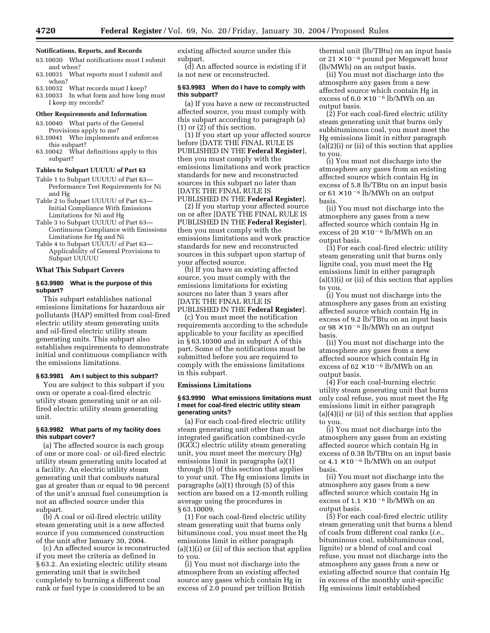### **Notifications, Reports, and Records**

- 63.10030 What notifications must I submit and when?
- 63.10031 What reports must I submit and when?
- 63.10032 What records must I keep?
- 63.10033 In what form and how long must I keep my records?

# **Other Requirements and Information**

- 63.10040 What parts of the General Provisions apply to me?
- 63.10041 Who implements and enforces this subpart?
- 63.10042 What definitions apply to this subpart?

#### **Tables to Subpart UUUUU of Part 63**

- Table 1 to Subpart UUUUU of Part 63— Performance Test Requirements for Ni and Hg
- Table 2 to Subpart UUUUU of Part 63— Initial Compliance With Emissions Limitations for Ni and Hg
- Table 3 to Subpart UUUUU of Part 63— Continuous Compliance with Emissions Limitations for Hg and Ni
- Table 4 to Subpart UUUUU of Part 63— Applicability of General Provisions to Subpart UUUUU

# **What This Subpart Covers**

# **§ 63.9980 What is the purpose of this subpart?**

This subpart establishes national emissions limitations for hazardous air pollutants (HAP) emitted from coal-fired electric utility steam generating units and oil-fired electric utility steam generating units. This subpart also establishes requirements to demonstrate initial and continuous compliance with the emissions limitations.

### **§ 63.9981 Am I subject to this subpart?**

You are subject to this subpart if you own or operate a coal-fired electric utility steam generating unit or an oilfired electric utility steam generating unit.

### **§ 63.9982 What parts of my facility does this subpart cover?**

(a) The affected source is each group of one or more coal- or oil-fired electric utility steam generating units located at a facility. An electric utility steam generating unit that combusts natural gas at greater than or equal to 98 percent of the unit's annual fuel consumption is not an affected source under this subpart.

(b) A coal or oil-fired electric utility steam generating unit is a new affected source if you commenced construction of the unit after January 30, 2004.

(c) An affected source is reconstructed if you meet the criteria as defined in § 63.2. An existing electric utility steam generating unit that is switched completely to burning a different coal rank or fuel type is considered to be an

existing affected source under this subpart.

(d) An affected source is existing if it is not new or reconstructed.

### **§ 63.9983 When do I have to comply with this subpart?**

(a) If you have a new or reconstructed affected source, you must comply with this subpart according to paragraph (a) (1) or (2) of this section.

(1) If you start up your affected source before [DATE THE FINAL RULE IS PUBLISHED IN THE **Federal Register**], then you must comply with the emissions limitations and work practice standards for new and reconstructed sources in this subpart no later than [DATE THE FINAL RULE IS PUBLISHED IN THE **Federal Register**].

(2) If you startup your affected source on or after [DATE THE FINAL RULE IS PUBLISHED IN THE **Federal Register**], then you must comply with the emissions limitations and work practice standards for new and reconstructed sources in this subpart upon startup of your affected source.

(b) If you have an existing affected source, you must comply with the emissions limitations for existing sources no later than 3 years after [DATE THE FINAL RULE IS

PUBLISHED IN THE **Federal Register**].

(c) You must meet the notification requirements according to the schedule applicable to your facility as specified in § 63.10300 and in subpart A of this part. Some of the notifications must be submitted before you are required to comply with the emissions limitations in this subpart.

### **Emissions Limitations**

### **§ 63.9990 What emissions limitations must I meet for coal-fired electric utility steam generating units?**

(a) For each coal-fired electric utility steam generating unit other than an integrated gasification combined-cycle (IGCC) electric utility steam generating unit, you must meet the mercury (Hg) emissions limit in paragraphs (a)(1) through (5) of this section that applies to your unit. The Hg emissions limits in paragraphs (a)(1) through (5) of this section are based on a 12-month rolling average using the procedures in § 63.10009.

(1) For each coal-fired electric utility steam generating unit that burns only bituminous coal, you must meet the Hg emissions limit in either paragraph  $(a)(1)(i)$  or  $(ii)$  of this section that applies to you.

(i) You must not discharge into the atmosphere from an existing affected source any gases which contain Hg in excess of 2.0 pound per trillion British thermal unit (lb/TBtu) on an input basis or  $21 \times 10^{-6}$  pound per Megawatt hour (lb/MWh) on an output basis.

(ii) You must not discharge into the atmosphere any gases from a new affected source which contain Hg in excess of  $6.0 \times 10^{-6}$  lb/MWh on an output basis.

(2) For each coal-fired electric utility steam generating unit that burns only subbituminous coal, you must meet the Hg emissions limit in either paragraph (a)(2)(i) or (ii) of this section that applies to you.

(i) You must not discharge into the atmosphere any gases from an existing affected source which contain Hg in excess of 5.8 lb/TBtu on an input basis or  $61 \times 10^{-6}$  lb/MWh on an output basis.

(ii) You must not discharge into the atmosphere any gases from a new affected source which contain Hg in excess of  $20 \times 10^{-6}$  lb/MWh on an output basis.

(3) For each coal-fired electric utility steam generating unit that burns only lignite coal, you must meet the Hg emissions limit in either paragraph (a)(3)(i) or (ii) of this section that applies to you.

(i) You must not discharge into the atmosphere any gases from an existing affected source which contain Hg in excess of 9.2 lb/TBtu on an input basis or  $98 \times 10^{-6}$  lb/MWh on an output basis.

(ii) You must not discharge into the atmosphere any gases from a new affected source which contain Hg in excess of  $62 \times 10^{-6}$  lb/MWh on an output basis.

(4) For each coal-burning electric utility steam generating unit that burns only coal refuse, you must meet the Hg emissions limit in either paragraph (a)(4)(i) or (ii) of this section that applies to you.

(i) You must not discharge into the atmosphere any gases from an existing affected source which contain Hg in excess of 0.38 lb/TBtu on an input basis or  $4.1 \times 10^{-6}$  lb/MWh on an output basis.

(ii) You must not discharge into the atmosphere any gases from a new affected source which contain Hg in excess of  $1.1 \times 10^{-6}$  lb/MWh on an output basis.

(5) For each coal-fired electric utility steam generating unit that burns a blend of coals from different coal ranks (*i.e.*, bituminous coal, subbituminous coal, lignite) or a blend of coal and coal refuse, you must not discharge into the atmosphere any gases from a new or existing affected source that contain Hg in excess of the monthly unit-specific Hg emissions limit established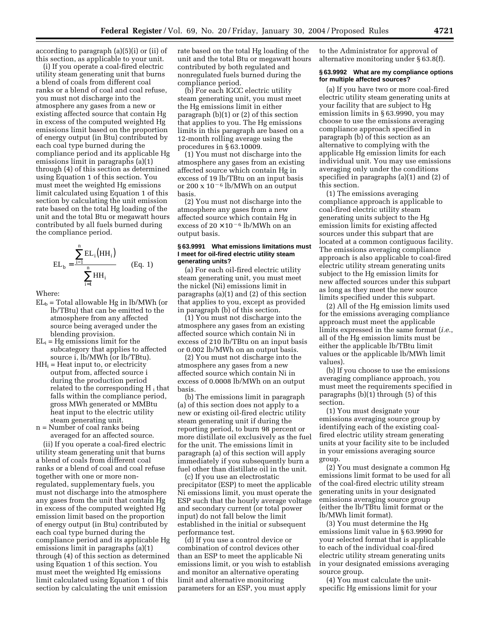according to paragraph (a)(5)(i) or (ii) of this section, as applicable to your unit.

(i) If you operate a coal-fired electric utility steam generating unit that burns a blend of coals from different coal ranks or a blend of coal and coal refuse, you must not discharge into the atmosphere any gases from a new or existing affected source that contain Hg in excess of the computed weighted Hg emissions limit based on the proportion of energy output (in Btu) contributed by each coal type burned during the compliance period and its applicable Hg emissions limit in paragraphs (a)(1) through (4) of this section as determined using Equation 1 of this section. You must meet the weighted Hg emissions limit calculated using Equation 1 of this section by calculating the unit emission rate based on the total Hg loading of the unit and the total Btu or megawatt hours contributed by all fuels burned during the compliance period.

$$
EL_{b} = \frac{\sum_{i=1}^{n} EL_{i} (HH_{i})}{\sum_{i=1}^{n} HH_{i}}
$$
 (Eq. 1)

Where:

- $EL_b$  = Total allowable Hg in lb/MWh (or lb/TBtu) that can be emitted to the atmosphere from any affected source being averaged under the blending provision.
- $EL_i = Hg$  emissions limit for the subcategory that applies to affected source i, lb/MWh (or lb/TBtu).
- $HH<sub>i</sub> = Heat input to, or electricity$ output from, affected source i during the production period related to the corresponding  $H_i$  that falls within the compliance period, gross MWh generated or MMBtu heat input to the electric utility steam generating unit.

n = Number of coal ranks being

averaged for an affected source. (ii) If you operate a coal-fired electric utility steam generating unit that burns a blend of coals from different coal ranks or a blend of coal and coal refuse together with one or more nonregulated, supplementary fuels, you must not discharge into the atmosphere any gases from the unit that contain Hg in excess of the computed weighted Hg emission limit based on the proportion of energy output (in Btu) contributed by each coal type burned during the compliance period and its applicable Hg emissions limit in paragraphs (a)(1) through (4) of this section as determined using Equation 1 of this section. You must meet the weighted Hg emissions limit calculated using Equation 1 of this section by calculating the unit emission

rate based on the total Hg loading of the unit and the total Btu or megawatt hours contributed by both regulated and nonregulated fuels burned during the compliance period.

(b) For each IGCC electric utility steam generating unit, you must meet the Hg emissions limit in either paragraph (b)(1) or (2) of this section that applies to you. The Hg emissions limits in this paragraph are based on a 12-month rolling average using the procedures in § 63.10009.

(1) You must not discharge into the atmosphere any gases from an existing affected source which contain Hg in excess of 19 lb/TBtu on an input basis or 200 x  $10^{-6}$  lb/MWh on an output basis.

(2) You must not discharge into the atmosphere any gases from a new affected source which contain Hg in excess of  $20 \times 10^{-6}$  lb/MWh on an output basis.

### **§ 63.9991 What emissions limitations must I meet for oil-fired electric utility steam generating units?**

(a) For each oil-fired electric utility steam generating unit, you must meet the nickel (Ni) emissions limit in paragraphs (a)(1) and (2) of this section that applies to you, except as provided in paragraph (b) of this section.

(1) You must not discharge into the atmosphere any gases from an existing affected source which contain Ni in excess of 210 lb/TBtu on an input basis or 0.002 lb/MWh on an output basis.

(2) You must not discharge into the atmosphere any gases from a new affected source which contain Ni in excess of 0.0008 lb/MWh on an output basis.

(b) The emissions limit in paragraph (a) of this section does not apply to a new or existing oil-fired electric utility steam generating unit if during the reporting period, to burn 98 percent or more distillate oil exclusively as the fuel for the unit. The emissions limit in paragraph (a) of this section will apply immediately if you subsequently burn a fuel other than distillate oil in the unit.

(c) If you use an electrostatic precipitator (ESP) to meet the applicable Ni emissions limit, you must operate the ESP such that the hourly average voltage and secondary current (or total power input) do not fall below the limit established in the initial or subsequent performance test.

(d) If you use a control device or combination of control devices other than an ESP to meet the applicable Ni emissions limit, or you wish to establish and monitor an alternative operating limit and alternative monitoring parameters for an ESP, you must apply

to the Administrator for approval of alternative monitoring under § 63.8(f).

### **§ 63.9992 What are my compliance options for multiple affected sources?**

(a) If you have two or more coal-fired electric utility steam generating units at your facility that are subject to Hg emission limits in § 63.9990, you may choose to use the emissions averaging compliance approach specified in paragraph (b) of this section as an alternative to complying with the applicable Hg emission limits for each individual unit. You may use emissions averaging only under the conditions specified in paragraphs (a)(1) and (2) of this section.

(1) The emissions averaging compliance approach is applicable to coal-fired electric utility steam generating units subject to the Hg emission limits for existing affected sources under this subpart that are located at a common contiguous facility. The emissions averaging compliance approach is also applicable to coal-fired electric utility stream generating units subject to the Hg emission limits for new affected sources under this subpart as long as they meet the new source limits specified under this subpart.

(2) All of the Hg emission limits used for the emissions averaging compliance approach must meet the applicable limits expressed in the same format (*i.e.*, all of the Hg emission limits must be either the applicable lb/TBtu limit values or the applicable lb/MWh limit values).

(b) If you choose to use the emissions averaging compliance approach, you must meet the requirements specified in paragraphs (b)(1) through (5) of this section.

(1) You must designate your emissions averaging source group by identifying each of the existing coalfired electric utility stream generating units at your facility site to be included in your emissions averaging source group.

(2) You must designate a common Hg emissions limit format to be used for all of the coal-fired electric utility stream generating units in your designated emissions averaging source group (either the lb/TBtu limit format or the lb/MWh limit format).

(3) You must determine the Hg emissions limit value in § 63.9990 for your selected format that is applicable to each of the individual coal-fired electric utility stream generating units in your designated emissions averaging source group.

(4) You must calculate the unitspecific Hg emissions limit for your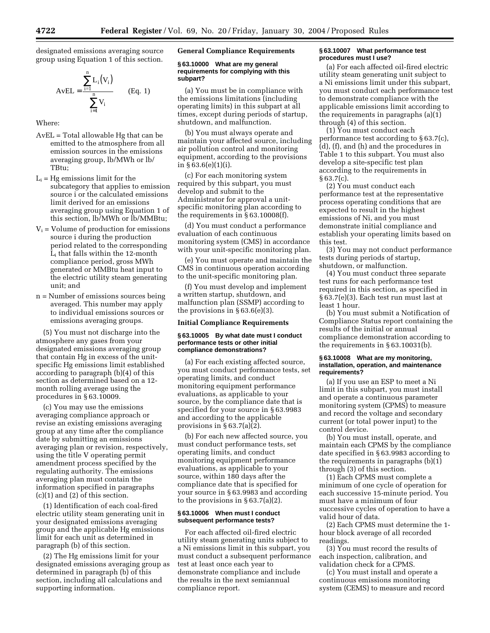designated emissions averaging source group using Equation 1 of this section.

$$
A vEL = \frac{\sum_{i=1}^{n} L_i(V_i)}{\sum_{i=1}^{n} V_i}
$$
 (Eq. 1)

Where:

- AvEL = Total allowable Hg that can be emitted to the atmosphere from all emission sources in the emissions averaging group, lb/MWh or lb/ TBtu;
- $L_i$  = Hg emissions limit for the subcategory that applies to emission source i or the calculated emissions limit derived for an emissions averaging group using Equation 1 of this section, lb/MWh or lb/MMBtu;
- $V_i$  = Volume of production for emissions source i during the production period related to the corresponding Li that falls within the 12-month compliance period, gross MWh generated or MMBtu heat input to the electric utility steam generating unit; and
- n = Number of emissions sources being averaged. This number may apply to individual emissions sources or emissions averaging groups.

(5) You must not discharge into the atmosphere any gases from your designated emissions averaging group that contain Hg in excess of the unitspecific Hg emissions limit established according to paragraph (b)(4) of this section as determined based on a 12 month rolling average using the procedures in § 63.10009.

(c) You may use the emissions averaging compliance approach or revise an existing emissions averaging group at any time after the compliance date by submitting an emissions averaging plan or revision, respectively, using the title V operating permit amendment process specified by the regulating authority. The emissions averaging plan must contain the information specified in paragraphs (c)(1) and (2) of this section.

(1) Identification of each coal-fired electric utility steam generating unit in your designated emissions averaging group and the applicable Hg emissions limit for each unit as determined in paragraph (b) of this section.

(2) The Hg emissions limit for your designated emissions averaging group as determined in paragraph (b) of this section, including all calculations and supporting information.

**General Compliance Requirements**

### **§ 63.10000 What are my general requirements for complying with this subpart?**

(a) You must be in compliance with the emissions limitations (including operating limits) in this subpart at all times, except during periods of startup, shutdown, and malfunction.

(b) You must always operate and maintain your affected source, including air pollution control and monitoring equipment, according to the provisions in § 63.6(e)(1)(i).

(c) For each monitoring system required by this subpart, you must develop and submit to the Administrator for approval a unitspecific monitoring plan according to the requirements in § 63.10008(f).

(d) You must conduct a performance evaluation of each continuous monitoring system (CMS) in accordance with your unit-specific monitoring plan.

(e) You must operate and maintain the CMS in continuous operation according to the unit-specific monitoring plan.

(f) You must develop and implement a written startup, shutdown, and malfunction plan (SSMP) according to the provisions in  $§ 63.6(e)(3)$ .

### **Initial Compliance Requirements**

### **§ 63.10005 By what date must I conduct performance tests or other initial compliance demonstrations?**

(a) For each existing affected source, you must conduct performance tests, set operating limits, and conduct monitoring equipment performance evaluations, as applicable to your source, by the compliance date that is specified for your source in § 63.9983 and according to the applicable provisions in  $\S 63.7(a)(2)$ .

(b) For each new affected source, you must conduct performance tests, set operating limits, and conduct monitoring equipment performance evaluations, as applicable to your source, within 180 days after the compliance date that is specified for your source in § 63.9983 and according to the provisions in  $\S 63.7(a)(2)$ .

# **§ 63.10006 When must I conduct subsequent performance tests?**

For each affected oil-fired electric utility steam generating units subject to a Ni emissions limit in this subpart, you must conduct a subsequent performance test at least once each year to demonstrate compliance and include the results in the next semiannual compliance report.

### **§ 63.10007 What performance test procedures must I use?**

(a) For each affected oil-fired electric utility steam generating unit subject to a Ni emissions limit under this subpart, you must conduct each performance test to demonstrate compliance with the applicable emissions limit according to the requirements in paragraphs (a)(1) through (4) of this section.

(1) You must conduct each performance test according to § 63.7(c), (d), (f), and (h) and the procedures in Table 1 to this subpart. You must also develop a site-specific test plan according to the requirements in  $§ 63.7(c).$ 

(2) You must conduct each performance test at the representative process operating conditions that are expected to result in the highest emissions of Ni, and you must demonstrate initial compliance and establish your operating limits based on this test.

(3) You may not conduct performance tests during periods of startup, shutdown, or malfunction.

(4) You must conduct three separate test runs for each performance test required in this section, as specified in § 63.7(e)(3). Each test run must last at least 1 hour.

(b) You must submit a Notification of Compliance Status report containing the results of the initial or annual compliance demonstration according to the requirements in § 63.10031(b).

### **§ 63.10008 What are my monitoring, installation, operation, and maintenance requirements?**

(a) If you use an ESP to meet a Ni limit in this subpart, you must install and operate a continuous parameter monitoring system (CPMS) to measure and record the voltage and secondary current (or total power input) to the control device.

(b) You must install, operate, and maintain each CPMS by the compliance date specified in § 63.9983 according to the requirements in paragraphs (b)(1) through (3) of this section.

(1) Each CPMS must complete a minimum of one cycle of operation for each successive 15-minute period. You must have a minimum of four successive cycles of operation to have a valid hour of data.

(2) Each CPMS must determine the 1 hour block average of all recorded readings.

(3) You must record the results of each inspection, calibration, and validation check for a CPMS.

(c) You must install and operate a continuous emissions monitoring system (CEMS) to measure and record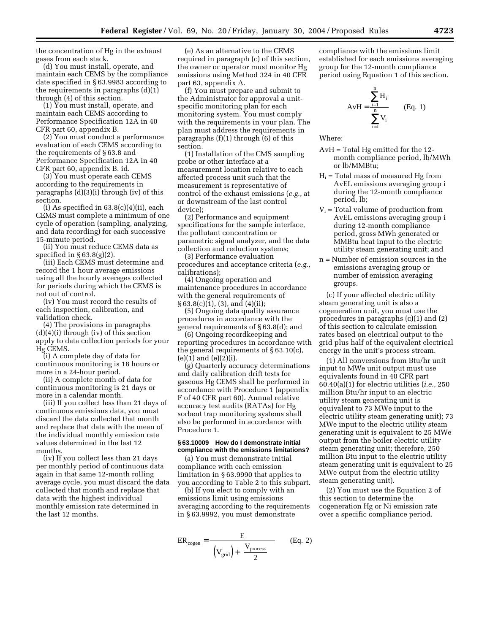the concentration of Hg in the exhaust gases from each stack.

(d) You must install, operate, and maintain each CEMS by the compliance date specified in § 63.9983 according to the requirements in paragraphs (d)(1) through (4) of this section.

(1) You must install, operate, and maintain each CEMS according to Performance Specification 12A in 40 CFR part 60, appendix B.

(2) You must conduct a performance evaluation of each CEMS according to the requirements of § 63.8 and Performance Specification 12A in 40 CFR part 60, appendix B. id.

(3) You must operate each CEMS according to the requirements in paragraphs (d)(3)(i) through (iv) of this section.

(i) As specified in  $63.8(c)(4)(ii)$ , each CEMS must complete a minimum of one cycle of operation (sampling, analyzing, and data recording) for each successive 15-minute period.

(ii) You must reduce CEMS data as specified in  $\S 63.8(g)(2)$ .

(iii) Each CEMS must determine and record the 1 hour average emissions using all the hourly averages collected for periods during which the CEMS is not out of control.

(iv) You must record the results of each inspection, calibration, and validation check.

(4) The provisions in paragraphs  $(d)(4)(i)$  through  $(iv)$  of this section apply to data collection periods for your Hg CEMS.

(i) A complete day of data for continuous monitoring is 18 hours or more in a 24-hour period.

(ii) A complete month of data for continuous monitoring is 21 days or more in a calendar month.

(iii) If you collect less than 21 days of continuous emissions data, you must discard the data collected that month and replace that data with the mean of the individual monthly emission rate values determined in the last 12 months.

(iv) If you collect less than 21 days per monthly period of continuous data again in that same 12-month rolling average cycle, you must discard the data collected that month and replace that data with the highest individual monthly emission rate determined in the last 12 months.

(e) As an alternative to the CEMS required in paragraph (c) of this section, the owner or operator must monitor Hg emissions using Method 324 in 40 CFR part 63, appendix A.

(f) You must prepare and submit to the Administrator for approval a unitspecific monitoring plan for each monitoring system. You must comply with the requirements in your plan. The plan must address the requirements in paragraphs (f)(1) through (6) of this section.

(1) Installation of the CMS sampling probe or other interface at a measurement location relative to each affected process unit such that the measurement is representative of control of the exhaust emissions (*e.g.*, at or downstream of the last control device);

(2) Performance and equipment specifications for the sample interface, the pollutant concentration or parametric signal analyzer, and the data collection and reduction systems;

(3) Performance evaluation procedures and acceptance criteria (*e.g.*, calibrations);

(4) Ongoing operation and maintenance procedures in accordance with the general requirements of § 63.8(c)(1), (3), and (4)(ii);

(5) Ongoing data quality assurance procedures in accordance with the general requirements of § 63.8(d); and

(6) Ongoing recordkeeping and reporting procedures in accordance with the general requirements of  $\S 63.10(c)$ ,  $(e)(1)$  and  $(e)(2)(i)$ .

(g) Quarterly accuracy determinations and daily calibration drift tests for gaseous Hg CEMS shall be performed in accordance with Procedure 1 (appendix F of 40 CFR part 60). Annual relative accuracy test audits (RATAs) for Hg sorbent trap monitoring systems shall also be performed in accordance with Procedure 1.

## **§ 63.10009 How do I demonstrate initial compliance with the emissions limitations?**

(a) You must demonstrate initial compliance with each emission limitation in § 63.9990 that applies to you according to Table 2 to this subpart.

(b) If you elect to comply with an emissions limit using emissions averaging according to the requirements in § 63.9992, you must demonstrate

$$
ER_{cogen} = \frac{E}{\left( (V_{grid}) + \left( \frac{V_{process}}{2} \right) \right)}
$$
 (Eq. 2)

compliance with the emissions limit established for each emissions averaging group for the 12-month compliance period using Equation 1 of this section.

$$
AvH = \frac{\sum_{i=1}^{n} H_i}{\sum_{i=1}^{n} V_i}
$$
 (Eq. 1)

Where:

- AvH = Total Hg emitted for the 12 month compliance period, lb/MWh or lb/MMBtu;
- $H<sub>i</sub>$  = Total mass of measured Hg from AvEL emissions averaging group i during the 12-month compliance period, lb;
- $V_i$  = Total volume of production from AvEL emissions averaging group i during 12-month compliance period, gross MWh generated or MMBtu heat input to the electric utility steam generating unit; and
- n = Number of emission sources in the emissions averaging group or number of emission averaging groups.

(c) If your affected electric utility steam generating unit is also a cogeneration unit, you must use the procedures in paragraphs (c)(1) and (2) of this section to calculate emission rates based on electrical output to the grid plus half of the equivalent electrical energy in the unit's process stream.

(1) All conversions from Btu/hr unit input to MWe unit output must use equivalents found in 40 CFR part 60.40(a)(1) for electric utilities (*i.e.*, 250 million Btu/hr input to an electric utility steam generating unit is equivalent to 73 MWe input to the electric utility steam generating unit); 73 MWe input to the electric utility steam generating unit is equivalent to 25 MWe output from the boiler electric utility steam generating unit; therefore, 250 million Btu input to the electric utility steam generating unit is equivalent to 25 MWe output from the electric utility steam generating unit).

(2) You must use the Equation 2 of this section to determine the cogeneration Hg or Ni emission rate over a specific compliance period.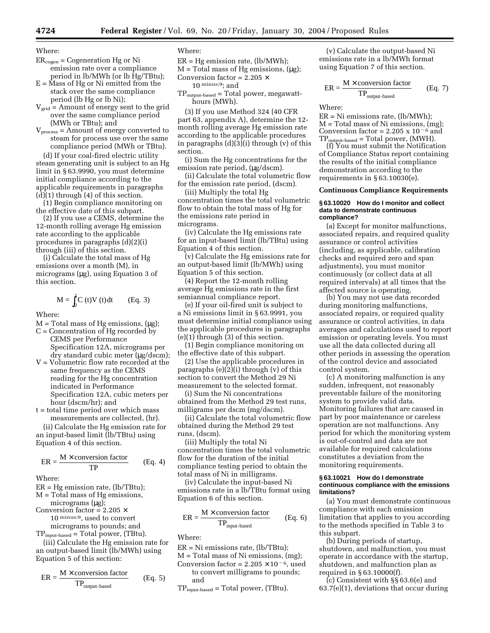Where:

 $ER_{cogen} = Cogeneration Hg$  or Ni emission rate over a compliance period in lb/MWh (or lb Hg/TBtu);

 $E = M$ ass of Hg or Ni emitted from the stack over the same compliance period (lb Hg or lb Ni);

 $V_{grid}$  = Amount of energy sent to the grid over the same compliance period (MWh or TBtu); and

 $V<sub>process</sub> = A$ mount of energy converted to steam for process use over the same compliance period (MWh or TBtu). (d) If your coal-fired electric utility

steam generating unit is subject to an Hg limit in § 63.9990, you must determine initial compliance according to the applicable requirements in paragraphs  $(d)(1)$  through  $(4)$  of this section.

(1) Begin compliance monitoring on the effective date of this subpart.

(2) If you use a CEMS, determine the 12-month rolling average Hg emission rate according to the applicable procedures in paragraphs (d)(2)(i) through (iii) of this section.

(i) Calculate the total mass of Hg emissions over a month (M), in micrograms  $(\mu g)$ , using Equation 3 of this section.

$$
M = \int_0^t C(t)V(t)dt
$$
 (Eq. 3)

Where:

- $M = Total mass of Hg emissions, (µg);$
- $C =$  Concentration of Hg recorded by CEMS per Performance Specification 12A, micrograms per dry standard cubic meter (µg/dscm);
- V = Volumetric flow rate recorded at the same frequency as the CEMS reading for the Hg concentration indicated in Performance Specification 12A, cubic meters per hour (dscm/hr); and
- t = total time period over which mass measurements are collected, (hr).

(ii) Calculate the Hg emission rate for an input-based limit (lb/TBtu) using Equation 4 of this section.

$$
ER = \frac{M \times \text{conversion factor}}{TP}
$$
 (Eq. 4)

Where:

 $ER = Hg$  emission rate, (lb/TBtu); M = Total mass of Hg emissions,

micrograms (µg);

Conversion factor =  $2.205 \times$ 

10 minus;9, used to convert micrograms to pounds; and

 $TP_{input-based} = Total power, (TBtu).$ 

(iii) Calculate the Hg emission rate for an output-based limit (lb/MWh) using Equation 5 of this section:

$$
ER = \frac{M \times \text{conversion factor}}{\text{TP}_{\text{output-based}}} \qquad (Eq. 5)
$$

Where:

 $ER = Hg$  emission rate, (lb/MWh);

 $M = Total mass of Hg emissions, (µg);$ 

Conversion factor =  $2.205 \times$ 

10 minus;9; and

 $TP_{\text{output-based}} = Total power$ , megawatthours (MWh).

(3) If you use Method 324 (40 CFR part 63, appendix A), determine the 12 month rolling average Hg emission rate according to the applicable procedures in paragraphs (d)(3)(i) through (v) of this section.

(i) Sum the Hg concentrations for the emission rate period, (µg/dscm).

(ii) Calculate the total volumetric flow for the emission rate period, (dscm).

(iii) Multiply the total Hg concentration times the total volumetric flow to obtain the total mass of Hg for the emissions rate period in micrograms.

(iv) Calculate the Hg emissions rate for an input-based limit (lb/TBtu) using Equation 4 of this section.

(v) Calculate the Hg emissions rate for an output-based limit (lb/MWh) using Equation 5 of this section.

(4) Report the 12-month rolling average Hg emissions rate in the first semiannual compliance report.

(e) If your oil-fired unit is subject to a Ni emissions limit in § 63.9991, you must determine initial compliance using the applicable procedures in paragraphs (e)(1) through (3) of this section.

(1) Begin compliance monitoring on the effective date of this subpart.

(2) Use the applicable procedures in paragraphs (e)(2)(i) through (v) of this section to convert the Method 29 Ni measurement to the selected format.

(i) Sum the Ni concentrations obtained from the Method 29 test runs, milligrams per dscm (mg/dscm).

(ii) Calculate the total volumetric flow obtained during the Method 29 test runs, (dscm).

(iii) Multiply the total Ni concentration times the total volumetric flow for the duration of the initial compliance testing period to obtain the total mass of Ni in milligrams.

(iv) Calculate the input-based Ni emissions rate in a lb/TBtu format using Equation 6 of this section.

$$
ER = \frac{M \times \text{conversion factor}}{\text{TP}_{\text{input-based}}} \qquad (Eq. 6)
$$

Where:

ER = Ni emissions rate, (lb/TBtu);

- $M = Total mass of Ni emissions, (mg);$ Conversion factor =  $2.205 \times 10^{-6}$ , used to convert milligrams to pounds;
	- and

 $TP_{input-based} = Total power, (TBtu).$ 

(v) Calculate the output-based Ni emissions rate in a lb/MWh format using Equation 7 of this section.

$$
ER = \frac{M \times \text{conversion factor}}{\text{TP}_{\text{output-based}}} \qquad (Eq. 7)
$$

Where:

 $ER = Ni$  emissions rate, (lb/MWh):  $M = Total mass of Ni emissions, (mg);$ Conversion factor = 2.205 x  $10^{-6}$  and  $TP_{\text{output-based}} = \text{Total power}, (\text{MWH}).$ 

(f) You must submit the Notification of Compliance Status report containing the results of the initial compliance demonstration according to the requirements in § 63.10030(e).

### **Continuous Compliance Requirements**

#### **§ 63.10020 How do I monitor and collect data to demonstrate continuous compliance?**

(a) Except for monitor malfunctions, associated repairs, and required quality assurance or control activities (including, as applicable, calibration checks and required zero and span adjustments), you must monitor continuously (or collect data at all required intervals) at all times that the affected source is operating.

(b) You may not use data recorded during monitoring malfunctions, associated repairs, or required quality assurance or control activities, in data averages and calculations used to report emission or operating levels. You must use all the data collected during all other periods in assessing the operation of the control device and associated control system.

(c) A monitoring malfunction is any sudden, infrequent, not reasonably preventable failure of the monitoring system to provide valid data. Monitoring failures that are caused in part by poor maintenance or careless operation are not malfunctions. Any period for which the monitoring system is out-of-control and data are not available for required calculations constitutes a deviation from the monitoring requirements.

#### **§ 63.10021 How do I demonstrate continuous compliance with the emissions limitations?**

(a) You must demonstrate continuous compliance with each emission limitation that applies to you according to the methods specified in Table 3 to this subpart.

(b) During periods of startup, shutdown, and malfunction, you must operate in accordance with the startup, shutdown, and malfunction plan as required in § 63.10000(f).

(c) Consistent with §§ 63.6(e) and 63.7(e)(1), deviations that occur during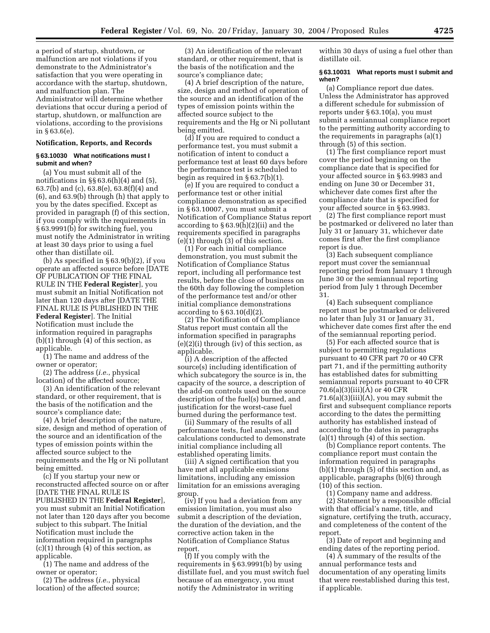a period of startup, shutdown, or malfunction are not violations if you demonstrate to the Administrator's satisfaction that you were operating in accordance with the startup, shutdown, and malfunction plan. The Administrator will determine whether deviations that occur during a period of startup, shutdown, or malfunction are violations, according to the provisions in § 63.6(e).

#### **Notification, Reports, and Records**

#### **§ 63.10030 What notifications must I submit and when?**

(a) You must submit all of the notifications in §§ 63.6(h)(4) and (5), 63.7(b) and (c), 63.8(e), 63.8(f)(4) and (6), and 63.9(b) through (h) that apply to you by the dates specified. Except as provided in paragraph (f) of this section, if you comply with the requirements in § 63.9991(b) for switching fuel, you must notify the Administrator in writing at least 30 days prior to using a fuel other than distillate oil.

(b) As specified in § 63.9(b)(2), if you operate an affected source before [DATE OF PUBLICATION OF THE FINAL RULE IN THE **Federal Register**], you must submit an Initial Notification not later than 120 days after [DATE THE FINAL RULE IS PUBLISHED IN THE **Federal Register**]. The Initial Notification must include the information required in paragraphs (b)(1) through (4) of this section, as applicable.

(1) The name and address of the owner or operator;

(2) The address (*i.e.*, physical location) of the affected source;

(3) An identification of the relevant standard, or other requirement, that is the basis of the notification and the source's compliance date;

(4) A brief description of the nature, size, design and method of operation of the source and an identification of the types of emission points within the affected source subject to the requirements and the Hg or Ni pollutant being emitted.

(c) If you startup your new or reconstructed affected source on or after [DATE THE FINAL RULE IS PUBLISHED IN THE **Federal Register**], you must submit an Initial Notification not later than 120 days after you become subject to this subpart. The Initial Notification must include the information required in paragraphs  $(c)(1)$  through  $(4)$  of this section, as applicable.

(1) The name and address of the owner or operator;

(2) The address (*i.e.*, physical location) of the affected source;

(3) An identification of the relevant standard, or other requirement, that is the basis of the notification and the source's compliance date;

(4) A brief description of the nature, size, design and method of operation of the source and an identification of the types of emission points within the affected source subject to the requirements and the Hg or Ni pollutant being emitted.

(d) If you are required to conduct a performance test, you must submit a notification of intent to conduct a performance test at least 60 days before the performance test is scheduled to begin as required in § 63.7(b)(1).

(e) If you are required to conduct a performance test or other initial compliance demonstration as specified in § 63.10007, you must submit a Notification of Compliance Status report according to  $\S 63.9(h)(2)(ii)$  and the requirements specified in paragraphs  $(e)(1)$  through  $(3)$  of this section.

(1) For each initial compliance demonstration, you must submit the Notification of Compliance Status report, including all performance test results, before the close of business on the 60th day following the completion of the performance test and/or other initial compliance demonstrations according to  $\S 63.10(d)(2)$ .

(2) The Notification of Compliance Status report must contain all the information specified in paragraphs (e)(2)(i) through (iv) of this section, as applicable.

(i) A description of the affected source(s) including identification of which subcategory the source is in, the capacity of the source, a description of the add-on controls used on the source description of the fuel(s) burned, and justification for the worst-case fuel burned during the performance test.

(ii) Summary of the results of all performance tests, fuel analyses, and calculations conducted to demonstrate initial compliance including all established operating limits.

(iii) A signed certification that you have met all applicable emissions limitations, including any emission limitation for an emissions averaging group.

(iv) If you had a deviation from any emission limitation, you must also submit a description of the deviation, the duration of the deviation, and the corrective action taken in the Notification of Compliance Status report.

(f) If you comply with the requirements in § 63.9991(b) by using distillate fuel, and you must switch fuel because of an emergency, you must notify the Administrator in writing

within 30 days of using a fuel other than distillate oil.

#### **§ 63.10031 What reports must I submit and when?**

(a) Compliance report due dates. Unless the Administrator has approved a different schedule for submission of reports under § 63.10(a), you must submit a semiannual compliance report to the permitting authority according to the requirements in paragraphs (a)(1) through (5) of this section.

(1) The first compliance report must cover the period beginning on the compliance date that is specified for your affected source in § 63.9983 and ending on June 30 or December 31, whichever date comes first after the compliance date that is specified for your affected source in § 63.9983.

(2) The first compliance report must be postmarked or delivered no later than July 31 or January 31, whichever date comes first after the first compliance report is due.

(3) Each subsequent compliance report must cover the semiannual reporting period from January 1 through June 30 or the semiannual reporting period from July 1 through December 31.

(4) Each subsequent compliance report must be postmarked or delivered no later than July 31 or January 31, whichever date comes first after the end of the semiannual reporting period.

(5) For each affected source that is subject to permitting regulations pursuant to 40 CFR part 70 or 40 CFR part 71, and if the permitting authority has established dates for submitting semiannual reports pursuant to 40 CFR 70.6(a)(3)(iii)(A) or 40 CFR 71.6(a)(3)(iii)(A), you may submit the first and subsequent compliance reports according to the dates the permitting authority has established instead of according to the dates in paragraphs (a)(1) through (4) of this section.

(b) Compliance report contents. The compliance report must contain the information required in paragraphs (b)(1) through (5) of this section and, as applicable, paragraphs (b)(6) through (10) of this section.

(1) Company name and address.

(2) Statement by a responsible official with that official's name, title, and signature, certifying the truth, accuracy, and completeness of the content of the report.

(3) Date of report and beginning and ending dates of the reporting period.

(4) A summary of the results of the annual performance tests and documentation of any operating limits that were reestablished during this test, if applicable.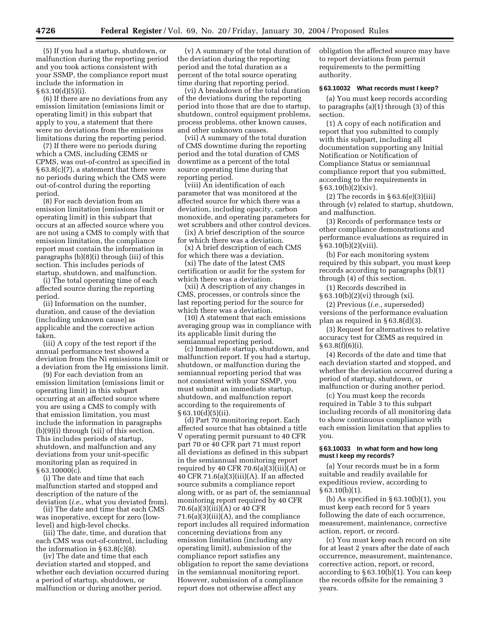(5) If you had a startup, shutdown, or malfunction during the reporting period and you took actions consistent with your SSMP, the compliance report must include the information in § 63.10(d)(5)(i).

(6) If there are no deviations from any emission limitation (emissions limit or operating limit) in this subpart that apply to you, a statement that there were no deviations from the emissions limitations during the reporting period.

(7) If there were no periods during which a CMS, including CEMS or CPMS, was out-of-control as specified in § 63.8(c)(7), a statement that there were no periods during which the CMS were out-of-control during the reporting period.

(8) For each deviation from an emission limitation (emissions limit or operating limit) in this subpart that occurs at an affected source where you are not using a CMS to comply with that emission limitation, the compliance report must contain the information in paragraphs (b)(8)(i) through (iii) of this section. This includes periods of startup, shutdown, and malfunction.

(i) The total operating time of each affected source during the reporting period.

(ii) Information on the number, duration, and cause of the deviation (including unknown cause) as applicable and the corrective action taken.

(iii) A copy of the test report if the annual performance test showed a deviation from the Ni emissions limit or a deviation from the Hg emissions limit.

(9) For each deviation from an emission limitation (emissions limit or operating limit) in this subpart occurring at an affected source where you are using a CMS to comply with that emission limitation, you must include the information in paragraphs (b)(9)(i) through (xii) of this section. This includes periods of startup, shutdown, and malfunction and any deviations from your unit-specific monitoring plan as required in § 63.10000(c).

(i) The date and time that each malfunction started and stopped and description of the nature of the deviation (*i.e.*, what you deviated from).

(ii) The date and time that each CMS was inoperative, except for zero (lowlevel) and high-level checks.

(iii) The date, time, and duration that each CMS was out-of-control, including the information in  $\S 63.8(c)(8)$ .

(iv) The date and time that each deviation started and stopped, and whether each deviation occurred during a period of startup, shutdown, or malfunction or during another period.

(v) A summary of the total duration of the deviation during the reporting period and the total duration as a percent of the total source operating time during that reporting period.

(vi) A breakdown of the total duration of the deviations during the reporting period into those that are due to startup, shutdown, control equipment problems, process problems, other known causes, and other unknown causes.

(vii) A summary of the total duration of CMS downtime during the reporting period and the total duration of CMS downtime as a percent of the total source operating time during that reporting period.

(viii) An identification of each parameter that was monitored at the affected source for which there was a deviation, including opacity, carbon monoxide, and operating parameters for wet scrubbers and other control devices.

(ix) A brief description of the source for which there was a deviation.

(x) A brief description of each CMS for which there was a deviation.

(xi) The date of the latest CMS certification or audit for the system for which there was a deviation.

(xii) A description of any changes in CMS, processes, or controls since the last reporting period for the source for which there was a deviation.

(10) A statement that each emissions averaging group was in compliance with its applicable limit during the semiannual reporting period.

(c) Immediate startup, shutdown, and malfunction report. If you had a startup, shutdown, or malfunction during the semiannual reporting period that was not consistent with your SSMP, you must submit an immediate startup, shutdown, and malfunction report according to the requirements of § 63.10(d)(5)(ii).

(d) Part 70 monitoring report. Each affected source that has obtained a title V operating permit pursuant to 40 CFR part 70 or 40 CFR part 71 must report all deviations as defined in this subpart in the semiannual monitoring report required by 40 CFR 70.6(a)(3)(iii)(A) or 40 CFR 71.6(a)(3)(iii)(A). If an affected source submits a compliance report along with, or as part of, the semiannual monitoring report required by 40 CFR  $70.6(a)(3)(iii)(A)$  or 40 CFR 71.6(a)(3)(iii)(A), and the compliance report includes all required information concerning deviations from any emission limitation (including any operating limit), submission of the compliance report satisfies any obligation to report the same deviations in the semiannual monitoring report. However, submission of a compliance report does not otherwise affect any

obligation the affected source may have to report deviations from permit requirements to the permitting authority.

#### **§ 63.10032 What records must I keep?**

(a) You must keep records according to paragraphs (a)(1) through (3) of this section.

(1) A copy of each notification and report that you submitted to comply with this subpart, including all documentation supporting any Initial Notification or Notification of Compliance Status or semiannual compliance report that you submitted, according to the requirements in  $§ 63.10(b)(2)(xiv).$ 

(2) The records in  $\S 63.6(e)(3)(iii)$ through (v) related to startup, shutdown, and malfunction.

(3) Records of performance tests or other compliance demonstrations and performance evaluations as required in  $§ 63.10(b)(2)(viii).$ 

(b) For each monitoring system required by this subpart, you must keep records according to paragraphs (b)(1) through (4) of this section.

(1) Records described in

§ 63.10(b)(2)(vi) through (xi). (2) Previous (*i.e.*, superseded)

versions of the performance evaluation plan as required in § 63.8(d)(3).

(3) Request for alternatives to relative accuracy test for CEMS as required in  $§ 63.8(f)(6)(i).$ 

(4) Records of the date and time that each deviation started and stopped, and whether the deviation occurred during a period of startup, shutdown, or malfunction or during another period.

(c) You must keep the records required in Table 3 to this subpart including records of all monitoring data to show continuous compliance with each emission limitation that applies to you.

#### **§ 63.10033 In what form and how long must I keep my records?**

(a) Your records must be in a form suitable and readily available for expeditious review, according to  $§ 63.10(b)(1).$ 

(b) As specified in  $\S 63.10(b)(1)$ , you must keep each record for 5 years following the date of each occurrence, measurement, maintenance, corrective action, report, or record.

(c) You must keep each record on site for at least 2 years after the date of each occurrence, measurement, maintenance, corrective action, report, or record, according to § 63.10(b)(1). You can keep the records offsite for the remaining 3 years.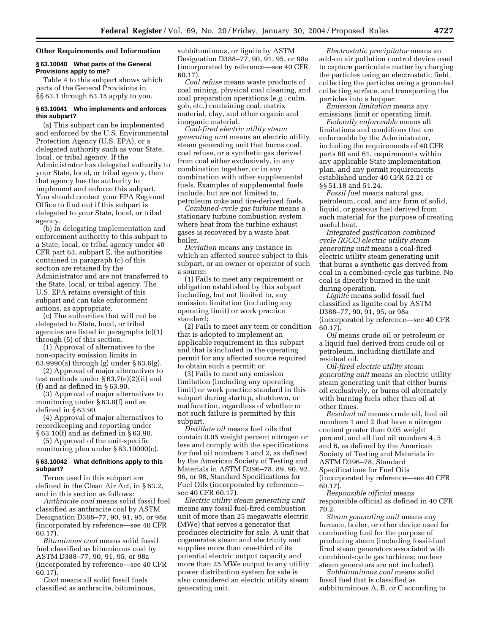## **Other Requirements and Information**

#### **§ 63.10040 What parts of the General Provisions apply to me?**

Table 4 to this subpart shows which parts of the General Provisions in §§ 63.1 through 63.15 apply to you.

## **§ 63.10041 Who implements and enforces this subpart?**

(a) This subpart can be implemented and enforced by the U.S. Environmental Protection Agency (U.S. EPA), or a delegated authority such as your State, local, or tribal agency. If the Administrator has delegated authority to your State, local, or tribal agency, then that agency has the authority to implement and enforce this subpart. You should contact your EPA Regional Office to find out if this subpart is delegated to your State, local, or tribal agency.

(b) In delegating implementation and enforcement authority to this subpart to a State, local, or tribal agency under 40 CFR part 63, subpart E, the authorities contained in paragraph (c) of this section are retained by the Administrator and are not transferred to the State, local, or tribal agency. The U.S. EPA retains oversight of this subpart and can take enforcement actions, as appropriate.

(c) The authorities that will not be delegated to State, local, or tribal agencies are listed in paragraphs (c)(1) through (5) of this section.

(1) Approval of alternatives to the non-opacity emission limits in 63.9990(a) through (g) under § 63.6(g).

(2) Approval of major alternatives to test methods under § 63.7(e)(2)(ii) and (f) and as defined in § 63.90.

(3) Approval of major alternatives to monitoring under § 63.8(f) and as defined in § 63.90.

(4) Approval of major alternatives to recordkeeping and reporting under § 63.10(f) and as defined in § 63.90.

(5) Approval of the unit-specific monitoring plan under § 63.10000(c).

## **§ 63.10042 What definitions apply to this subpart?**

Terms used in this subpart are defined in the Clean Air Act, in § 63.2, and in this section as follows:

*Anthracite coal* means solid fossil fuel classified as anthracite coal by ASTM Designation D388–77, 90, 91, 95, or 98a (incorporated by reference—see 40 CFR 60.17).

*Bituminous coal* means solid fossil fuel classified as bituminous coal by ASTM D388–77, 90, 91, 95, or 98a (incorporated by reference—see 40 CFR 60.17).

*Coal* means all solid fossil fuels classified as anthracite, bituminous, subbituminous, or lignite by ASTM Designation D388–77, 90, 91, 95, or 98a (incorporated by reference—see 40 CFR 60.17).

*Coal refuse* means waste products of coal mining, physical coal cleaning, and coal preparation operations (*e.g.*, culm, gob, etc.) containing coal, matrix material, clay, and other organic and inorganic material.

*Coal-fired electric utility steam generating unit* means an electric utility steam generating unit that burns coal, coal refuse, or a synthetic gas derived from coal either exclusively, in any combination together, or in any combination with other supplemental fuels. Examples of supplemental fuels include, but are not limited to, petroleum coke and tire-derived fuels.

*Combined-cycle gas turbine* means a stationary turbine combustion system where heat from the turbine exhaust gases is recovered by a waste heat boiler.

*Deviation* means any instance in which an affected source subject to this subpart, or an owner or operator of such a source:

(1) Fails to meet any requirement or obligation established by this subpart including, but not limited to, any emission limitation (including any operating limit) or work practice standard;

(2) Fails to meet any term or condition that is adopted to implement an applicable requirement in this subpart and that is included in the operating permit for any affected source required to obtain such a permit; or

(3) Fails to meet any emission limitation (including any operating limit) or work practice standard in this subpart during startup, shutdown, or malfunction, regardless of whether or not such failure is permitted by this subpart.

*Distillate oil* means fuel oils that contain 0.05 weight percent nitrogen or less and comply with the specifications for fuel oil numbers 1 and 2, as defined by the American Society of Testing and Materials in ASTM D396–78, 89, 90, 92, 96, or 98, Standard Specifications for Fuel Oils (incorporated by reference see 40 CFR 60.17).

*Electric utility steam generating unit* means any fossil fuel-fired combustion unit of more than 25 megawatts electric (MWe) that serves a generator that produces electricity for sale. A unit that cogenerates steam and electricity and supplies more than one-third of its potential electric output capacity and more than 25 MWe output to any utility power distribution system for sale is also considered an electric utility steam generating unit.

*Electrostatic precipitator* means an add-on air pollution control device used to capture particulate matter by charging the particles using an electrostatic field, collecting the particles using a grounded collecting surface, and transporting the particles into a hopper.

*Emission limitation* means any emissions limit or operating limit.

*Federally enforceable* means all limitations and conditions that are enforceable by the Administrator, including the requirements of 40 CFR parts 60 and 61, requirements within any applicable State implementation plan, and any permit requirements established under 40 CFR 52.21 or §§ 51.18 and 51.24.

*Fossil fuel* means natural gas, petroleum, coal, and any form of solid, liquid, or gaseous fuel derived from such material for the purpose of creating useful heat.

*Integrated gasification combined cycle (IGCC) electric utility steam generating unit* means a coal-fired electric utility steam generating unit that burns a synthetic gas derived from coal in a combined-cycle gas turbine. No coal is directly burned in the unit during operation.

*Lignite* means solid fossil fuel classified as lignite coal by ASTM D388–77, 90, 91, 95, or 98a (incorporated by reference—see 40 CFR 60.17).

*Oil* means crude oil or petroleum or a liquid fuel derived from crude oil or petroleum, including distillate and residual oil.

*Oil-fired electric utility steam generating unit* means an electric utility steam generating unit that either burns oil exclusively, or burns oil alternately with burning fuels other than oil at other times.

*Residual oil* means crude oil, fuel oil numbers 1 and 2 that have a nitrogen content greater than 0.05 weight percent, and all fuel oil numbers 4, 5 and 6, as defined by the American Society of Testing and Materials in ASTM D396–78, Standard Specifications for Fuel Oils (incorporated by reference—see 40 CFR 60.17).

*Responsible official* means responsible official as defined in 40 CFR 70.2.

*Steam generating unit* means any furnace, boiler, or other device used for combusting fuel for the purpose of producing steam (including fossil-fuel fired steam generators associated with combined-cycle gas turbines; nuclear steam generators are not included).

*Subbituminous coal* means solid fossil fuel that is classified as subbituminous A, B, or C according to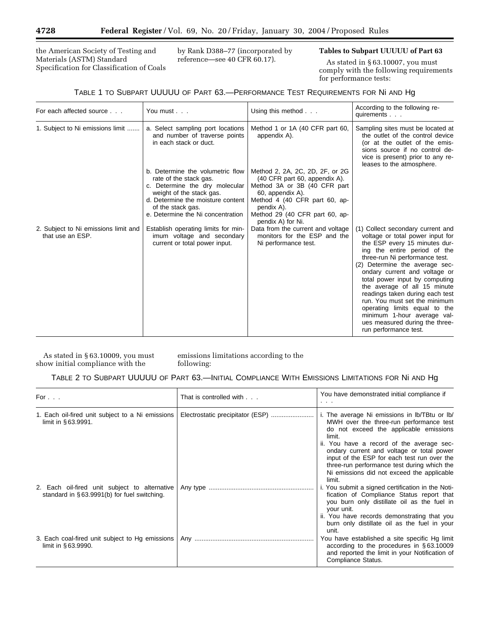the American Society of Testing and Materials (ASTM) Standard Specification for Classification of Coals by Rank D388–77 (incorporated by reference—see 40 CFR 60.17).

## **Tables to Subpart UUUUU of Part 63**

As stated in § 63.10007, you must comply with the following requirements for performance tests:

## TABLE 1 TO SUBPART UUUUU OF PART 63.—PERFORMANCE TEST REQUIREMENTS FOR Ni AND Hg

| For each affected source                                 | You must                                                                                                                                                                                                                | Using this method                                                                                                                                                                                                          | According to the following re-<br>quirements                                                                                                                                                                                                                                                                                                                                                                                                                                                                 |
|----------------------------------------------------------|-------------------------------------------------------------------------------------------------------------------------------------------------------------------------------------------------------------------------|----------------------------------------------------------------------------------------------------------------------------------------------------------------------------------------------------------------------------|--------------------------------------------------------------------------------------------------------------------------------------------------------------------------------------------------------------------------------------------------------------------------------------------------------------------------------------------------------------------------------------------------------------------------------------------------------------------------------------------------------------|
| 1. Subject to Ni emissions limit                         | a. Select sampling port locations<br>and number of traverse points<br>in each stack or duct.                                                                                                                            | Method 1 or 1A (40 CFR part 60,<br>appendix A).                                                                                                                                                                            | Sampling sites must be located at<br>the outlet of the control device<br>(or at the outlet of the emis-<br>sions source if no control de-<br>vice is present) prior to any re-<br>leases to the atmosphere.                                                                                                                                                                                                                                                                                                  |
|                                                          | b. Determine the volumetric flow<br>rate of the stack gas.<br>c. Determine the dry molecular<br>weight of the stack gas.<br>d. Determine the moisture content<br>of the stack gas.<br>e. Determine the Ni concentration | Method 2, 2A, 2C, 2D, 2F, or 2G<br>(40 CFR part 60, appendix A).<br>Method 3A or 3B (40 CFR part<br>60, appendix A).<br>Method 4 (40 CFR part 60, ap-<br>pendix A).<br>Method 29 (40 CFR part 60, ap-<br>pendix A) for Ni. |                                                                                                                                                                                                                                                                                                                                                                                                                                                                                                              |
| 2. Subject to Ni emissions limit and<br>that use an ESP. | Establish operating limits for min-<br>imum voltage and secondary<br>current or total power input.                                                                                                                      | Data from the current and voltage<br>monitors for the ESP and the<br>Ni performance test.                                                                                                                                  | (1) Collect secondary current and<br>voltage or total power input for<br>the ESP every 15 minutes dur-<br>ing the entire period of the<br>three-run Ni performance test.<br>(2) Determine the average sec-<br>ondary current and voltage or<br>total power input by computing<br>the average of all 15 minute<br>readings taken during each test<br>run. You must set the minimum<br>operating limits equal to the<br>minimum 1-hour average val-<br>ues measured during the three-<br>run performance test. |

As stated in § 63.10009, you must show initial compliance with the

emissions limitations according to the following:

## TABLE 2 TO SUBPART UUUUU OF PART 63.—INITIAL COMPLIANCE WITH EMISSIONS LIMITATIONS FOR Ni AND Hg

| For $\ldots$                                                                                     | That is controlled with     | You have demonstrated initial compliance if<br>.                                                                                                                                                                                                                                                                                                                                             |
|--------------------------------------------------------------------------------------------------|-----------------------------|----------------------------------------------------------------------------------------------------------------------------------------------------------------------------------------------------------------------------------------------------------------------------------------------------------------------------------------------------------------------------------------------|
| 1. Each oil-fired unit subject to a Ni emissions<br>limit in $§63.9991$ .                        |                             | i. The average Ni emissions in Ib/TBtu or Ib/<br>MWH over the three-run performance test<br>do not exceed the applicable emissions<br>limit.<br>ii. You have a record of the average sec-<br>ondary current and voltage or total power<br>input of the ESP for each test run over the<br>three-run performance test during which the<br>Ni emissions did not exceed the applicable<br>limit. |
| 2. Each oil-fired unit subject to alternative<br>standard in $\S$ 63.9991(b) for fuel switching. |                             | i. You submit a signed certification in the Noti-<br>fication of Compliance Status report that<br>you burn only distillate oil as the fuel in<br>your unit.<br>ii. You have records demonstrating that you<br>burn only distillate oil as the fuel in your<br>unit.                                                                                                                          |
| 3. Each coal-fired unit subject to Hg emissions<br>limit in §63.9990.                            | Any …………………………………………………………… | You have established a site specific Hg limit<br>according to the procedures in §63.10009<br>and reported the limit in your Notification of<br>Compliance Status.                                                                                                                                                                                                                            |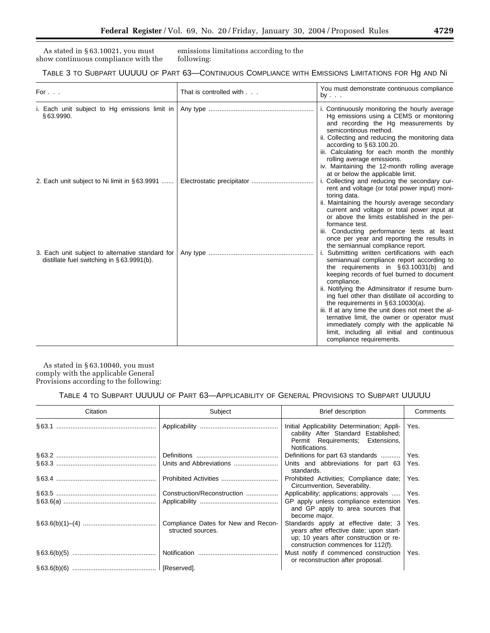As stated in § 63.10021, you must show continuous compliance with the

emissions limitations according to the following:

| TABLE 3 TO SUBPART UUUUU OF PART 63—CONTINUOUS COMPLIANCE WITH EMISSIONS LIMITATIONS FOR HG AND NI |  |
|----------------------------------------------------------------------------------------------------|--|
|----------------------------------------------------------------------------------------------------|--|

| For $\ldots$                                                                                      | That is controlled with | You must demonstrate continuous compliance<br>by $\ldots$                                                                                                                                                                                                                                                                                                                                                                                                                                                                                                                        |
|---------------------------------------------------------------------------------------------------|-------------------------|----------------------------------------------------------------------------------------------------------------------------------------------------------------------------------------------------------------------------------------------------------------------------------------------------------------------------------------------------------------------------------------------------------------------------------------------------------------------------------------------------------------------------------------------------------------------------------|
| i. Each unit subject to Hg emissions limit in<br>§63.9990.                                        |                         | i. Continuously monitoring the hourly average<br>Hg emissions using a CEMS or monitoring<br>and recording the Hg measurements by<br>semicontinous method.<br>ii. Collecting and reducing the monitoring data<br>according to $\S 63.100.20$ .<br>iii. Calculating for each month the monthly<br>rolling average emissions.<br>iv. Maintaining the 12-month rolling average<br>at or below the applicable limit.                                                                                                                                                                  |
| 2. Each unit subject to Ni limit in §63.9991                                                      |                         | i. Collecting and reducing the secondary cur-<br>rent and voltage (or total power input) moni-<br>toring data.<br>ii. Maintaining the hoursly average secondary<br>current and voltage or total power input at<br>or above the limits established in the per-<br>formance test.<br>iii. Conducting performance tests at least<br>once per year and reporting the results in<br>the semiannual compliance report.                                                                                                                                                                 |
| 3. Each unit subject to alternative standard for<br>distillate fuel switching in $\S$ 63.9991(b). |                         | i. Submitting written certifications with each<br>semiannual compliance report according to<br>the requirements in $\S 63.10031(b)$ and<br>keeping records of fuel burned to document<br>compliance.<br>ii. Notifying the Adminsitrator if resume burn-<br>ing fuel other than distillate oil according to<br>the requirements in $\S$ 63.10030(a).<br>iii. If at any time the unit does not meet the al-<br>ternative limit, the owner or operator must<br>immediately comply with the applicable Ni<br>limit, including all initial and continuous<br>compliance requirements. |

As stated in § 63.10040, you must comply with the applicable General Provisions according to the following:

| Citation | Subject                                                  | <b>Brief description</b>                                                                                                                                        | Comments |
|----------|----------------------------------------------------------|-----------------------------------------------------------------------------------------------------------------------------------------------------------------|----------|
|          |                                                          | Initial Applicability Determination; Appli-<br>cability After Standard Established;<br>Permit Requirements; Extensions,<br>Notifications.                       | Yes.     |
|          |                                                          | Definitions for part 63 standards                                                                                                                               | Yes.     |
|          |                                                          | Units and abbreviations for part 63<br>standards.                                                                                                               | Yes.     |
|          |                                                          | Prohibited Activities; Compliance date;<br>Circumvention, Severability.                                                                                         | Yes.     |
|          | Construction/Reconstruction                              | Applicability; applications; approvals                                                                                                                          | Yes.     |
|          |                                                          | GP apply unless compliance extension<br>and GP apply to area sources that<br>become major.                                                                      | Yes.     |
|          | Compliance Dates for New and Recon-<br>structed sources. | Standards apply at effective date; 3<br>years after effective date; upon start-<br>up; 10 years after construction or re-<br>construction commences for 112(f). | Yes.     |
|          |                                                          | Must notify if commenced construction<br>or reconstruction after proposal.                                                                                      | Yes.     |
|          |                                                          |                                                                                                                                                                 |          |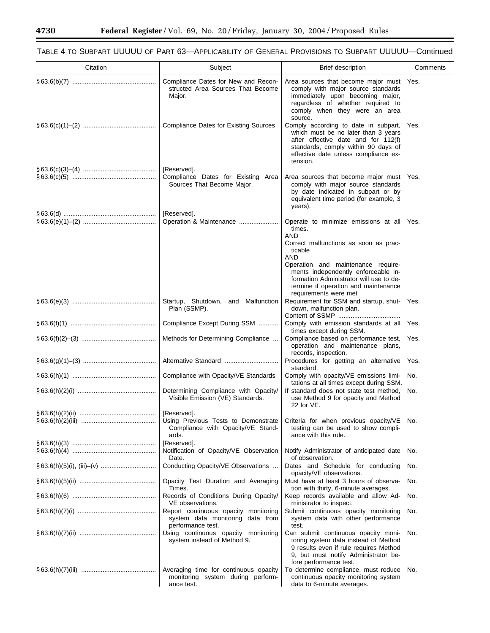۰

| Citation | Subject                                                                                       | <b>Brief description</b>                                                                                                                                                                                                                                                         | Comments |
|----------|-----------------------------------------------------------------------------------------------|----------------------------------------------------------------------------------------------------------------------------------------------------------------------------------------------------------------------------------------------------------------------------------|----------|
|          | Compliance Dates for New and Recon-<br>structed Area Sources That Become<br>Major.            | Area sources that become major must<br>comply with major source standards<br>immediately upon becoming major,<br>regardless of whether required to<br>comply when they were an area<br>source.                                                                                   | Yes.     |
|          | <b>Compliance Dates for Existing Sources</b>                                                  | Comply according to date in subpart,<br>which must be no later than 3 years<br>after effective date and for 112(f)<br>standards, comply within 90 days of<br>effective date unless compliance ex-<br>tension.                                                                    | Yes.     |
|          | [Reserved].                                                                                   |                                                                                                                                                                                                                                                                                  |          |
|          | Compliance Dates for Existing Area<br>Sources That Become Major.                              | Area sources that become major must<br>comply with major source standards<br>by date indicated in subpart or by<br>equivalent time period (for example, 3<br>years).                                                                                                             | Yes.     |
|          | [Reserved].                                                                                   |                                                                                                                                                                                                                                                                                  |          |
|          |                                                                                               | Operate to minimize emissions at all<br>times.<br>AND<br>Correct malfunctions as soon as prac-<br>ticable<br>AND<br>Operation and maintenance require-<br>ments independently enforceable in-<br>formation Administrator will use to de-<br>termine if operation and maintenance | Yes.     |
|          | Startup, Shutdown, and Malfunction<br>Plan (SSMP).                                            | requirements were met<br>Requirement for SSM and startup, shut-<br>down, malfunction plan.                                                                                                                                                                                       | Yes.     |
|          | Compliance Except During SSM                                                                  | Comply with emission standards at all                                                                                                                                                                                                                                            | Yes.     |
|          | Methods for Determining Compliance                                                            | times except during SSM.<br>Compliance based on performance test,<br>operation and maintenance plans,<br>records, inspection.                                                                                                                                                    | Yes.     |
|          |                                                                                               | Procedures for getting an alternative<br>standard.                                                                                                                                                                                                                               | Yes.     |
|          | Compliance with Opacity/VE Standards                                                          | Comply with opacity/VE emissions limi-<br>tations at all times except during SSM.                                                                                                                                                                                                | No.      |
|          | Determining Compliance with Opacity/<br>Visible Emission (VE) Standards.                      | If standard does not state test method.<br>use Method 9 for opacity and Method<br>22 for VE.                                                                                                                                                                                     | No.      |
|          | [Reserved].                                                                                   |                                                                                                                                                                                                                                                                                  |          |
|          | Using Previous Tests to Demonstrate<br>Compliance with Opacity/VE Stand-<br>ards.             | Criteria for when previous opacity/VE<br>testing can be used to show compli-<br>ance with this rule.                                                                                                                                                                             | No.      |
|          | [Reserved].                                                                                   |                                                                                                                                                                                                                                                                                  |          |
|          | Notification of Opacity/VE Observation<br>Date.                                               | Notify Administrator of anticipated date<br>of observation.                                                                                                                                                                                                                      | No.      |
|          | Conducting Opacity/VE Observations                                                            | Dates and Schedule for conducting<br>opacity/VE observations.                                                                                                                                                                                                                    | No.      |
|          | Opacity Test Duration and Averaging<br>Times.                                                 | Must have at least 3 hours of observa-<br>tion with thirty, 6-minute averages.                                                                                                                                                                                                   | No.      |
|          | Records of Conditions During Opacity/<br>VE observations.                                     | Keep records available and allow Ad-<br>ministrator to inspect.                                                                                                                                                                                                                  | No.      |
|          | Report continuous opacity monitoring<br>system data monitoring data from<br>performance test. | Submit continuous opacity monitoring<br>system data with other performance<br>test.                                                                                                                                                                                              | No.      |
|          | Using continuous opacity monitoring<br>system instead of Method 9.                            | Can submit continuous opacity moni-<br>toring system data instead of Method<br>9 results even if rule requires Method<br>9, but must notify Administrator be-<br>fore performance test.                                                                                          | No.      |
|          | Averaging time for continuous opacity<br>monitoring system during perform-<br>ance test.      | To determine compliance, must reduce<br>continuous opacity monitoring system<br>data to 6-minute averages.                                                                                                                                                                       | No.      |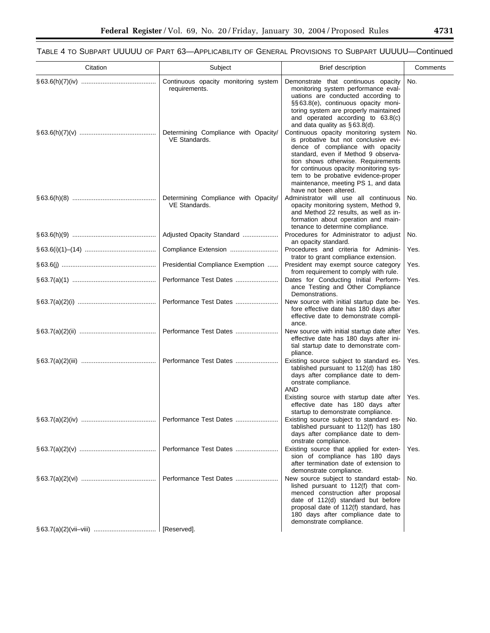TABLE 4 TO SUBPART UUUUU OF PART 63—APPLICABILITY OF GENERAL PROVISIONS TO SUBPART UUUUU—Continued

| Citation | Subject                                               | <b>Brief description</b>                                                                                                                                                                                                                                                                                                                        | Comments |
|----------|-------------------------------------------------------|-------------------------------------------------------------------------------------------------------------------------------------------------------------------------------------------------------------------------------------------------------------------------------------------------------------------------------------------------|----------|
|          | Continuous opacity monitoring system<br>requirements. | Demonstrate that continuous opacity<br>monitoring system performance eval-<br>uations are conducted according to<br>§§63.8(e), continuous opacity moni-<br>toring system are properly maintained<br>and operated according to 63.8(c)<br>and data quality as $\S$ 63.8(d).                                                                      | No.      |
|          | Determining Compliance with Opacity/<br>VE Standards. | Continuous opacity monitoring system<br>is probative but not conclusive evi-<br>dence of compliance with opacity<br>standard, even if Method 9 observa-<br>tion shows otherwise. Requirements<br>for continuous opacity monitoring sys-<br>tem to be probative evidence-proper<br>maintenance, meeting PS 1, and data<br>have not been altered. | No.      |
|          | Determining Compliance with Opacity/<br>VE Standards. | Administrator will use all continuous<br>opacity monitoring system, Method 9,<br>and Method 22 results, as well as in-<br>formation about operation and main-<br>tenance to determine compliance.                                                                                                                                               | No.      |
|          | Adjusted Opacity Standard                             | Procedures for Administrator to adjust<br>an opacity standard.                                                                                                                                                                                                                                                                                  | No.      |
|          | Compliance Extension                                  | Procedures and criteria for Adminis-<br>trator to grant compliance extension.                                                                                                                                                                                                                                                                   | Yes.     |
|          | Presidential Compliance Exemption                     | President may exempt source category<br>from requirement to comply with rule.                                                                                                                                                                                                                                                                   | Yes.     |
|          | Performance Test Dates                                | Dates for Conducting Initial Perform-<br>ance Testing and Other Compliance<br>Demonstrations.                                                                                                                                                                                                                                                   | Yes.     |
|          | Performance Test Dates                                | New source with initial startup date be-<br>fore effective date has 180 days after<br>effective date to demonstrate compli-<br>ance.                                                                                                                                                                                                            | Yes.     |
|          | Performance Test Dates                                | New source with initial startup date after<br>effective date has 180 days after ini-<br>tial startup date to demonstrate com-<br>pliance.                                                                                                                                                                                                       | Yes.     |
|          | Performance Test Dates                                | Existing source subject to standard es-<br>tablished pursuant to 112(d) has 180<br>days after compliance date to dem-<br>onstrate compliance.<br>AND                                                                                                                                                                                            | Yes.     |
|          |                                                       | Existing source with startup date after<br>effective date has 180 days after<br>startup to demonstrate compliance.                                                                                                                                                                                                                              | Yes.     |
|          |                                                       | Existing source subject to standard es-<br>tablished pursuant to 112(f) has 180<br>days after compliance date to dem-<br>onstrate compliance.                                                                                                                                                                                                   | No.      |
|          | Performance Test Dates                                | Existing source that applied for exten-<br>sion of compliance has 180 days<br>after termination date of extension to<br>demonstrate compliance.                                                                                                                                                                                                 | Yes.     |
|          |                                                       | New source subject to standard estab-<br>lished pursuant to 112(f) that com-<br>menced construction after proposal<br>date of 112(d) standard but before<br>proposal date of 112(f) standard, has<br>180 days after compliance date to<br>demonstrate compliance.                                                                               | No.      |
|          | [Reserved].                                           |                                                                                                                                                                                                                                                                                                                                                 |          |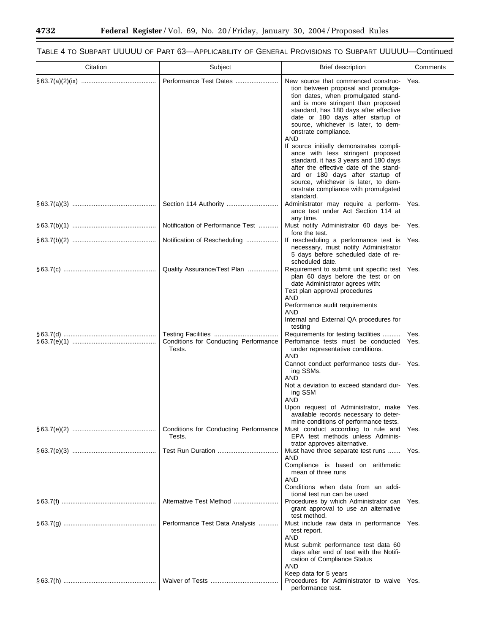۰

# TABLE 4 TO SUBPART UUUUU OF PART 63—APPLICABILITY OF GENERAL PROVISIONS TO SUBPART UUUUU—Continued

| Citation | Subject                                         | <b>Brief description</b>                                                                                                                                                                                                                                                                                                                                                                                                                                                                                                                                                                                          | Comments                             |
|----------|-------------------------------------------------|-------------------------------------------------------------------------------------------------------------------------------------------------------------------------------------------------------------------------------------------------------------------------------------------------------------------------------------------------------------------------------------------------------------------------------------------------------------------------------------------------------------------------------------------------------------------------------------------------------------------|--------------------------------------|
|          | Performance Test Dates                          | New source that commenced construc-<br>tion between proposal and promulga-<br>tion dates, when promulgated stand-<br>ard is more stringent than proposed<br>standard, has 180 days after effective<br>date or 180 days after startup of<br>source, whichever is later, to dem-<br>onstrate compliance.<br>AND<br>If source initially demonstrates compli-<br>ance with less stringent proposed<br>standard, it has 3 years and 180 days<br>after the effective date of the stand-<br>ard or 180 days after startup of<br>source, whichever is later, to dem-<br>onstrate compliance with promulgated<br>standard. | Yes.                                 |
|          |                                                 | Administrator may require a perform-<br>ance test under Act Section 114 at<br>any time.                                                                                                                                                                                                                                                                                                                                                                                                                                                                                                                           | Yes.                                 |
|          | Notification of Performance Test                | Must notify Administrator 60 days be-<br>fore the test.                                                                                                                                                                                                                                                                                                                                                                                                                                                                                                                                                           | Yes.                                 |
|          | Notification of Rescheduling                    | If rescheduling a performance test is<br>necessary, must notify Administrator<br>5 days before scheduled date of re-<br>scheduled date.                                                                                                                                                                                                                                                                                                                                                                                                                                                                           | Yes.                                 |
|          | Quality Assurance/Test Plan                     | Requirement to submit unit specific test<br>plan 60 days before the test or on<br>date Administrator agrees with:<br>Test plan approval procedures<br>AND<br>Performance audit requirements<br>AND<br>Internal and External QA procedures for<br>testing                                                                                                                                                                                                                                                                                                                                                          | Yes.                                 |
|          | Conditions for Conducting Performance<br>Tests. | Requirements for testing facilities<br>Perfomance tests must be conducted<br>under representative conditions.<br>AND<br>Cannot conduct performance tests dur-<br>ing SSMs.<br><b>AND</b><br>Not a deviation to exceed standard dur-<br>ing SSM<br>AND<br>Upon request of Administrator, make<br>available records necessary to deter-                                                                                                                                                                                                                                                                             | Yes.<br>Yes.<br>Yes.<br>Yes.<br>Yes. |
|          | Conditions for Conducting Performance<br>Tests. | mine conditions of performance tests.<br>Must conduct according to rule and<br>EPA test methods unless Adminis-<br>trator approves alternative.                                                                                                                                                                                                                                                                                                                                                                                                                                                                   | Yes.                                 |
|          |                                                 | Must have three separate test runs<br>AND<br>Compliance is based on arithmetic<br>mean of three runs<br>AND<br>Conditions when data from an addi-<br>tional test run can be used                                                                                                                                                                                                                                                                                                                                                                                                                                  | Yes.                                 |
|          | Alternative Test Method                         | Procedures by which Administrator can<br>grant approval to use an alternative<br>test method.                                                                                                                                                                                                                                                                                                                                                                                                                                                                                                                     | Yes.                                 |
|          | Performance Test Data Analysis                  | Must include raw data in performance<br>test report.<br>AND<br>Must submit performance test data 60<br>days after end of test with the Notifi-<br>cation of Compliance Status<br>AND<br>Keep data for 5 years<br>Procedures for Administrator to waive                                                                                                                                                                                                                                                                                                                                                            | Yes.<br>Yes.                         |
|          |                                                 | performance test.                                                                                                                                                                                                                                                                                                                                                                                                                                                                                                                                                                                                 |                                      |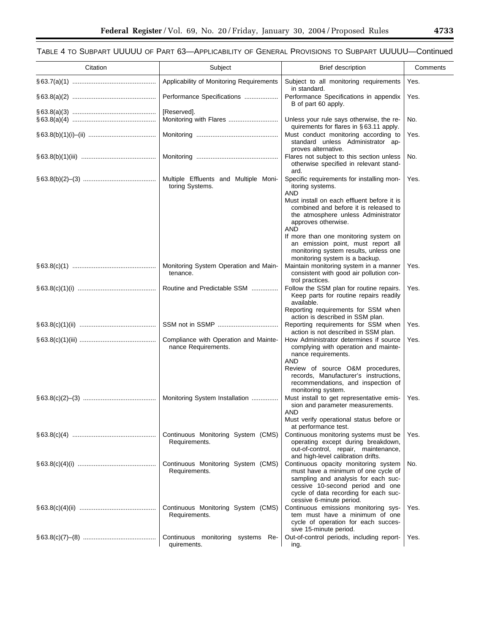| Citation | Subject                                                      | Brief description                                                                                                                                                                                                           | Comments |
|----------|--------------------------------------------------------------|-----------------------------------------------------------------------------------------------------------------------------------------------------------------------------------------------------------------------------|----------|
|          | Applicability of Monitoring Requirements                     | Subject to all monitoring requirements                                                                                                                                                                                      | Yes.     |
|          | Performance Specifications                                   | in standard.<br>Performance Specifications in appendix<br>B of part 60 apply.                                                                                                                                               | Yes.     |
|          | [Reserved].                                                  |                                                                                                                                                                                                                             |          |
|          |                                                              | Unless your rule says otherwise, the re-<br>quirements for flares in §63.11 apply.                                                                                                                                          | No.      |
|          |                                                              | Must conduct monitoring according to<br>standard unless Administrator ap-<br>proves alternative.                                                                                                                            | Yes.     |
|          |                                                              | Flares not subject to this section unless<br>otherwise specified in relevant stand-<br>ard.                                                                                                                                 | No.      |
|          | Multiple Effluents and Multiple Moni-<br>toring Systems.     | Specific requirements for installing mon-<br>itoring systems.<br>AND<br>Must install on each effluent before it is<br>combined and before it is released to<br>the atmosphere unless Administrator<br>approves otherwise.   | Yes.     |
|          |                                                              | AND<br>If more than one monitoring system on<br>an emission point, must report all<br>monitoring system results, unless one<br>monitoring system is a backup.                                                               |          |
|          | Monitoring System Operation and Main-<br>tenance.            | Maintain monitoring system in a manner<br>consistent with good air pollution con-<br>trol practices.                                                                                                                        | Yes.     |
|          | Routine and Predictable SSM                                  | Follow the SSM plan for routine repairs.<br>Keep parts for routine repairs readily<br>available.                                                                                                                            | Yes.     |
|          |                                                              | Reporting requirements for SSM when<br>action is described in SSM plan.                                                                                                                                                     |          |
|          |                                                              | Reporting requirements for SSM when<br>action is not described in SSM plan.                                                                                                                                                 | Yes.     |
|          | Compliance with Operation and Mainte-<br>nance Requirements. | How Administrator determines if source<br>complying with operation and mainte-<br>nance requirements.<br>AND<br>Review of source O&M procedures,                                                                            | Yes.     |
|          |                                                              | records, Manufacturer's instructions,<br>recommendations, and inspection of<br>monitoring system.                                                                                                                           |          |
|          | Monitoring System Installation                               | Must install to get representative emis-<br>sion and parameter measurements.<br>AND                                                                                                                                         | Yes.     |
|          |                                                              | Must verify operational status before or<br>at performance test.                                                                                                                                                            |          |
|          | Continuous Monitoring System (CMS)<br>Requirements.          | Continuous monitoring systems must be<br>operating except during breakdown,<br>out-of-control, repair, maintenance,<br>and high-level calibration drifts.                                                                   | Yes.     |
|          | Continuous Monitoring System (CMS)<br>Requirements.          | Continuous opacity monitoring system<br>must have a minimum of one cycle of<br>sampling and analysis for each suc-<br>cessive 10-second period and one<br>cycle of data recording for each suc-<br>cessive 6-minute period. | No.      |
|          | Continuous Monitoring System (CMS)<br>Requirements.          | Continuous emissions monitoring sys-<br>tem must have a minimum of one<br>cycle of operation for each succes-<br>sive 15-minute period.                                                                                     | Yes.     |
|          | Continuous monitoring systems Re-<br>quirements.             | Out-of-control periods, including report-<br>ing.                                                                                                                                                                           | Yes.     |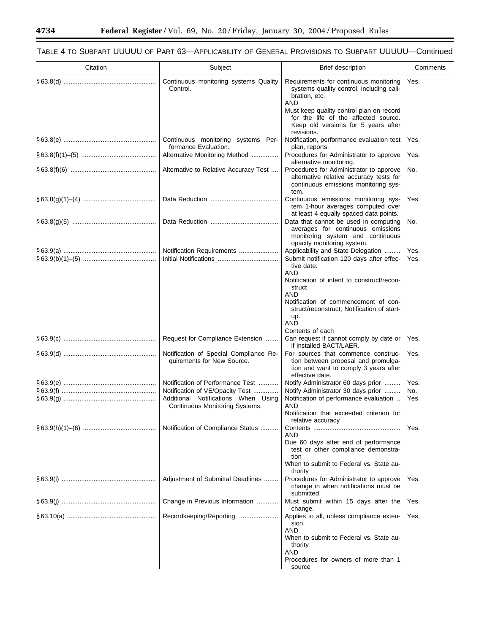۰

| Citation | Subject                                                               | <b>Brief description</b>                                                                                                                                                                                                                                                                    | Comments     |
|----------|-----------------------------------------------------------------------|---------------------------------------------------------------------------------------------------------------------------------------------------------------------------------------------------------------------------------------------------------------------------------------------|--------------|
|          | Continuous monitoring systems Quality<br>Control.                     | Requirements for continuous monitoring<br>systems quality control, including cali-<br>bration, etc.<br>AND<br>Must keep quality control plan on record<br>for the life of the affected source.<br>Keep old versions for 5 years after<br>revisions.                                         | Yes.         |
|          | Continuous monitoring systems Per-<br>formance Evaluation.            | Notification, performance evaluation test<br>plan, reports.                                                                                                                                                                                                                                 | Yes.         |
|          | Alternative Monitoring Method                                         | Procedures for Administrator to approve<br>alternative monitoring.                                                                                                                                                                                                                          | Yes.         |
|          | Alternative to Relative Accuracy Test                                 | Procedures for Administrator to approve<br>alternative relative accuracy tests for<br>continuous emissions monitoring sys-<br>tem.                                                                                                                                                          | No.          |
|          |                                                                       | Continuous emissions monitoring sys-<br>tem 1-hour averages computed over<br>at least 4 equally spaced data points.                                                                                                                                                                         | Yes.         |
|          |                                                                       | Data that cannot be used in computing<br>averages for continuous emissions<br>monitoring system and continuous<br>opacity monitoring system.                                                                                                                                                | No.          |
|          | Notification Requirements                                             | Applicability and State Delegation<br>Submit notification 120 days after effec-<br>tive date.<br>AND<br>Notification of intent to construct/recon-<br>struct<br>AND<br>Notification of commencement of con-<br>struct/reconstruct; Notification of start-<br>up.<br>AND<br>Contents of each | Yes.<br>Yes. |
|          | Request for Compliance Extension                                      | Can request if cannot comply by date or<br>if installed BACT/LAER.                                                                                                                                                                                                                          | Yes.         |
|          | Notification of Special Compliance Re-<br>quirements for New Source.  | For sources that commence construc-<br>tion between proposal and promulga-<br>tion and want to comply 3 years after<br>effective date.                                                                                                                                                      | Yes.         |
|          | Notification of Performance Test<br>Notification of VE/Opacity Test   | Notify Administrator 60 days prior<br>Notify Administrator 30 days prior                                                                                                                                                                                                                    | Yes.<br>No.  |
|          | Additional Notifications When Using<br>Continuous Monitoring Systems. | Notification of performance evaluation<br>AND<br>Notification that exceeded criterion for<br>relative accuracy                                                                                                                                                                              | Yes.         |
|          | Notification of Compliance Status                                     | AND<br>Due 60 days after end of performance<br>test or other compliance demonstra-<br>tion<br>When to submit to Federal vs. State au-<br>thority                                                                                                                                            | Yes.         |
|          | Adjustment of Submittal Deadlines                                     | Procedures for Administrator to approve<br>change in when notifications must be<br>submitted.                                                                                                                                                                                               | Yes.         |
|          | Change in Previous Information                                        | Must submit within 15 days after the<br>change.                                                                                                                                                                                                                                             | Yes.         |
|          | Recordkeeping/Reporting                                               | Applies to all, unless compliance exten-<br>sion.<br>AND<br>When to submit to Federal vs. State au-<br>thority<br>AND<br>Procedures for owners of more than 1<br>source                                                                                                                     | Yes.         |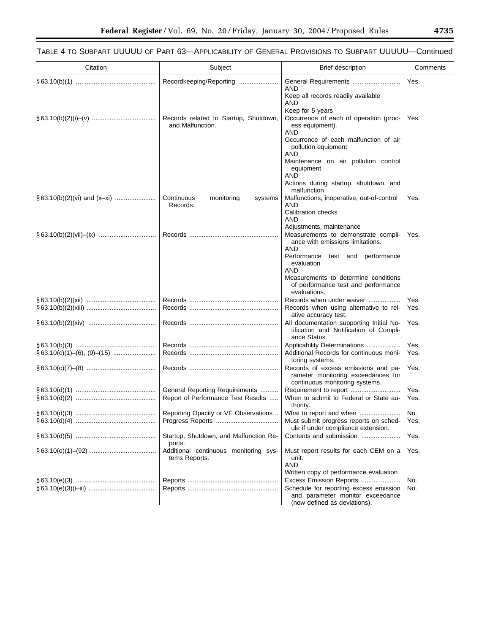$\equiv$ 

| Citation | Subject                                                   | <b>Brief description</b>                                                                                    | Comments |
|----------|-----------------------------------------------------------|-------------------------------------------------------------------------------------------------------------|----------|
|          | Recordkeeping/Reporting                                   | General Requirements<br>AND                                                                                 | Yes.     |
|          |                                                           | Keep all records readily available<br>AND<br>Keep for 5 years                                               |          |
|          | Records related to Startup, Shutdown,<br>and Malfunction. | Occurrence of each of operation (proc-<br>ess equipment).<br>AND                                            | Yes.     |
|          |                                                           | Occurrence of each malfunction of air<br>pollution equipment<br>AND                                         |          |
|          |                                                           | Maintenance on air pollution control<br>equipment<br>AND                                                    |          |
|          |                                                           | Actions during startup, shutdown, and<br>malfunction                                                        |          |
|          | Continuous<br>monitoring<br>systems<br>Records.           | Malfunctions, inoperative, out-of-control<br>AND                                                            | Yes.     |
|          |                                                           | Calibration checks<br>AND<br>Adjustments, maintenance                                                       |          |
|          |                                                           | Measurements to demonstrate compli-<br>ance with emissions limitations.                                     | Yes.     |
|          |                                                           | AND<br>Performance<br>test and performance<br>evaluation                                                    |          |
|          |                                                           | AND<br>Measurements to determine conditions<br>of performance test and performance<br>evaluations.          |          |
|          |                                                           | Records when under waiver                                                                                   | Yes.     |
|          |                                                           | Records when using alternative to rel-<br>ative accuracy test.                                              | Yes.     |
|          |                                                           | All documentation supporting Initial No-<br>tification and Notification of Compli-<br>ance Status.          | Yes.     |
|          |                                                           | Applicability Determinations                                                                                | Yes.     |
|          |                                                           | Additional Records for continuous moni-<br>toring systems.                                                  | Yes.     |
|          |                                                           | Records of excess emissions and pa-<br>rameter monitoring exceedances for<br>continuous monitoring systems. | Yes.     |
|          | General Reporting Requirements                            |                                                                                                             | Yes.     |
|          | Report of Performance Test Results                        | When to submit to Federal or State au-<br>thority.                                                          | Yes.     |
|          | Reporting Opacity or VE Observations                      | What to report and when                                                                                     | No.      |
|          |                                                           | Must submit progress reports on sched-<br>ule if under compliance extension.                                | Yes.     |
|          | Startup, Shutdown, and Malfunction Re-<br>ports.          | Contents and submission                                                                                     | Yes.     |
|          | Additional continuous monitoring sys-<br>tems Reports.    | Must report results for each CEM on a<br>unit.<br>AND                                                       | Yes.     |
|          |                                                           | Written copy of performance evaluation                                                                      |          |
|          |                                                           | Excess Emission Reports                                                                                     | No.      |
|          |                                                           | Schedule for reporting excess emission<br>and parameter monitor exceedance<br>(now defined as deviations).  | No.      |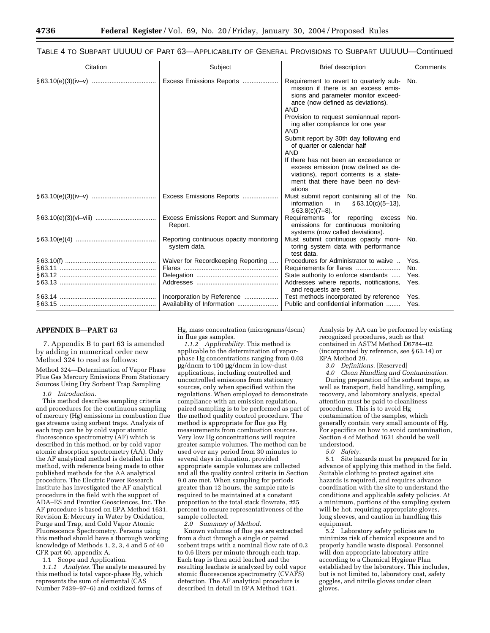## TABLE 4 TO SUBPART UUUUU OF PART 63—APPLICABILITY OF GENERAL PROVISIONS TO SUBPART UUUUU—Continued

| Citation | Subject                                                 | <b>Brief description</b>                                                                                                                                                                                                                                                                                                                                                                                                                                                                                                                  | Comments                    |
|----------|---------------------------------------------------------|-------------------------------------------------------------------------------------------------------------------------------------------------------------------------------------------------------------------------------------------------------------------------------------------------------------------------------------------------------------------------------------------------------------------------------------------------------------------------------------------------------------------------------------------|-----------------------------|
|          | Excess Emissions Reports                                | Requirement to revert to quarterly sub-<br>mission if there is an excess emis-<br>sions and parameter monitor exceed-<br>ance (now defined as deviations).<br><b>AND</b><br>Provision to request semiannual report-<br>ing after compliance for one year<br><b>AND</b><br>Submit report by 30th day following end<br>of quarter or calendar half<br><b>AND</b><br>If there has not been an exceedance or<br>excess emission (now defined as de-<br>viations), report contents is a state-<br>ment that there have been no devi-<br>ations | No.                         |
|          | Excess Emissions Reports                                | Must submit report containing all of the<br>information<br>in<br>$§ 63.10(c)(5-13),$<br>$§ 63.8(c)(7-8).$                                                                                                                                                                                                                                                                                                                                                                                                                                 | No.                         |
|          | <b>Excess Emissions Report and Summary</b><br>Report.   | Requirements for reporting excess<br>emissions for continuous monitoring<br>systems (now called deviations).                                                                                                                                                                                                                                                                                                                                                                                                                              | No.                         |
|          | Reporting continuous opacity monitoring<br>system data. | Must submit continuous opacity moni-<br>toring system data with performance<br>test data.                                                                                                                                                                                                                                                                                                                                                                                                                                                 | No.                         |
|          | Waiver for Recordkeeping Reporting                      | Procedures for Administrator to waive<br>State authority to enforce standards<br>Addresses where reports, notifications,<br>and requests are sent.                                                                                                                                                                                                                                                                                                                                                                                        | Yes.<br>No.<br>Yes.<br>Yes. |
|          | Incorporation by Reference                              | Test methods incorporated by reference<br>Public and confidential information                                                                                                                                                                                                                                                                                                                                                                                                                                                             | Yes.<br>Yes.                |

## **APPENDIX B—PART 63**

7. Appendix B to part 63 is amended by adding in numerical order new Method 324 to read as follows:

Method 324—Determination of Vapor Phase Flue Gas Mercury Emissions From Stationary Sources Using Dry Sorbent Trap Sampling

## *1.0 Introduction.*

This method describes sampling criteria and procedures for the continuous sampling of mercury (Hg) emissions in combustion flue gas streams using sorbent traps. Analysis of each trap can be by cold vapor atomic fluorescence spectrometry (AF) which is described in this method, or by cold vapor atomic absorption spectrometry (AA). Only the AF analytical method is detailed in this method, with reference being made to other published methods for the AA analytical procedure. The Electric Power Research Institute has investigated the AF analytical procedure in the field with the support of ADA–ES and Frontier Geosciences, Inc. The AF procedure is based on EPA Method 1631, Revision E: Mercury in Water by Oxidation, Purge and Trap, and Cold Vapor Atomic Fluorescence Spectrometry. Persons using this method should have a thorough working knowledge of Methods 1, 2, 3, 4 and 5 of 40 CFR part 60, appendix A.

1.1 Scope and Application.

*1.1.1 Analytes.* The analyte measured by this method is total vapor-phase Hg, which represents the sum of elemental (CAS Number 7439–97–6) and oxidized forms of

Hg, mass concentration (micrograms/dscm) in flue gas samples.

*1.1.2 Applicability.* This method is applicable to the determination of vaporphase Hg concentrations ranging from 0.03  $\mu$ g/dncm to 100  $\mu$ g/dncm in low-dust applications, including controlled and uncontrolled emissions from stationary sources, only when specified within the regulations. When employed to demonstrate compliance with an emission regulation, paired sampling is to be performed as part of the method quality control procedure. The method is appropriate for flue gas Hg measurements from combustion sources. Very low Hg concentrations will require greater sample volumes. The method can be used over any period from 30 minutes to several days in duration, provided appropriate sample volumes are collected and all the quality control criteria in Section 9.0 are met. When sampling for periods greater than 12 hours, the sample rate is required to be maintained at a constant proportion to the total stack flowrate, ±25 percent to ensure representativeness of the sample collected.

*2.0 Summary of Method.*

Known volumes of flue gas are extracted from a duct through a single or paired sorbent traps with a nominal flow rate of 0.2 to 0.6 liters per minute through each trap. Each trap is then acid leached and the resulting leachate is analyzed by cold vapor atomic fluorescence spectrometry (CVAFS) detection. The AF analytical procedure is described in detail in EPA Method 1631.

Analysis by AA can be performed by existing recognized procedures, such as that contained in ASTM Method D6784–02 (incorporated by reference, see § 63.14) or EPA Method 29.

*3.0 Definitions.* [Reserved]

*4.0 Clean Handling and Contamination.* During preparation of the sorbent traps, as well as transport, field handling, sampling, recovery, and laboratory analysis, special attention must be paid to cleanliness procedures. This is to avoid Hg contamination of the samples, which generally contain very small amounts of Hg. For specifics on how to avoid contamination, Section 4 of Method 1631 should be well understood.

*5.0 Safety.*

5.1 Site hazards must be prepared for in advance of applying this method in the field. Suitable clothing to protect against site hazards is required, and requires advance coordination with the site to understand the conditions and applicable safety policies. At a minimum, portions of the sampling system will be hot, requiring appropriate gloves, long sleeves, and caution in handling this equipment.

5.2 Laboratory safety policies are to minimize risk of chemical exposure and to properly handle waste disposal. Personnel will don appropriate laboratory attire according to a Chemical Hygiene Plan established by the laboratory. This includes, but is not limited to, laboratory coat, safety goggles, and nitrile gloves under clean gloves.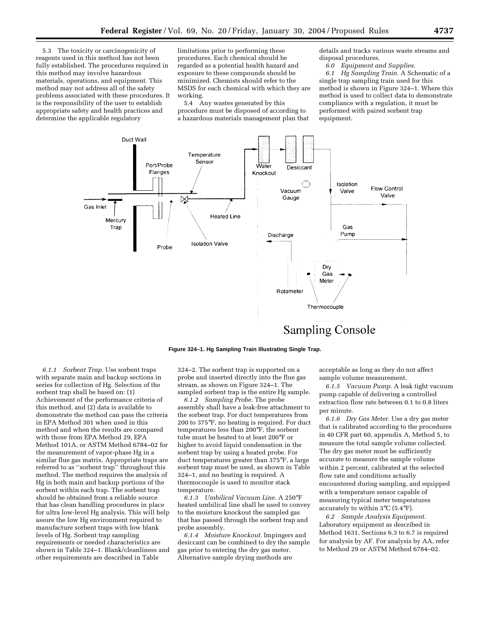5.3 The toxicity or carcinogenicity of reagents used in this method has not been fully established. The procedures required in this method may involve hazardous materials, operations, and equipment. This method may not address all of the safety problems associated with these procedures. It is the responsibility of the user to establish appropriate safety and health practices and determine the applicable regulatory

limitations prior to performing these procedures. Each chemical should be regarded as a potential health hazard and exposure to these compounds should be minimized. Chemists should refer to the MSDS for each chemical with which they are working.

5.4 Any wastes generated by this procedure must be disposed of according to a hazardous materials management plan that details and tracks various waste streams and disposal procedures.

*6.0 Equipment and Supplies.*

*6.1 Hg Sampling Train.* A Schematic of a single trap sampling train used for this method is shown in Figure 324–1. Where this method is used to collect data to demonstrate compliance with a regulation, it must be performed with paired sorbent trap equipment.



**Sampling Console** 

## **Figure 324–1. Hg Sampling Train Illustrating Single Trap.**

*6.1.1 Sorbent Trap.* Use sorbent traps with separate main and backup sections in series for collection of Hg. Selection of the sorbent trap shall be based on: (1) Achievement of the performance criteria of this method, and (2) data is available to demonstrate the method can pass the criteria in EPA Method 301 when used in this method and when the results are compared with those from EPA Method 29, EPA Method 101A, or ASTM Method 6784–02 for the measurement of vapor-phase Hg in a similar flue gas matrix. Appropriate traps are referred to as ''sorbent trap'' throughout this method. The method requires the analysis of Hg in both main and backup portions of the sorbent within each trap. The sorbent trap should be obtained from a reliable source that has clean handling procedures in place for ultra low-level Hg analysis. This will help assure the low Hg environment required to manufacture sorbent traps with low blank levels of Hg. Sorbent trap sampling requirements or needed characteristics are shown in Table 324–1. Blank/cleanliness and other requirements are described in Table

324–2. The sorbent trap is supported on a probe and inserted directly into the flue gas stream, as shown on Figure 324–1. The sampled sorbent trap is the entire Hg sample.

*6.1.2 Sampling Probe.* The probe assembly shall have a leak-free attachment to the sorbent trap. For duct temperatures from 200 to 375°F, no heating is required. For duct temperatures less than 200°F, the sorbent tube must be heated to at least 200°F or higher to avoid liquid condensation in the sorbent trap by using a heated probe. For duct temperatures greater than 375°F, a large sorbent trap must be used, as shown in Table 324–1, and no heating is required. A thermocouple is used to monitor stack temperature.

*6.1.3 Umbilical Vacuum Line.* A 250°F heated umbilical line shall be used to convey to the moisture knockout the sampled gas that has passed through the sorbent trap and probe assembly.

*6.1.4 Moisture Knockout.* Impingers and desiccant can be combined to dry the sample gas prior to entering the dry gas meter. Alternative sample drying methods are

acceptable as long as they do not affect sample volume measurement.

*6.1.5 Vacuum Pump.* A leak tight vacuum pump capable of delivering a controlled extraction flow rate between 0.1 to 0.8 liters per minute.

*6.1.6 Dry Gas Meter.* Use a dry gas meter that is calibrated according to the procedures in 40 CFR part 60, appendix A, Method 5, to measure the total sample volume collected. The dry gas meter must be sufficiently accurate to measure the sample volume within 2 percent, calibrated at the selected flow rate and conditions actually encountered during sampling, and equipped with a temperature sensor capable of measuring typical meter temperatures accurately to within 3°C (5.4°F).

*6.2 Sample Analysis Equipment.* Laboratory equipment as described in Method 1631, Sections 6.3 to 6.7 is required for analysis by AF. For analysis by AA, refer to Method 29 or ASTM Method 6784–02.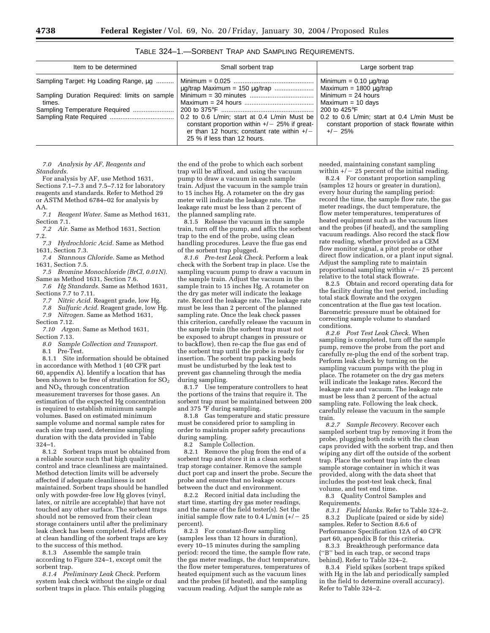| Item to be determined                                  | Small sorbent trap                                                                                                                                                            | Large sorbent trap                                                                                        |
|--------------------------------------------------------|-------------------------------------------------------------------------------------------------------------------------------------------------------------------------------|-----------------------------------------------------------------------------------------------------------|
| Sampling Target: Hg Loading Range, ug                  |                                                                                                                                                                               | Minimum = $0.10 \mu g$ /trap<br>Maximum = $1800 \mu q$ /trap                                              |
| Sampling Duration Required: limits on sample<br>times. |                                                                                                                                                                               | Minimum $= 24$ hours<br>Maximum = 10 days                                                                 |
|                                                        |                                                                                                                                                                               | 200 to 425 $\mathrm{^{\circ}F}$                                                                           |
|                                                        | 0.2 to 0.6 L/min; start at 0.4 L/min Must be<br>constant proportion within $+/-$ 25% if great-<br>er than 12 hours; constant rate within $+/-$<br>25 % if less than 12 hours. | 0.2 to 0.6 L/min; start at 0.4 L/min Must be<br>constant proportion of stack flowrate within<br>$+/- 25%$ |

TABLE 324–1.—SORBENT TRAP AND SAMPLING REQUIREMENTS.

*7.0 Analysis by AF, Reagents and Standards.*

For analysis by AF, use Method 1631, Sections 7.1–7.3 and 7.5–7.12 for laboratory reagents and standards. Refer to Method 29 or ASTM Method 6784–02 for analysis by AA.

*7.1 Reagent Water.* Same as Method 1631, Section 7.1.

*7.2 Air.* Same as Method 1631, Section  $7.2.7.3$ 

*7.3 Hydrochloric Acid.* Same as Method 1631, Section 7.3.

*7.4 Stannous Chloride.* Same as Method 1631, Section 7.5.

*7.5 Bromine Monochloride (BrCl, 0.01N).* Same as Method 1631, Section 7.6.

*7.6 Hg Standards.* Same as Method 1631, Sections 7.7 to 7.11.

*7.7 Nitric Acid.* Reagent grade, low Hg.

*7.8 Sulfuric Acid.* Reagent grade, low Hg.

*7.9 Nitrogen.* Same as Method 1631, Section 7.12.

*7.10 Argon.* Same as Method 1631, Section 7.13.

*8.0 Sample Collection and Transport.*

8.1 Pre-Test.

8.1.1 Site information should be obtained in accordance with Method 1 (40 CFR part 60, appendix A). Identify a location that has been shown to be free of stratification for  $SO<sub>2</sub>$ and  $NO<sub>x</sub>$  through concentration measurement traverses for those gases. An estimation of the expected Hg concentration is required to establish minimum sample volumes. Based on estimated minimum sample volume and normal sample rates for each size trap used, determine sampling duration with the data provided in Table 324–1.

8.1.2 Sorbent traps must be obtained from a reliable source such that high quality control and trace cleanliness are maintained. Method detection limits will be adversely affected if adequate cleanliness is not maintained. Sorbent traps should be handled only with powder-free low Hg gloves (vinyl, latex, or nitrile are acceptable) that have not touched any other surface. The sorbent traps should not be removed from their clean storage containers until after the preliminary leak check has been completed. Field efforts at clean handling of the sorbent traps are key to the success of this method.

8.1.3 Assemble the sample train according to Figure 324–1, except omit the sorbent trap.

*8.1.4 Preliminary Leak Check.* Perform system leak check without the single or dual sorbent traps in place. This entails plugging

the end of the probe to which each sorbent trap will be affixed, and using the vacuum pump to draw a vacuum in each sample train. Adjust the vacuum in the sample train to 15 inches Hg. A rotameter on the dry gas meter will indicate the leakage rate. The leakage rate must be less than 2 percent of the planned sampling rate.

8.1.5 Release the vacuum in the sample train, turn off the pump, and affix the sorbent trap to the end of the probe, using clean handling procedures. Leave the flue gas end of the sorbent trap plugged.

*8.1.6 Pre-test Leak Check.* Perform a leak check with the Sorbent trap in place. Use the sampling vacuum pump to draw a vacuum in the sample train. Adjust the vacuum in the sample train to 15 inches Hg. A rotameter on the dry gas meter will indicate the leakage rate. Record the leakage rate. The leakage rate must be less than 2 percent of the planned sampling rate. Once the leak check passes this criterion, carefully release the vacuum in the sample train (the sorbent trap must not be exposed to abrupt changes in pressure or to backflow), then re-cap the flue gas end of the sorbent trap until the probe is ready for insertion. The sorbent trap packing beds must be undisturbed by the leak test to prevent gas channeling through the media during sampling.

8.1.7 Use temperature controllers to heat the portions of the trains that require it. The sorbent trap must be maintained between 200 and 375 °F during sampling.

8.1.8 Gas temperature and static pressure must be considered prior to sampling in order to maintain proper safety precautions during sampling.

8.2 Sample Collection.

8.2.1 Remove the plug from the end of a sorbent trap and store it in a clean sorbent trap storage container. Remove the sample duct port cap and insert the probe. Secure the probe and ensure that no leakage occurs between the duct and environment.

8.2.2 Record initial data including the start time, starting dry gas meter readings, and the name of the field tester(s). Set the initial sample flow rate to 0.4 L/min  $(+/- 25$ percent).

8.2.3 For constant-flow sampling (samples less than 12 hours in duration), every 10–15 minutes during the sampling period: record the time, the sample flow rate, the gas meter readings, the duct temperature, the flow meter temperatures, temperatures of heated equipment such as the vacuum lines and the probes (if heated), and the sampling vacuum reading. Adjust the sample rate as

needed, maintaining constant sampling within  $+/-$  25 percent of the initial reading.

8.2.4 For constant proportion sampling (samples 12 hours or greater in duration), every hour during the sampling period: record the time, the sample flow rate, the gas meter readings, the duct temperature, the flow meter temperatures, temperatures of heated equipment such as the vacuum lines and the probes (if heated), and the sampling vacuum readings. Also record the stack flow rate reading, whether provided as a CEM flow monitor signal, a pitot probe or other direct flow indication, or a plant input signal. Adjust the sampling rate to maintain proportional sampling within  $+/- 25$  percent relative to the total stack flowrate.

8.2.5 Obtain and record operating data for the facility during the test period, including total stack flowrate and the oxygen concentration at the flue gas test location. Barometric pressure must be obtained for correcting sample volume to standard conditions.

*8.2.6 Post Test Leak Check.* When sampling is completed, turn off the sample pump, remove the probe from the port and carefully re-plug the end of the sorbent trap. Perform leak check by turning on the sampling vacuum pumps with the plug in place. The rotameter on the dry gas meters will indicate the leakage rates. Record the leakage rate and vacuum. The leakage rate must be less than 2 percent of the actual sampling rate. Following the leak check, carefully release the vacuum in the sample train.

*8.2.7 Sample Recovery.* Recover each sampled sorbent trap by removing it from the probe, plugging both ends with the clean caps provided with the sorbent trap, and then wiping any dirt off the outside of the sorbent trap. Place the sorbent trap into the clean sample storage container in which it was provided, along with the data sheet that includes the post-test leak check, final volume, and test end time.

8.3 Quality Control Samples and Requirements.

*8.3.1 Field blanks.* Refer to Table 324–2. 8.3.2 Duplicate (paired or side by side) samples. Refer to Section 8.6.6 of Performance Specification 12A of 40 CFR part 60, appendix B for this criteria.

8.3.3 Breakthrough performance data (''B'' bed in each trap, or second traps behind). Refer to Table 324–2.

8.3.4 Field spikes (sorbent traps spiked with Hg in the lab and periodically sampled in the field to determine overall accuracy). Refer to Table 324–2.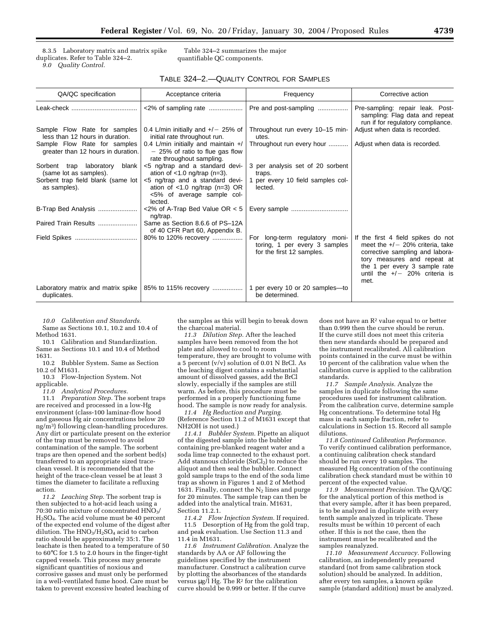8.3.5 Laboratory matrix and matrix spike duplicates. Refer to Table 324–2. *9.0 Quality Control.*

Table 324–2 summarizes the major quantifiable QC components.

## TABLE 324–2.—QUALITY CONTROL FOR SAMPLES

| QA/QC specification                                                | Acceptance criteria                                                                                          | Frequency                                                                                    | Corrective action                                                                                                                                                                                                     |
|--------------------------------------------------------------------|--------------------------------------------------------------------------------------------------------------|----------------------------------------------------------------------------------------------|-----------------------------------------------------------------------------------------------------------------------------------------------------------------------------------------------------------------------|
|                                                                    | $<2\%$ of sampling rate                                                                                      | Pre and post-sampling                                                                        | Pre-sampling: repair leak. Post-<br>sampling: Flag data and repeat<br>run if for regulatory compliance.                                                                                                               |
| Sample Flow Rate for samples<br>less than 12 hours in duration.    | 0.4 L/min initially and $+/-$ 25% of<br>initial rate throughout run.                                         | Throughout run every 10-15 min-<br>utes.                                                     | Adjust when data is recorded.                                                                                                                                                                                         |
| Sample Flow Rate for samples<br>greater than 12 hours in duration. | 0.4 L/min initially and maintain +/<br>$-$ 25% of ratio to flue gas flow<br>rate throughout sampling.        | Throughout run every hour                                                                    | Adjust when data is recorded.                                                                                                                                                                                         |
| Sorbent trap laboratory<br>blank<br>(same lot as samples).         | <5 ng/trap and a standard devi-<br>ation of $<$ 1.0 ng/trap (n=3).                                           | 3 per analysis set of 20 sorbent<br>traps.                                                   |                                                                                                                                                                                                                       |
| Sorbent trap field blank (same lot<br>as samples).                 | <5 ng/trap and a standard devi-<br>ation of $<1.0$ ng/trap (n=3) OR<br><5% of average sample col-<br>lected. | per every 10 field samples col-<br>lected.                                                   |                                                                                                                                                                                                                       |
| B-Trap Bed Analysis                                                | $<2\%$ of A-Trap Bed Value OR $< 5$<br>ng/trap.                                                              | Every sample                                                                                 |                                                                                                                                                                                                                       |
| Paired Train Results                                               | Same as Section 8.6.6 of PS-12A<br>of 40 CFR Part 60, Appendix B.                                            |                                                                                              |                                                                                                                                                                                                                       |
|                                                                    | 80% to 120% recovery                                                                                         | For long-term regulatory moni-<br>toring, 1 per every 3 samples<br>for the first 12 samples. | If the first 4 field spikes do not<br>meet the $+/-$ 20% criteria, take<br>corrective sampling and labora-<br>tory measures and repeat at<br>the 1 per every 3 sample rate<br>until the $+/-$ 20% criteria is<br>met. |
| Laboratory matrix and matrix spike<br>duplicates.                  | 85% to 115% recovery                                                                                         | per every 10 or 20 samples-to<br>be determined.                                              |                                                                                                                                                                                                                       |

*10.0 Calibration and Standards.* Same as Sections 10.1, 10.2 and 10.4 of Method 1631.

10.1 Calibration and Standardization. Same as Sections 10.1 and 10.4 of Method 1631.<br>10.2

10.2 Bubbler System. Same as Section 10.2 of M1631.

10.3 Flow-Injection System. Not applicable.

*11.0 Analytical Procedures.*

11.1 *Preparation Step.* The sorbent traps are received and processed in a low-Hg environment (class-100 laminar-flow hood and gaseous Hg air concentrations below 20 ng/m3) following clean-handling procedures. Any dirt or particulate present on the exterior of the trap must be removed to avoid contamination of the sample. The sorbent traps are then opened and the sorbent bed(s) transferred to an appropriate sized traceclean vessel. It is recommended that the height of the trace-clean vessel be at least 3 times the diameter to facilitate a refluxing action.

*11.2 Leaching Step.* The sorbent trap is then subjected to a hot-acid leach using a 70:30 ratio mixture of concentrated  $H\overline{N}O_3$ / H2SO4. The acid volume must be 40 percent of the expected end volume of the digest after dilution. The  $HNO<sub>3</sub>/H<sub>2</sub>SO<sub>4</sub>$  acid to carbon ratio should be approximately 35:1. The leachate is then heated to a temperature of 50 to 60°C for 1.5 to 2.0 hours in the finger-tight capped vessels. This process may generate significant quantities of noxious and corrosive gasses and must only be performed in a well-ventilated fume hood. Care must be taken to prevent excessive heated leaching of

the samples as this will begin to break down the charcoal material.

*11.3 Dilution Step.* After the leached samples have been removed from the hot plate and allowed to cool to room temperature, they are brought to volume with a 5 percent (v/v) solution of 0.01 N BrCl. As the leaching digest contains a substantial amount of dissolved gasses, add the BrCl slowly, especially if the samples are still warm. As before, this procedure must be performed in a properly functioning fume hood. The sample is now ready for analysis.

*11.4 Hg Reduction and Purging.* (Reference Section 11.2 of M1631 except that NH2OH is not used.)

*11.4.1 Bubbler System.* Pipette an aliquot of the digested sample into the bubbler containing pre-blanked reagent water and a soda lime trap connected to the exhaust port. Add stannous chloride  $(SnCl<sub>2</sub>)$  to reduce the aliquot and then seal the bubbler. Connect gold sample traps to the end of the soda lime trap as shown in Figures 1 and 2 of Method 1631. Finally, connect the  $N_2$  lines and purge for 20 minutes. The sample trap can then be added into the analytical train. M1631, Section 11.2.1.

*11.4.2 Flow Injection System.* If required. 11.5 Desorption of Hg from the gold trap, and peak evaluation. Use Section 11.3 and 11.4 in M1631.

*11.6 Instrument Calibration.* Analyze the standards by AA or AF following the guidelines specified by the instrument manufacturer. Construct a calibration curve by plotting the absorbances of the standards versus  $\mu$ g/l Hg. The R<sup>2</sup> for the calibration curve should be 0.999 or better. If the curve

does not have an  $\mathbb{R}^2$  value equal to or better than 0.999 then the curve should be rerun. If the curve still does not meet this criteria then new standards should be prepared and the instrument recalibrated. All calibration points contained in the curve must be within 10 percent of the calibration value when the calibration curve is applied to the calibration standards.

*11.7 Sample Analysis.* Analyze the samples in duplicate following the same procedures used for instrument calibration. From the calibration curve, determine sample Hg concentrations. To determine total Hg mass in each sample fraction, refer to calculations in Section 15. Record all sample dilutions.

*11.8 Continued Calibration Performance.* To verify continued calibration performance, a continuing calibration check standard should be run every 10 samples. The measured Hg concentration of the continuing calibration check standard must be within 10 percent of the expected value.

*11.9 Measurement Precision.* The QA/QC for the analytical portion of this method is that every sample, after it has been prepared, is to be analyzed in duplicate with every tenth sample analyzed in triplicate. These results must be within 10 percent of each other. If this is not the case, then the instrument must be recalibrated and the samples reanalyzed.

*11.10 Measurement Accuracy.* Following calibration, an independently prepared standard (not from same calibration stock solution) should be analyzed. In addition, after every ten samples, a known spike sample (standard addition) must be analyzed.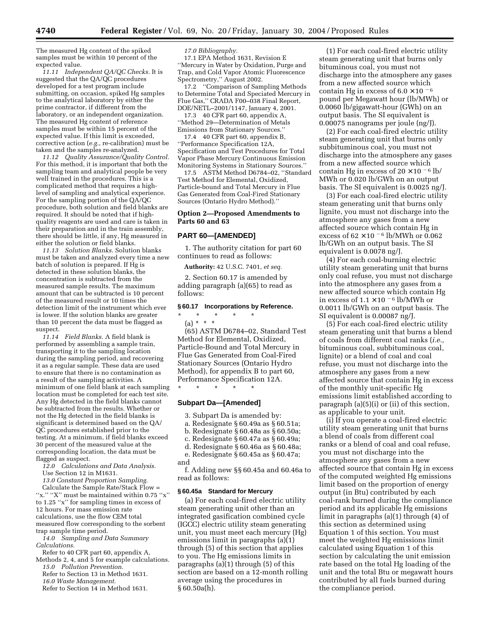The measured Hg content of the spiked samples must be within 10 percent of the expected value.

*11.11 Independent QA/QC Checks.* It is suggested that the QA/QC procedures developed for a test program include submitting, on occasion, spiked Hg samples to the analytical laboratory by either the prime contractor, if different from the laboratory, or an independent organization. The measured Hg content of reference samples must be within 15 percent of the expected value. If this limit is exceeded, corrective action (*e.g.,* re-calibration) must be taken and the samples re-analyzed.

*11.12 Quality Assurance/Quality Control.* For this method, it is important that both the sampling team and analytical people be very well trained in the procedures. This is a complicated method that requires a highlevel of sampling and analytical experience. For the sampling portion of the QA/QC procedure, both solution and field blanks are required. It should be noted that if highquality reagents are used and care is taken in their preparation and in the train assembly, there should be little, if any, Hg measured in either the solution or field blanks.

*11.13 Solution Blanks.* Solution blanks must be taken and analyzed every time a new batch of solution is prepared. If Hg is detected in these solution blanks, the concentration is subtracted from the measured sample results. The maximum amount that can be subtracted is 10 percent of the measured result or 10 times the detection limit of the instrument which ever is lower. If the solution blanks are greater than 10 percent the data must be flagged as suspect.

*11.14 Field Blanks.* A field blank is performed by assembling a sample train, transporting it to the sampling location during the sampling period, and recovering it as a regular sample. These data are used to ensure that there is no contamination as a result of the sampling activities. A minimum of one field blank at each sampling location must be completed for each test site. Any Hg detected in the field blanks cannot be subtracted from the results. Whether or not the Hg detected in the field blanks is significant is determined based on the QA/ QC procedures established prior to the testing. At a minimum, if field blanks exceed 30 percent of the measured value at the corresponding location, the data must be flagged as suspect.

*12.0 Calculations and Data Analysis.* Use Section 12 in M1631.

*13.0 Constant Proportion Sampling.*

Calculate the Sample Rate/Stack Flow = "x." "X" must be maintained within  $0.75$  "x" to 1.25 ''x'' for sampling times in excess of 12 hours. For mass emission rate calculations, use the flow CEM total measured flow corresponding to the sorbent trap sample time period.

*14.0 Sampling and Data Summary Calculations.*

Refer to 40 CFR part 60, appendix A, Methods 2, 4, and 5 for example calculations. *15.0 Pollution Prevention.* Refer to Section 13 in Method 1631.

*16.0 Waste Management.* Refer to Section 14 in Method 1631. *17.0 Bibliography.*

17.1 EPA Method 1631, Revision E ''Mercury in Water by Oxidation, Purge and Trap, and Cold Vapor Atomic Fluorescence Spectrometry,'' August 2002.

17.2 ''Comparison of Sampling Methods to Determine Total and Speciated Mercury in Flue Gas," CRADA F00-038 Final Report, DOE/NETL–2001/1147, January 4, 2001.

17.3 40 CFR part 60, appendix A, ''Method 29—Determination of Metals Emissions from Stationary Sources.''

17.4 40 CFR part 60, appendix B, ''Performance Specification 12A, Specification and Test Procedures for Total Vapor Phase Mercury Continuous Emission Monitoring Systems in Stationary Sources.''

17.5 ASTM Method D6784–02, ''Standard Test Method for Elemental, Oxidized, Particle-bound and Total Mercury in Flue Gas Generated from Coal-Fired Stationary Sources (Ontario Hydro Method).''

## **Option 2—Proposed Amendments to Parts 60 and 63**

#### **PART 60—[AMENDED]**

1. The authority citation for part 60 continues to read as follows:

**Authority:** 42 U.S.C. 7401, *et seq.*

2. Section 60.17 is amended by adding paragraph (a)(65) to read as follows:

## **§ 60.17 Incorporations by Reference.**

#### \* \* \* \* \* (a) \* \* \*

(65) ASTM D6784–02, Standard Test Method for Elemental, Oxidized, Particle-Bound and Total Mercury in Flue Gas Generated from Coal-Fired Stationary Sources (Ontario Hydro Method), for appendix B to part 60, Performance Specification 12A.

\* \* \* \* \*

## **Subpart Da—[Amended]**

- 3. Subpart Da is amended by:
- a. Redesignate § 60.49a as § 60.51a;
- b. Redesignate § 60.48a as § 60.50a;
- c. Redesignate § 60.47a as § 60.49a;

d. Redesignate § 60.46a as § 60.48a;

e. Redesignate § 60.45a as § 60.47a;

and

f. Adding new §§ 60.45a and 60.46a to read as follows:

## **§ 60.45a Standard for Mercury**

(a) For each coal-fired electric utility steam generating unit other than an integrated gasification combined cycle (IGCC) electric utility steam generating unit, you must meet each mercury (Hg) emissions limit in paragraphs (a)(1) through (5) of this section that applies to you. The Hg emissions limits in paragraphs (a)(1) through (5) of this section are based on a 12-month rolling average using the procedures in § 60.50a(h).

(1) For each coal-fired electric utility steam generating unit that burns only bituminous coal, you must not discharge into the atmosphere any gases from a new affected source which contain Hg in excess of  $6.0 \times 10^{-6}$ pound per Megawatt hour (lb/MWh) or 0.0060 lb/gigawatt-hour (GWh) on an output basis. The SI equivalent is 0.00075 nanograms per joule (ng/J).

(2) For each coal-fired electric utility steam generating unit that burns only subbituminous coal, you must not discharge into the atmosphere any gases from a new affected source which contain Hg in excess of  $20 \times 10^{-6}$  lb/ MWh or 0.020 lb/GWh on an output basis. The SI equivalent is 0.0025 ng/J.

(3) For each coal-fired electric utility steam generating unit that burns only lignite, you must not discharge into the atmosphere any gases from a new affected source which contain Hg in excess of  $62 \times 10^{-6}$  lb/MWh or 0.062 lb/GWh on an output basis. The SI equivalent is 0.0078 ng/J.

(4) For each coal-burning electric utility steam generating unit that burns only coal refuse, you must not discharge into the atmosphere any gases from a new affected source which contain Hg in excess of  $1.1 \times 10^{-6}$  lb/MWh or 0.0011 lb/GWh on an output basis. The SI equivalent is 0.00087 ng/J.

(5) For each coal-fired electric utility steam generating unit that burns a blend of coals from different coal ranks (*i.e.,* bituminous coal, subbituminous coal, lignite) or a blend of coal and coal refuse, you must not discharge into the atmosphere any gases from a new affected source that contain Hg in excess of the monthly unit-specific Hg emissions limit established according to paragraph (a)(5)(i) or (ii) of this section, as applicable to your unit.

(i) If you operate a coal-fired electric utility steam generating unit that burns a blend of coals from different coal ranks or a blend of coal and coal refuse, you must not discharge into the atmosphere any gases from a new affected source that contain Hg in excess of the computed weighted Hg emissions limit based on the proportion of energy output (in Btu) contributed by each coal-rank burned during the compliance period and its applicable Hg emissions limit in paragraphs (a)(1) through (4) of this section as determined using Equation 1 of this section. You must meet the weighted Hg emissions limit calculated using Equation 1 of this section by calculating the unit emission rate based on the total Hg loading of the unit and the total Btu or megawatt hours contributed by all fuels burned during the compliance period.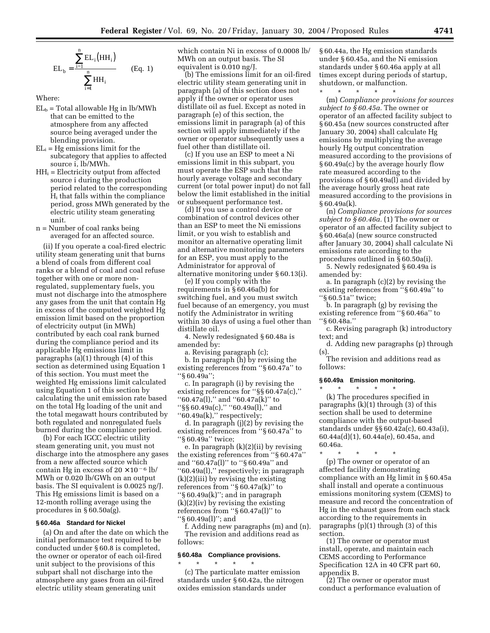$$
EL_{b} = \frac{\sum_{i=1}^{n} EL_{i}(HH_{i})}{\sum_{i=1}^{n} HH_{i}}
$$
 (Eq. 1)

Where:

- $EL_b = Total$  allowable Hg in lb/MWh that can be emitted to the atmosphere from any affected source being averaged under the blending provision.
- $EL_i = Hg$  emissions limit for the subcategory that applies to affected source i, lb/MWh.
- $HH_i =$  Electricity output from affected source i during the production period related to the corresponding  $H_i$  that falls within the compliance period, gross MWh generated by the electric utility steam generating unit.
- n = Number of coal ranks being averaged for an affected source.

(ii) If you operate a coal-fired electric utility steam generating unit that burns a blend of coals from different coal ranks or a blend of coal and coal refuse together with one or more nonregulated, supplementary fuels, you must not discharge into the atmosphere any gases from the unit that contain Hg in excess of the computed weighted Hg emission limit based on the proportion of electricity output (in MWh) contributed by each coal rank burned during the compliance period and its applicable Hg emissions limit in paragraphs (a)(1) through (4) of this section as determined using Equation 1 of this section. You must meet the weighted Hg emissions limit calculated using Equation 1 of this section by calculating the unit emission rate based on the total Hg loading of the unit and the total megawatt hours contributed by both regulated and nonregulated fuels burned during the compliance period.

(b) For each IGCC electric utility steam generating unit, you must not discharge into the atmosphere any gases from a new affected source which contain Hg in excess of  $20 \times 10^{-6}$  lb/ MWh or 0.020 lb/GWh on an output basis. The SI equivalent is 0.0025 ng/J. This Hg emissions limit is based on a 12-month rolling average using the procedures in § 60.50a(g).

### **§ 60.46a Standard for Nickel**

(a) On and after the date on which the initial performance test required to be conducted under § 60.8 is completed, the owner or operator of each oil-fired unit subject to the provisions of this subpart shall not discharge into the atmosphere any gases from an oil-fired electric utility steam generating unit

which contain Ni in excess of 0.0008 lb/ MWh on an output basis. The SI equivalent is 0.010 ng/J.

(b) The emissions limit for an oil-fired electric utility steam generating unit in paragraph (a) of this section does not apply if the owner or operator uses distillate oil as fuel. Except as noted in paragraph (e) of this section, the emissions limit in paragraph (a) of this section will apply immediately if the owner or operator subsequently uses a fuel other than distillate oil.

(c) If you use an ESP to meet a Ni emissions limit in this subpart, you must operate the ESP such that the hourly average voltage and secondary current (or total power input) do not fall below the limit established in the initial or subsequent performance test.

(d) If you use a control device or combination of control devices other than an ESP to meet the Ni emissions limit, or you wish to establish and monitor an alternative operating limit and alternative monitoring parameters for an ESP, you must apply to the Administrator for approval of alternative monitoring under § 60.13(i).

(e) If you comply with the requirements in § 60.46a(b) for switching fuel, and you must switch fuel because of an emergency, you must notify the Administrator in writing within 30 days of using a fuel other than distillate oil.

4. Newly redesignated § 60.48a is amended by:

a. Revising paragraph (c);

b. In paragraph (h) by revising the existing references from ''§ 60.47a'' to  $'s 60.49a$ ";

c. In paragraph (i) by revising the existing references for ''§§ 60.47a(c),'' ''60.47a(l),'' and ''60.47a(k)'' to "\$§ 60.49a(c)," "60.49a(l)," and ''60.49a(k),'' respectively;

d. In paragraph (j)(2) by revising the existing references from ''§ 60.47a'' to ''§ 60.49a'' twice;

e. In paragraph (k)(2)(ii) by revising the existing references from ''§ 60.47a'' and ''60.47a(l)'' to ''§ 60.49a'' and ''60.49a(l),'' respectively; in paragraph  $(k)(2)(iii)$  by revising the existing references from ''§ 60.47a(k)'' to ''§ 60.49a(k)''; and in paragraph (k)(2)(iv) by revising the existing references from ''§ 60.47a(l)'' to ''§ 60.49a(l)''; and

f. Adding new paragraphs (m) and (n). The revision and additions read as follows:

#### **§ 60.48a Compliance provisions.**

\* \* \* \* \* (c) The particulate matter emission standards under § 60.42a, the nitrogen oxides emission standards under

§ 60.44a, the Hg emission standards under § 60.45a, and the Ni emission standards under § 60.46a apply at all times except during periods of startup, shutdown, or malfunction.

\* \* \* \* \*

(m) *Compliance provisions for sources subject to § 60.45a.* The owner or operator of an affected facility subject to § 60.45a (new sources constructed after January 30, 2004) shall calculate Hg emissions by multiplying the average hourly Hg output concentration measured according to the provisions of § 60.49a(c) by the average hourly flow rate measured according to the provisions of § 60.49a(l) and divided by the average hourly gross heat rate measured according to the provisions in § 60.49a(k).

(n) *Compliance provisions for sources subject to § 60.46a.* (1) The owner or operator of an affected facility subject to § 60.46a(a) (new source constructed after January 30, 2004) shall calculate Ni emissions rate according to the procedures outlined in § 60.50a(i).

5. Newly redesignated § 60.49a is amended by:

a. In paragraph (c)(2) by revising the existing references from ''§ 60.49a'' to ''§ 60.51a'' twice;

b. In paragraph (g) by revising the existing reference from ''§ 60.46a'' to ''§ 60.48a.''

c. Revising paragraph (k) introductory text; and

d. Adding new paragraphs (p) through (s).

The revision and additions read as follows:

#### **§ 60.49a Emission monitoring.**

\* \* \* \* \* (k) The procedures specified in paragraphs  $(k)(1)$  through  $(3)$  of this section shall be used to determine compliance with the output-based standards under §§ 60.42a(c), 60.43a(i), 60.44a(d)(1), 60.44a(e), 60.45a, and 60.46a.

\* \* \* \* \* (p) The owner or operator of an affected facility demonstrating compliance with an Hg limit in § 60.45a shall install and operate a continuous emissions monitoring system (CEMS) to measure and record the concentration of Hg in the exhaust gases from each stack according to the requirements in paragraphs (p)(1) through (3) of this section.

(1) The owner or operator must install, operate, and maintain each CEMS according to Performance Specification 12A in 40 CFR part 60, appendix B.

(2) The owner or operator must conduct a performance evaluation of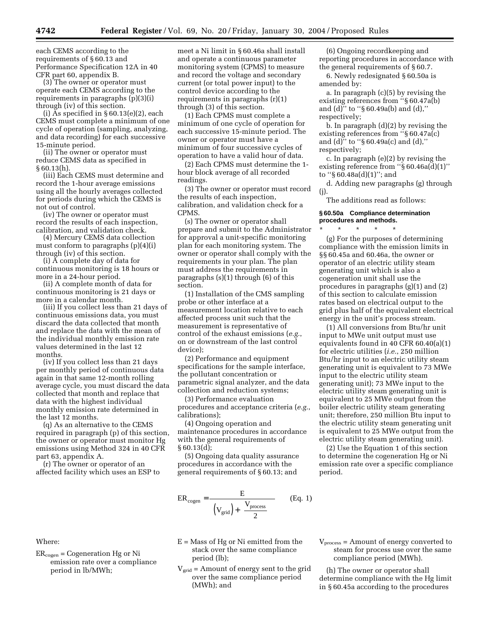each CEMS according to the requirements of § 60.13 and Performance Specification 12A in 40 CFR part 60, appendix B.

(3) The owner or operator must operate each CEMS according to the requirements in paragraphs (p)(3)(i) through (iv) of this section.

(i) As specified in § 60.13(e)(2), each CEMS must complete a minimum of one cycle of operation (sampling, analyzing, and data recording) for each successive 15-minute period.

(ii) The owner or operator must reduce CEMS data as specified in § 60.13(h).

(iii) Each CEMS must determine and record the 1-hour average emissions using all the hourly averages collected for periods during which the CEMS is not out of control.

(iv) The owner or operator must record the results of each inspection, calibration, and validation check.

(4) Mercury CEMS data collection must conform to paragraphs (p)(4)(i) through (iv) of this section.

(i) A complete day of data for continuous monitoring is 18 hours or more in a 24-hour period.

(ii) A complete month of data for continuous monitoring is 21 days or more in a calendar month.

(iii) If you collect less than 21 days of continuous emissions data, you must discard the data collected that month and replace the data with the mean of the individual monthly emission rate values determined in the last 12 months.

(iv) If you collect less than 21 days per monthly period of continuous data again in that same 12-month rolling average cycle, you must discard the data collected that month and replace that data with the highest individual monthly emission rate determined in the last 12 months.

(q) As an alternative to the CEMS required in paragraph (p) of this section, the owner or operator must monitor Hg emissions using Method 324 in 40 CFR part 63, appendix A.

(r) The owner or operator of an affected facility which uses an ESP to

Where:

 $ER_{cogen} = Cogeneration Hg$  or Ni emission rate over a compliance period in lb/MWh;

meet a Ni limit in § 60.46a shall install and operate a continuous parameter monitoring system (CPMS) to measure and record the voltage and secondary current (or total power input) to the control device according to the requirements in paragraphs (r)(1) through (3) of this section.

(1) Each CPMS must complete a minimum of one cycle of operation for each successive 15-minute period. The owner or operator must have a minimum of four successive cycles of operation to have a valid hour of data.

(2) Each CPMS must determine the 1 hour block average of all recorded readings.

(3) The owner or operator must record the results of each inspection, calibration, and validation check for a CPMS.

(s) The owner or operator shall prepare and submit to the Administrator for approval a unit-specific monitoring plan for each monitoring system. The owner or operator shall comply with the requirements in your plan. The plan must address the requirements in paragraphs (s)(1) through (6) of this section.

(1) Installation of the CMS sampling probe or other interface at a measurement location relative to each affected process unit such that the measurement is representative of control of the exhaust emissions (*e.g.*, on or downstream of the last control device);

(2) Performance and equipment specifications for the sample interface, the pollutant concentration or parametric signal analyzer, and the data collection and reduction systems;

(3) Performance evaluation procedures and acceptance criteria (*e.g.*, calibrations);

(4) Ongoing operation and maintenance procedures in accordance with the general requirements of  $§ 60.13(d);$ 

(5) Ongoing data quality assurance procedures in accordance with the general requirements of § 60.13; and

$$
ER_{cogen} = \frac{E}{\left( (V_{grid}) + \left( \frac{V_{process}}{2} \right) \right)}
$$
 (Eq. 1)

- $E =$  Mass of Hg or Ni emitted from the stack over the same compliance period (lb);
- $V_{grid}$  = Amount of energy sent to the grid over the same compliance period (MWh); and

(6) Ongoing recordkeeping and reporting procedures in accordance with the general requirements of § 60.7.

6. Newly redesignated § 60.50a is amended by:

a. In paragraph (c)(5) by revising the existing references from ''§ 60.47a(b) and (d)'' to ''§ 60.49a(b) and (d),'' respectively;

b. In paragraph (d)(2) by revising the existing references from ''§ 60.47a(c) and (d)'' to ''§ 60.49a(c) and (d),'' respectively;

c. In paragraph (e)(2) by revising the existing reference from ''§ 60.46a(d)(1)'' to ''§ 60.48a(d)(1)''; and

d. Adding new paragraphs (g) through (j).

The additions read as follows:

## **§ 60.50a Compliance determination procedures and methods.**

\* \* \* \* \* (g) For the purposes of determining compliance with the emission limits in §§ 60.45a and 60.46a, the owner or operator of an electric utility steam generating unit which is also a cogeneration unit shall use the procedures in paragraphs (g)(1) and (2) of this section to calculate emission rates based on electrical output to the grid plus half of the equivalent electrical energy in the unit's process stream.

(1) All conversions from Btu/hr unit input to MWe unit output must use equivalents found in 40 CFR 60.40(a)(1) for electric utilities (*i.e.*, 250 million Btu/hr input to an electric utility steam generating unit is equivalent to 73 MWe input to the electric utility steam generating unit); 73 MWe input to the electric utility steam generating unit is equivalent to 25 MWe output from the boiler electric utility steam generating unit; therefore, 250 million Btu input to the electric utility steam generating unit is equivalent to 25 MWe output from the electric utility steam generating unit).

(2) Use the Equation 1 of this section to determine the cogeneration Hg or Ni emission rate over a specific compliance period.

 $V<sub>process</sub> =$  Amount of energy converted to steam for process use over the same compliance period (MWh).

(h) The owner or operator shall determine compliance with the Hg limit in § 60.45a according to the procedures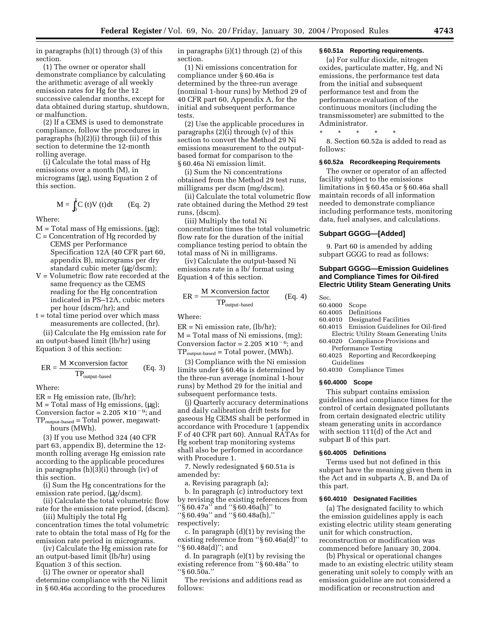in paragraphs (h)(1) through (3) of this section.

(1) The owner or operator shall demonstrate compliance by calculating the arithmetic average of all weekly emission rates for Hg for the 12 successive calendar months, except for data obtained during startup, shutdown, or malfunction.

(2) If a CEMS is used to demonstrate compliance, follow the procedures in paragraphs (h)(2)(i) through (ii) of this section to determine the 12-month rolling average.

(i) Calculate the total mass of Hg emissions over a month (M), in micrograms (µg), using Equation 2 of this section.

$$
M = \int_0^t C(t)V(t)dt
$$
 (Eq. 2)

Where:

- $M = Total mass of Hg emissions, (µg);$
- $C =$  Concentration of Hg recorded by CEMS per Performance Specification 12A (40 CFR part 60, appendix B), micrograms per dry standard cubic meter (µg/dscm);
- V = Volumetric flow rate recorded at the same frequency as the CEMS reading for the Hg concentration indicated in PS–12A, cubic meters per hour (dscm/hr); and
- t = total time period over which mass measurements are collected, (hr).

(ii) Calculate the Hg emission rate for an output-based limit (lb/hr) using Equation 3 of this section:

$$
ER = \frac{M \times \text{conversion factor}}{\text{TP}_{\text{output-based}}} \qquad (Eq. 3)
$$

Where:

 $ER = Hg$  emission rate,  $(lb/hr)$ ;

 $M = Total mass of Hg emissions, (µg);$ Conversion factor =  $2.205 \times 10^{-9}$ ; and  $TP_{\text{output-based}} = Total power$ , megawatthours (MWh).

(3) If you use Method 324 (40 CFR part 63, appendix B), determine the 12 month rolling average Hg emission rate according to the applicable procedures in paragraphs (h)(3)(i) through (iv) of this section.

(i) Sum the Hg concentrations for the emission rate period, (µg/dscm).

(ii) Calculate the total volumetric flow rate for the emission rate period, (dscm).

(iii) Multiply the total Hg concentration times the total volumetric rate to obtain the total mass of Hg for the emission rate period in micrograms.

(iv) Calculate the Hg emission rate for an output-based limit (lb/hr) using Equation 3 of this section.

(i) The owner or operator shall determine compliance with the Ni limit in § 60.46a according to the procedures

in paragraphs (i)(1) through (2) of this section.

(1) Ni emissions concentration for compliance under § 60.46a is determined by the three-run average (nominal 1-hour runs) by Method 29 of 40 CFR part 60, Appendix A, for the initial and subsequent performance tests.

(2) Use the applicable procedures in paragraphs (2)(i) through (v) of this section to convert the Method 29 Ni emissions measurement to the outputbased format for comparison to the § 60.46a Ni emission limit.

(i) Sum the Ni concentrations obtained from the Method 29 test runs, milligrams per dscm (mg/dscm).

(ii) Calculate the total volumetric flow rate obtained during the Method 29 test runs, (dscm).

(iii) Multiply the total Ni concentration times the total volumetric flow rate for the duration of the initial compliance testing period to obtain the total mass of Ni in milligrams.

(iv) Calculate the output-based Ni emissions rate in a lb/ format using Equation 4 of this section.

$$
ER = \frac{M \times \text{conversion factor}}{\text{TP}_{\text{output-based}}} \qquad (Eq. 4)
$$

Where:

 $ER = Ni$  emission rate,  $(lb/hr)$ ;  $M = Total mass of Ni emissions, (mg);$ Conversion factor =  $2.205 \times 10^{-6}$ ; and TPoutput-based = Total power, (MWh).

(3) Compliance with the Ni emission limits under § 60.46a is determined by the three-run average (nominal 1-hour runs) by Method 29 for the initial and subsequent performance tests.

(j) Quarterly accuracy determinations and daily calibration drift tests for gaseous Hg CEMS shall be performed in accordance with Procedure 1 (appendix F of 40 CFR part 60). Annual RATAs for Hg sorbent trap monitoring systems shall also be performed in accordance with Procedure 1.

7. Newly redesignated § 60.51a is amended by:

a. Revising paragraph (a);

b. In paragraph (c) introductory text by revising the existing references from ''§ 60.47a'' and ''§ 60.46a(h)'' to

''§ 60.49a'' and ''§ 60.48a(h),''

respectively;

c. In paragraph (d)(1) by revising the existing reference from ''§ 60.46a(d)'' to ''§ 60.48a(d)''; and

d. In paragraph (e)(1) by revising the existing reference from ''§ 60.48a'' to ''§ 60.50a.''

The revisions and additions read as follows:

## **§ 60.51a Reporting requirements.**

(a) For sulfur dioxide, nitrogen oxides, particulate matter, Hg, and Ni emissions, the performance test data from the initial and subsequent performance test and from the performance evaluation of the continuous monitors (including the transmissometer) are submitted to the Administrator.

\* \* \* \* \*

8. Section 60.52a is added to read as follows:

#### **§ 60.52a Recordkeeping Requirements**

The owner or operator of an affected facility subject to the emissions limitations in § 60.45a or § 60.46a shall maintain records of all information needed to demonstrate compliance including performance tests, monitoring data, fuel analyses, and calculations.

#### **Subpart GGGG—[Added]**

9. Part 60 is amended by adding subpart GGGG to read as follows:

## **Subpart GGGG—Emission Guidelines and Compliance Times for Oil-fired Electric Utility Steam Generating Units**

Sec.

- 
- 60.4000 Scope **Definitions**
- 60.4010 Designated Facilities
- 60.4015 Emission Guidelines for Oil-fired Electric Utility Steam Generating Units
- 60.4020 Compliance Provisions and Performance Testing
- 60.4025 Reporting and Recordkeeping Guidelines
- 60.4030 Compliance Times

## **§ 60.4000 Scope**

This subpart contains emission guidelines and compliance times for the control of certain designated pollutants from certain designated electric utility steam generating units in accordance with section 111(d) of the Act and subpart B of this part.

#### **§ 60.4005 Definitions**

Terms used but not defined in this subpart have the meaning given them in the Act and in subparts A, B, and Da of this part.

#### **§ 60.4010 Designated Facilities**

(a) The designated facility to which the emission guidelines apply is each existing electric utility steam generating unit for which construction, reconstruction or modification was commenced before January 30, 2004.

(b) Physical or operational changes made to an existing electric utility steam generating unit solely to comply with an emission guideline are not considered a modification or reconstruction and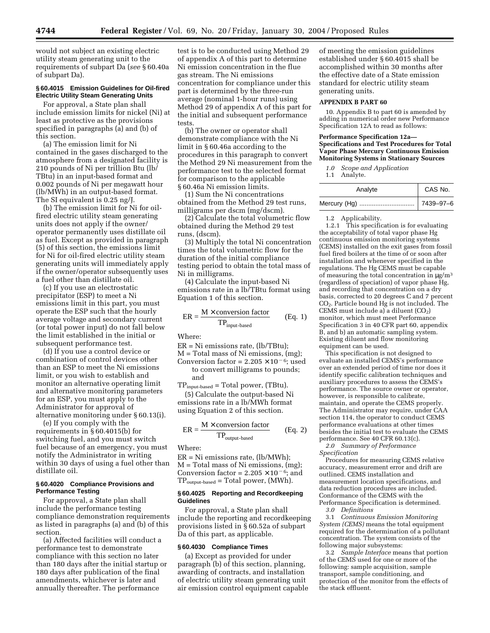would not subject an existing electric utility steam generating unit to the requirements of subpart Da (*see* § 60.40a of subpart Da).

## **§ 60.4015 Emission Guidelines for Oil-fired Electric Utility Steam Generating Units**

For approval, a State plan shall include emission limits for nickel (Ni) at least as protective as the provisions specified in paragraphs (a) and (b) of this section.

(a) The emission limit for Ni contained in the gases discharged to the atmosphere from a designated facility is 210 pounds of Ni per trillion Btu (lb/ TBtu) in an input-based format and 0.002 pounds of Ni per megawatt hour (lb/MWh) in an output-based format. The SI equivalent is 0.25 ng/J.

(b) The emission limit for Ni for oilfired electric utility steam generating units does not apply if the owner/ operator permanently uses distillate oil as fuel. Except as provided in paragraph (5) of this section, the emissions limit for Ni for oil-fired electric utility steam generating units will immediately apply if the owner/operator subsequently uses a fuel other than distillate oil.

(c) If you use an electrostatic precipitator (ESP) to meet a Ni emissions limit in this part, you must operate the ESP such that the hourly average voltage and secondary current (or total power input) do not fall below the limit established in the initial or subsequent performance test.

(d) If you use a control device or combination of control devices other than an ESP to meet the Ni emissions limit, or you wish to establish and monitor an alternative operating limit and alternative monitoring parameters for an ESP, you must apply to the Administrator for approval of alternative monitoring under § 60.13(i).

(e) If you comply with the requirements in § 60.4015(b) for switching fuel, and you must switch fuel because of an emergency, you must notify the Administrator in writing within 30 days of using a fuel other than distillate oil.

#### **§ 60.4020 Compliance Provisions and Performance Testing**

For approval, a State plan shall include the performance testing compliance demonstration requirements as listed in paragraphs (a) and (b) of this section.

(a) Affected facilities will conduct a performance test to demonstrate compliance with this section no later than 180 days after the initial startup or 180 days after publication of the final amendments, whichever is later and annually thereafter. The performance

test is to be conducted using Method 29 of appendix A of this part to determine Ni emission concentration in the flue gas stream. The Ni emissions concentration for compliance under this part is determined by the three-run average (nominal 1-hour runs) using Method 29 of appendix A of this part for the initial and subsequent performance tests.

(b) The owner or operator shall demonstrate compliance with the Ni limit in § 60.46a according to the procedures in this paragraph to convert the Method 29 Ni measurement from the performance test to the selected format for comparison to the applicable § 60.46a Ni emission limits.

(1) Sum the Ni concentrations obtained from the Method 29 test runs, milligrams per dscm (mg/dscm).

(2) Calculate the total volumetric flow obtained during the Method 29 test runs, (dscm).

(3) Multiply the total Ni concentration times the total volumetric flow for the duration of the initial compliance testing period to obtain the total mass of Ni in milligrams.

(4) Calculate the input-based Ni emissions rate in a lb/TBtu format using Equation 1 of this section.

$$
ER = \frac{M \times \text{conversion factor}}{\text{TP}_{\text{input-based}}} \qquad (Eq. 1)
$$

Where:

ER = Ni emissions rate, (lb/TBtu);

M = Total mass of Ni emissions, (mg);

Conversion factor =  $2.205 \times 10^{-6}$ ; used to convert milligrams to pounds; and

 $TP_{input-based} = Total power, (TBtu).$ (5) Calculate the output-based Ni

emissions rate in a lb/MWh format using Equation 2 of this section.

$$
ER = \frac{M \times \text{conversion factor}}{\text{TP}_{\text{output-based}}} \qquad (Eq. 2)
$$

Where:

ER = Ni emissions rate, (lb/MWh); M = Total mass of Ni emissions, (mg); Conversion factor =  $2.205 \times 10^{-6}$ ; and  $TP_{\text{output-based}} = Total power, (MWh).$ 

#### **§ 60.4025 Reporting and Recordkeeping Guidelines**

For approval, a State plan shall include the reporting and recordkeeping provisions listed in § 60.52a of subpart Da of this part, as applicable.

#### **§ 60.4030 Compliance Times**

(a) Except as provided for under paragraph (b) of this section, planning, awarding of contracts, and installation of electric utility steam generating unit air emission control equipment capable

of meeting the emission guidelines established under § 60.4015 shall be accomplished within 30 months after the effective date of a State emission standard for electric utility steam generating units.

## **APPENDIX B PART 60**

10. Appendix B to part 60 is amended by adding in numerical order new Performance Specification 12A to read as follows:

#### **Performance Specification 12a— Specifications and Test Procedures for Total Vapor Phase Mercury Continuous Emission Monitoring Systems in Stationary Sources**

*1.0 Scope and Application*

1.1 Analyte.

| Analyte | CAS No.   |
|---------|-----------|
|         | 7439-97-6 |

1.2 Applicability.

1.2.1 This specification is for evaluating the acceptability of total vapor phase Hg continuous emission monitoring systems (CEMS) installed on the exit gases from fossil fuel fired boilers at the time of or soon after installation and whenever specified in the regulations. The Hg CEMS must be capable of measuring the total concentration in  $\mu$ g/m<sup>3</sup> (regardless of speciation) of vapor phase Hg, and recording that concentration on a dry basis, corrected to 20 degrees C and 7 percent CO2. Particle bound Hg is not included. The CEMS must include a) a diluent  $(CO<sub>2</sub>)$ monitor, which must meet Performance Specification 3 in 40 CFR part 60, appendix B, and b) an automatic sampling system. Existing diluent and flow monitoring equipment can be used.

This specification is not designed to evaluate an installed CEMS's performance over an extended period of time nor does it identify specific calibration techniques and auxiliary procedures to assess the CEMS's performance. The source owner or operator, however, is responsible to calibrate, maintain, and operate the CEMS properly. The Administrator may require, under CAA section 114, the operator to conduct CEMS performance evaluations at other times besides the initial test to evaluate the CEMS performance. See 40 CFR 60.13(c).

*2.0 Summary of Performance Specification*

Procedures for measuring CEMS relative accuracy, measurement error and drift are outlined. CEMS installation and measurement location specifications, and data reduction procedures are included. Conformance of the CEMS with the Performance Specification is determined. *3.0 Definitions*

3.1 *Continuous Emission Monitoring System (CEMS)* means the total equipment required for the determination of a pollutant concentration. The system consists of the following major subsystems:

3.2 *Sample Interface* means that portion of the CEMS used for one or more of the following: sample acquisition, sample transport, sample conditioning, and protection of the monitor from the effects of the stack effluent.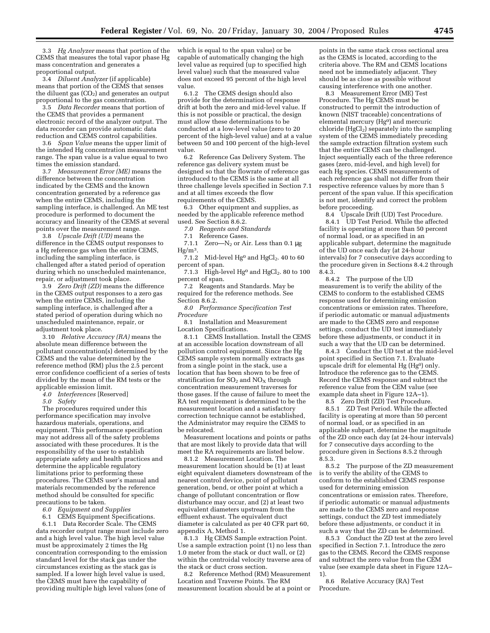3.3 *Hg Analyzer* means that portion of the CEMS that measures the total vapor phase Hg mass concentration and generates a proportional output.

3.4 *Diluent Analyzer* (if applicable) means that portion of the CEMS that senses the diluent gas  $(CO<sub>2</sub>)$  and generates an output proportional to the gas concentration.

3.5 *Data Recorder* means that portion of the CEMS that provides a permanent electronic record of the analyzer output. The data recorder can provide automatic data reduction and CEMS control capabilities.

3.6 *Span Value* means the upper limit of the intended Hg concentration measurement range. The span value is a value equal to two times the emission standard.

3.7 *Measurement Error (ME)* means the difference between the concentration indicated by the CEMS and the known concentration generated by a reference gas when the entire CEMS, including the sampling interface, is challenged. An ME test procedure is performed to document the accuracy and linearity of the CEMS at several points over the measurement range.

3.8 *Upscale Drift (UD)* means the difference in the CEMS output responses to a Hg reference gas when the entire CEMS, including the sampling interface, is challenged after a stated period of operation during which no unscheduled maintenance, repair, or adjustment took place.

3.9 *Zero Drift (ZD)* means the difference in the CEMS output responses to a zero gas when the entire CEMS, including the sampling interface, is challenged after a stated period of operation during which no unscheduled maintenance, repair, or adjustment took place.

3.10 *Relative Accuracy (RA)* means the absolute mean difference between the pollutant concentration(s) determined by the CEMS and the value determined by the reference method (RM) plus the 2.5 percent error confidence coefficient of a series of tests divided by the mean of the RM tests or the applicable emission limit.

*4.0 Interferences* [Reserved]

*5.0 Safety*

The procedures required under this performance specification may involve hazardous materials, operations, and equipment. This performance specification may not address all of the safety problems associated with these procedures. It is the responsibility of the user to establish appropriate safety and health practices and determine the applicable regulatory limitations prior to performing these procedures. The CEMS user's manual and materials recommended by the reference method should be consulted for specific precautions to be taken.

*6.0 Equipment and Supplies*

6.1 CEMS Equipment Specifications. 6.1.1 Data Recorder Scale. The CEMS data recorder output range must include zero and a high level value. The high level value must be approximately 2 times the Hg concentration corresponding to the emission standard level for the stack gas under the circumstances existing as the stack gas is sampled. If a lower high level value is used, the CEMS must have the capability of providing multiple high level values (one of

which is equal to the span value) or be capable of automatically changing the high level value as required (up to specified high level value) such that the measured value does not exceed 95 percent of the high level value.

6.1.2 The CEMS design should also provide for the determination of response drift at both the zero and mid-level value. If this is not possible or practical, the design must allow these determinations to be conducted at a low-level value (zero to 20 percent of the high-level value) and at a value between 50 and 100 percent of the high-level value.

6.2 Reference Gas Delivery System. The reference gas delivery system must be designed so that the flowrate of reference gas introduced to the CEMS is the same at all three challenge levels specified in Section 7.1 and at all times exceeds the flow requirements of the CEMS.

6.3 Other equipment and supplies, as needed by the applicable reference method used. See Section 8.6.2.

*7.0 Reagents and Standards*

7.1 Reference Gases.

7.1.1 Zero— $N_2$  or Air. Less than 0.1 µg  $Hg/m<sup>3</sup>$ .

7.1.2 Mid-level  $Hg^0$  and  $HgCl_2$ . 40 to 60 percent of span.

7.1.3 High-level  $Hg^0$  and  $HgCl_2$ . 80 to 100 percent of span.

7.2 Reagents and Standards. May be required for the reference methods. See Section 8.6.2.

*8.0 Performance Specification Test Procedure*

8.1 Installation and Measurement Location Specifications.

8.1.1 CEMS Installation. Install the CEMS at an accessible location downstream of all pollution control equipment. Since the Hg CEMS sample system normally extracts gas from a single point in the stack, use a location that has been shown to be free of stratification for  $SO_2$  and  $NO<sub>x</sub>$  through concentration measurement traverses for those gases. If the cause of failure to meet the RA test requirement is determined to be the measurement location and a satisfactory correction technique cannot be established, the Administrator may require the CEMS to be relocated.

Measurement locations and points or paths that are most likely to provide data that will meet the RA requirements are listed below.

8.1.2 Measurement Location. The measurement location should be (1) at least eight equivalent diameters downstream of the nearest control device, point of pollutant generation, bend, or other point at which a change of pollutant concentration or flow disturbance may occur, and (2) at least two equivalent diameters upstream from the effluent exhaust. The equivalent duct diameter is calculated as per 40 CFR part 60, appendix A, Method 1.

8.1.3 Hg CEMS Sample extraction Point. Use a sample extraction point (1) no less than 1.0 meter from the stack or duct wall, or (2) within the centroidal velocity traverse area of the stack or duct cross section.

8.2 Reference Method (RM) Measurement Location and Traverse Points. The RM measurement location should be at a point or

points in the same stack cross sectional area as the CEMS is located, according to the criteria above. The RM and CEMS locations need not be immediately adjacent. They should be as close as possible without causing interference with one another.

8.3 Measurement Error (ME) Test Procedure. The Hg CEMS must be constructed to permit the introduction of known (NIST traceable) concentrations of elemental mercury (Hg<sup>0</sup>) and mercuric chloride  $(HgCl<sub>2</sub>)$  separately into the sampling system of the CEMS immediately preceding the sample extraction filtration system such that the entire CEMS can be challenged. Inject sequentially each of the three reference gases (zero, mid-level, and high level) for each Hg species. CEMS measurements of each reference gas shall not differ from their respective reference values by more than 5 percent of the span value. If this specification is not met, identify and correct the problem before proceeding.

8.4 Upscale Drift (UD) Test Procedure. 8.4.1 UD Test Period. While the affected facility is operating at more than 50 percent of normal load, or as specified in an applicable subpart, determine the magnitude of the UD once each day (at 24-hour intervals) for 7 consecutive days according to the procedure given in Sections 8.4.2 through 8.4.3.

8.4.2 The purpose of the UD measurement is to verify the ability of the CEMS to conform to the established CEMS response used for determining emission concentrations or emission rates. Therefore, if periodic automatic or manual adjustments are made to the CEMS zero and response settings, conduct the UD test immediately before these adjustments, or conduct it in such a way that the UD can be determined.

8.4.3 Conduct the UD test at the mid-level point specified in Section 7.1. Evaluate upscale drift for elemental Hg (Hg<sup>0</sup>) only. Introduce the reference gas to the CEMS. Record the CEMS response and subtract the reference value from the CEM value (see example data sheet in Figure 12A–1).

8.5 Zero Drift (ZD) Test Procedure. 8.5.1 ZD Test Period. While the affected facility is operating at more than 50 percent of normal load, or as specified in an applicable subpart, determine the magnitude of the ZD once each day (at 24-hour intervals) for 7 consecutive days according to the procedure given in Sections 8.5.2 through 8.5.3.

8.5.2 The purpose of the ZD measurement is to verify the ability of the CEMS to conform to the established CEMS response used for determining emission concentrations or emission rates. Therefore, if periodic automatic or manual adjustments are made to the CEMS zero and response settings, conduct the ZD test immediately before these adjustments, or conduct it in such a way that the ZD can be determined.

8.5.3 Conduct the ZD test at the zero level specified in Section 7.1. Introduce the zero gas to the CEMS. Record the CEMS response and subtract the zero value from the CEM value (see example data sheet in Figure 12A– 1).

8.6 Relative Accuracy (RA) Test Procedure.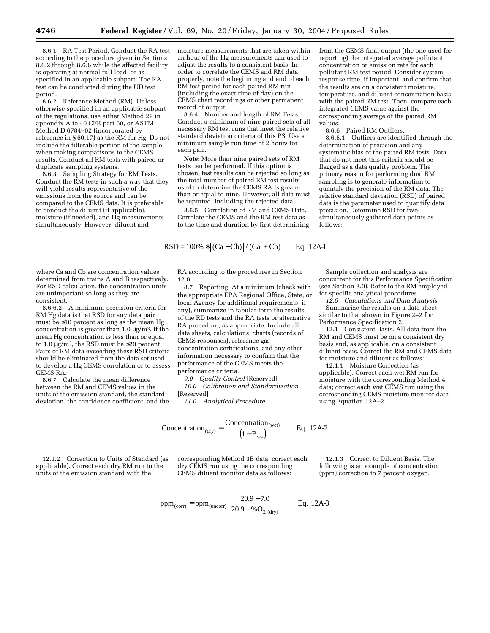8.6.1 RA Test Period. Conduct the RA test according to the procedure given in Sections 8.6.2 through 8.6.6 while the affected facility is operating at normal full load, or as specified in an applicable subpart. The RA test can be conducted during the UD test period.

8.6.2 Reference Method (RM). Unless otherwise specified in an applicable subpart of the regulations, use either Method 29 in appendix A to 40 CFR part 60, or ASTM Method D 6784–02 (incorporated by reference in § 60.17) as the RM for Hg. Do not include the filterable portion of the sample when making comparisons to the CEMS results. Conduct all RM tests with paired or duplicate sampling systems.

8.6.3 Sampling Strategy for RM Tests. Conduct the RM tests in such a way that they will yield results representative of the emissions from the source and can be compared to the CEMS data. It is preferable to conduct the diluent (if applicable), moisture (if needed), and Hg measurements simultaneously. However, diluent and

where Ca and Cb are concentration values determined from trains A and B respectively. For RSD calculation, the concentration units are unimportant so long as they are consistent.

8.6.6.2 A minimum precision criteria for RM Hg data is that RSD for any data pair must be ≤10 percent as long as the mean Hg concentration is greater than 1.0  $\mu$ g/m<sup>3</sup>. If the mean Hg concentration is less than or equal to 1.0  $\mu$ g/m<sup>3</sup>, the RSD must be ≤20 percent. Pairs of RM data exceeding these RSD criteria should be eliminated from the data set used to develop a Hg CEMS correlation or to assess CEMS RA.

8.6.7 Calculate the mean difference between the RM and CEMS values in the units of the emission standard, the standard deviation, the confidence coefficient, and the moisture measurements that are taken within an hour of the Hg measurements can used to adjust the results to a consistent basis. In order to correlate the CEMS and RM data properly, note the beginning and end of each RM test period for each paired RM run (including the exact time of day) on the CEMS chart recordings or other permanent record of output.

8.6.4 Number and length of RM Tests. Conduct a minimum of nine paired sets of all necessary RM test runs that meet the relative standard deviation criteria of this PS. Use a minimum sample run time of 2 hours for each pair.

**Note:** More than nine paired sets of RM tests can be performed. If this option is chosen, test results can be rejected so long as the total number of paired RM test results used to determine the CEMS RA is greater than or equal to nine. However, all data must be reported, including the rejected data.

8.6.5 Correlation of RM and CEMS Data. Correlate the CEMS and the RM test data as to the time and duration by first determining

$$
RSD = 100\% * |(Ca - Cb)| / (Ca + Cb)
$$
 Eq. 12A-1

RA according to the procedures in Section 12.0.

8.7 Reporting. At a minimum (check with the appropriate EPA Regional Office, State, or local Agency for additional requirements, if any), summarize in tabular form the results of the RD tests and the RA tests or alternative RA procedure, as appropriate. Include all data sheets, calculations, charts (records of CEMS responses), reference gas concentration certifications, and any other information necessary to confirm that the performance of the CEMS meets the performance criteria.

*9.0 Quality Control* [Reserved]

*10.0 Calibration and Standardization* [Reserved]

*11.0 Analytical Procedure*

$$
Concentration_{\text{(dry)}} = \frac{Concentration_{\text{(wet)}}}{\left(1 - B_{\text{ws}}\right)} \qquad \text{Eq. 12A-2}
$$

12.1.2 Correction to Units of Standard (as applicable). Correct each dry RM run to the units of the emission standard with the

corresponding Method 3B data; correct each dry CEMS run using the corresponding CEMS diluent monitor data as follows:

12.1.3 Correct to Diluent Basis. The following is an example of concentration (ppm) correction to 7 percent oxygen.

$$
ppm_{(corr)} = ppm_{(uncorr)} \left[ \frac{20.9 - 7.0}{20.9 - \%O_{2 (dry)}} \right]
$$
 Eq. 12A-3

from the CEMS final output (the one used for reporting) the integrated average pollutant concentration or emission rate for each pollutant RM test period. Consider system response time, if important, and confirm that the results are on a consistent moisture, temperature, and diluent concentration basis with the paired RM test. Then, compare each integrated CEMS value against the corresponding average of the paired RM values.

8.6.6 Paired RM Outliers.

8.6.6.1 Outliers are identified through the determination of precision and any systematic bias of the paired RM tests. Data that do not meet this criteria should be flagged as a data quality problem. The primary reason for performing dual RM sampling is to generate information to quantify the precision of the RM data. The relative standard deviation (RSD) of paired data is the parameter used to quantify data precision. Determine RSD for two simultaneously gathered data points as follows:

Sample collection and analysis are concurrent for this Performance Specification (see Section 8.0). Refer to the RM employed for specific analytical procedures.

*12.0 Calculations and Data Analysis* Summarize the results on a data sheet similar to that shown in Figure 2–2 for Performance Specification 2.

12.1 Consistent Basis. All data from the RM and CEMS must be on a consistent dry basis and, as applicable, on a consistent diluent basis. Correct the RM and CEMS data for moisture and diluent as follows:

12.1.1 Moisture Correction (as applicable). Correct each wet RM run for moisture with the corresponding Method 4 data; correct each wet CEMS run using the corresponding CEMS moisture monitor date using Equation 12A–2.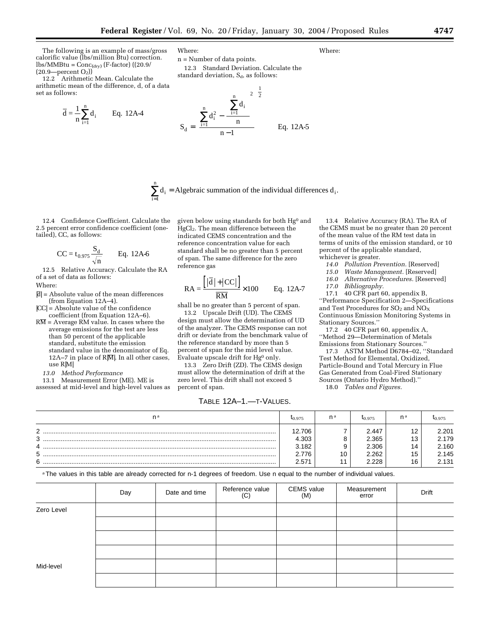The following is an example of mass/gross calorific value (lbs/million Btu) correction.  $\text{lbs/MMBtu} = \text{Conc}_{\text{(dry)}} (\text{F-factor}) ((20.9/$  $(20.9$ —percent  $O<sub>2</sub>)$ )

12.2 Arithmetic Mean. Calculate the arithmetic mean of the difference, d, of a data set as follows:

$$
\overline{d} = \frac{1}{n} \sum_{i=1}^{n} d_i
$$
 Eq. 12A-4

Where:

n = Number of data points. 12.3 Standard Deviation. Calculate the standard deviation, S<sub>d</sub>, as follows:

$$
S_{d} = \left[\frac{\sum_{i=1}^{n} d_{i}^{2} - \frac{\left[\sum_{i=1}^{n} d_{i}\right]^{2}}{n}\right]^{\frac{1}{2}}}{n-1}
$$
 Eq. 12A-5

 $\sum_{i=1}^{n} d_i$  = Algebraic summation of the individual differences  $d_i$ . = 1

12.4 Confidence Coefficient. Calculate the 2.5 percent error confidence coefficient (onetailed), CC, as follows:

i

$$
CC = t_{0.975} \frac{S_d}{\sqrt{n}} \qquad Eq. 12A-6
$$

12.5 Relative Accuracy. Calculate the RA of a set of data as follows:

Where:

- $|\overline{d}|$  = Absolute value of the mean differences (from Equation 12A–4).
- |CC| = Absolute value of the confidence coefficient (from Equation 12A–6).
- $R\overline{M}$  = Average RM value. In cases where the average emissions for the test are less than 50 percent of the applicable standard, substitute the emission standard value in the denominator of Eq. 12A–7 in place of  $R|\overline{M}|$ . In all other cases, use R|M|
	- *13.0 Method Performance*

13.1 Measurement Error (ME). ME is assessed at mid-level and high-level values as

given below using standards for both Hg0 and HgCl<sub>2</sub>. The mean difference between the indicated CEMS concentration and the reference concentration value for each standard shall be no greater than 5 percent of span. The same difference for the zero reference gas

$$
RA = \frac{\left[|\vec{d}| + |CC|\right]}{\overline{RM}} \times 100 \qquad Eq. 12A-7
$$

shall be no greater than 5 percent of span.

13.2 Upscale Drift (UD). The CEMS design must allow the determination of UD of the analyzer. The CEMS response can not drift or deviate from the benchmark value of the reference standard by more than 5 percent of span for the mid level value. Evaluate upscale drift for Hg0 only.

13.3 Zero Drift (ZD). The CEMS design must allow the determination of drift at the zero level. This drift shall not exceed 5 percent of span.

TABLE 12A–1.—T-VALUES.

13.4 Relative Accuracy (RA). The RA of the CEMS must be no greater than 20 percent of the mean value of the RM test data in terms of units of the emission standard, or 10 percent of the applicable standard, whichever is greater.

- *14.0 Pollution Prevention.* [Reserved]
- *15.0 Waste Management.* [Reserved]
- *16.0 Alternative Procedures.* [Reserved]
- *17.0 Bibliography.*

17.1 40 CFR part 60, appendix B, ''Performance Specification 2—Specifications and Test Procedures for  $SO_2$  and  $NO_X$ Continuous Emission Monitoring Systems in Stationary Sources.''

17.2 40 CFR part 60, appendix A, ''Method 29—Determination of Metals Emissions from Stationary Sources.''

17.3 ASTM Method D6784–02, ''Standard Test Method for Elemental, Oxidized, Particle-Bound and Total Mercury in Flue Gas Generated from Coal-Fired Stationary Sources (Ontario Hydro Method).'' 18.0 *Tables and Figures.*

| n a    | 10.975 | n a | <b>l</b> 0.975 | n a                    | 10.975 |
|--------|--------|-----|----------------|------------------------|--------|
| C      | 12.706 |     | 2.447          | $\sim$                 | 2.201  |
| ว<br>ັ | 4.303  |     | 2.365          | $\overline{ }$<br>l su | 2.179  |
| Δ      | 3.182  |     | 2.306          | 14                     | 2.160  |
| 5      | 2.776  | 10  | 2.262          | 15<br>ں ו              | 2.145  |
| ี      | 2.571  |     | 2.228          | 16                     | 2.131  |

a The values in this table are already corrected for n-1 degrees of freedom. Use n equal to the number of individual values.

|            | Day | Date and time | Reference value<br>(C) | <b>CEMS</b> value<br>(M) | Measurement<br>error | Drift |
|------------|-----|---------------|------------------------|--------------------------|----------------------|-------|
| Zero Level |     |               |                        |                          |                      |       |
|            |     |               |                        |                          |                      |       |
|            |     |               |                        |                          |                      |       |
|            |     |               |                        |                          |                      |       |
| Mid-level  |     |               |                        |                          |                      |       |
|            |     |               |                        |                          |                      |       |

Where: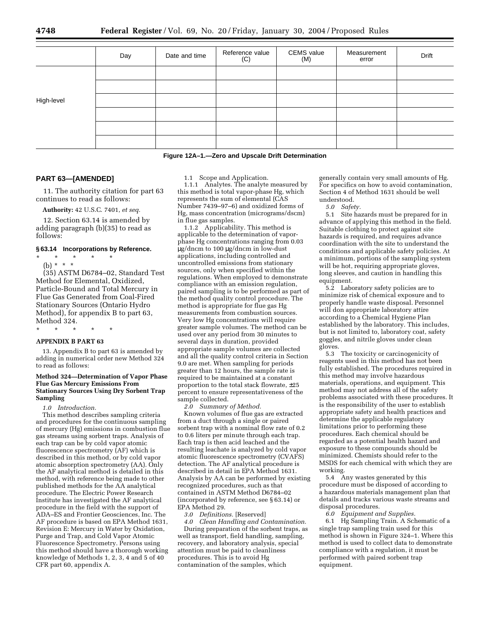|            | Day | Date and time | Reference value<br>(C) | <b>CEMS</b> value<br>(M) | Measurement<br>error | Drift |
|------------|-----|---------------|------------------------|--------------------------|----------------------|-------|
|            |     |               |                        |                          |                      |       |
|            |     |               |                        |                          |                      |       |
| High-level |     |               |                        |                          |                      |       |
|            |     |               |                        |                          |                      |       |
|            |     |               |                        |                          |                      |       |
|            |     |               |                        |                          |                      |       |

#### **Figure 12A–1.—Zero and Upscale Drift Determination**

## **PART 63—[AMENDED]**

11. The authority citation for part 63 continues to read as follows:

**Authority:** 42 U.S.C. 7401, *et seq.*

12. Section 63.14 is amended by adding paragraph (b)(35) to read as follows:

#### **§ 63.14 Incorporations by Reference.**

\* \* \* \* \*

(b) \* \* \* (35) ASTM D6784–02, Standard Test Method for Elemental, Oxidized, Particle-Bound and Total Mercury in Flue Gas Generated from Coal-Fired Stationary Sources (Ontario Hydro Method), for appendix B to part 63, Method 324.

## \* \* \* \* \* **APPENDIX B PART 63**

13. Appendix B to part 63 is amended by adding in numerical order new Method 324 to read as follows:

#### **Method 324—Determination of Vapor Phase Flue Gas Mercury Emissions From Stationary Sources Using Dry Sorbent Trap Sampling**

*1.0 Introduction.*

This method describes sampling criteria and procedures for the continuous sampling of mercury (Hg) emissions in combustion flue gas streams using sorbent traps. Analysis of each trap can be by cold vapor atomic fluorescence spectrometry (AF) which is described in this method, or by cold vapor atomic absorption spectrometry (AA). Only the AF analytical method is detailed in this method, with reference being made to other published methods for the AA analytical procedure. The Electric Power Research Institute has investigated the AF analytical procedure in the field with the support of ADA–ES and Frontier Geosciences, Inc. The AF procedure is based on EPA Method 1631, Revision E: Mercury in Water by Oxidation, Purge and Trap, and Cold Vapor Atomic Fluorescence Spectrometry. Persons using this method should have a thorough working knowledge of Methods 1, 2, 3, 4 and 5 of 40 CFR part 60, appendix A.

1.1 Scope and Application.

1.1.1 Analytes. The analyte measured by this method is total vapor-phase Hg, which represents the sum of elemental (CAS Number 7439–97–6) and oxidized forms of Hg, mass concentration (micrograms/dscm) in flue gas samples.

1.1.2 Applicability. This method is applicable to the determination of vaporphase Hg concentrations ranging from 0.03 µg/dncm to 100 µg/dncm in low-dust applications, including controlled and uncontrolled emissions from stationary sources, only when specified within the regulations. When employed to demonstrate compliance with an emission regulation, paired sampling is to be performed as part of the method quality control procedure. The method is appropriate for flue gas Hg measurements from combustion sources. Very low Hg concentrations will require greater sample volumes. The method can be used over any period from 30 minutes to several days in duration, provided appropriate sample volumes are collected and all the quality control criteria in Section 9.0 are met. When sampling for periods greater than 12 hours, the sample rate is required to be maintained at a constant proportion to the total stack flowrate, ±25 percent to ensure representativeness of the sample collected.

*2.0 Summary of Method.*

Known volumes of flue gas are extracted from a duct through a single or paired sorbent trap with a nominal flow rate of 0.2 to 0.6 liters per minute through each trap. Each trap is then acid leached and the resulting leachate is analyzed by cold vapor atomic fluorescence spectrometry (CVAFS) detection. The AF analytical procedure is described in detail in EPA Method 1631. Analysis by AA can be performed by existing recognized procedures, such as that contained in ASTM Method D6784–02 (incorporated by reference, see § 63.14) or EPA Method 29.

*3.0 Definitions.* [Reserved]

*4.0 Clean Handling and Contamination.* During preparation of the sorbent traps, as well as transport, field handling, sampling, recovery, and laboratory analysis, special attention must be paid to cleanliness procedures. This is to avoid Hg contamination of the samples, which

generally contain very small amounts of Hg. For specifics on how to avoid contamination, Section 4 of Method 1631 should be well understood.

*5.0 Safety.*

5.1 Site hazards must be prepared for in advance of applying this method in the field. Suitable clothing to protect against site hazards is required, and requires advance coordination with the site to understand the conditions and applicable safety policies. At a minimum, portions of the sampling system will be hot, requiring appropriate gloves, long sleeves, and caution in handling this equipment.

5.2 Laboratory safety policies are to minimize risk of chemical exposure and to properly handle waste disposal. Personnel will don appropriate laboratory attire according to a Chemical Hygiene Plan established by the laboratory. This includes, but is not limited to, laboratory coat, safety goggles, and nitrile gloves under clean gloves.

5.3 The toxicity or carcinogenicity of reagents used in this method has not been fully established. The procedures required in this method may involve hazardous materials, operations, and equipment. This method may not address all of the safety problems associated with these procedures. It is the responsibility of the user to establish appropriate safety and health practices and determine the applicable regulatory limitations prior to performing these procedures. Each chemical should be regarded as a potential health hazard and exposure to these compounds should be minimized. Chemists should refer to the MSDS for each chemical with which they are working.

5.4 Any wastes generated by this procedure must be disposed of according to a hazardous materials management plan that details and tracks various waste streams and disposal procedures.

*6.0 Equipment and Supplies.*

6.1 Hg Sampling Train. A Schematic of a single trap sampling train used for this method is shown in Figure 324–1. Where this method is used to collect data to demonstrate compliance with a regulation, it must be performed with paired sorbent trap equipment.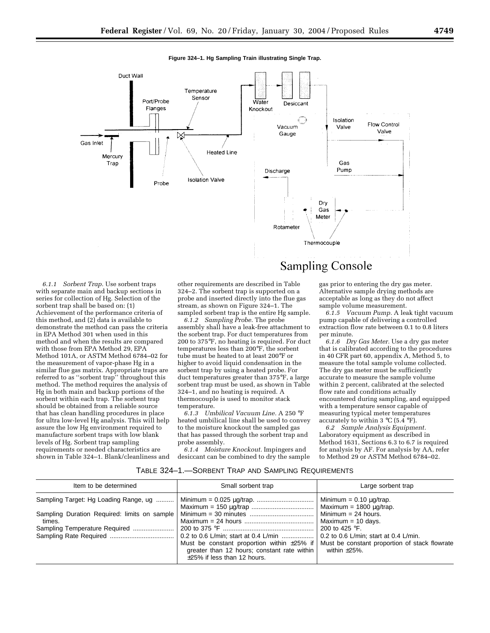

*6.1.1 Sorbent Trap.* Use sorbent traps with separate main and backup sections in series for collection of Hg. Selection of the sorbent trap shall be based on: (1) Achievement of the performance criteria of this method, and (2) data is available to demonstrate the method can pass the criteria in EPA Method 301 when used in this method and when the results are compared with those from EPA Method 29, EPA Method 101A, or ASTM Method 6784–02 for the measurement of vapor-phase Hg in a similar flue gas matrix. Appropriate traps are referred to as ''sorbent trap'' throughout this method. The method requires the analysis of Hg in both main and backup portions of the sorbent within each trap. The sorbent trap should be obtained from a reliable source that has clean handling procedures in place for ultra low-level Hg analysis. This will help assure the low Hg environment required to manufacture sorbent traps with low blank levels of Hg. Sorbent trap sampling requirements or needed characteristics are shown in Table 324–1. Blank/cleanliness and

other requirements are described in Table 324–2. The sorbent trap is supported on a probe and inserted directly into the flue gas stream, as shown on Figure 324–1. The sampled sorbent trap is the entire Hg sample.

*6.1.2 Sampling Probe.* The probe assembly shall have a leak-free attachment to the sorbent trap. For duct temperatures from 200 to 375°F, no heating is required. For duct temperatures less than 200°F, the sorbent tube must be heated to at least 200°F or higher to avoid liquid condensation in the sorbent trap by using a heated probe. For duct temperatures greater than 375°F, a large sorbent trap must be used, as shown in Table 324–1, and no heating is required. A thermocouple is used to monitor stack temperature.

*6.1.3 Umbilical Vacuum Line.* A 250 °F heated umbilical line shall be used to convey to the moisture knockout the sampled gas that has passed through the sorbent trap and probe assembly.

*6.1.4 Moisture Knockout.* Impingers and desiccant can be combined to dry the sample

#### gas prior to entering the dry gas meter. Alternative sample drying methods are acceptable as long as they do not affect sample volume measurement.

*6.1.5 Vacuum Pump.* A leak tight vacuum pump capable of delivering a controlled extraction flow rate between 0.1 to 0.8 liters per minute.

*6.1.6 Dry Gas Meter.* Use a dry gas meter that is calibrated according to the procedures in 40 CFR part 60, appendix A, Method 5, to measure the total sample volume collected. The dry gas meter must be sufficiently accurate to measure the sample volume within 2 percent, calibrated at the selected flow rate and conditions actually encountered during sampling, and equipped with a temperature sensor capable of measuring typical meter temperatures accurately to within  $3 \text{ °C}$  (5.4  $\text{ °F}$ ).

*6.2 Sample Analysis Equipment.* Laboratory equipment as described in Method 1631, Sections 6.3 to 6.7 is required for analysis by AF. For analysis by AA, refer to Method 29 or ASTM Method 6784–02.

## TABLE 324–1.—SORBENT TRAP AND SAMPLING REQUIREMENTS

| Item to be determined                   | Small sorbent trap                                                         | Large sorbent trap                                                                                                                      |
|-----------------------------------------|----------------------------------------------------------------------------|-----------------------------------------------------------------------------------------------------------------------------------------|
| Sampling Target: Hg Loading Range, ug   |                                                                            | Minimum = $0.10 \mu g$ /trap.<br>Maximum = 1800 ug/trap.<br>Minimum = 24 hours.                                                         |
| times.<br>Sampling Temperature Required | Must be constant proportion within $\pm 25\%$ if                           | Maximum = 10 days.<br>200 to 425 $\degree$ F.<br>0.2 to 0.6 L/min; start at 0.4 L/min.<br>Must be constant proportion of stack flowrate |
|                                         | greater than 12 hours; constant rate within<br>±25% if less than 12 hours. | within $\pm 25\%$ .                                                                                                                     |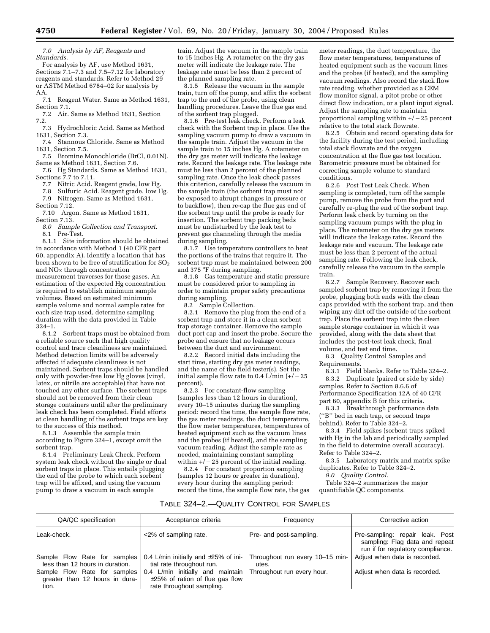*7.0 Analysis by AF, Reagents and Standards.*

For analysis by AF, use Method 1631, Sections 7.1–7.3 and 7.5–7.12 for laboratory reagents and standards. Refer to Method 29 or ASTM Method 6784–02 for analysis by  $\frac{AA}{7.1}$ 

Reagent Water. Same as Method 1631, Section 7.1.

7.2 Air. Same as Method 1631, Section 7.2.

7.3 Hydrochloric Acid. Same as Method 1631, Section 7.3.

7.4 Stannous Chloride. Same as Method 1631, Section 7.5.

7.5 Bromine Monochloride (BrCl, 0.01N). Same as Method 1631, Section 7.6.

7.6 Hg Standards. Same as Method 1631, Sections 7.7 to 7.11.

7.7 Nitric Acid. Reagent grade, low Hg.

7.8 Sulfuric Acid. Reagent grade, low Hg. 7.9 Nitrogen. Same as Method 1631,

Section 7.12.

7.10 Argon. Same as Method 1631, Section 7.13.

*8.0 Sample Collection and Transport.*

8.1 Pre-Test.

8.1.1 Site information should be obtained in accordance with Method 1 (40 CFR part 60, appendix A). Identify a location that has been shown to be free of stratification for  $SO_2$ and  $NO<sub>X</sub>$  through concentration measurement traverses for those gases. An estimation of the expected Hg concentration is required to establish minimum sample volumes. Based on estimated minimum sample volume and normal sample rates for each size trap used, determine sampling duration with the data provided in Table 324–1.

8.1.2 Sorbent traps must be obtained from a reliable source such that high quality control and trace cleanliness are maintained. Method detection limits will be adversely affected if adequate cleanliness is not maintained. Sorbent traps should be handled only with powder-free low Hg gloves (vinyl, latex, or nitrile are acceptable) that have not touched any other surface. The sorbent traps should not be removed from their clean storage containers until after the preliminary leak check has been completed. Field efforts at clean handling of the sorbent traps are key to the success of this method.

8.1.3 Assemble the sample train according to Figure 324–1, except omit the sorbent trap.

8.1.4 Preliminary Leak Check. Perform system leak check without the single or dual sorbent traps in place. This entails plugging the end of the probe to which each sorbent trap will be affixed, and using the vacuum pump to draw a vacuum in each sample

train. Adjust the vacuum in the sample train to 15 inches Hg. A rotameter on the dry gas meter will indicate the leakage rate. The leakage rate must be less than 2 percent of the planned sampling rate.

8.1.5 Release the vacuum in the sample train, turn off the pump, and affix the sorbent trap to the end of the probe, using clean handling procedures. Leave the flue gas end of the sorbent trap plugged.

8.1.6 Pre-test leak check. Perform a leak check with the Sorbent trap in place. Use the sampling vacuum pump to draw a vacuum in the sample train. Adjust the vacuum in the sample train to 15 inches Hg. A rotameter on the dry gas meter will indicate the leakage rate. Record the leakage rate. The leakage rate must be less than 2 percent of the planned sampling rate. Once the leak check passes this criterion, carefully release the vacuum in the sample train (the sorbent trap must not be exposed to abrupt changes in pressure or to backflow), then re-cap the flue gas end of the sorbent trap until the probe is ready for insertion. The sorbent trap packing beds must be undisturbed by the leak test to prevent gas channeling through the media during sampling.

8.1.7 Use temperature controllers to heat the portions of the trains that require it. The sorbent trap must be maintained between 200 and 375 °F during sampling.

8.1.8 Gas temperature and static pressure must be considered prior to sampling in order to maintain proper safety precautions during sampling.

8.2 Sample Collection.

8.2.1 Remove the plug from the end of a sorbent trap and store it in a clean sorbent trap storage container. Remove the sample duct port cap and insert the probe. Secure the probe and ensure that no leakage occurs between the duct and environment.

8.2.2 Record initial data including the start time, starting dry gas meter readings, and the name of the field tester(s). Set the initial sample flow rate to 0.4 L/min  $(+/-25)$ percent).

8.2.3 For constant-flow sampling (samples less than 12 hours in duration), every 10–15 minutes during the sampling period: record the time, the sample flow rate, the gas meter readings, the duct temperature, the flow meter temperatures, temperatures of heated equipment such as the vacuum lines and the probes (if heated), and the sampling vacuum reading. Adjust the sample rate as needed, maintaining constant sampling within  $+/-25$  percent of the initial reading.

8.2.4 For constant proportion sampling (samples 12 hours or greater in duration), every hour during the sampling period: record the time, the sample flow rate, the gas meter readings, the duct temperature, the flow meter temperatures, temperatures of heated equipment such as the vacuum lines and the probes (if heated), and the sampling vacuum readings. Also record the stack flow rate reading, whether provided as a CEM flow monitor signal, a pitot probe or other direct flow indication, or a plant input signal. Adjust the sampling rate to maintain proportional sampling within  $+/-25$  percent relative to the total stack flowrate.

8.2.5 Obtain and record operating data for the facility during the test period, including total stack flowrate and the oxygen concentration at the flue gas test location. Barometric pressure must be obtained for correcting sample volume to standard conditions.

8.2.6 Post Test Leak Check. When sampling is completed, turn off the sample pump, remove the probe from the port and carefully re-plug the end of the sorbent trap. Perform leak check by turning on the sampling vacuum pumps with the plug in place. The rotameter on the dry gas meters will indicate the leakage rates. Record the leakage rate and vacuum. The leakage rate must be less than 2 percent of the actual sampling rate. Following the leak check, carefully release the vacuum in the sample train.

8.2.7 Sample Recovery. Recover each sampled sorbent trap by removing it from the probe, plugging both ends with the clean caps provided with the sorbent trap, and then wiping any dirt off the outside of the sorbent trap. Place the sorbent trap into the clean sample storage container in which it was provided, along with the data sheet that includes the post-test leak check, final volume, and test end time.

8.3 Quality Control Samples and Requirements.

8.3.1 Field blanks. Refer to Table 324–2. 8.3.2 Duplicate (paired or side by side) samples. Refer to Section 8.6.6 of Performance Specification 12A of 40 CFR part 60, appendix B for this criteria.

8.3.3 Breakthrough performance data (''B'' bed in each trap, or second traps behind). Refer to Table 324–2.

8.3.4 Field spikes (sorbent traps spiked with Hg in the lab and periodically sampled in the field to determine overall accuracy). Refer to Table 324–2.

8.3.5 Laboratory matrix and matrix spike duplicates. Refer to Table 324–2.

*9.0 Quality Control.*

Table 324–2 summarizes the major quantifiable QC components.

## TABLE 324–2.—QUALITY CONTROL FOR SAMPLES

| QA/QC specification                                                     | Acceptance criteria                                                                                    | Frequency                                | Corrective action                                                                                      |
|-------------------------------------------------------------------------|--------------------------------------------------------------------------------------------------------|------------------------------------------|--------------------------------------------------------------------------------------------------------|
| Leak-check.                                                             | <2% of sampling rate.                                                                                  | Pre- and post-sampling.                  | Pre-sampling: repair leak. Post<br>sampling: Flag data and repeat<br>run if for regulatory compliance. |
| Sample Flow Rate for samples<br>less than 12 hours in duration.         | 0.4 L/min initially and $\pm 25\%$ of ini-<br>tial rate throughout run.                                | Throughout run every 10-15 min-<br>utes. | Adjust when data is recorded.                                                                          |
| Sample Flow Rate for samples<br>greater than 12 hours in dura-<br>tion. | 0.4 L/min initially and maintain<br>$\pm 25\%$ of ration of flue gas flow<br>rate throughout sampling. | Throughout run every hour.               | Adjust when data is recorded.                                                                          |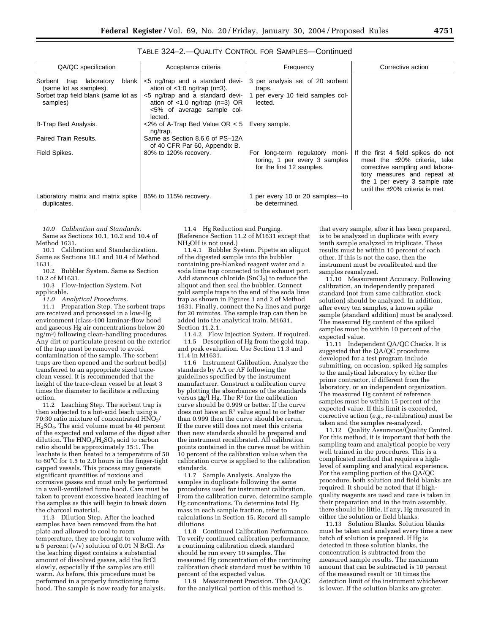| - - | ×<br>۰. |  |
|-----|---------|--|

|  | TABLE 324-2.-QUALITY CONTROL FOR SAMPLES-Continued |
|--|----------------------------------------------------|
|--|----------------------------------------------------|

| QA/QC specification                                        | Acceptance criteria                                                                                           | Frequency                                                                                    | Corrective action                                                                                                                                                                                                    |
|------------------------------------------------------------|---------------------------------------------------------------------------------------------------------------|----------------------------------------------------------------------------------------------|----------------------------------------------------------------------------------------------------------------------------------------------------------------------------------------------------------------------|
| blank<br>Sorbent trap laboratory<br>(same lot as samples). | $<$ 5 ng/trap and a standard devi-<br>ation of $\lt 1.0$ ng/trap (n=3).                                       | 3 per analysis set of 20 sorbent<br>traps.                                                   |                                                                                                                                                                                                                      |
| Sorbet trap field blank (same lot as<br>samples)           | <5 ng/trap and a standard devi-<br>ation of $<$ 1.0 ng/trap (n=3) OR<br><5% of average sample col-<br>lected. | 1 per every 10 field samples col-<br>lected.                                                 |                                                                                                                                                                                                                      |
| B-Trap Bed Analysis.                                       | $<2\%$ of A-Trap Bed Value OR $<5$<br>ng/trap.                                                                | Every sample.                                                                                |                                                                                                                                                                                                                      |
| Paired Train Results.                                      | Same as Section 8.6.6 of PS-12A<br>of 40 CFR Par 60, Appendix B.                                              |                                                                                              |                                                                                                                                                                                                                      |
| Field Spikes.                                              | 80% to 120% recovery.                                                                                         | For long-term regulatory moni-<br>toring, 1 per every 3 samples<br>for the first 12 samples. | If the first 4 field spikes do not<br>meet the $\pm 20\%$ criteria, take<br>corrective sampling and labora-<br>tory measures and repeat at<br>the 1 per every 3 sample rate<br>until the $\pm 20\%$ criteria is met. |
| Laboratory matrix and matrix spike<br>duplicates.          | 85% to 115% recovery.                                                                                         | per every 10 or 20 samples-to<br>be determined.                                              |                                                                                                                                                                                                                      |

*10.0 Calibration and Standards.* Same as Sections 10.1, 10.2 and 10.4 of

Method 1631. 10.1 Calibration and Standardization.

Same as Sections 10.1 and 10.4 of Method 1631.

10.2 Bubbler System. Same as Section 10.2 of M1631.

10.3 Flow-Injection System. Not applicable.

*11.0 Analytical Procedures.*

11.1 Preparation Step. The sorbent traps are received and processed in a low-Hg environment (class-100 laminar-flow hood and gaseous Hg air concentrations below 20 ng/m3) following clean-handling procedures. Any dirt or particulate present on the exterior of the trap must be removed to avoid contamination of the sample. The sorbent traps are then opened and the sorbent bed(s) transferred to an appropriate sized traceclean vessel. It is recommended that the height of the trace-clean vessel be at least 3 times the diameter to facilitate a refluxing action.

11.2 Leaching Step. The sorbent trap is then subjected to a hot-acid leach using a 70:30 ratio mixture of concentrated HNO<sub>3</sub>/ H2SO4. The acid volume must be 40 percent of the expected end volume of the digest after dilution. The  $HNO<sub>3</sub>/H<sub>2</sub>SO<sub>4</sub>$  acid to carbon ratio should be approximately 35:1. The leachate is then heated to a temperature of 50 to 60°C for 1.5 to 2.0 hours in the finger-tight capped vessels. This process may generate significant quantities of noxious and corrosive gasses and must only be performed in a well-ventilated fume hood. Care must be taken to prevent excessive heated leaching of the samples as this will begin to break down the charcoal material.

11.3 Dilution Step. After the leached samples have been removed from the hot plate and allowed to cool to room temperature, they are brought to volume with a 5 percent (v/v) solution of 0.01 N BrCl. As the leaching digest contains a substantial amount of dissolved gasses, add the BrCl slowly, especially if the samples are still warm. As before, this procedure must be performed in a properly functioning fume hood. The sample is now ready for analysis.

11.4 Hg Reduction and Purging. (Reference Section 11.2 of M1631 except that NH<sub>2</sub>OH is not used.)

11.4.1 Bubbler System. Pipette an aliquot of the digested sample into the bubbler containing pre-blanked reagent water and a soda lime trap connected to the exhaust port. Add stannous chloride  $(SnCl<sub>2</sub>)$  to reduce the aliquot and then seal the bubbler. Connect gold sample traps to the end of the soda lime trap as shown in Figures 1 and 2 of Method 1631. Finally, connect the  $N_2$  lines and purge for 20 minutes. The sample trap can then be added into the analytical train. M1631, Section 11.2.1.

11.4.2 Flow Injection System. If required. 11.5 Desorption of Hg from the gold trap, and peak evaluation. Use Section 11.3 and 11.4 in M1631.

11.6 Instrument Calibration. Analyze the standards by AA or AF following the guidelines specified by the instrument manufacturer. Construct a calibration curve by plotting the absorbances of the standards versus  $\mu$ g/l Hg. The R<sup>2</sup> for the calibration curve should be 0.999 or better. If the curve does not have an R<sup>2</sup> value equal to or better than 0.999 then the curve should be rerun. If the curve still does not meet this criteria then new standards should be prepared and the instrument recalibrated. All calibration points contained in the curve must be within 10 percent of the calibration value when the calibration curve is applied to the calibration standards.

11.7 Sample Analysis. Analyze the samples in duplicate following the same procedures used for instrument calibration. From the calibration curve, determine sample Hg concentrations. To determine total Hg mass in each sample fraction, refer to calculations in Section 15. Record all sample dilutions

11.8 Continued Calibration Performance. To verify continued calibration performance, a continuing calibration check standard should be run every 10 samples. The measured Hg concentration of the continuing calibration check standard must be within 10 percent of the expected value.

11.9 Measurement Precision. The QA/QC for the analytical portion of this method is

that every sample, after it has been prepared, is to be analyzed in duplicate with every tenth sample analyzed in triplicate. These results must be within 10 percent of each other. If this is not the case, then the instrument must be recalibrated and the samples reanalyzed.

11.10 Measurement Accuracy. Following calibration, an independently prepared standard (not from same calibration stock solution) should be analyzed. In addition, after every ten samples, a known spike sample (standard addition) must be analyzed. The measured Hg content of the spiked samples must be within 10 percent of the expected value.

11.11 Independent QA/QC Checks. It is suggested that the QA/QC procedures developed for a test program include submitting, on occasion, spiked Hg samples to the analytical laboratory by either the prime contractor, if different from the laboratory, or an independent organization. The measured Hg content of reference samples must be within 15 percent of the expected value. If this limit is exceeded, corrective action (*e.g.,* re-calibration) must be taken and the samples re-analyzed.

11.12 Quality Assurance/Quality Control. For this method, it is important that both the sampling team and analytical people be very well trained in the procedures. This is a complicated method that requires a highlevel of sampling and analytical experience. For the sampling portion of the QA/QC procedure, both solution and field blanks are required. It should be noted that if highquality reagents are used and care is taken in their preparation and in the train assembly, there should be little, if any, Hg measured in either the solution or field blanks.

11.13 Solution Blanks. Solution blanks must be taken and analyzed every time a new batch of solution is prepared. If Hg is detected in these solution blanks, the concentration is subtracted from the measured sample results. The maximum amount that can be subtracted is 10 percent of the measured result or 10 times the detection limit of the instrument whichever is lower. If the solution blanks are greater